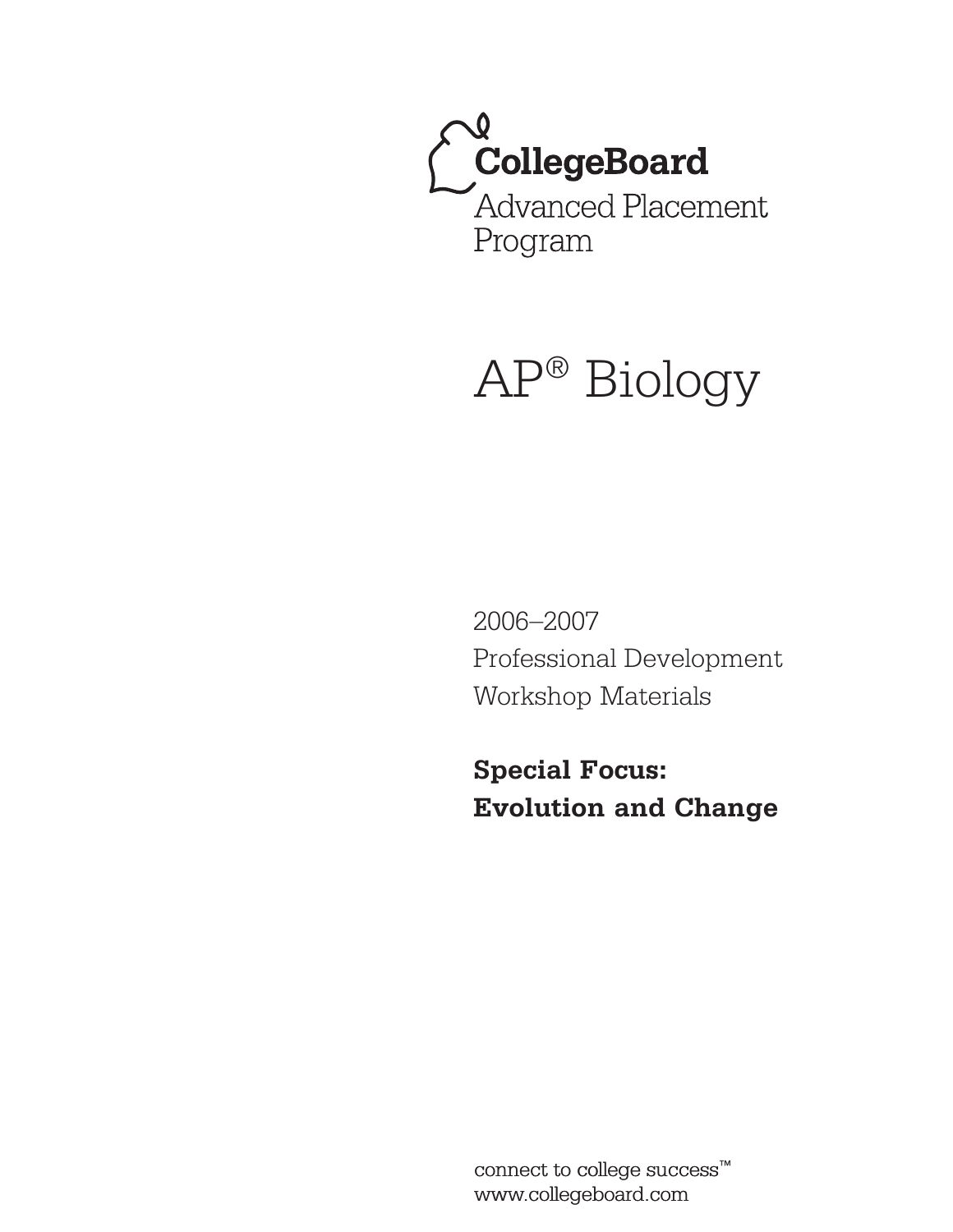

# AP® Biology

2006–2007 Professional Development Workshop Materials

**Special Focus: Evolution and Change**

connect to college success™ www.collegeboard.com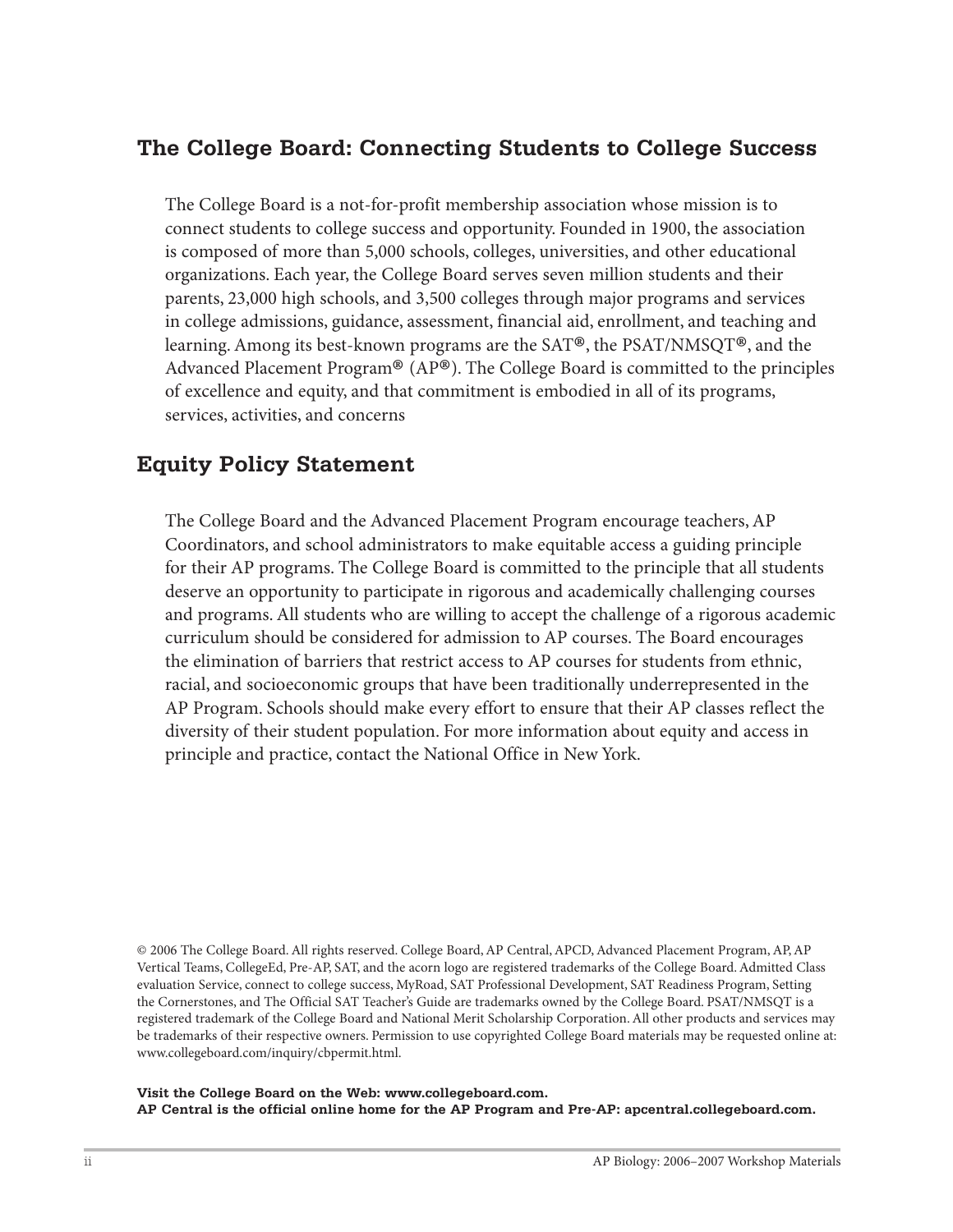# **The College Board: Connecting Students to College Success**

The College Board is a not-for-profit membership association whose mission is to connect students to college success and opportunity. Founded in 1900, the association is composed of more than 5,000 schools, colleges, universities, and other educational organizations. Each year, the College Board serves seven million students and their parents, 23,000 high schools, and 3,500 colleges through major programs and services in college admissions, guidance, assessment, financial aid, enrollment, and teaching and learning. Among its best-known programs are the SAT®, the PSAT/NMSQT®, and the Advanced Placement Program® (AP®). The College Board is committed to the principles of excellence and equity, and that commitment is embodied in all of its programs, services, activities, and concerns

# **Equity Policy Statement**

The College Board and the Advanced Placement Program encourage teachers, AP Coordinators, and school administrators to make equitable access a guiding principle for their AP programs. The College Board is committed to the principle that all students deserve an opportunity to participate in rigorous and academically challenging courses and programs. All students who are willing to accept the challenge of a rigorous academic curriculum should be considered for admission to AP courses. The Board encourages the elimination of barriers that restrict access to AP courses for students from ethnic, racial, and socioeconomic groups that have been traditionally underrepresented in the AP Program. Schools should make every effort to ensure that their AP classes reflect the diversity of their student population. For more information about equity and access in principle and practice, contact the National Office in New York.

© 2006 The College Board. All rights reserved. College Board, AP Central, APCD, Advanced Placement Program, AP, AP Vertical Teams, CollegeEd, Pre-AP, SAT, and the acorn logo are registered trademarks of the College Board. Admitted Class evaluation Service, connect to college success, MyRoad, SAT Professional Development, SAT Readiness Program, Setting the Cornerstones, and The Official SAT Teacher's Guide are trademarks owned by the College Board. PSAT/NMSQT is a registered trademark of the College Board and National Merit Scholarship Corporation. All other products and services may be trademarks of their respective owners. Permission to use copyrighted College Board materials may be requested online at: www.collegeboard.com/inquiry/cbpermit.html.

**Visit the College Board on the Web: www.collegeboard.com. AP Central is the official online home for the AP Program and Pre-AP: apcentral.collegeboard.com.**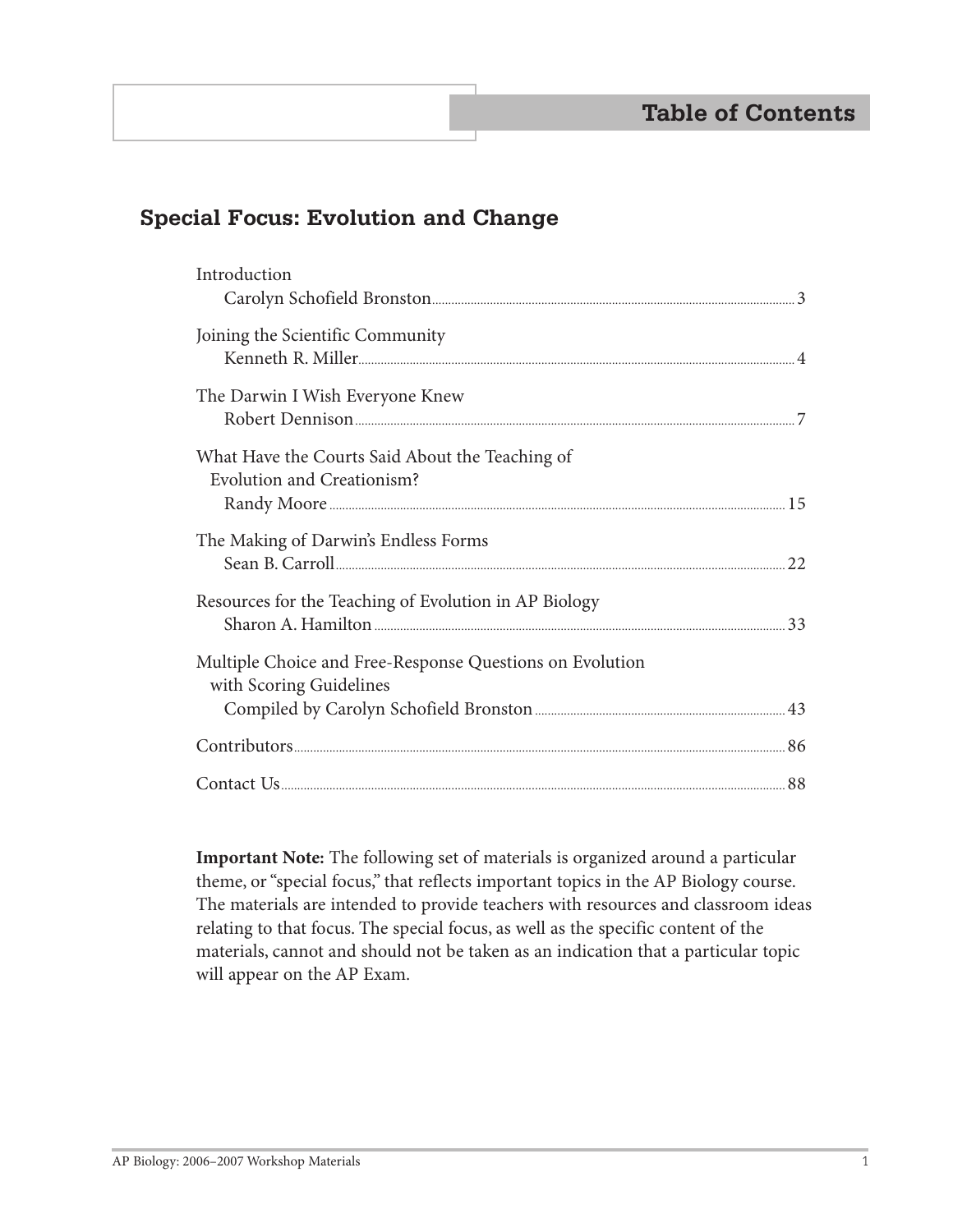# **Special Focus: Evolution and Change**

| Introduction                                                                                                   |  |
|----------------------------------------------------------------------------------------------------------------|--|
|                                                                                                                |  |
| Joining the Scientific Community                                                                               |  |
|                                                                                                                |  |
| The Darwin I Wish Everyone Knew                                                                                |  |
|                                                                                                                |  |
| What Have the Courts Said About the Teaching of                                                                |  |
| <b>Evolution and Creationism?</b>                                                                              |  |
|                                                                                                                |  |
| The Making of Darwin's Endless Forms                                                                           |  |
|                                                                                                                |  |
| Resources for the Teaching of Evolution in AP Biology                                                          |  |
|                                                                                                                |  |
| Multiple Choice and Free-Response Questions on Evolution                                                       |  |
| with Scoring Guidelines                                                                                        |  |
|                                                                                                                |  |
| Example to the summary set of the set of the set of the set of the set of the set of the set of the set of the |  |
|                                                                                                                |  |
|                                                                                                                |  |

**Important Note:** The following set of materials is organized around a particular theme, or "special focus," that reflects important topics in the AP Biology course. The materials are intended to provide teachers with resources and classroom ideas relating to that focus. The special focus, as well as the specific content of the materials, cannot and should not be taken as an indication that a particular topic will appear on the AP Exam.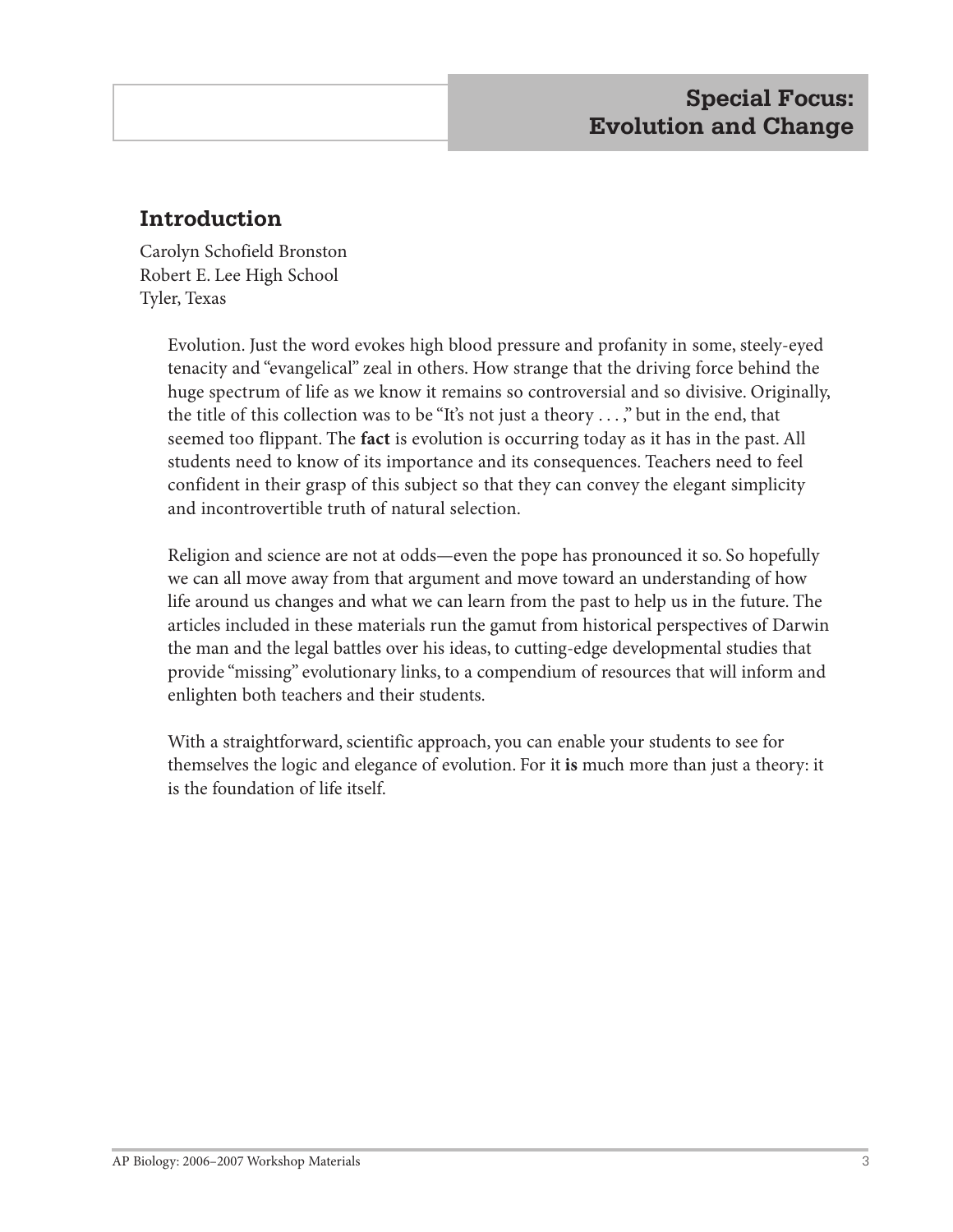# **Introduction**

Carolyn Schofield Bronston Robert E. Lee High School Tyler, Texas

> Evolution. Just the word evokes high blood pressure and profanity in some, steely-eyed tenacity and "evangelical" zeal in others. How strange that the driving force behind the huge spectrum of life as we know it remains so controversial and so divisive. Originally, the title of this collection was to be "It's not just a theory . . . ," but in the end, that seemed too flippant. The **fact** is evolution is occurring today as it has in the past. All students need to know of its importance and its consequences. Teachers need to feel confident in their grasp of this subject so that they can convey the elegant simplicity and incontrovertible truth of natural selection.

> Religion and science are not at odds—even the pope has pronounced it so. So hopefully we can all move away from that argument and move toward an understanding of how life around us changes and what we can learn from the past to help us in the future. The articles included in these materials run the gamut from historical perspectives of Darwin the man and the legal battles over his ideas, to cutting-edge developmental studies that provide "missing" evolutionary links, to a compendium of resources that will inform and enlighten both teachers and their students.

> With a straightforward, scientific approach, you can enable your students to see for themselves the logic and elegance of evolution. For it **is** much more than just a theory: it is the foundation of life itself.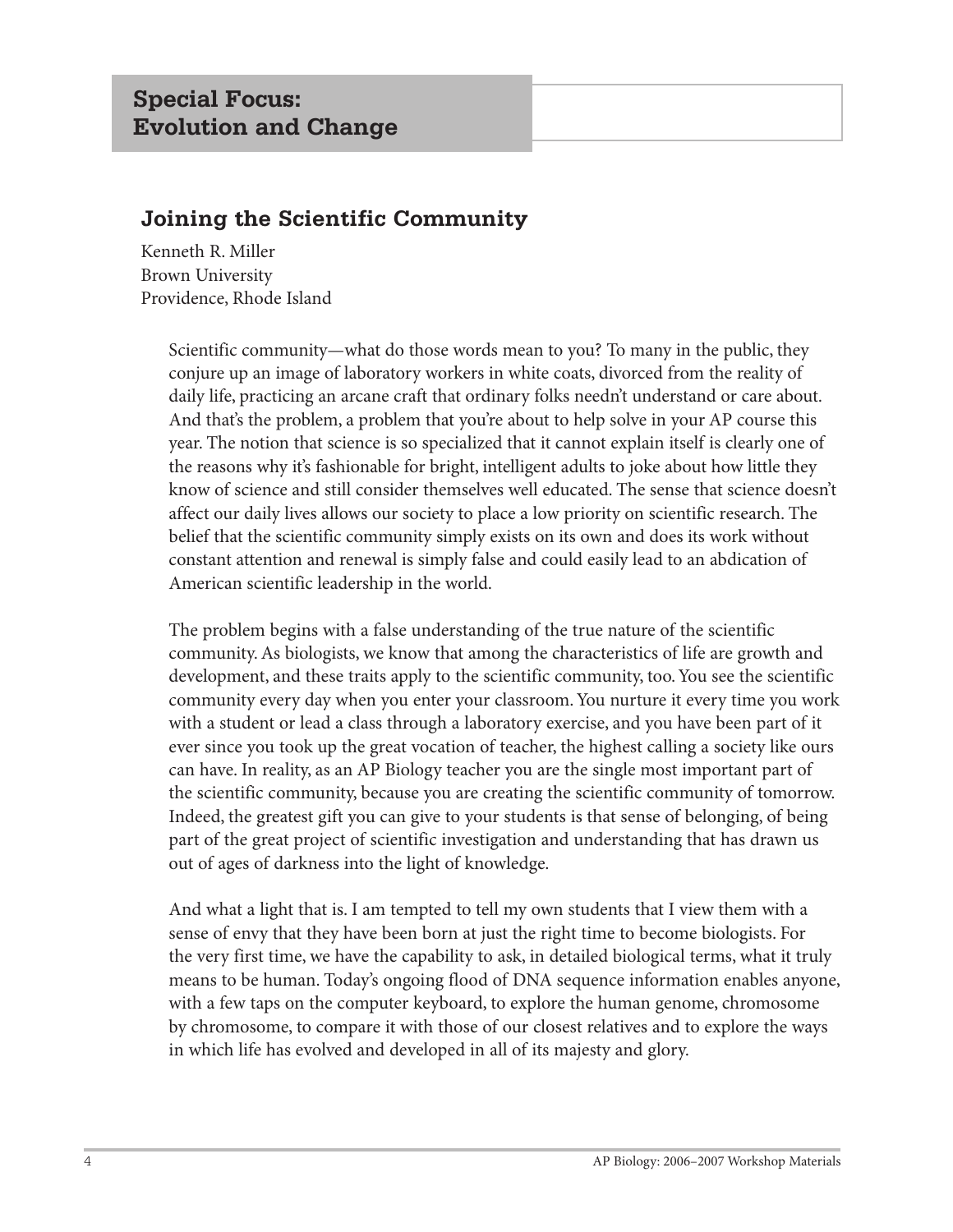# **Joining the Scientific Community**

Kenneth R. Miller Brown University Providence, Rhode Island

> Scientific community—what do those words mean to you? To many in the public, they conjure up an image of laboratory workers in white coats, divorced from the reality of daily life, practicing an arcane craft that ordinary folks needn't understand or care about. And that's the problem, a problem that you're about to help solve in your AP course this year. The notion that science is so specialized that it cannot explain itself is clearly one of the reasons why it's fashionable for bright, intelligent adults to joke about how little they know of science and still consider themselves well educated. The sense that science doesn't affect our daily lives allows our society to place a low priority on scientific research. The belief that the scientific community simply exists on its own and does its work without constant attention and renewal is simply false and could easily lead to an abdication of American scientific leadership in the world.

> The problem begins with a false understanding of the true nature of the scientific community. As biologists, we know that among the characteristics of life are growth and development, and these traits apply to the scientific community, too. You see the scientific community every day when you enter your classroom. You nurture it every time you work with a student or lead a class through a laboratory exercise, and you have been part of it ever since you took up the great vocation of teacher, the highest calling a society like ours can have. In reality, as an AP Biology teacher you are the single most important part of the scientific community, because you are creating the scientific community of tomorrow. Indeed, the greatest gift you can give to your students is that sense of belonging, of being part of the great project of scientific investigation and understanding that has drawn us out of ages of darkness into the light of knowledge.

> And what a light that is. I am tempted to tell my own students that I view them with a sense of envy that they have been born at just the right time to become biologists. For the very first time, we have the capability to ask, in detailed biological terms, what it truly means to be human. Today's ongoing flood of DNA sequence information enables anyone, with a few taps on the computer keyboard, to explore the human genome, chromosome by chromosome, to compare it with those of our closest relatives and to explore the ways in which life has evolved and developed in all of its majesty and glory.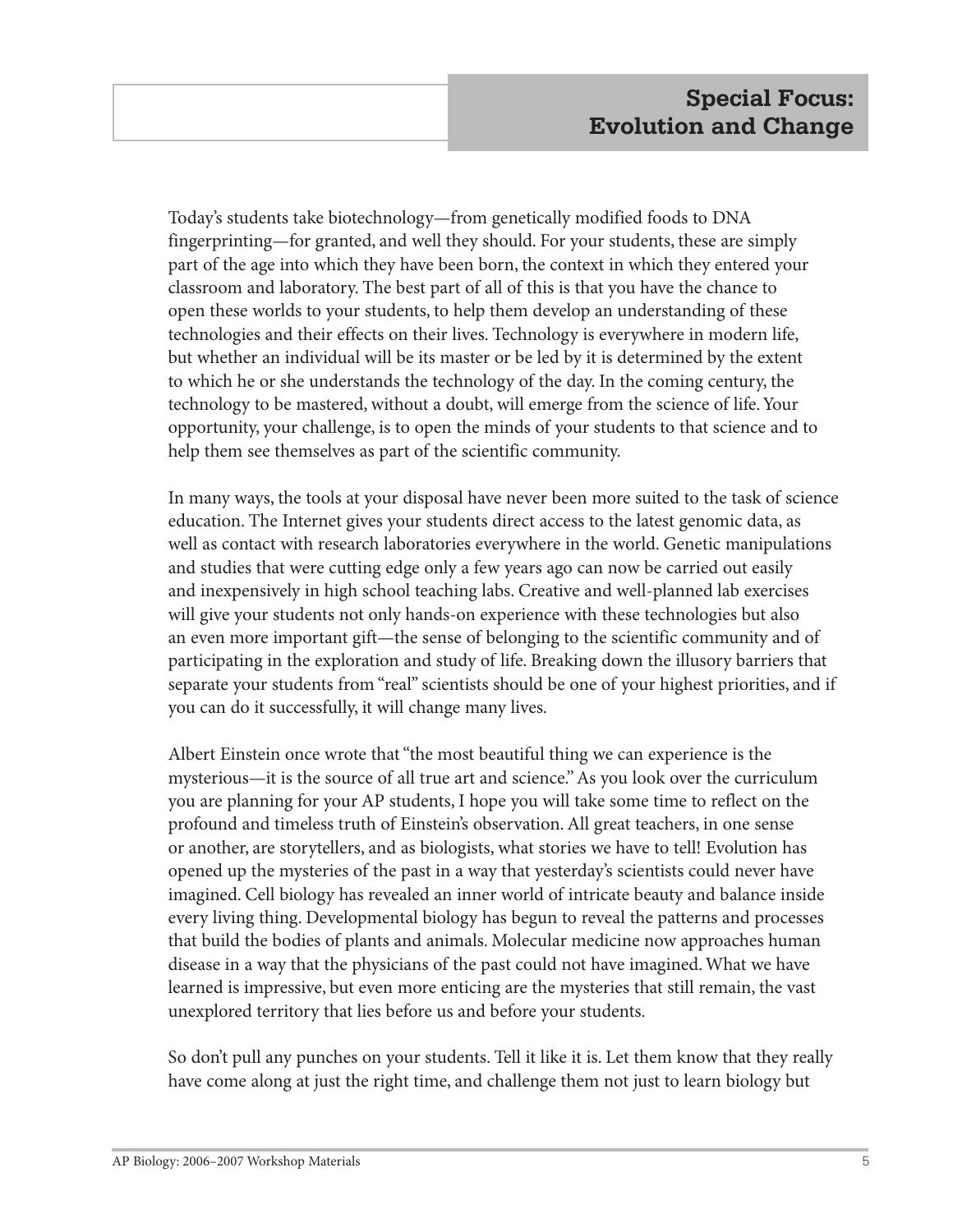Today's students take biotechnology—from genetically modified foods to DNA fingerprinting—for granted, and well they should. For your students, these are simply part of the age into which they have been born, the context in which they entered your classroom and laboratory. The best part of all of this is that you have the chance to open these worlds to your students, to help them develop an understanding of these technologies and their effects on their lives. Technology is everywhere in modern life, but whether an individual will be its master or be led by it is determined by the extent to which he or she understands the technology of the day. In the coming century, the technology to be mastered, without a doubt, will emerge from the science of life. Your opportunity, your challenge, is to open the minds of your students to that science and to help them see themselves as part of the scientific community.

In many ways, the tools at your disposal have never been more suited to the task of science education. The Internet gives your students direct access to the latest genomic data, as well as contact with research laboratories everywhere in the world. Genetic manipulations and studies that were cutting edge only a few years ago can now be carried out easily and inexpensively in high school teaching labs. Creative and well-planned lab exercises will give your students not only hands-on experience with these technologies but also an even more important gift—the sense of belonging to the scientific community and of participating in the exploration and study of life. Breaking down the illusory barriers that separate your students from "real" scientists should be one of your highest priorities, and if you can do it successfully, it will change many lives.

Albert Einstein once wrote that "the most beautiful thing we can experience is the mysterious—it is the source of all true art and science." As you look over the curriculum you are planning for your AP students, I hope you will take some time to reflect on the profound and timeless truth of Einstein's observation. All great teachers, in one sense or another, are storytellers, and as biologists, what stories we have to tell! Evolution has opened up the mysteries of the past in a way that yesterday's scientists could never have imagined. Cell biology has revealed an inner world of intricate beauty and balance inside every living thing. Developmental biology has begun to reveal the patterns and processes that build the bodies of plants and animals. Molecular medicine now approaches human disease in a way that the physicians of the past could not have imagined. What we have learned is impressive, but even more enticing are the mysteries that still remain, the vast unexplored territory that lies before us and before your students.

So don't pull any punches on your students. Tell it like it is. Let them know that they really have come along at just the right time, and challenge them not just to learn biology but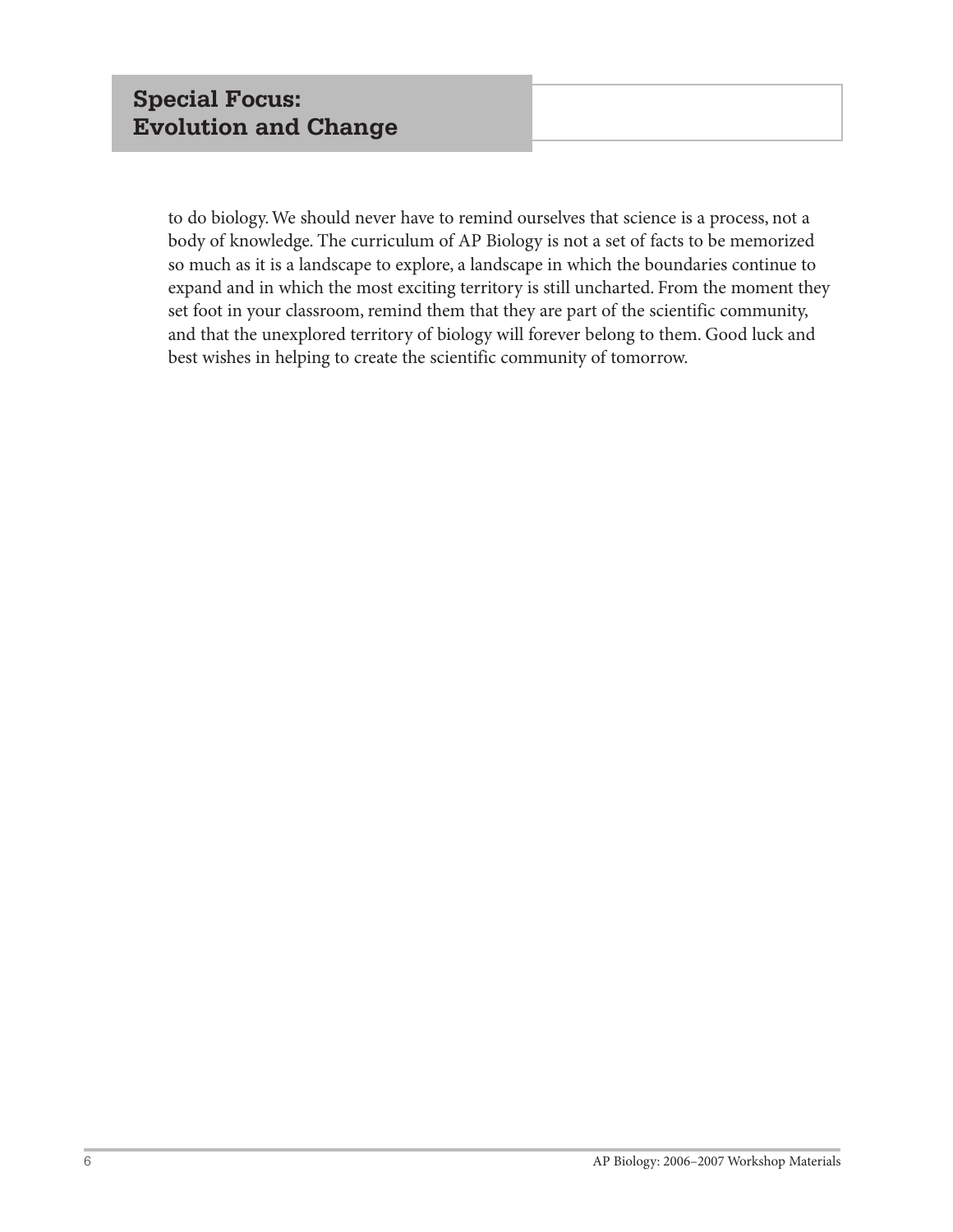to do biology. We should never have to remind ourselves that science is a process, not a body of knowledge. The curriculum of AP Biology is not a set of facts to be memorized so much as it is a landscape to explore, a landscape in which the boundaries continue to expand and in which the most exciting territory is still uncharted. From the moment they set foot in your classroom, remind them that they are part of the scientific community, and that the unexplored territory of biology will forever belong to them. Good luck and best wishes in helping to create the scientific community of tomorrow.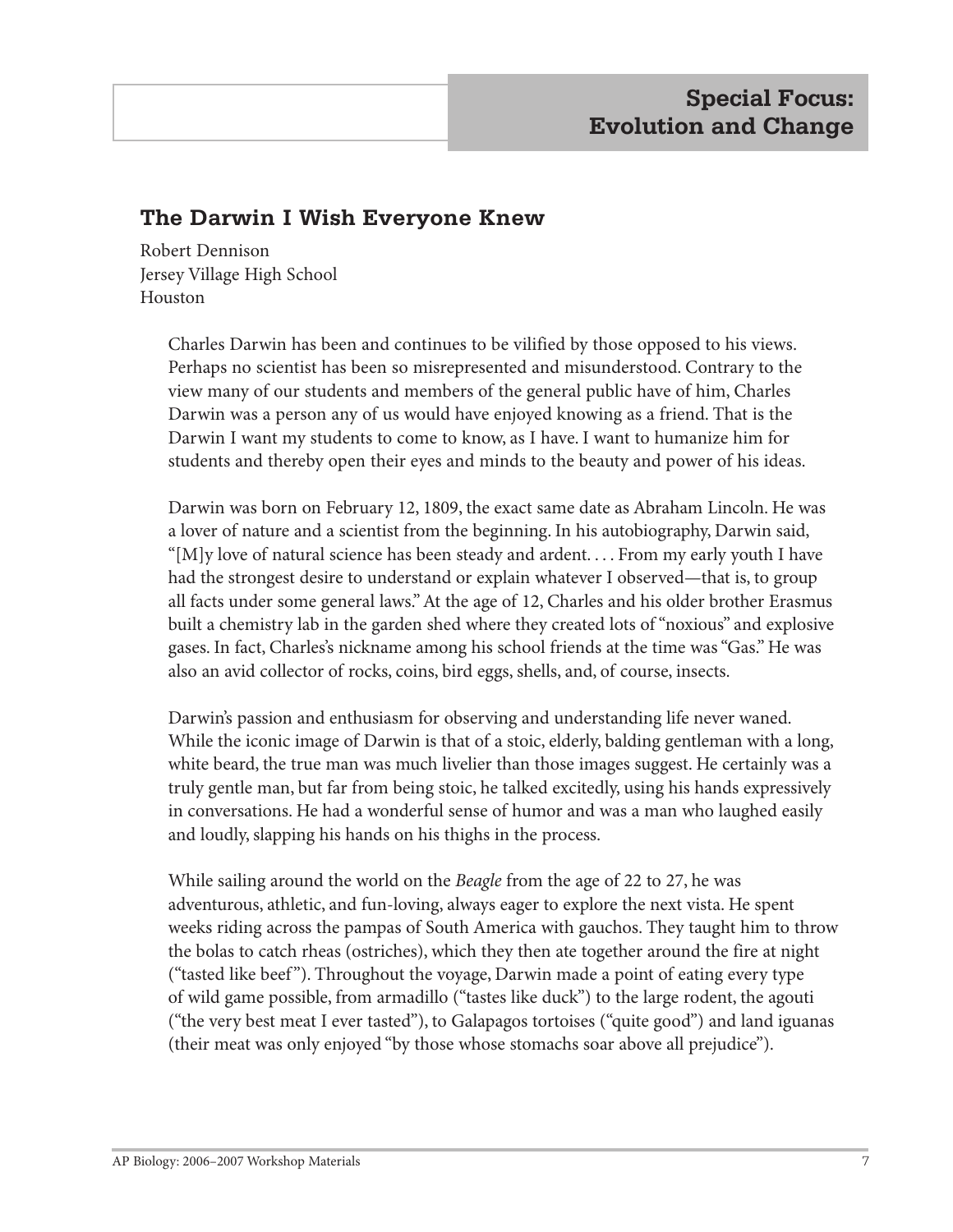## **The Darwin I Wish Everyone Knew**

Robert Dennison Jersey Village High School Houston

> Charles Darwin has been and continues to be vilified by those opposed to his views. Perhaps no scientist has been so misrepresented and misunderstood. Contrary to the view many of our students and members of the general public have of him, Charles Darwin was a person any of us would have enjoyed knowing as a friend. That is the Darwin I want my students to come to know, as I have. I want to humanize him for students and thereby open their eyes and minds to the beauty and power of his ideas.

Darwin was born on February 12, 1809, the exact same date as Abraham Lincoln. He was a lover of nature and a scientist from the beginning. In his autobiography, Darwin said, "[M]y love of natural science has been steady and ardent. . . . From my early youth I have had the strongest desire to understand or explain whatever I observed—that is, to group all facts under some general laws." At the age of 12, Charles and his older brother Erasmus built a chemistry lab in the garden shed where they created lots of "noxious" and explosive gases. In fact, Charles's nickname among his school friends at the time was "Gas." He was also an avid collector of rocks, coins, bird eggs, shells, and, of course, insects.

Darwin's passion and enthusiasm for observing and understanding life never waned. While the iconic image of Darwin is that of a stoic, elderly, balding gentleman with a long, white beard, the true man was much livelier than those images suggest. He certainly was a truly gentle man, but far from being stoic, he talked excitedly, using his hands expressively in conversations. He had a wonderful sense of humor and was a man who laughed easily and loudly, slapping his hands on his thighs in the process.

While sailing around the world on the *Beagle* from the age of 22 to 27, he was adventurous, athletic, and fun-loving, always eager to explore the next vista. He spent weeks riding across the pampas of South America with gauchos. They taught him to throw the bolas to catch rheas (ostriches), which they then ate together around the fire at night ("tasted like beef"). Throughout the voyage, Darwin made a point of eating every type of wild game possible, from armadillo ("tastes like duck") to the large rodent, the agouti ("the very best meat I ever tasted"), to Galapagos tortoises ("quite good") and land iguanas (their meat was only enjoyed "by those whose stomachs soar above all prejudice").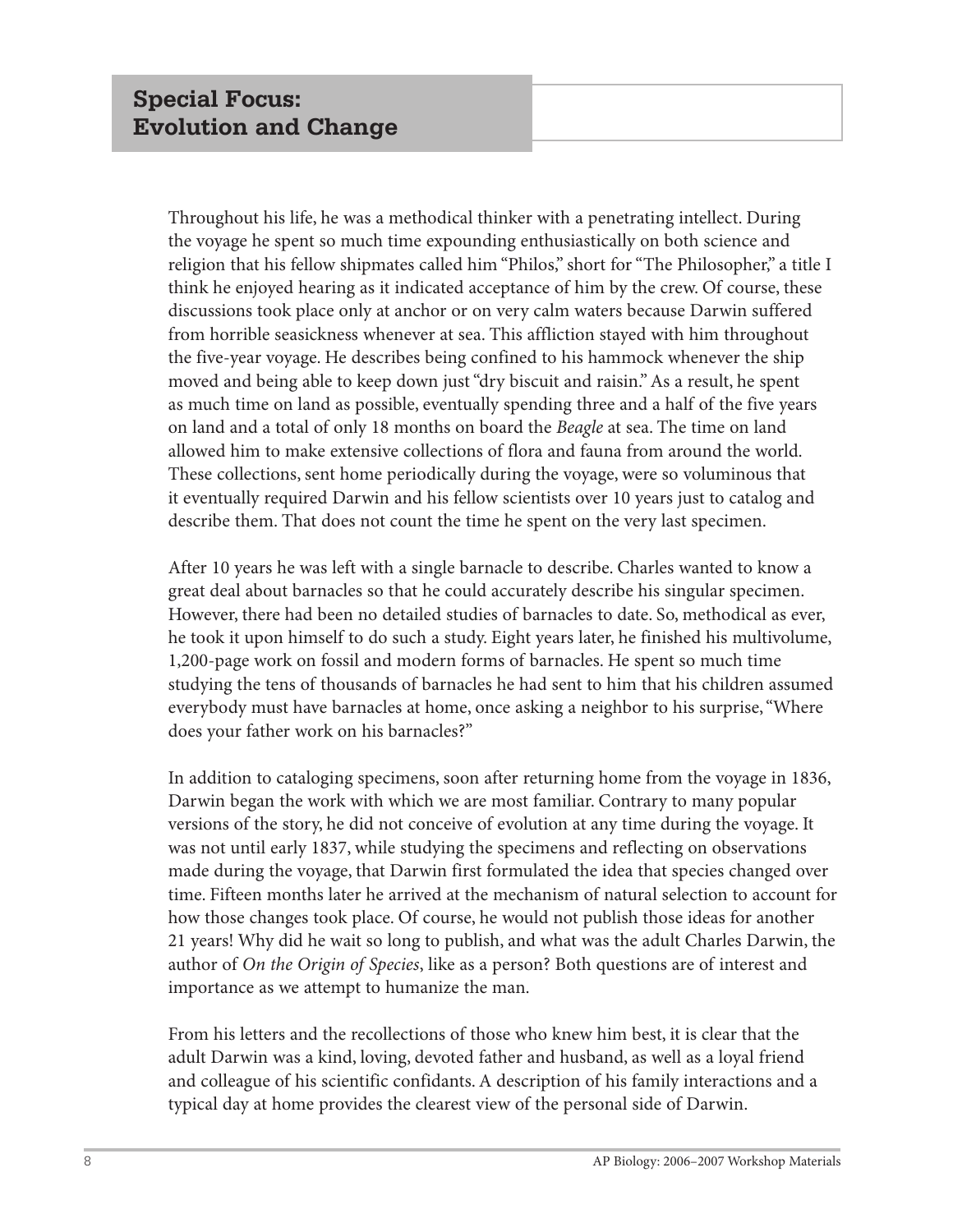Throughout his life, he was a methodical thinker with a penetrating intellect. During the voyage he spent so much time expounding enthusiastically on both science and religion that his fellow shipmates called him "Philos," short for "The Philosopher," a title I think he enjoyed hearing as it indicated acceptance of him by the crew. Of course, these discussions took place only at anchor or on very calm waters because Darwin suffered from horrible seasickness whenever at sea. This affliction stayed with him throughout the five-year voyage. He describes being confined to his hammock whenever the ship moved and being able to keep down just "dry biscuit and raisin." As a result, he spent as much time on land as possible, eventually spending three and a half of the five years on land and a total of only 18 months on board the *Beagle* at sea. The time on land allowed him to make extensive collections of flora and fauna from around the world. These collections, sent home periodically during the voyage, were so voluminous that it eventually required Darwin and his fellow scientists over 10 years just to catalog and describe them. That does not count the time he spent on the very last specimen.

After 10 years he was left with a single barnacle to describe. Charles wanted to know a great deal about barnacles so that he could accurately describe his singular specimen. However, there had been no detailed studies of barnacles to date. So, methodical as ever, he took it upon himself to do such a study. Eight years later, he finished his multivolume, 1,200-page work on fossil and modern forms of barnacles. He spent so much time studying the tens of thousands of barnacles he had sent to him that his children assumed everybody must have barnacles at home, once asking a neighbor to his surprise, "Where does your father work on his barnacles?"

In addition to cataloging specimens, soon after returning home from the voyage in 1836, Darwin began the work with which we are most familiar. Contrary to many popular versions of the story, he did not conceive of evolution at any time during the voyage. It was not until early 1837, while studying the specimens and reflecting on observations made during the voyage, that Darwin first formulated the idea that species changed over time. Fifteen months later he arrived at the mechanism of natural selection to account for how those changes took place. Of course, he would not publish those ideas for another 21 years! Why did he wait so long to publish, and what was the adult Charles Darwin, the author of *On the Origin of Species*, like as a person? Both questions are of interest and importance as we attempt to humanize the man.

From his letters and the recollections of those who knew him best, it is clear that the adult Darwin was a kind, loving, devoted father and husband, as well as a loyal friend and colleague of his scientific confidants. A description of his family interactions and a typical day at home provides the clearest view of the personal side of Darwin.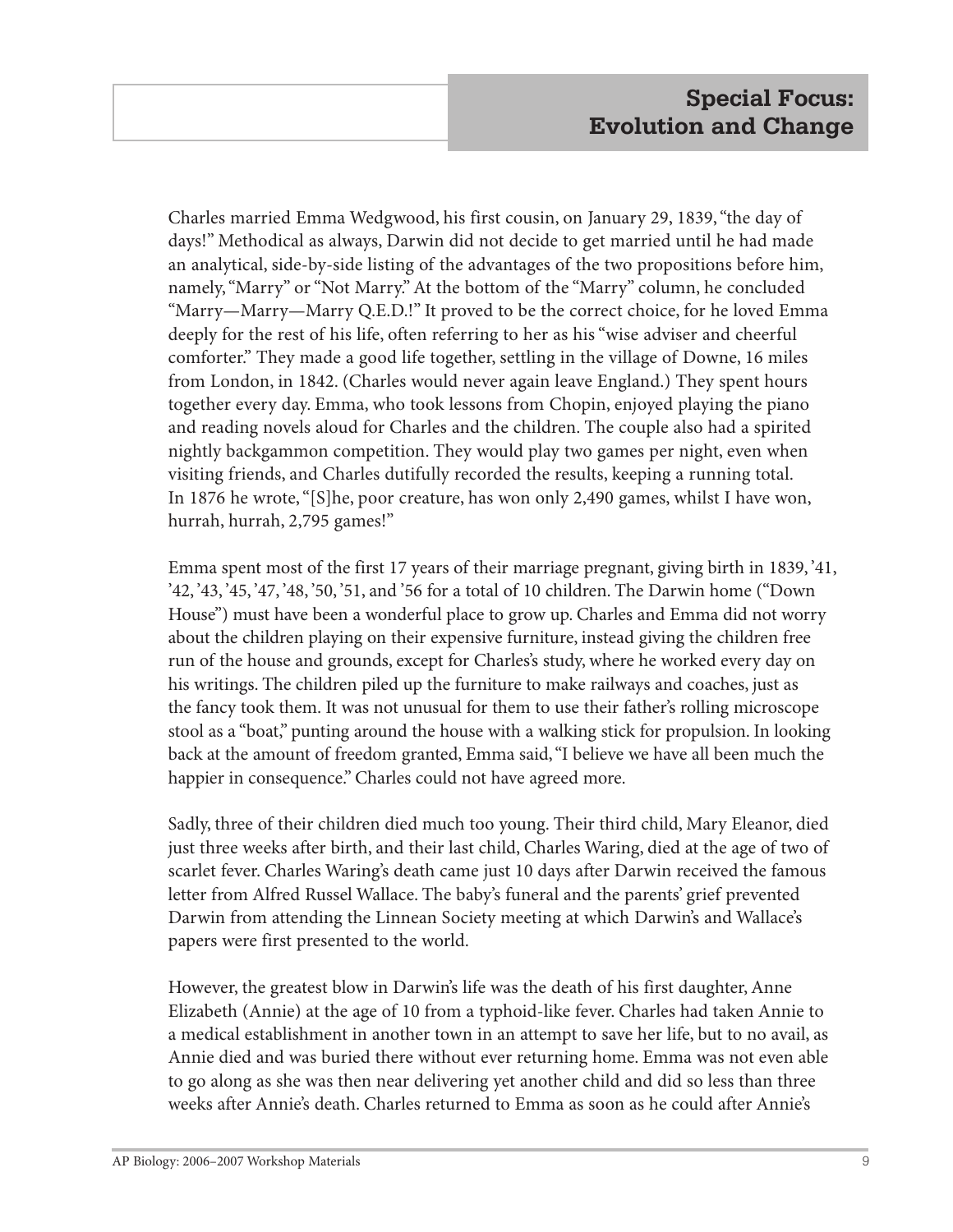Charles married Emma Wedgwood, his first cousin, on January 29, 1839, "the day of days!" Methodical as always, Darwin did not decide to get married until he had made an analytical, side-by-side listing of the advantages of the two propositions before him, namely, "Marry" or "Not Marry." At the bottom of the "Marry" column, he concluded "Marry—Marry—Marry Q.E.D.!" It proved to be the correct choice, for he loved Emma deeply for the rest of his life, often referring to her as his "wise adviser and cheerful comforter." They made a good life together, settling in the village of Downe, 16 miles from London, in 1842. (Charles would never again leave England.) They spent hours together every day. Emma, who took lessons from Chopin, enjoyed playing the piano and reading novels aloud for Charles and the children. The couple also had a spirited nightly backgammon competition. They would play two games per night, even when visiting friends, and Charles dutifully recorded the results, keeping a running total. In 1876 he wrote, "[S]he, poor creature, has won only 2,490 games, whilst I have won, hurrah, hurrah, 2,795 games!"

Emma spent most of the first 17 years of their marriage pregnant, giving birth in 1839, '41, '42, '43, '45, '47, '48, '50, '51, and '56 for a total of 10 children. The Darwin home ("Down House") must have been a wonderful place to grow up. Charles and Emma did not worry about the children playing on their expensive furniture, instead giving the children free run of the house and grounds, except for Charles's study, where he worked every day on his writings. The children piled up the furniture to make railways and coaches, just as the fancy took them. It was not unusual for them to use their father's rolling microscope stool as a "boat," punting around the house with a walking stick for propulsion. In looking back at the amount of freedom granted, Emma said, "I believe we have all been much the happier in consequence." Charles could not have agreed more.

Sadly, three of their children died much too young. Their third child, Mary Eleanor, died just three weeks after birth, and their last child, Charles Waring, died at the age of two of scarlet fever. Charles Waring's death came just 10 days after Darwin received the famous letter from Alfred Russel Wallace. The baby's funeral and the parents' grief prevented Darwin from attending the Linnean Society meeting at which Darwin's and Wallace's papers were first presented to the world.

However, the greatest blow in Darwin's life was the death of his first daughter, Anne Elizabeth (Annie) at the age of 10 from a typhoid-like fever. Charles had taken Annie to a medical establishment in another town in an attempt to save her life, but to no avail, as Annie died and was buried there without ever returning home. Emma was not even able to go along as she was then near delivering yet another child and did so less than three weeks after Annie's death. Charles returned to Emma as soon as he could after Annie's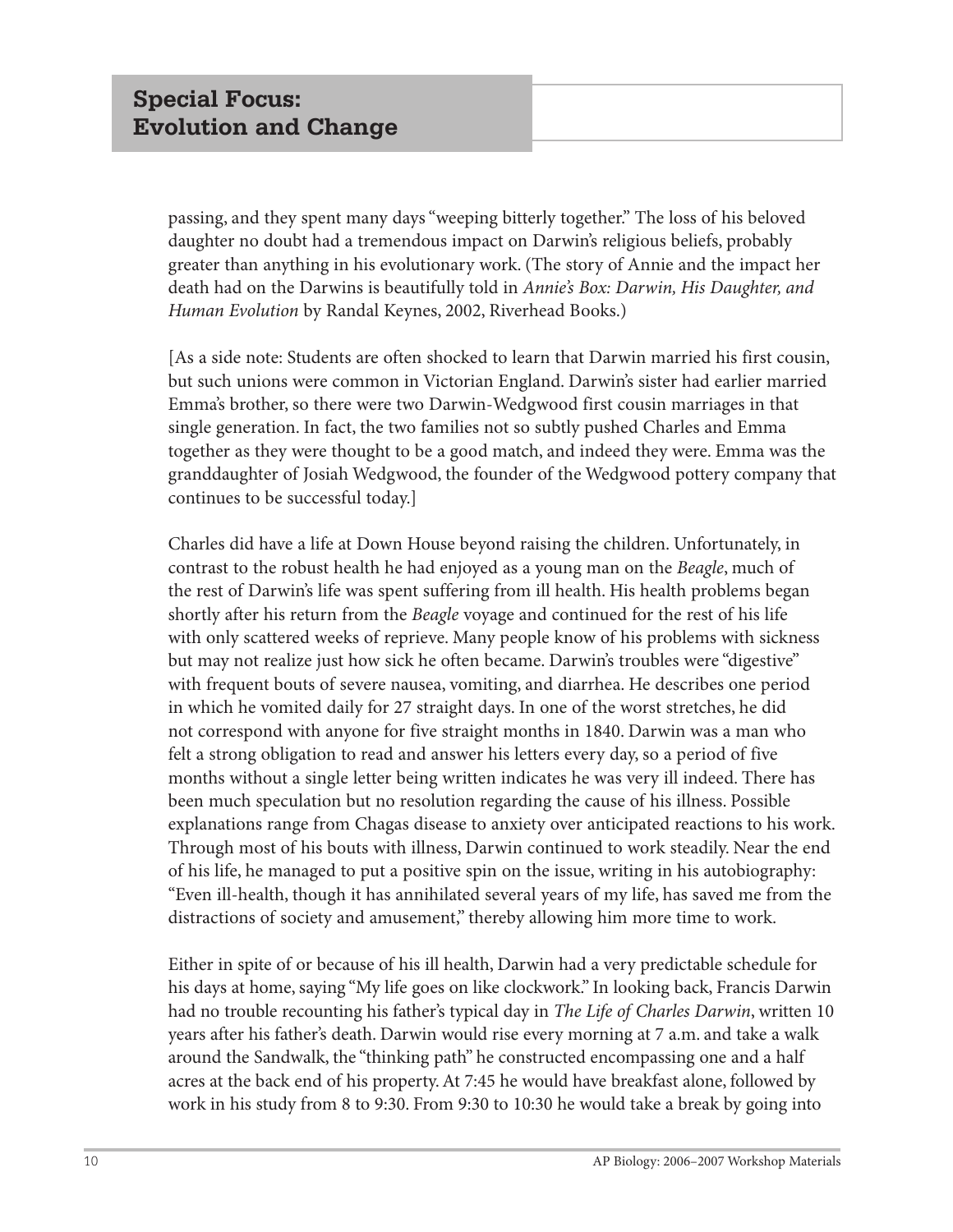passing, and they spent many days "weeping bitterly together." The loss of his beloved daughter no doubt had a tremendous impact on Darwin's religious beliefs, probably greater than anything in his evolutionary work. (The story of Annie and the impact her death had on the Darwins is beautifully told in *Annie's Box: Darwin, His Daughter, and Human Evolution* by Randal Keynes, 2002, Riverhead Books.)

[As a side note: Students are often shocked to learn that Darwin married his first cousin, but such unions were common in Victorian England. Darwin's sister had earlier married Emma's brother, so there were two Darwin-Wedgwood first cousin marriages in that single generation. In fact, the two families not so subtly pushed Charles and Emma together as they were thought to be a good match, and indeed they were. Emma was the granddaughter of Josiah Wedgwood, the founder of the Wedgwood pottery company that continues to be successful today.]

Charles did have a life at Down House beyond raising the children. Unfortunately, in contrast to the robust health he had enjoyed as a young man on the *Beagle*, much of the rest of Darwin's life was spent suffering from ill health. His health problems began shortly after his return from the *Beagle* voyage and continued for the rest of his life with only scattered weeks of reprieve. Many people know of his problems with sickness but may not realize just how sick he often became. Darwin's troubles were "digestive" with frequent bouts of severe nausea, vomiting, and diarrhea. He describes one period in which he vomited daily for 27 straight days. In one of the worst stretches, he did not correspond with anyone for five straight months in 1840. Darwin was a man who felt a strong obligation to read and answer his letters every day, so a period of five months without a single letter being written indicates he was very ill indeed. There has been much speculation but no resolution regarding the cause of his illness. Possible explanations range from Chagas disease to anxiety over anticipated reactions to his work. Through most of his bouts with illness, Darwin continued to work steadily. Near the end of his life, he managed to put a positive spin on the issue, writing in his autobiography: "Even ill-health, though it has annihilated several years of my life, has saved me from the distractions of society and amusement," thereby allowing him more time to work.

Either in spite of or because of his ill health, Darwin had a very predictable schedule for his days at home, saying "My life goes on like clockwork." In looking back, Francis Darwin had no trouble recounting his father's typical day in *The Life of Charles Darwin*, written 10 years after his father's death. Darwin would rise every morning at 7 a.m. and take a walk around the Sandwalk, the "thinking path" he constructed encompassing one and a half acres at the back end of his property. At 7:45 he would have breakfast alone, followed by work in his study from 8 to 9:30. From 9:30 to 10:30 he would take a break by going into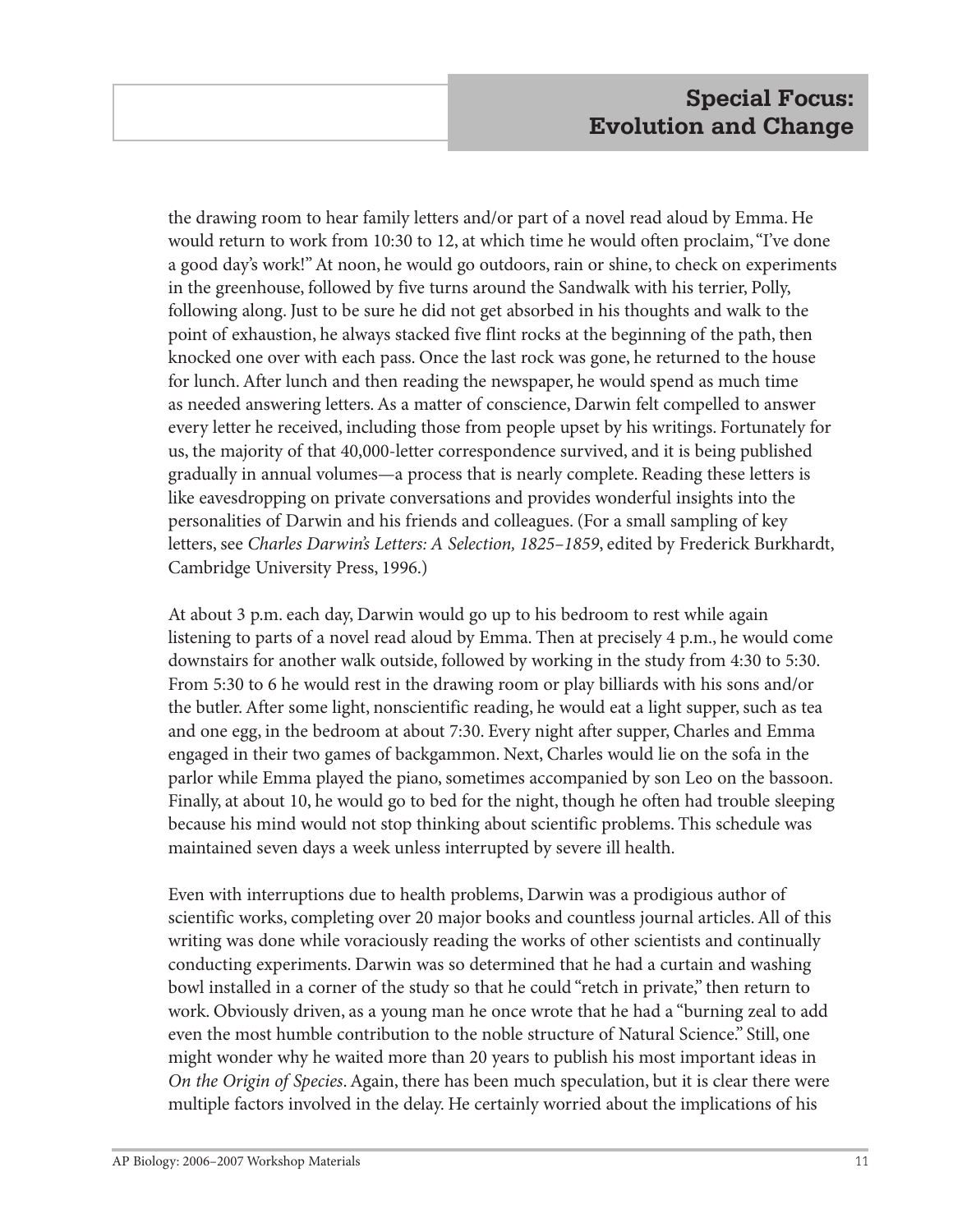the drawing room to hear family letters and/or part of a novel read aloud by Emma. He would return to work from 10:30 to 12, at which time he would often proclaim, "I've done a good day's work!" At noon, he would go outdoors, rain or shine, to check on experiments in the greenhouse, followed by five turns around the Sandwalk with his terrier, Polly, following along. Just to be sure he did not get absorbed in his thoughts and walk to the point of exhaustion, he always stacked five flint rocks at the beginning of the path, then knocked one over with each pass. Once the last rock was gone, he returned to the house for lunch. After lunch and then reading the newspaper, he would spend as much time as needed answering letters. As a matter of conscience, Darwin felt compelled to answer every letter he received, including those from people upset by his writings. Fortunately for us, the majority of that 40,000-letter correspondence survived, and it is being published gradually in annual volumes—a process that is nearly complete. Reading these letters is like eavesdropping on private conversations and provides wonderful insights into the personalities of Darwin and his friends and colleagues. (For a small sampling of key letters, see *Charles Darwin's Letters: A Selection, 1825–1859*, edited by Frederick Burkhardt, Cambridge University Press, 1996.)

At about 3 p.m. each day, Darwin would go up to his bedroom to rest while again listening to parts of a novel read aloud by Emma. Then at precisely 4 p.m., he would come downstairs for another walk outside, followed by working in the study from 4:30 to 5:30. From 5:30 to 6 he would rest in the drawing room or play billiards with his sons and/or the butler. After some light, nonscientific reading, he would eat a light supper, such as tea and one egg, in the bedroom at about 7:30. Every night after supper, Charles and Emma engaged in their two games of backgammon. Next, Charles would lie on the sofa in the parlor while Emma played the piano, sometimes accompanied by son Leo on the bassoon. Finally, at about 10, he would go to bed for the night, though he often had trouble sleeping because his mind would not stop thinking about scientific problems. This schedule was maintained seven days a week unless interrupted by severe ill health.

Even with interruptions due to health problems, Darwin was a prodigious author of scientific works, completing over 20 major books and countless journal articles. All of this writing was done while voraciously reading the works of other scientists and continually conducting experiments. Darwin was so determined that he had a curtain and washing bowl installed in a corner of the study so that he could "retch in private," then return to work. Obviously driven, as a young man he once wrote that he had a "burning zeal to add even the most humble contribution to the noble structure of Natural Science." Still, one might wonder why he waited more than 20 years to publish his most important ideas in *On the Origin of Species*. Again, there has been much speculation, but it is clear there were multiple factors involved in the delay. He certainly worried about the implications of his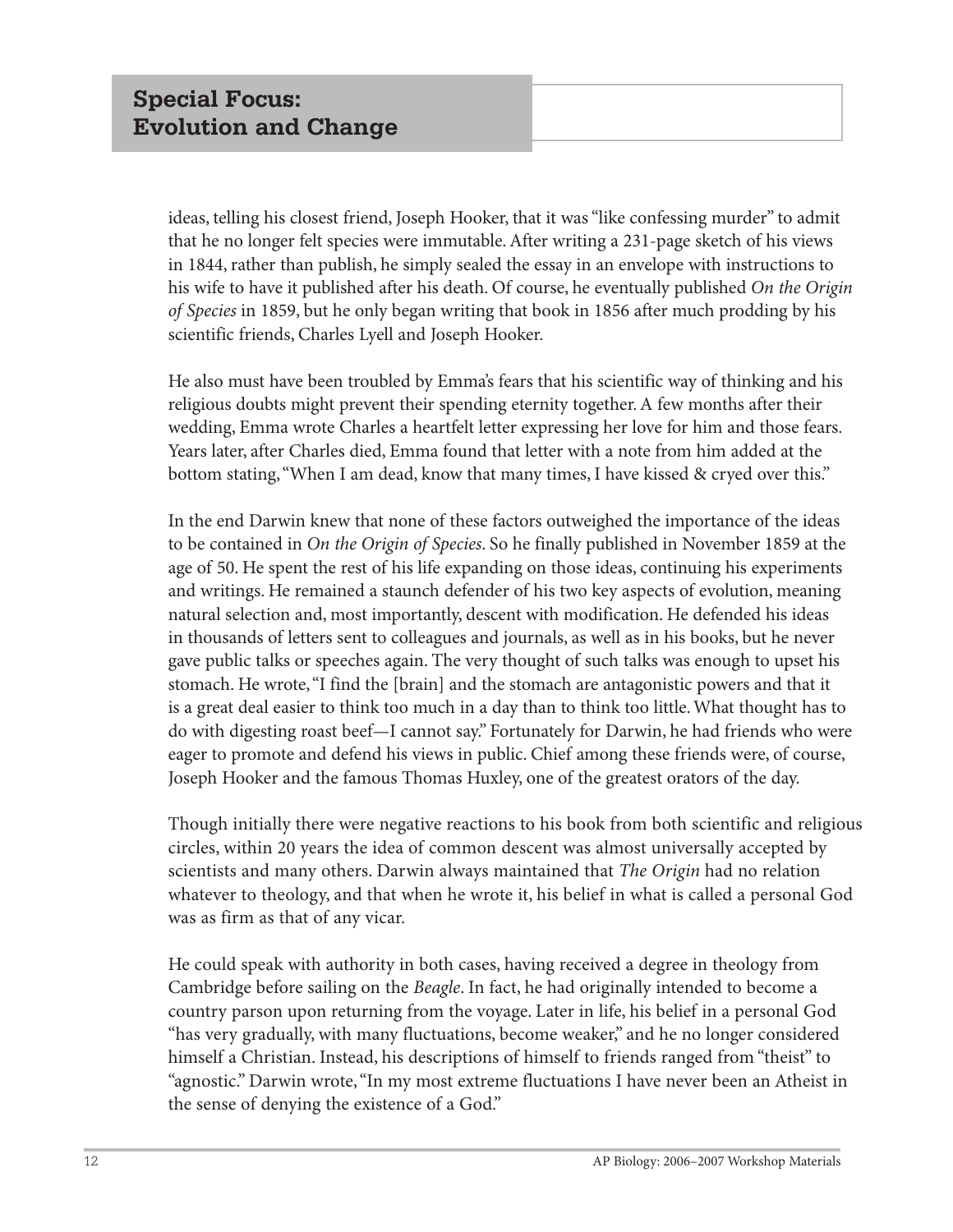ideas, telling his closest friend, Joseph Hooker, that it was "like confessing murder" to admit that he no longer felt species were immutable. After writing a 231-page sketch of his views in 1844, rather than publish, he simply sealed the essay in an envelope with instructions to his wife to have it published after his death. Of course, he eventually published *On the Origin of Species* in 1859, but he only began writing that book in 1856 after much prodding by his scientific friends, Charles Lyell and Joseph Hooker.

He also must have been troubled by Emma's fears that his scientific way of thinking and his religious doubts might prevent their spending eternity together. A few months after their wedding, Emma wrote Charles a heartfelt letter expressing her love for him and those fears. Years later, after Charles died, Emma found that letter with a note from him added at the bottom stating, "When I am dead, know that many times, I have kissed & cryed over this."

In the end Darwin knew that none of these factors outweighed the importance of the ideas to be contained in *On the Origin of Species*. So he finally published in November 1859 at the age of 50. He spent the rest of his life expanding on those ideas, continuing his experiments and writings. He remained a staunch defender of his two key aspects of evolution, meaning natural selection and, most importantly, descent with modification. He defended his ideas in thousands of letters sent to colleagues and journals, as well as in his books, but he never gave public talks or speeches again. The very thought of such talks was enough to upset his stomach. He wrote, "I find the [brain] and the stomach are antagonistic powers and that it is a great deal easier to think too much in a day than to think too little. What thought has to do with digesting roast beef—I cannot say." Fortunately for Darwin, he had friends who were eager to promote and defend his views in public. Chief among these friends were, of course, Joseph Hooker and the famous Thomas Huxley, one of the greatest orators of the day.

Though initially there were negative reactions to his book from both scientific and religious circles, within 20 years the idea of common descent was almost universally accepted by scientists and many others. Darwin always maintained that *The Origin* had no relation whatever to theology, and that when he wrote it, his belief in what is called a personal God was as firm as that of any vicar.

He could speak with authority in both cases, having received a degree in theology from Cambridge before sailing on the *Beagle*. In fact, he had originally intended to become a country parson upon returning from the voyage. Later in life, his belief in a personal God "has very gradually, with many fluctuations, become weaker," and he no longer considered himself a Christian. Instead, his descriptions of himself to friends ranged from "theist" to "agnostic." Darwin wrote, "In my most extreme fluctuations I have never been an Atheist in the sense of denying the existence of a God."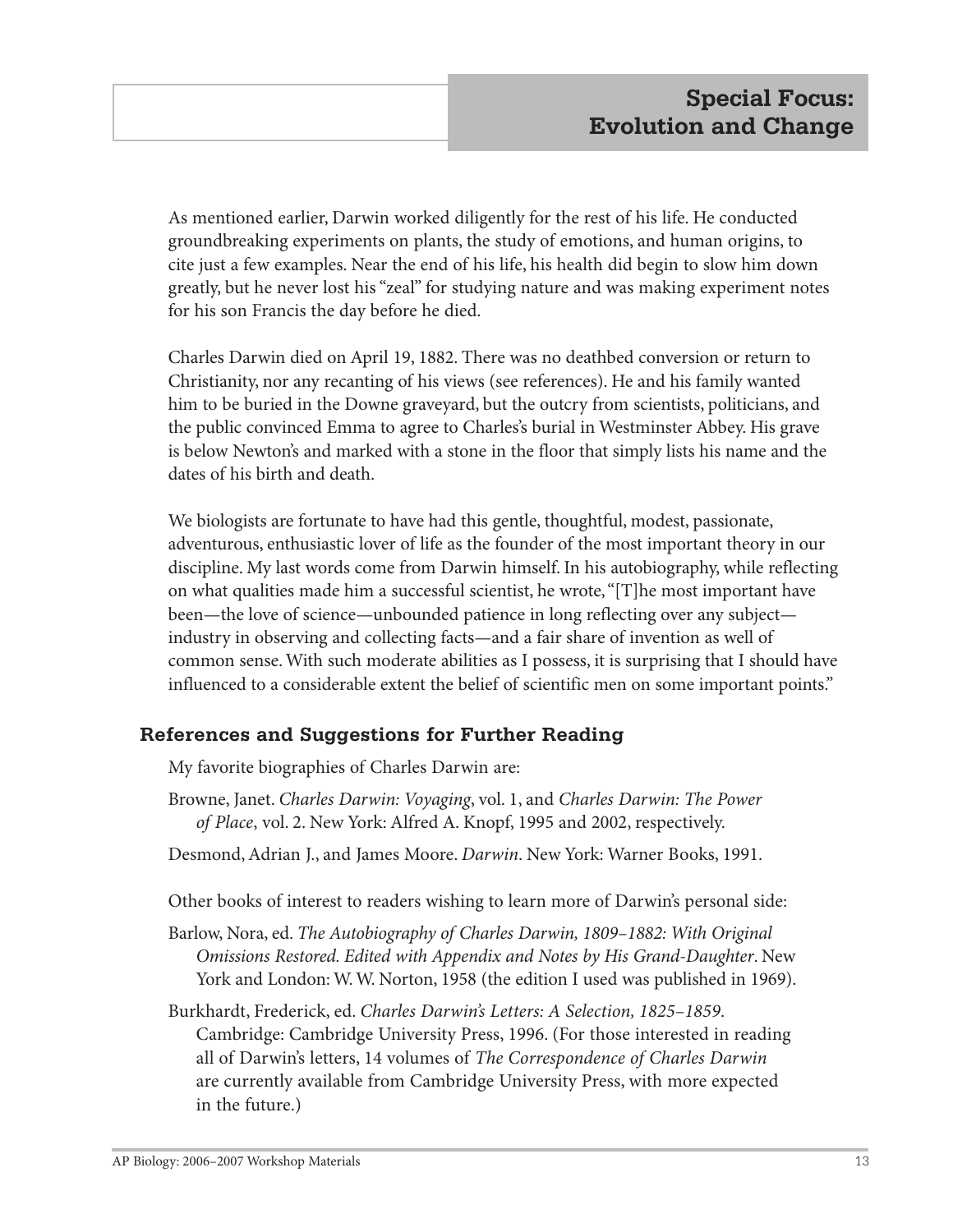As mentioned earlier, Darwin worked diligently for the rest of his life. He conducted groundbreaking experiments on plants, the study of emotions, and human origins, to cite just a few examples. Near the end of his life, his health did begin to slow him down greatly, but he never lost his "zeal" for studying nature and was making experiment notes for his son Francis the day before he died.

Charles Darwin died on April 19, 1882. There was no deathbed conversion or return to Christianity, nor any recanting of his views (see references). He and his family wanted him to be buried in the Downe graveyard, but the outcry from scientists, politicians, and the public convinced Emma to agree to Charles's burial in Westminster Abbey. His grave is below Newton's and marked with a stone in the floor that simply lists his name and the dates of his birth and death.

We biologists are fortunate to have had this gentle, thoughtful, modest, passionate, adventurous, enthusiastic lover of life as the founder of the most important theory in our discipline. My last words come from Darwin himself. In his autobiography, while reflecting on what qualities made him a successful scientist, he wrote, "[T]he most important have been—the love of science—unbounded patience in long reflecting over any subject industry in observing and collecting facts—and a fair share of invention as well of common sense. With such moderate abilities as I possess, it is surprising that I should have influenced to a considerable extent the belief of scientific men on some important points."

## **References and Suggestions for Further Reading**

My favorite biographies of Charles Darwin are:

- Browne, Janet. *Charles Darwin: Voyaging*, vol. 1, and *Charles Darwin: The Power of Place*, vol. 2. New York: Alfred A. Knopf, 1995 and 2002, respectively.
- Desmond, Adrian J., and James Moore. *Darwin*. New York: Warner Books, 1991.

Other books of interest to readers wishing to learn more of Darwin's personal side:

- Barlow, Nora, ed. *The Autobiography of Charles Darwin, 1809–1882: With Original Omissions Restored. Edited with Appendix and Notes by His Grand-Daughter*. New York and London: W. W. Norton, 1958 (the edition I used was published in 1969).
- Burkhardt, Frederick, ed. *Charles Darwin's Letters: A Selection, 1825–1859*. Cambridge: Cambridge University Press, 1996. (For those interested in reading all of Darwin's letters, 14 volumes of *The Correspondence of Charles Darwin* are currently available from Cambridge University Press, with more expected in the future.)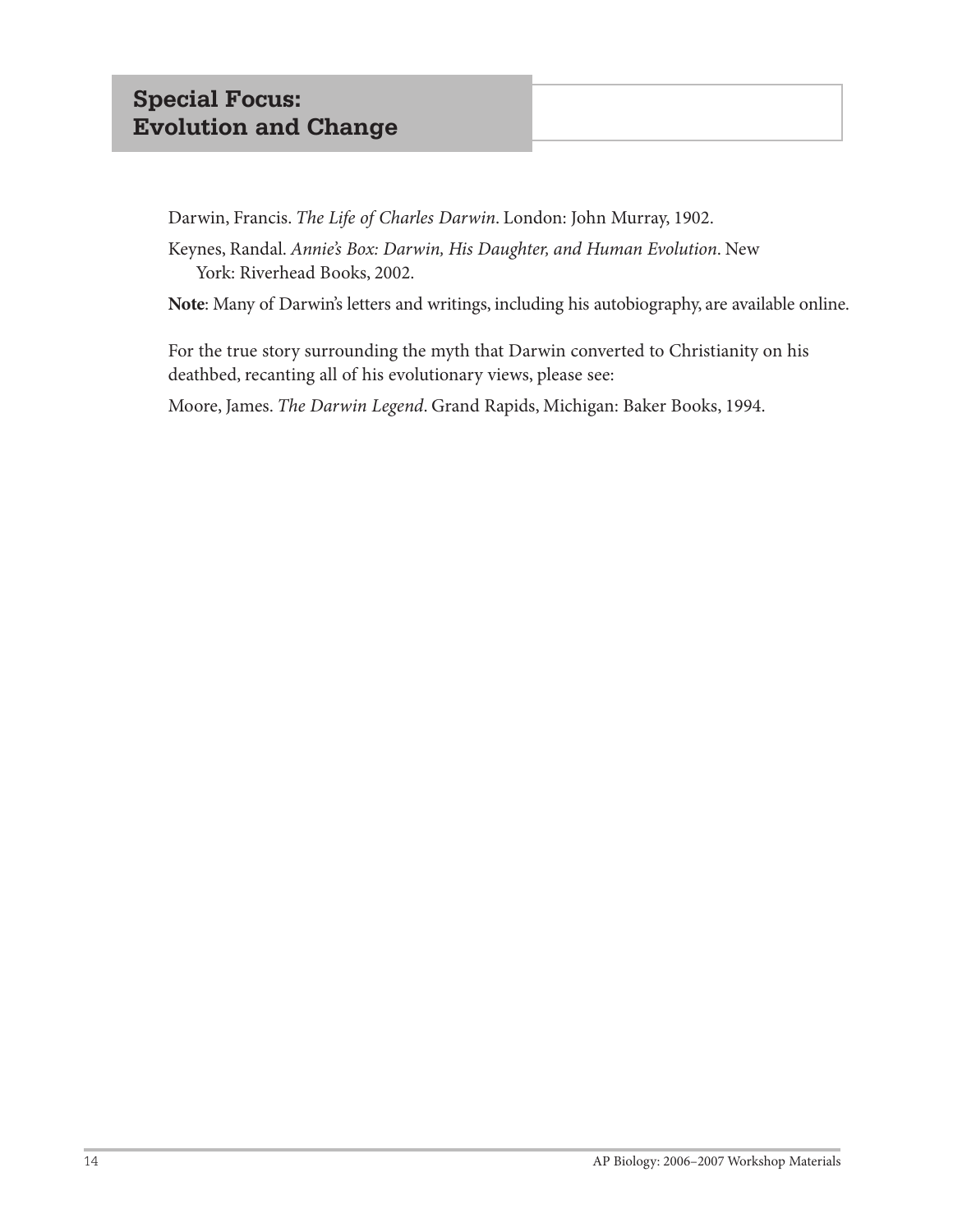# **Special Focus: Evolution and Change**

Darwin, Francis. *The Life of Charles Darwin*. London: John Murray, 1902.

Keynes, Randal. *Annie's Box: Darwin, His Daughter, and Human Evolution*. New York: Riverhead Books, 2002.

**Note**: Many of Darwin's letters and writings, including his autobiography, are available online.

For the true story surrounding the myth that Darwin converted to Christianity on his deathbed, recanting all of his evolutionary views, please see:

Moore, James. *The Darwin Legend*. Grand Rapids, Michigan: Baker Books, 1994.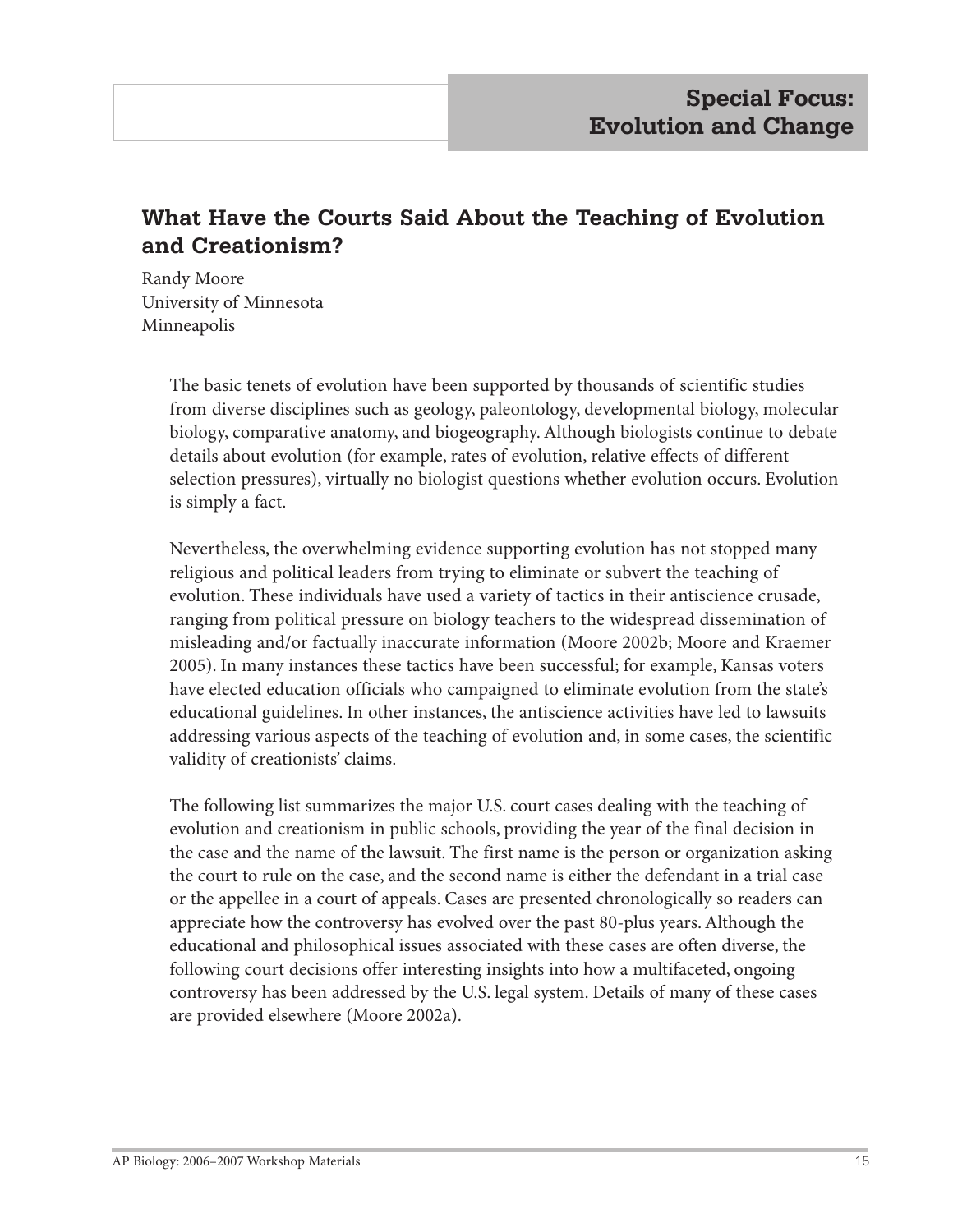# **What Have the Courts Said About the Teaching of Evolution and Creationism?**

Randy Moore University of Minnesota Minneapolis

> The basic tenets of evolution have been supported by thousands of scientific studies from diverse disciplines such as geology, paleontology, developmental biology, molecular biology, comparative anatomy, and biogeography. Although biologists continue to debate details about evolution (for example, rates of evolution, relative effects of different selection pressures), virtually no biologist questions whether evolution occurs. Evolution is simply a fact.

Nevertheless, the overwhelming evidence supporting evolution has not stopped many religious and political leaders from trying to eliminate or subvert the teaching of evolution. These individuals have used a variety of tactics in their antiscience crusade, ranging from political pressure on biology teachers to the widespread dissemination of misleading and/or factually inaccurate information (Moore 2002b; Moore and Kraemer 2005). In many instances these tactics have been successful; for example, Kansas voters have elected education officials who campaigned to eliminate evolution from the state's educational guidelines. In other instances, the antiscience activities have led to lawsuits addressing various aspects of the teaching of evolution and, in some cases, the scientific validity of creationists' claims.

The following list summarizes the major U.S. court cases dealing with the teaching of evolution and creationism in public schools, providing the year of the final decision in the case and the name of the lawsuit. The first name is the person or organization asking the court to rule on the case, and the second name is either the defendant in a trial case or the appellee in a court of appeals. Cases are presented chronologically so readers can appreciate how the controversy has evolved over the past 80-plus years. Although the educational and philosophical issues associated with these cases are often diverse, the following court decisions offer interesting insights into how a multifaceted, ongoing controversy has been addressed by the U.S. legal system. Details of many of these cases are provided elsewhere (Moore 2002a).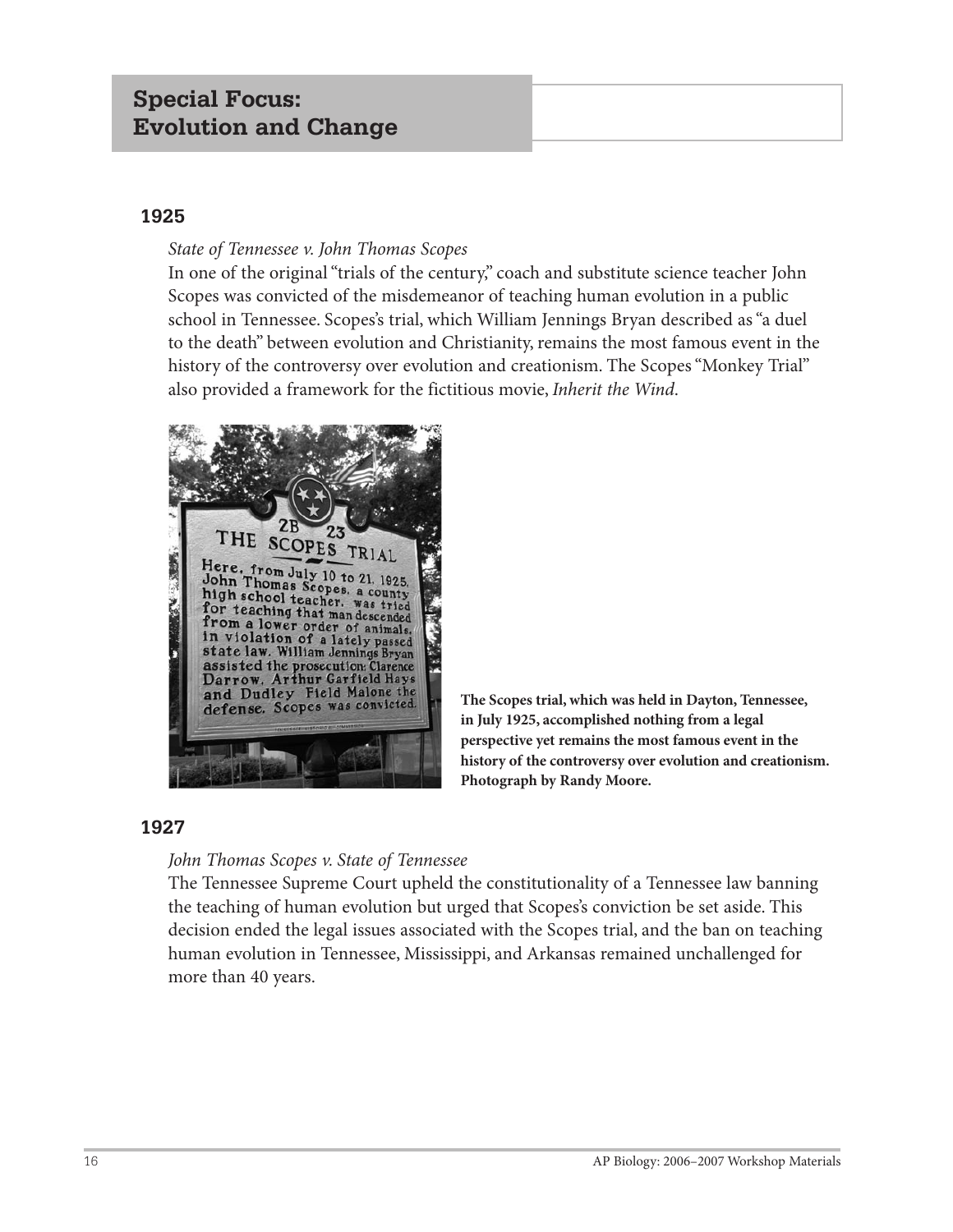# **Special Focus: Evolution and Change**

#### **1925**

#### *State of Tennessee v. John Thomas Scopes*

In one of the original "trials of the century," coach and substitute science teacher John Scopes was convicted of the misdemeanor of teaching human evolution in a public school in Tennessee. Scopes's trial, which William Jennings Bryan described as "a duel to the death" between evolution and Christianity, remains the most famous event in the history of the controversy over evolution and creationism. The Scopes "Monkey Trial" also provided a framework for the fictitious movie, *Inherit the Wind*.



**The Scopes trial, which was held in Dayton, Tennessee, in July 1925, accomplished nothing from a legal perspective yet remains the most famous event in the history of the controversy over evolution and creationism. Photograph by Randy Moore.**

#### **1927**

#### *John Thomas Scopes v. State of Tennessee*

The Tennessee Supreme Court upheld the constitutionality of a Tennessee law banning the teaching of human evolution but urged that Scopes's conviction be set aside. This decision ended the legal issues associated with the Scopes trial, and the ban on teaching human evolution in Tennessee, Mississippi, and Arkansas remained unchallenged for more than 40 years.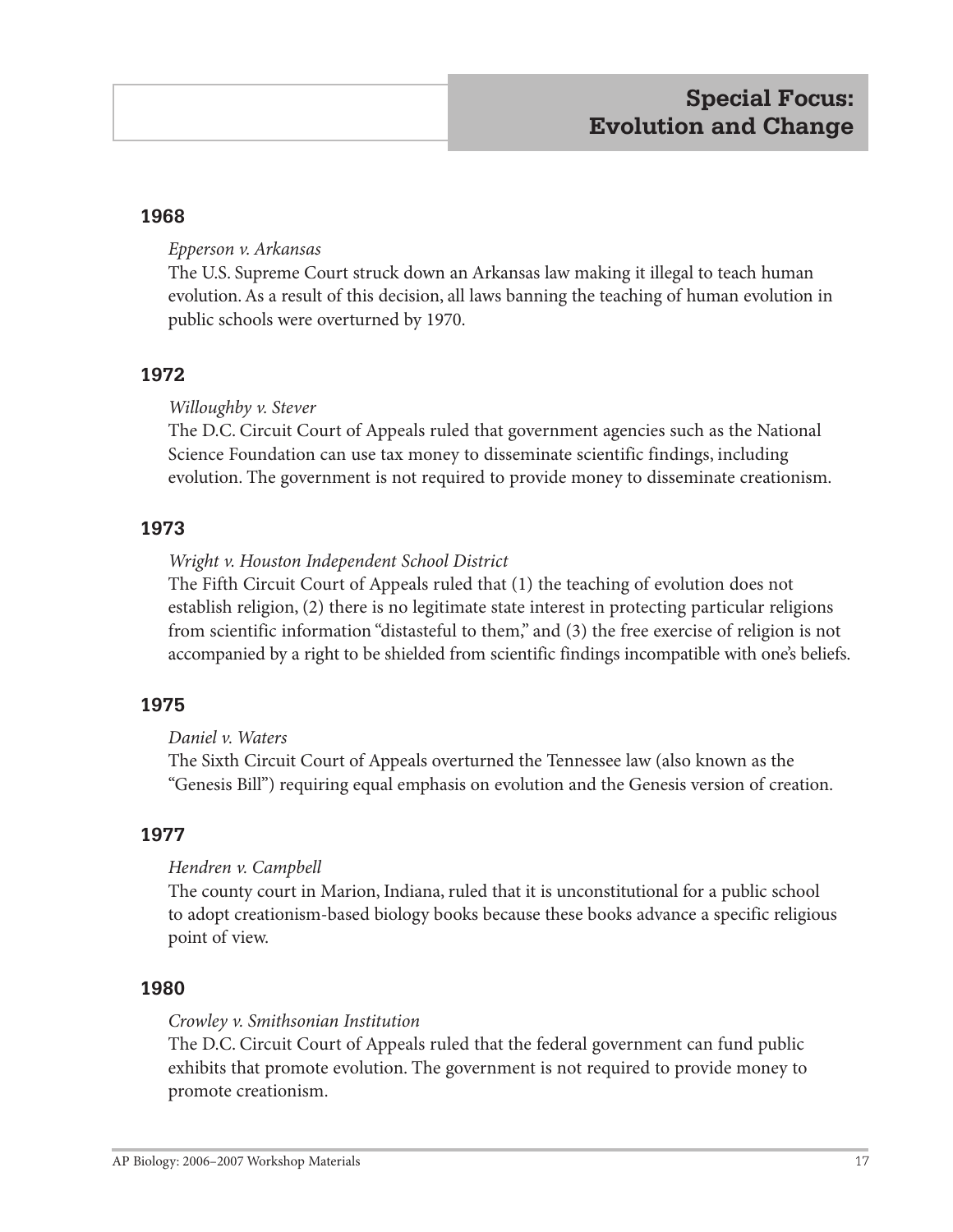#### **1968**

#### *Epperson v. Arkansas*

The U.S. Supreme Court struck down an Arkansas law making it illegal to teach human evolution. As a result of this decision, all laws banning the teaching of human evolution in public schools were overturned by 1970.

#### **1972**

#### *Willoughby v. Stever*

The D.C. Circuit Court of Appeals ruled that government agencies such as the National Science Foundation can use tax money to disseminate scientific findings, including evolution. The government is not required to provide money to disseminate creationism.

#### **1973**

#### *Wright v. Houston Independent School District*

The Fifth Circuit Court of Appeals ruled that (1) the teaching of evolution does not establish religion, (2) there is no legitimate state interest in protecting particular religions from scientific information "distasteful to them," and (3) the free exercise of religion is not accompanied by a right to be shielded from scientific findings incompatible with one's beliefs.

## **1975**

#### *Daniel v. Waters*

The Sixth Circuit Court of Appeals overturned the Tennessee law (also known as the "Genesis Bill") requiring equal emphasis on evolution and the Genesis version of creation.

#### **1977**

## *Hendren v. Campbell*

The county court in Marion, Indiana, ruled that it is unconstitutional for a public school to adopt creationism-based biology books because these books advance a specific religious point of view.

#### **1980**

#### *Crowley v. Smithsonian Institution*

The D.C. Circuit Court of Appeals ruled that the federal government can fund public exhibits that promote evolution. The government is not required to provide money to promote creationism.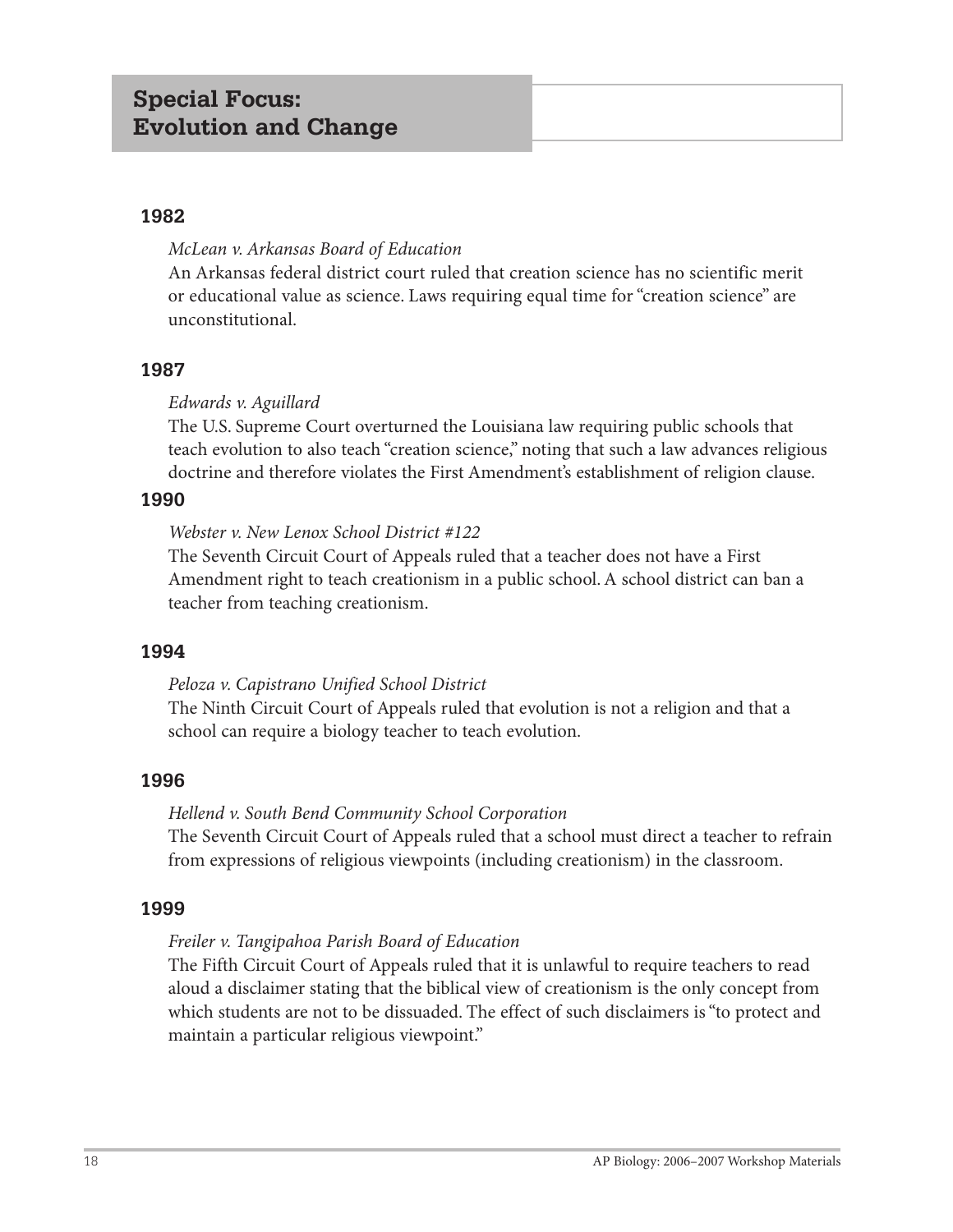#### **1982**

#### *McLean v. Arkansas Board of Education*

An Arkansas federal district court ruled that creation science has no scientific merit or educational value as science. Laws requiring equal time for "creation science" are unconstitutional.

#### **1987**

## *Edwards v. Aguillard*

The U.S. Supreme Court overturned the Louisiana law requiring public schools that teach evolution to also teach "creation science," noting that such a law advances religious doctrine and therefore violates the First Amendment's establishment of religion clause.

#### **1990**

#### *Webster v. New Lenox School District #122*

The Seventh Circuit Court of Appeals ruled that a teacher does not have a First Amendment right to teach creationism in a public school. A school district can ban a teacher from teaching creationism.

#### **1994**

#### *Peloza v. Capistrano Unified School District*

The Ninth Circuit Court of Appeals ruled that evolution is not a religion and that a school can require a biology teacher to teach evolution.

## **1996**

## *Hellend v. South Bend Community School Corporation*

The Seventh Circuit Court of Appeals ruled that a school must direct a teacher to refrain from expressions of religious viewpoints (including creationism) in the classroom.

#### **1999**

## *Freiler v. Tangipahoa Parish Board of Education*

The Fifth Circuit Court of Appeals ruled that it is unlawful to require teachers to read aloud a disclaimer stating that the biblical view of creationism is the only concept from which students are not to be dissuaded. The effect of such disclaimers is "to protect and maintain a particular religious viewpoint."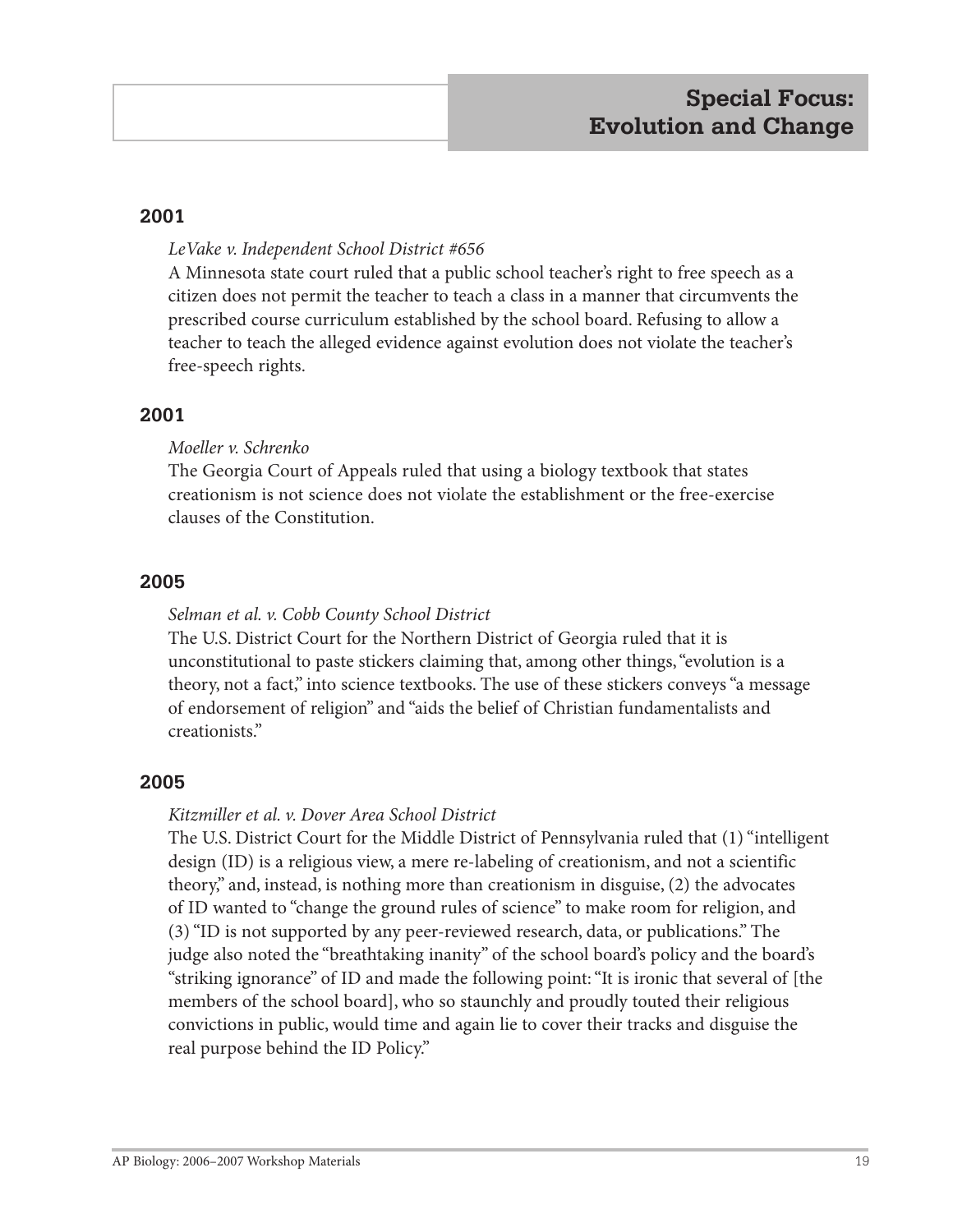#### **2001**

#### *LeVake v. Independent School District #656*

A Minnesota state court ruled that a public school teacher's right to free speech as a citizen does not permit the teacher to teach a class in a manner that circumvents the prescribed course curriculum established by the school board. Refusing to allow a teacher to teach the alleged evidence against evolution does not violate the teacher's free-speech rights.

#### **2001**

#### *Moeller v. Schrenko*

The Georgia Court of Appeals ruled that using a biology textbook that states creationism is not science does not violate the establishment or the free-exercise clauses of the Constitution.

#### **2005**

#### *Selman et al. v. Cobb County School District*

The U.S. District Court for the Northern District of Georgia ruled that it is unconstitutional to paste stickers claiming that, among other things, "evolution is a theory, not a fact," into science textbooks. The use of these stickers conveys "a message of endorsement of religion" and "aids the belief of Christian fundamentalists and creationists."

## **2005**

#### *Kitzmiller et al. v. Dover Area School District*

The U.S. District Court for the Middle District of Pennsylvania ruled that (1) "intelligent design (ID) is a religious view, a mere re-labeling of creationism, and not a scientific theory," and, instead, is nothing more than creationism in disguise, (2) the advocates of ID wanted to "change the ground rules of science" to make room for religion, and (3) "ID is not supported by any peer-reviewed research, data, or publications." The judge also noted the "breathtaking inanity" of the school board's policy and the board's "striking ignorance" of ID and made the following point: "It is ironic that several of [the members of the school board], who so staunchly and proudly touted their religious convictions in public, would time and again lie to cover their tracks and disguise the real purpose behind the ID Policy."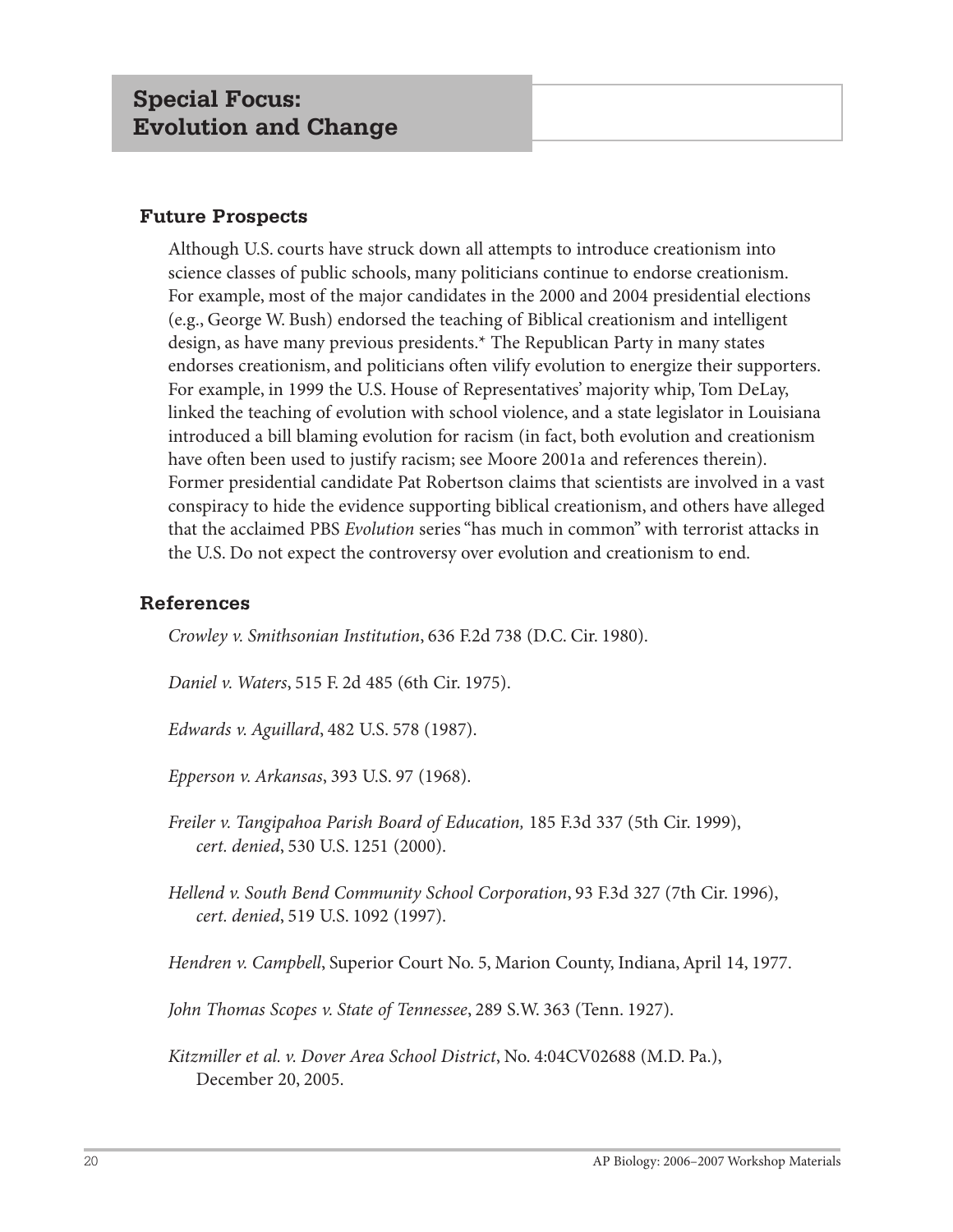#### **Future Prospects**

Although U.S. courts have struck down all attempts to introduce creationism into science classes of public schools, many politicians continue to endorse creationism. For example, most of the major candidates in the 2000 and 2004 presidential elections (e.g., George W. Bush) endorsed the teaching of Biblical creationism and intelligent design, as have many previous presidents.\* The Republican Party in many states endorses creationism, and politicians often vilify evolution to energize their supporters. For example, in 1999 the U.S. House of Representatives' majority whip, Tom DeLay, linked the teaching of evolution with school violence, and a state legislator in Louisiana introduced a bill blaming evolution for racism (in fact, both evolution and creationism have often been used to justify racism; see Moore 2001a and references therein). Former presidential candidate Pat Robertson claims that scientists are involved in a vast conspiracy to hide the evidence supporting biblical creationism, and others have alleged that the acclaimed PBS *Evolution* series "has much in common" with terrorist attacks in the U.S. Do not expect the controversy over evolution and creationism to end.

#### **References**

*Crowley v. Smithsonian Institution*, 636 F.2d 738 (D.C. Cir. 1980).

*Daniel v. Waters*, 515 F. 2d 485 (6th Cir. 1975).

*Edwards v. Aguillard*, 482 U.S. 578 (1987).

*Epperson v. Arkansas*, 393 U.S. 97 (1968).

*Freiler v. Tangipahoa Parish Board of Education,* 185 F.3d 337 (5th Cir. 1999), *cert. denied*, 530 U.S. 1251 (2000).

*Hellend v. South Bend Community School Corporation*, 93 F.3d 327 (7th Cir. 1996), *cert. denied*, 519 U.S. 1092 (1997).

*Hendren v. Campbell*, Superior Court No. 5, Marion County, Indiana, April 14, 1977.

*John Thomas Scopes v. State of Tennessee*, 289 S.W. 363 (Tenn. 1927).

*Kitzmiller et al. v. Dover Area School District*, No. 4:04CV02688 (M.D. Pa.), December 20, 2005.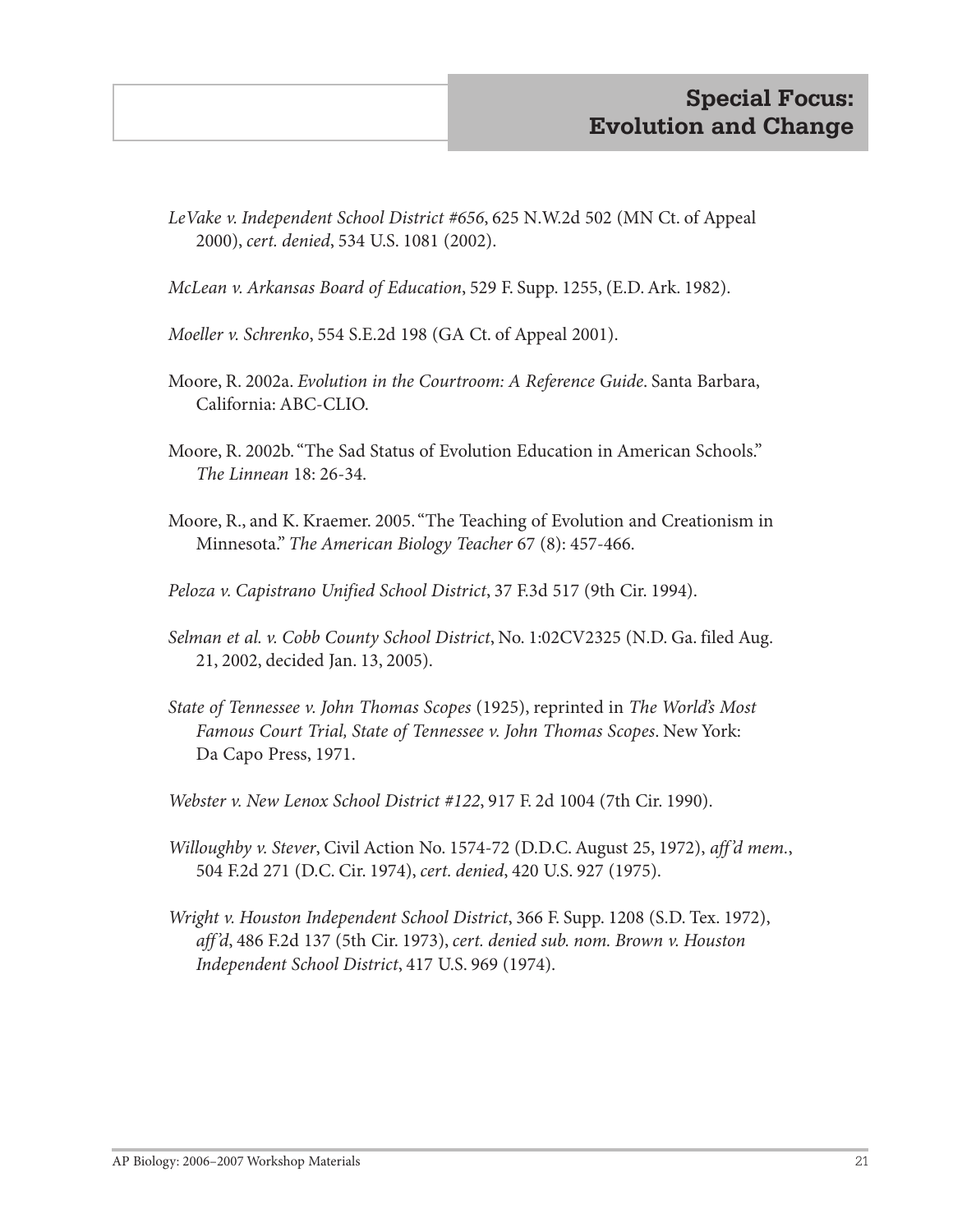- *LeVake v. Independent School District #656*, 625 N.W.2d 502 (MN Ct. of Appeal 2000), *cert. denied*, 534 U.S. 1081 (2002).
- *McLean v. Arkansas Board of Education*, 529 F. Supp. 1255, (E.D. Ark. 1982).
- *Moeller v. Schrenko*, 554 S.E.2d 198 (GA Ct. of Appeal 2001).
- Moore, R. 2002a. *Evolution in the Courtroom: A Reference Guide*. Santa Barbara, California: ABC-CLIO.
- Moore, R. 2002b. "The Sad Status of Evolution Education in American Schools." *The Linnean* 18: 26-34.
- Moore, R., and K. Kraemer. 2005. "The Teaching of Evolution and Creationism in Minnesota." *The American Biology Teacher* 67 (8): 457-466.
- *Peloza v. Capistrano Unified School District*, 37 F.3d 517 (9th Cir. 1994).
- *Selman et al. v. Cobb County School District*, No. 1:02CV2325 (N.D. Ga. filed Aug. 21, 2002, decided Jan. 13, 2005).
- *State of Tennessee v. John Thomas Scopes* (1925), reprinted in *The World's Most Famous Court Trial, State of Tennessee v. John Thomas Scopes*. New York: Da Capo Press, 1971.
- *Webster v. New Lenox School District #122*, 917 F. 2d 1004 (7th Cir. 1990).
- *Willoughby v. Stever*, Civil Action No. 1574-72 (D.D.C. August 25, 1972), *aff'd mem.*, 504 F.2d 271 (D.C. Cir. 1974), *cert. denied*, 420 U.S. 927 (1975).
- *Wright v. Houston Independent School District*, 366 F. Supp. 1208 (S.D. Tex. 1972), *aff'd*, 486 F.2d 137 (5th Cir. 1973), *cert. denied sub. nom. Brown v. Houston Independent School District*, 417 U.S. 969 (1974).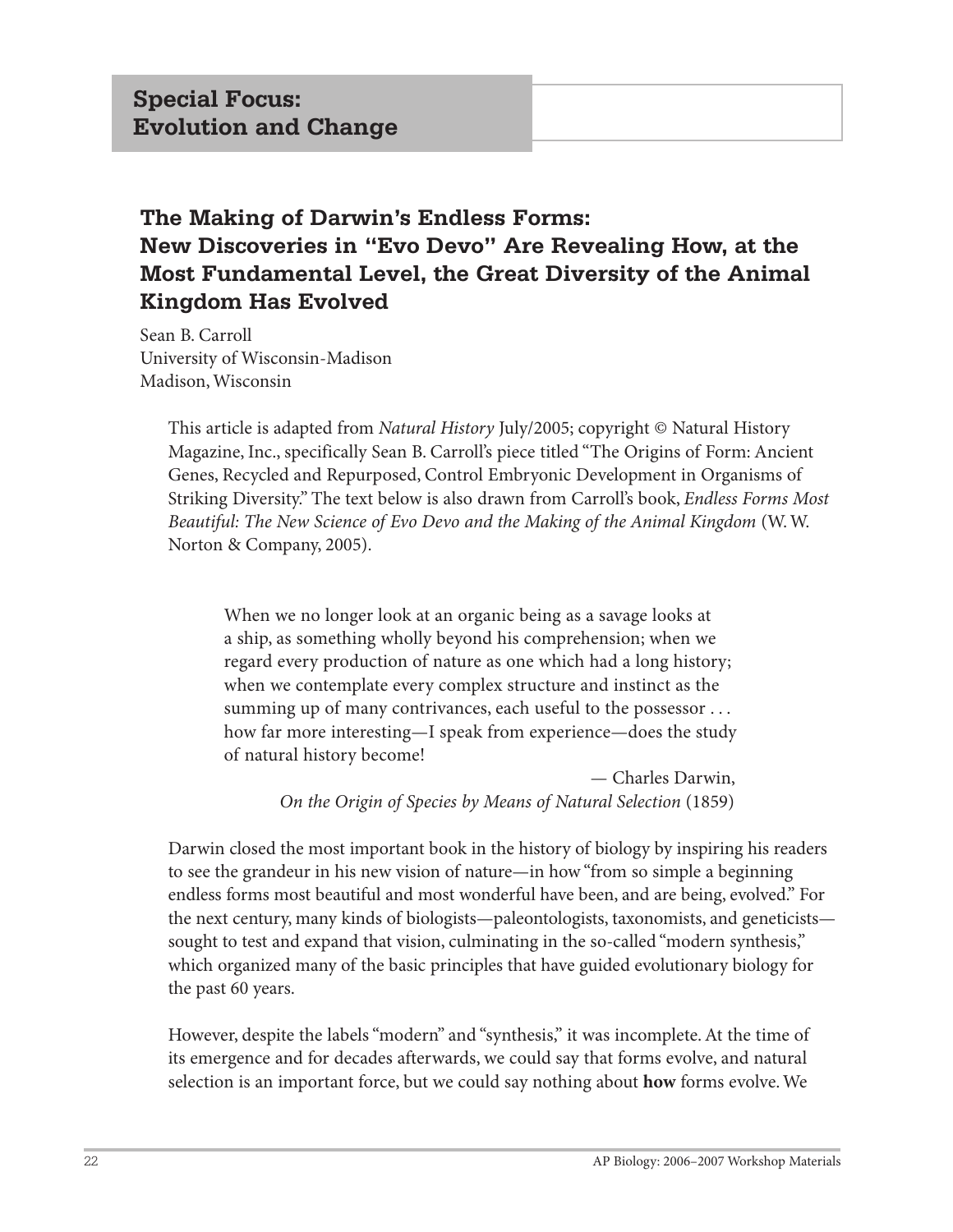# **The Making of Darwin's Endless Forms: New Discoveries in "Evo Devo" Are Revealing How, at the Most Fundamental Level, the Great Diversity of the Animal Kingdom Has Evolved**

Sean B. Carroll University of Wisconsin-Madison Madison, Wisconsin

> This article is adapted from *Natural History* July/2005; copyright © Natural History Magazine, Inc., specifically Sean B. Carroll's piece titled "The Origins of Form: Ancient Genes, Recycled and Repurposed, Control Embryonic Development in Organisms of Striking Diversity." The text below is also drawn from Carroll's book, *Endless Forms Most Beautiful: The New Science of Evo Devo and the Making of the Animal Kingdom* (W. W. Norton & Company, 2005).

When we no longer look at an organic being as a savage looks at a ship, as something wholly beyond his comprehension; when we regard every production of nature as one which had a long history; when we contemplate every complex structure and instinct as the summing up of many contrivances, each useful to the possessor ... how far more interesting—I speak from experience—does the study of natural history become!

> — Charles Darwin,  *On the Origin of Species by Means of Natural Selection* (1859)

Darwin closed the most important book in the history of biology by inspiring his readers to see the grandeur in his new vision of nature—in how "from so simple a beginning endless forms most beautiful and most wonderful have been, and are being, evolved." For the next century, many kinds of biologists—paleontologists, taxonomists, and geneticists sought to test and expand that vision, culminating in the so-called "modern synthesis," which organized many of the basic principles that have guided evolutionary biology for the past 60 years.

However, despite the labels "modern" and "synthesis," it was incomplete. At the time of its emergence and for decades afterwards, we could say that forms evolve, and natural selection is an important force, but we could say nothing about **how** forms evolve. We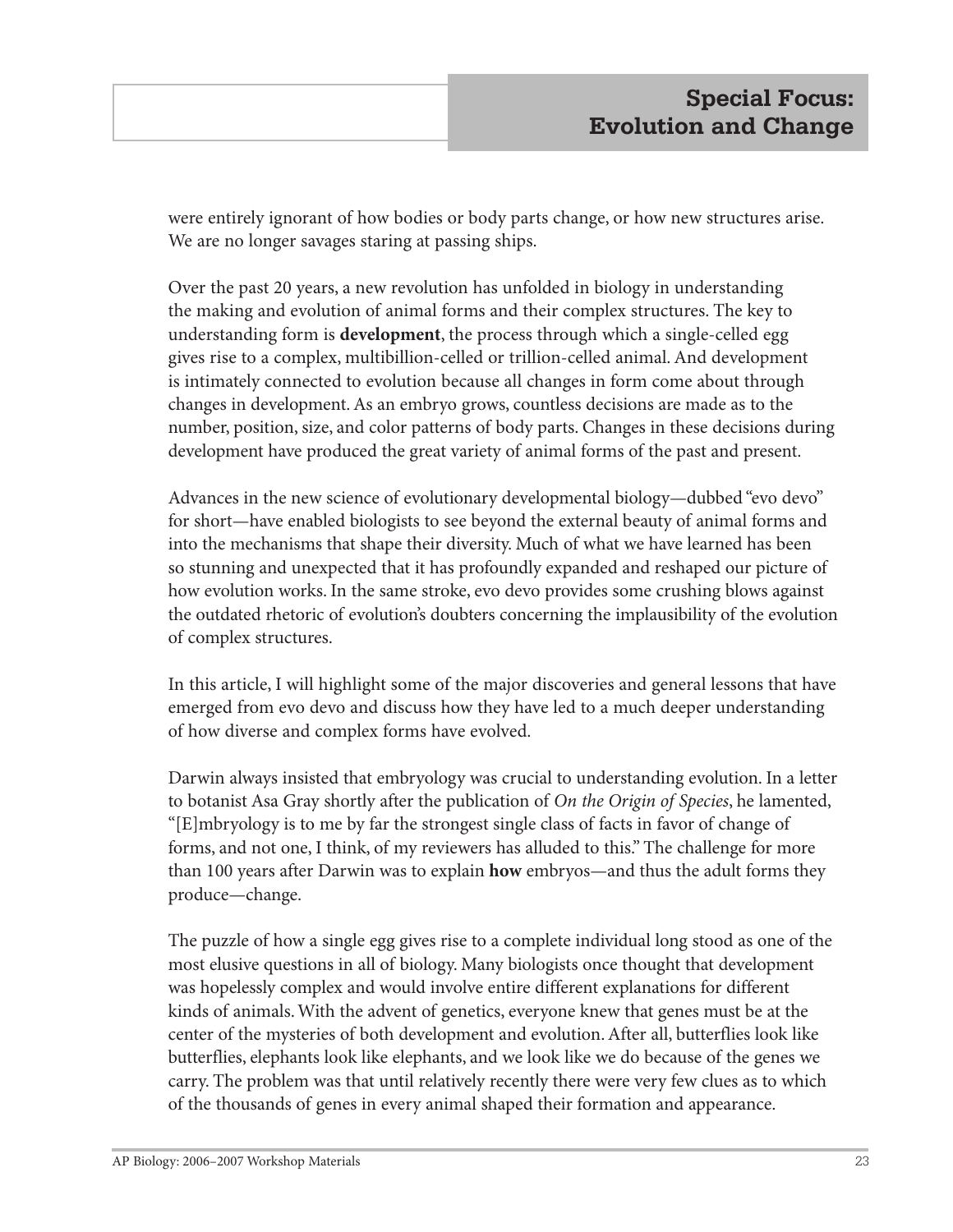were entirely ignorant of how bodies or body parts change, or how new structures arise. We are no longer savages staring at passing ships.

Over the past 20 years, a new revolution has unfolded in biology in understanding the making and evolution of animal forms and their complex structures. The key to understanding form is **development**, the process through which a single-celled egg gives rise to a complex, multibillion-celled or trillion-celled animal. And development is intimately connected to evolution because all changes in form come about through changes in development. As an embryo grows, countless decisions are made as to the number, position, size, and color patterns of body parts. Changes in these decisions during development have produced the great variety of animal forms of the past and present.

Advances in the new science of evolutionary developmental biology—dubbed "evo devo" for short—have enabled biologists to see beyond the external beauty of animal forms and into the mechanisms that shape their diversity. Much of what we have learned has been so stunning and unexpected that it has profoundly expanded and reshaped our picture of how evolution works. In the same stroke, evo devo provides some crushing blows against the outdated rhetoric of evolution's doubters concerning the implausibility of the evolution of complex structures.

In this article, I will highlight some of the major discoveries and general lessons that have emerged from evo devo and discuss how they have led to a much deeper understanding of how diverse and complex forms have evolved.

Darwin always insisted that embryology was crucial to understanding evolution. In a letter to botanist Asa Gray shortly after the publication of *On the Origin of Species*, he lamented, "[E]mbryology is to me by far the strongest single class of facts in favor of change of forms, and not one, I think, of my reviewers has alluded to this." The challenge for more than 100 years after Darwin was to explain **how** embryos—and thus the adult forms they produce—change.

The puzzle of how a single egg gives rise to a complete individual long stood as one of the most elusive questions in all of biology. Many biologists once thought that development was hopelessly complex and would involve entire different explanations for different kinds of animals. With the advent of genetics, everyone knew that genes must be at the center of the mysteries of both development and evolution. After all, butterflies look like butterflies, elephants look like elephants, and we look like we do because of the genes we carry. The problem was that until relatively recently there were very few clues as to which of the thousands of genes in every animal shaped their formation and appearance.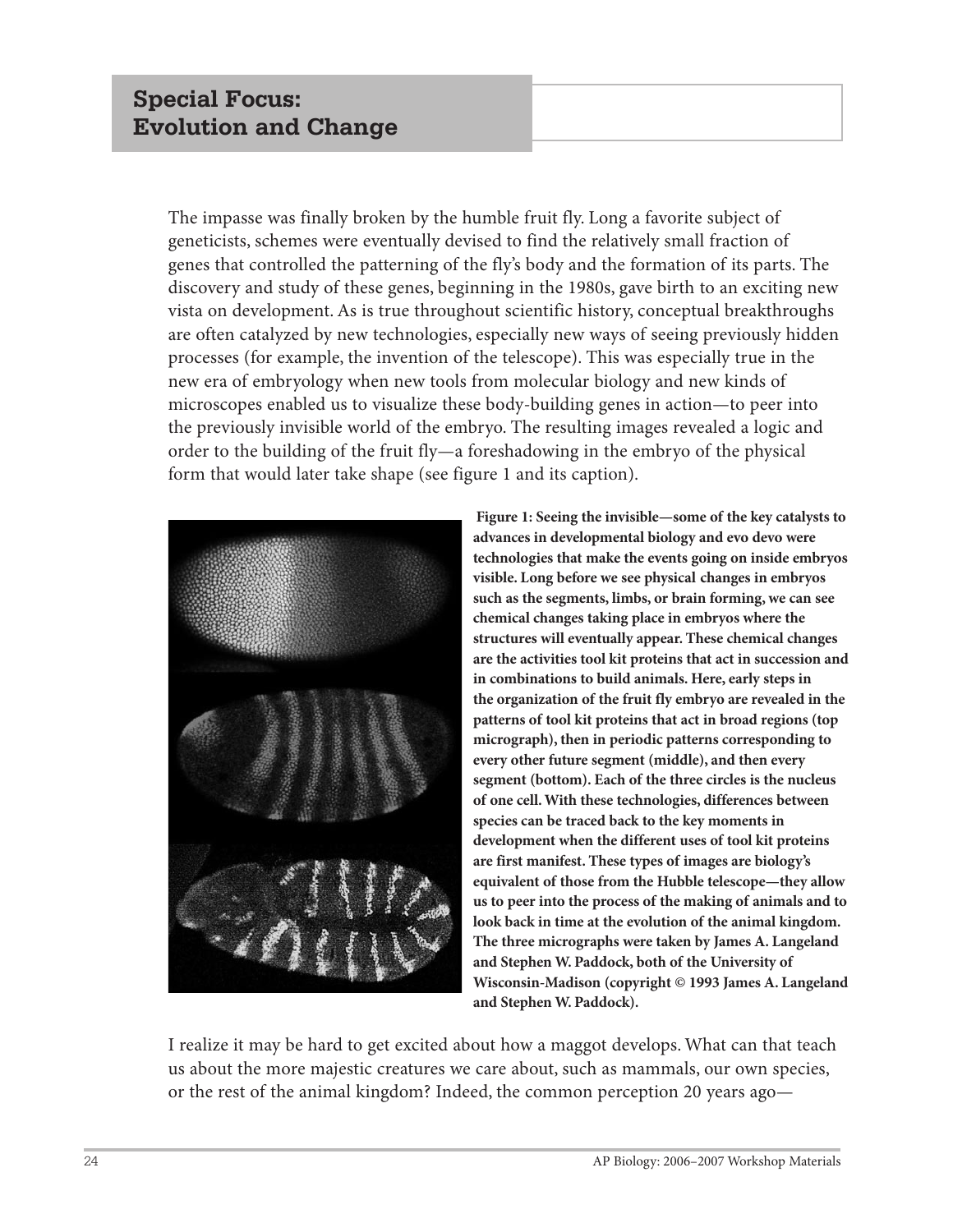# **Special Focus: Evolution and Change**

The impasse was finally broken by the humble fruit fly. Long a favorite subject of geneticists, schemes were eventually devised to find the relatively small fraction of genes that controlled the patterning of the fly's body and the formation of its parts. The discovery and study of these genes, beginning in the 1980s, gave birth to an exciting new vista on development. As is true throughout scientific history, conceptual breakthroughs are often catalyzed by new technologies, especially new ways of seeing previously hidden processes (for example, the invention of the telescope). This was especially true in the new era of embryology when new tools from molecular biology and new kinds of microscopes enabled us to visualize these body-building genes in action—to peer into the previously invisible world of the embryo. The resulting images revealed a logic and order to the building of the fruit fly—a foreshadowing in the embryo of the physical form that would later take shape (see figure 1 and its caption).



**Figure 1: Seeing the invisible—some of the key catalysts to advances in developmental biology and evo devo were technologies that make the events going on inside embryos visible. Long before we see physical changes in embryos such as the segments, limbs, or brain forming, we can see chemical changes taking place in embryos where the structures will eventually appear. These chemical changes are the activities tool kit proteins that act in succession and in combinations to build animals. Here, early steps in the organization of the fruit fly embryo are revealed in the patterns of tool kit proteins that act in broad regions (top micrograph), then in periodic patterns corresponding to every other future segment (middle), and then every segment (bottom). Each of the three circles is the nucleus of one cell. With these technologies, differences between species can be traced back to the key moments in development when the different uses of tool kit proteins are first manifest. These types of images are biology's equivalent of those from the Hubble telescope—they allow us to peer into the process of the making of animals and to look back in time at the evolution of the animal kingdom. The three micrographs were taken by James A. Langeland and Stephen W. Paddock, both of the University of Wisconsin-Madison (copyright © 1993 James A. Langeland and Stephen W. Paddock).**

I realize it may be hard to get excited about how a maggot develops. What can that teach us about the more majestic creatures we care about, such as mammals, our own species, or the rest of the animal kingdom? Indeed, the common perception 20 years ago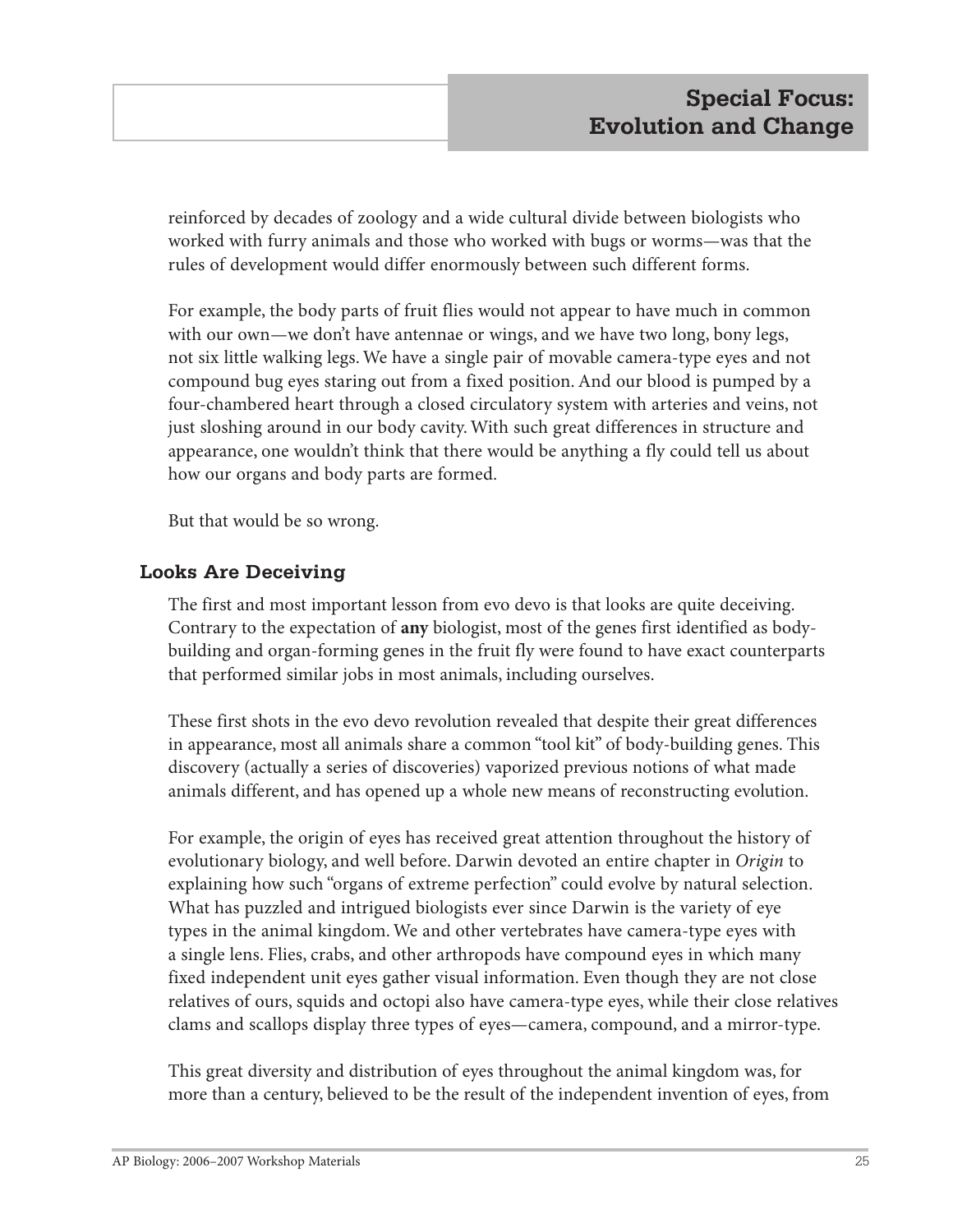reinforced by decades of zoology and a wide cultural divide between biologists who worked with furry animals and those who worked with bugs or worms—was that the rules of development would differ enormously between such different forms.

For example, the body parts of fruit flies would not appear to have much in common with our own—we don't have antennae or wings, and we have two long, bony legs, not six little walking legs. We have a single pair of movable camera-type eyes and not compound bug eyes staring out from a fixed position. And our blood is pumped by a four-chambered heart through a closed circulatory system with arteries and veins, not just sloshing around in our body cavity. With such great differences in structure and appearance, one wouldn't think that there would be anything a fly could tell us about how our organs and body parts are formed.

But that would be so wrong.

#### **Looks Are Deceiving**

The first and most important lesson from evo devo is that looks are quite deceiving. Contrary to the expectation of **any** biologist, most of the genes first identified as bodybuilding and organ-forming genes in the fruit fly were found to have exact counterparts that performed similar jobs in most animals, including ourselves.

These first shots in the evo devo revolution revealed that despite their great differences in appearance, most all animals share a common "tool kit" of body-building genes. This discovery (actually a series of discoveries) vaporized previous notions of what made animals different, and has opened up a whole new means of reconstructing evolution.

For example, the origin of eyes has received great attention throughout the history of evolutionary biology, and well before. Darwin devoted an entire chapter in *Origin* to explaining how such "organs of extreme perfection" could evolve by natural selection. What has puzzled and intrigued biologists ever since Darwin is the variety of eye types in the animal kingdom. We and other vertebrates have camera-type eyes with a single lens. Flies, crabs, and other arthropods have compound eyes in which many fixed independent unit eyes gather visual information. Even though they are not close relatives of ours, squids and octopi also have camera-type eyes, while their close relatives clams and scallops display three types of eyes—camera, compound, and a mirror-type.

This great diversity and distribution of eyes throughout the animal kingdom was, for more than a century, believed to be the result of the independent invention of eyes, from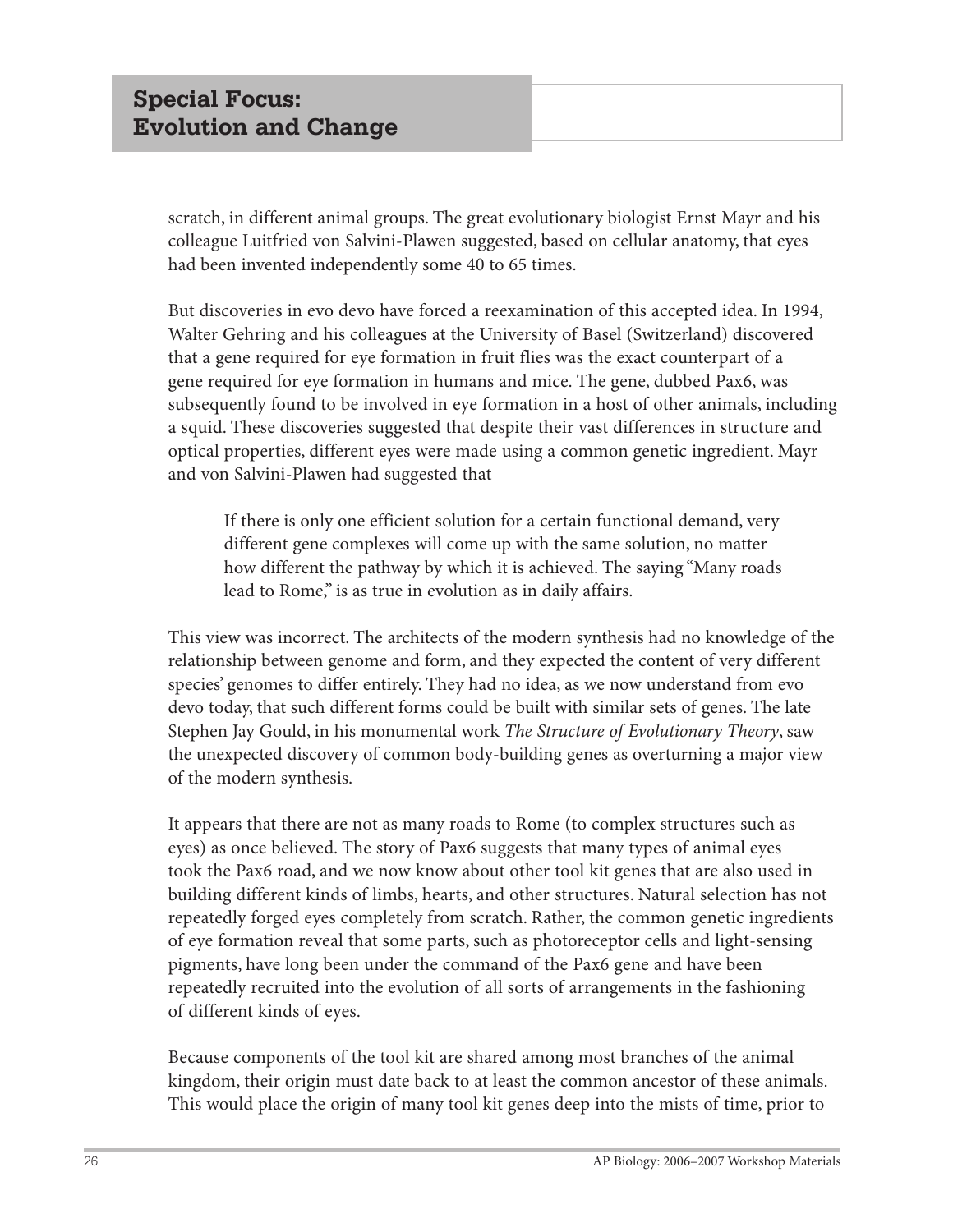scratch, in different animal groups. The great evolutionary biologist Ernst Mayr and his colleague Luitfried von Salvini-Plawen suggested, based on cellular anatomy, that eyes had been invented independently some 40 to 65 times.

But discoveries in evo devo have forced a reexamination of this accepted idea. In 1994, Walter Gehring and his colleagues at the University of Basel (Switzerland) discovered that a gene required for eye formation in fruit flies was the exact counterpart of a gene required for eye formation in humans and mice. The gene, dubbed Pax6, was subsequently found to be involved in eye formation in a host of other animals, including a squid. These discoveries suggested that despite their vast differences in structure and optical properties, different eyes were made using a common genetic ingredient. Mayr and von Salvini-Plawen had suggested that

If there is only one efficient solution for a certain functional demand, very different gene complexes will come up with the same solution, no matter how different the pathway by which it is achieved. The saying "Many roads lead to Rome," is as true in evolution as in daily affairs.

This view was incorrect. The architects of the modern synthesis had no knowledge of the relationship between genome and form, and they expected the content of very different species' genomes to differ entirely. They had no idea, as we now understand from evo devo today, that such different forms could be built with similar sets of genes. The late Stephen Jay Gould, in his monumental work *The Structure of Evolutionary Theory*, saw the unexpected discovery of common body-building genes as overturning a major view of the modern synthesis.

It appears that there are not as many roads to Rome (to complex structures such as eyes) as once believed. The story of Pax6 suggests that many types of animal eyes took the Pax6 road, and we now know about other tool kit genes that are also used in building different kinds of limbs, hearts, and other structures. Natural selection has not repeatedly forged eyes completely from scratch. Rather, the common genetic ingredients of eye formation reveal that some parts, such as photoreceptor cells and light-sensing pigments, have long been under the command of the Pax6 gene and have been repeatedly recruited into the evolution of all sorts of arrangements in the fashioning of different kinds of eyes.

Because components of the tool kit are shared among most branches of the animal kingdom, their origin must date back to at least the common ancestor of these animals. This would place the origin of many tool kit genes deep into the mists of time, prior to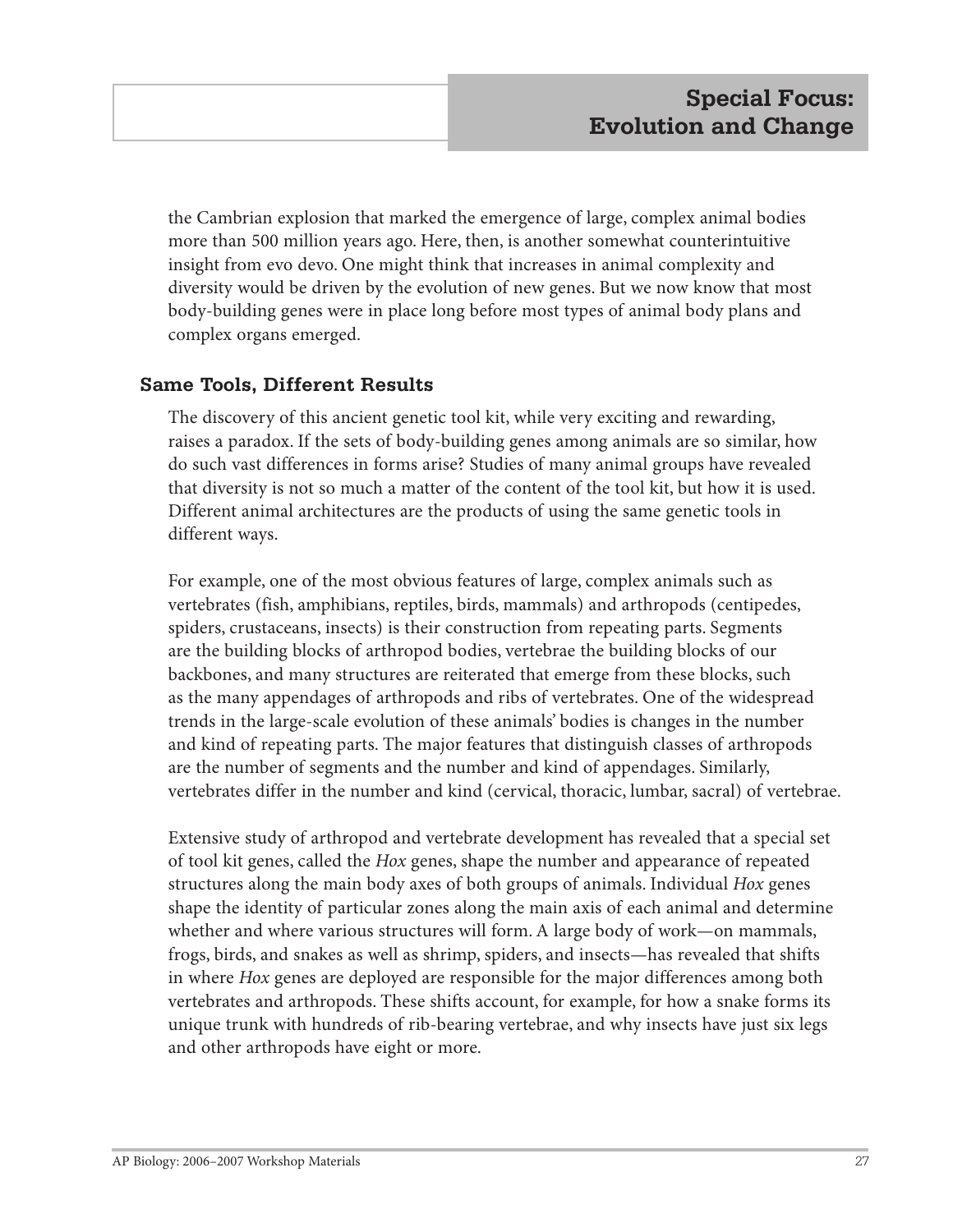the Cambrian explosion that marked the emergence of large, complex animal bodies more than 500 million years ago. Here, then, is another somewhat counterintuitive insight from evo devo. One might think that increases in animal complexity and diversity would be driven by the evolution of new genes. But we now know that most body-building genes were in place long before most types of animal body plans and complex organs emerged.

## **Same Tools, Different Results**

The discovery of this ancient genetic tool kit, while very exciting and rewarding, raises a paradox. If the sets of body-building genes among animals are so similar, how do such vast differences in forms arise? Studies of many animal groups have revealed that diversity is not so much a matter of the content of the tool kit, but how it is used. Different animal architectures are the products of using the same genetic tools in different ways.

For example, one of the most obvious features of large, complex animals such as vertebrates (fish, amphibians, reptiles, birds, mammals) and arthropods (centipedes, spiders, crustaceans, insects) is their construction from repeating parts. Segments are the building blocks of arthropod bodies, vertebrae the building blocks of our backbones, and many structures are reiterated that emerge from these blocks, such as the many appendages of arthropods and ribs of vertebrates. One of the widespread trends in the large-scale evolution of these animals' bodies is changes in the number and kind of repeating parts. The major features that distinguish classes of arthropods are the number of segments and the number and kind of appendages. Similarly, vertebrates differ in the number and kind (cervical, thoracic, lumbar, sacral) of vertebrae.

Extensive study of arthropod and vertebrate development has revealed that a special set of tool kit genes, called the *Hox* genes, shape the number and appearance of repeated structures along the main body axes of both groups of animals. Individual *Hox* genes shape the identity of particular zones along the main axis of each animal and determine whether and where various structures will form. A large body of work—on mammals, frogs, birds, and snakes as well as shrimp, spiders, and insects—has revealed that shifts in where *Hox* genes are deployed are responsible for the major differences among both vertebrates and arthropods. These shifts account, for example, for how a snake forms its unique trunk with hundreds of rib-bearing vertebrae, and why insects have just six legs and other arthropods have eight or more.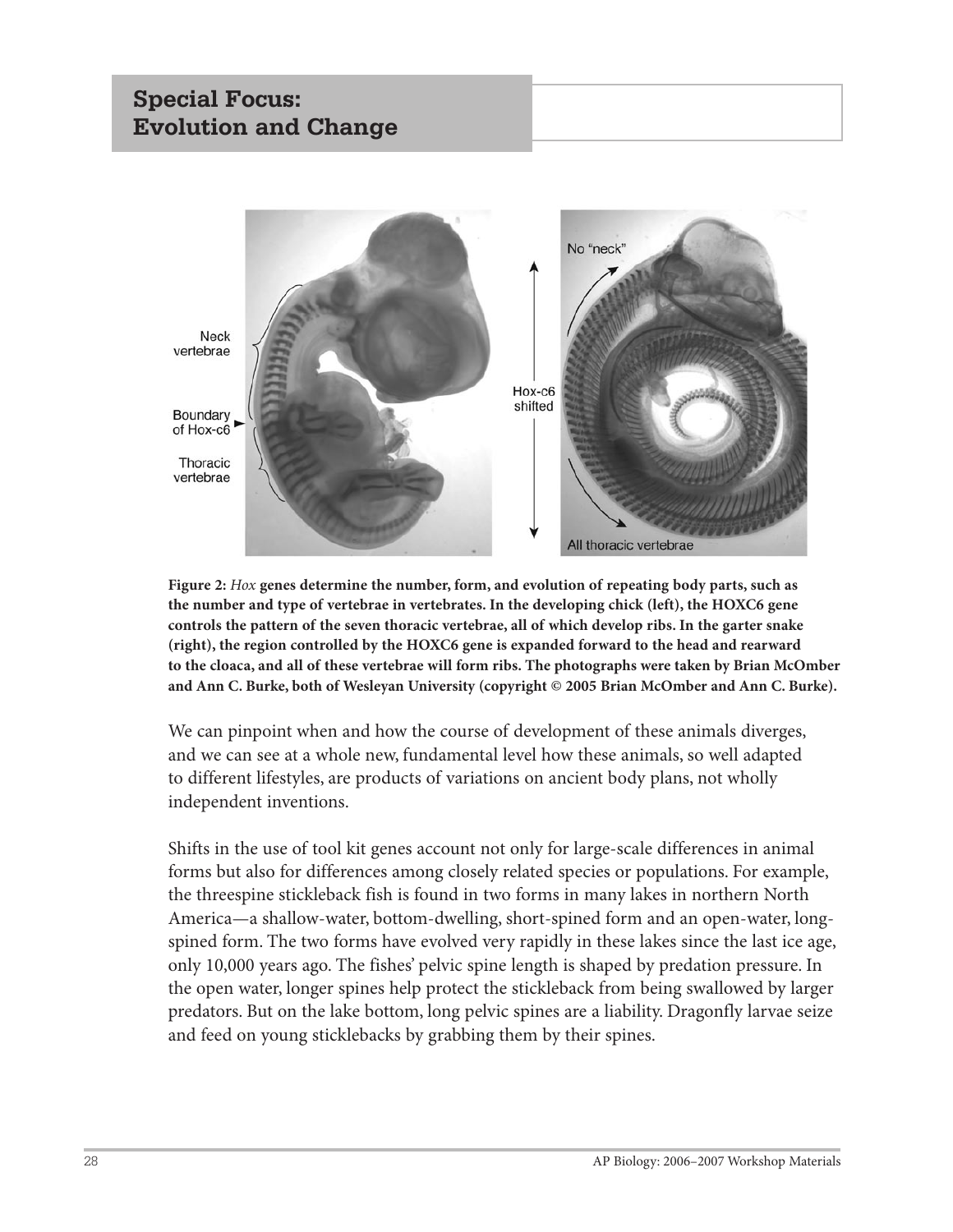# **Special Focus: Evolution and Change**



**Figure 2:** *Hox* **genes determine the number, form, and evolution of repeating body parts, such as the number and type of vertebrae in vertebrates. In the developing chick (left), the HOXC6 gene controls the pattern of the seven thoracic vertebrae, all of which develop ribs. In the garter snake (right), the region controlled by the HOXC6 gene is expanded forward to the head and rearward to the cloaca, and all of these vertebrae will form ribs. The photographs were taken by Brian McOmber and Ann C. Burke, both of Wesleyan University (copyright © 2005 Brian McOmber and Ann C. Burke).**

We can pinpoint when and how the course of development of these animals diverges, and we can see at a whole new, fundamental level how these animals, so well adapted to different lifestyles, are products of variations on ancient body plans, not wholly independent inventions.

Shifts in the use of tool kit genes account not only for large-scale differences in animal forms but also for differences among closely related species or populations. For example, the threespine stickleback fish is found in two forms in many lakes in northern North America—a shallow-water, bottom-dwelling, short-spined form and an open-water, longspined form. The two forms have evolved very rapidly in these lakes since the last ice age, only 10,000 years ago. The fishes' pelvic spine length is shaped by predation pressure. In the open water, longer spines help protect the stickleback from being swallowed by larger predators. But on the lake bottom, long pelvic spines are a liability. Dragonfly larvae seize and feed on young sticklebacks by grabbing them by their spines.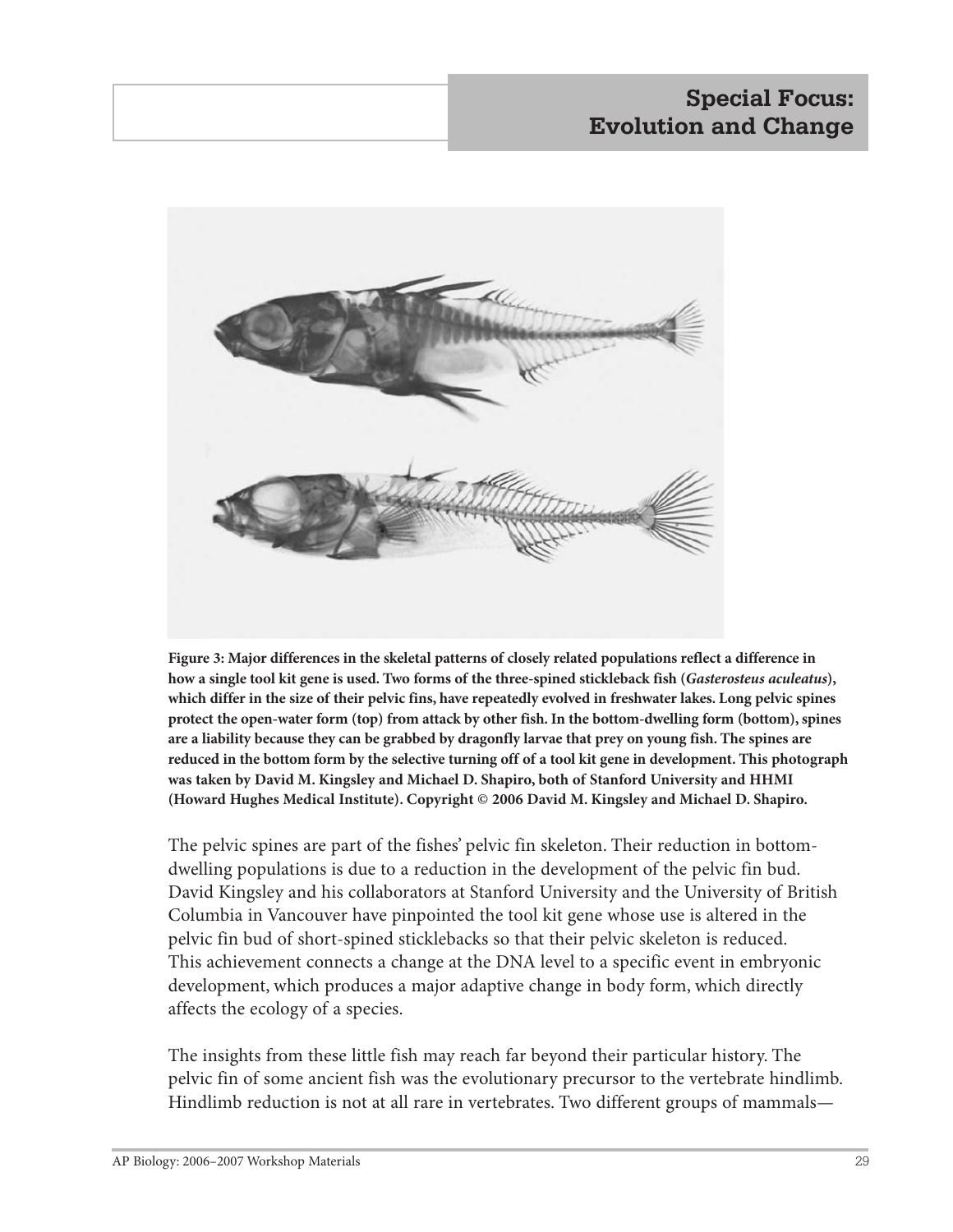# **Special Focus: Evolution and Change**



**Figure 3: Major differences in the skeletal patterns of closely related populations reflect a difference in how a single tool kit gene is used. Two forms of the three-spined stickleback fish (***Gasterosteus aculeatus***), which differ in the size of their pelvic fins, have repeatedly evolved in freshwater lakes. Long pelvic spines protect the open-water form (top) from attack by other fish. In the bottom-dwelling form (bottom), spines are a liability because they can be grabbed by dragonfly larvae that prey on young fish. The spines are reduced in the bottom form by the selective turning off of a tool kit gene in development. This photograph was taken by David M. Kingsley and Michael D. Shapiro, both of Stanford University and HHMI (Howard Hughes Medical Institute). Copyright © 2006 David M. Kingsley and Michael D. Shapiro.**

The pelvic spines are part of the fishes' pelvic fin skeleton. Their reduction in bottomdwelling populations is due to a reduction in the development of the pelvic fin bud. David Kingsley and his collaborators at Stanford University and the University of British Columbia in Vancouver have pinpointed the tool kit gene whose use is altered in the pelvic fin bud of short-spined sticklebacks so that their pelvic skeleton is reduced. This achievement connects a change at the DNA level to a specific event in embryonic development, which produces a major adaptive change in body form, which directly affects the ecology of a species.

The insights from these little fish may reach far beyond their particular history. The pelvic fin of some ancient fish was the evolutionary precursor to the vertebrate hindlimb. Hindlimb reduction is not at all rare in vertebrates. Two different groups of mammals—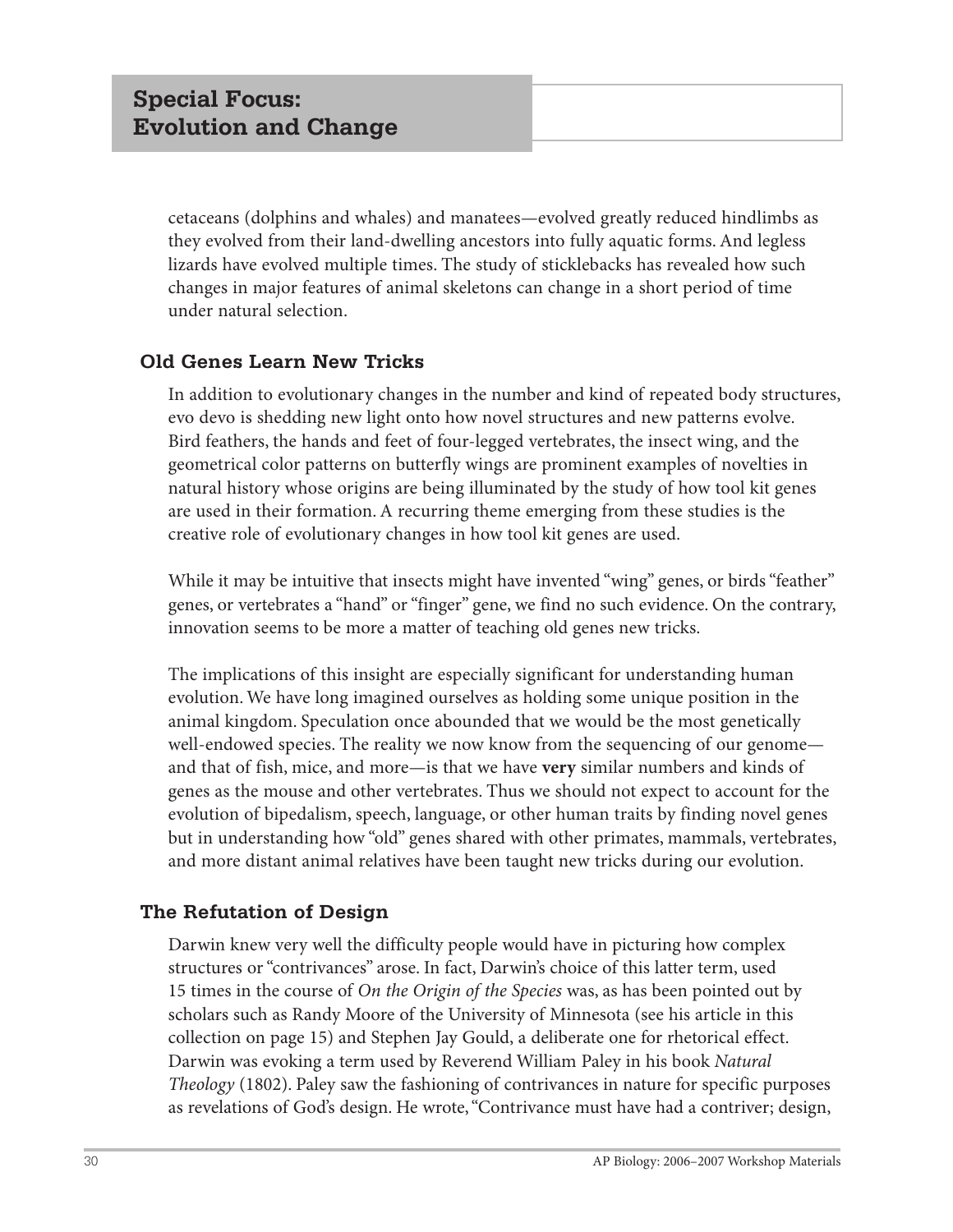cetaceans (dolphins and whales) and manatees—evolved greatly reduced hindlimbs as they evolved from their land-dwelling ancestors into fully aquatic forms. And legless lizards have evolved multiple times. The study of sticklebacks has revealed how such changes in major features of animal skeletons can change in a short period of time under natural selection.

## **Old Genes Learn New Tricks**

In addition to evolutionary changes in the number and kind of repeated body structures, evo devo is shedding new light onto how novel structures and new patterns evolve. Bird feathers, the hands and feet of four-legged vertebrates, the insect wing, and the geometrical color patterns on butterfly wings are prominent examples of novelties in natural history whose origins are being illuminated by the study of how tool kit genes are used in their formation. A recurring theme emerging from these studies is the creative role of evolutionary changes in how tool kit genes are used.

While it may be intuitive that insects might have invented "wing" genes, or birds "feather" genes, or vertebrates a "hand" or "finger" gene, we find no such evidence. On the contrary, innovation seems to be more a matter of teaching old genes new tricks.

The implications of this insight are especially significant for understanding human evolution. We have long imagined ourselves as holding some unique position in the animal kingdom. Speculation once abounded that we would be the most genetically well-endowed species. The reality we now know from the sequencing of our genome and that of fish, mice, and more—is that we have **very** similar numbers and kinds of genes as the mouse and other vertebrates. Thus we should not expect to account for the evolution of bipedalism, speech, language, or other human traits by finding novel genes but in understanding how "old" genes shared with other primates, mammals, vertebrates, and more distant animal relatives have been taught new tricks during our evolution.

## **The Refutation of Design**

Darwin knew very well the difficulty people would have in picturing how complex structures or "contrivances" arose. In fact, Darwin's choice of this latter term, used 15 times in the course of *On the Origin of the Species* was, as has been pointed out by scholars such as Randy Moore of the University of Minnesota (see his article in this collection on page 15) and Stephen Jay Gould, a deliberate one for rhetorical effect. Darwin was evoking a term used by Reverend William Paley in his book *Natural Theology* (1802). Paley saw the fashioning of contrivances in nature for specific purposes as revelations of God's design. He wrote, "Contrivance must have had a contriver; design,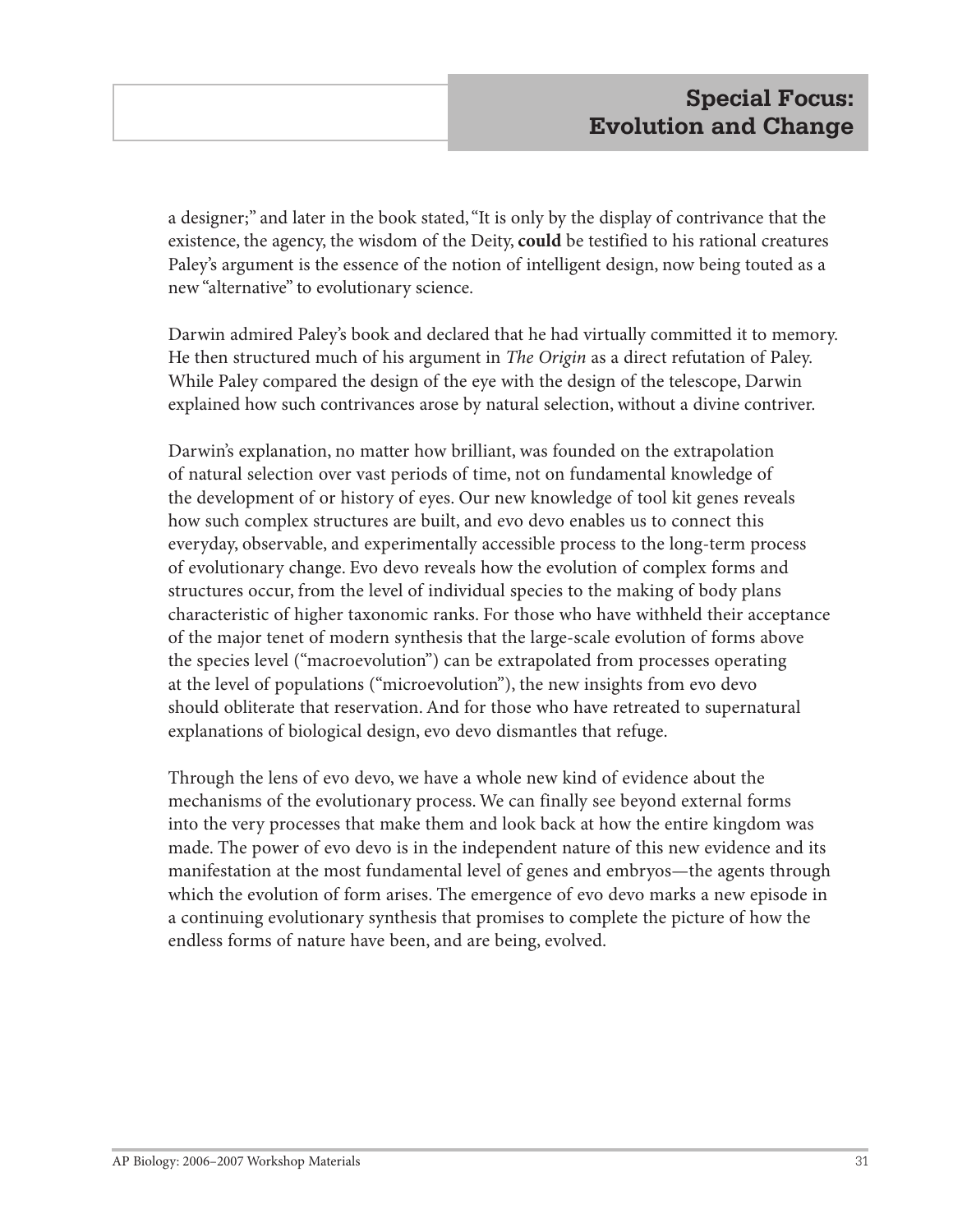a designer;" and later in the book stated, "It is only by the display of contrivance that the existence, the agency, the wisdom of the Deity, **could** be testified to his rational creatures Paley's argument is the essence of the notion of intelligent design, now being touted as a new "alternative" to evolutionary science.

Darwin admired Paley's book and declared that he had virtually committed it to memory. He then structured much of his argument in *The Origin* as a direct refutation of Paley. While Paley compared the design of the eye with the design of the telescope, Darwin explained how such contrivances arose by natural selection, without a divine contriver.

Darwin's explanation, no matter how brilliant, was founded on the extrapolation of natural selection over vast periods of time, not on fundamental knowledge of the development of or history of eyes. Our new knowledge of tool kit genes reveals how such complex structures are built, and evo devo enables us to connect this everyday, observable, and experimentally accessible process to the long-term process of evolutionary change. Evo devo reveals how the evolution of complex forms and structures occur, from the level of individual species to the making of body plans characteristic of higher taxonomic ranks. For those who have withheld their acceptance of the major tenet of modern synthesis that the large-scale evolution of forms above the species level ("macroevolution") can be extrapolated from processes operating at the level of populations ("microevolution"), the new insights from evo devo should obliterate that reservation. And for those who have retreated to supernatural explanations of biological design, evo devo dismantles that refuge.

Through the lens of evo devo, we have a whole new kind of evidence about the mechanisms of the evolutionary process. We can finally see beyond external forms into the very processes that make them and look back at how the entire kingdom was made. The power of evo devo is in the independent nature of this new evidence and its manifestation at the most fundamental level of genes and embryos—the agents through which the evolution of form arises. The emergence of evo devo marks a new episode in a continuing evolutionary synthesis that promises to complete the picture of how the endless forms of nature have been, and are being, evolved.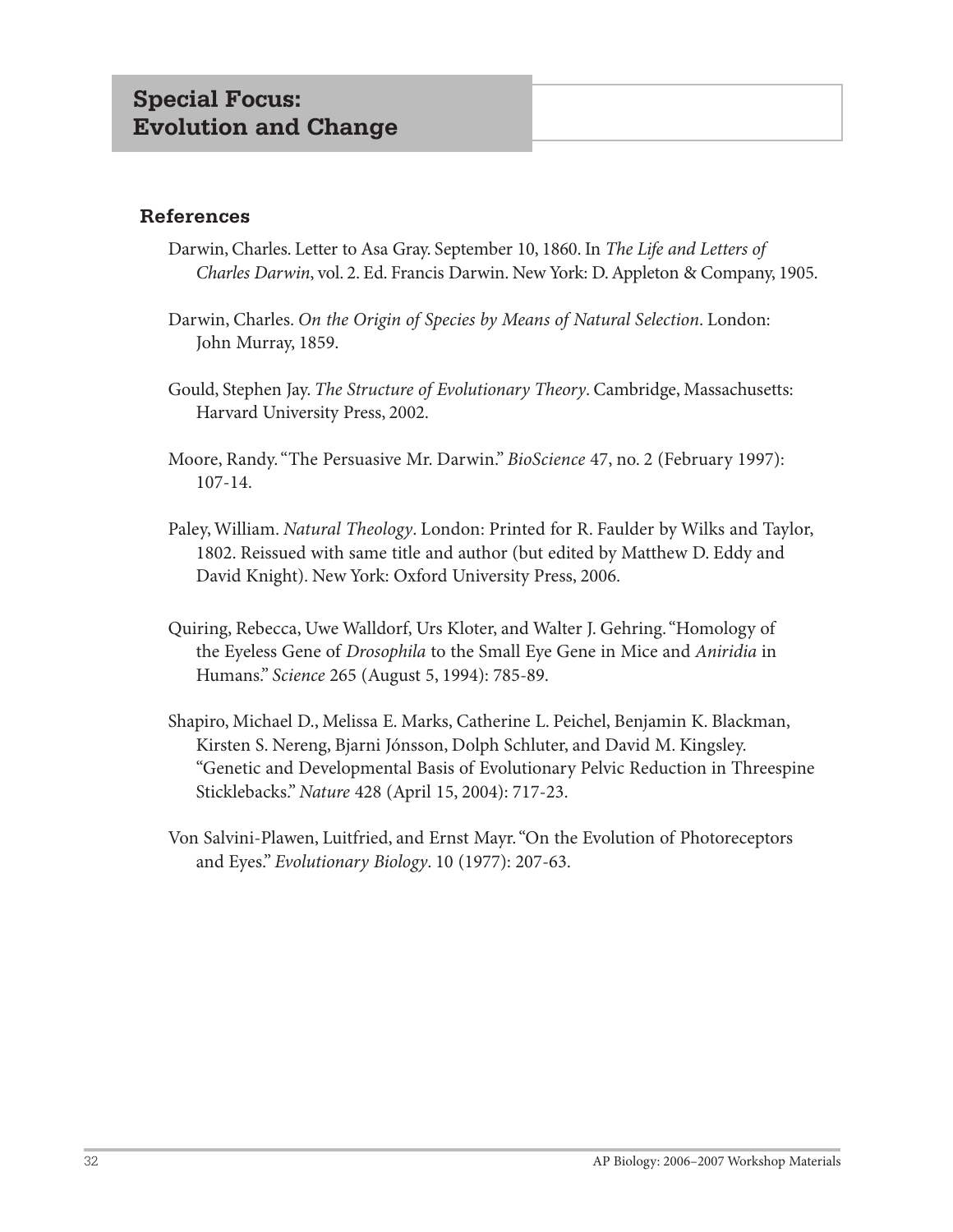#### **References**

- Darwin, Charles. Letter to Asa Gray. September 10, 1860. In *The Life and Letters of Charles Darwin*, vol. 2. Ed. Francis Darwin. New York: D. Appleton & Company, 1905.
- Darwin, Charles. *On the Origin of Species by Means of Natural Selection*. London: John Murray, 1859.
- Gould, Stephen Jay. *The Structure of Evolutionary Theory*. Cambridge, Massachusetts: Harvard University Press, 2002.
- Moore, Randy. "The Persuasive Mr. Darwin." *BioScience* 47, no. 2 (February 1997): 107-14.
- Paley, William. *Natural Theology*. London: Printed for R. Faulder by Wilks and Taylor, 1802. Reissued with same title and author (but edited by Matthew D. Eddy and David Knight). New York: Oxford University Press, 2006.
- Quiring, Rebecca, Uwe Walldorf, Urs Kloter, and Walter J. Gehring. "Homology of the Eyeless Gene of *Drosophila* to the Small Eye Gene in Mice and *Aniridia* in Humans." *Science* 265 (August 5, 1994): 785-89.
- Shapiro, Michael D., Melissa E. Marks, Catherine L. Peichel, Benjamin K. Blackman, Kirsten S. Nereng, Bjarni Jónsson, Dolph Schluter, and David M. Kingsley. "Genetic and Developmental Basis of Evolutionary Pelvic Reduction in Threespine Sticklebacks." *Nature* 428 (April 15, 2004): 717-23.
- Von Salvini-Plawen, Luitfried, and Ernst Mayr. "On the Evolution of Photoreceptors and Eyes." *Evolutionary Biology*. 10 (1977): 207-63.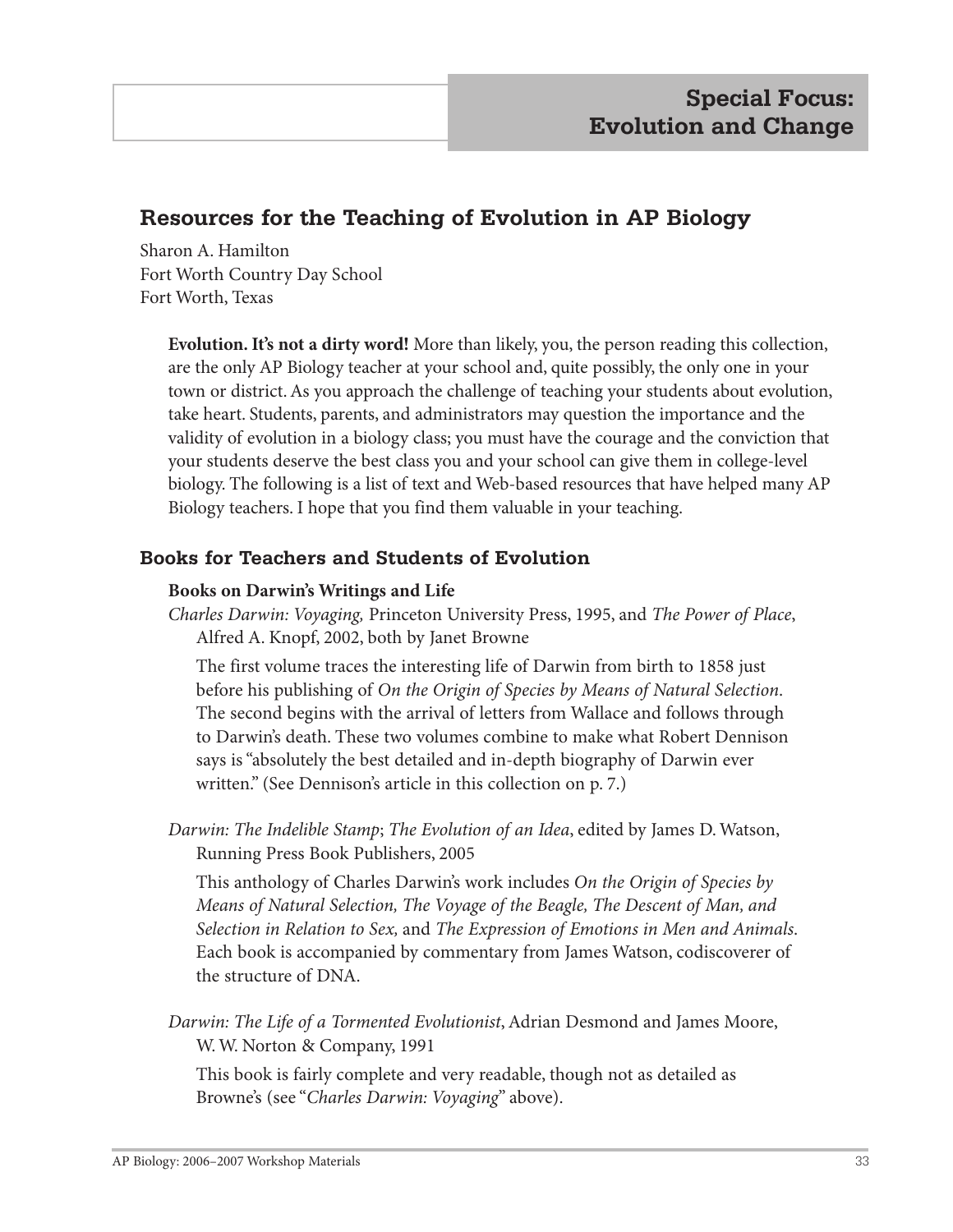# **Resources for the Teaching of Evolution in AP Biology**

Sharon A. Hamilton Fort Worth Country Day School Fort Worth, Texas

> **Evolution. It's not a dirty word!** More than likely, you, the person reading this collection, are the only AP Biology teacher at your school and, quite possibly, the only one in your town or district. As you approach the challenge of teaching your students about evolution, take heart. Students, parents, and administrators may question the importance and the validity of evolution in a biology class; you must have the courage and the conviction that your students deserve the best class you and your school can give them in college-level biology. The following is a list of text and Web-based resources that have helped many AP Biology teachers. I hope that you find them valuable in your teaching.

## **Books for Teachers and Students of Evolution**

#### **Books on Darwin's Writings and Life**

*Charles Darwin: Voyaging,* Princeton University Press, 1995, and *The Power of Place*, Alfred A. Knopf, 2002, both by Janet Browne

The first volume traces the interesting life of Darwin from birth to 1858 just before his publishing of *On the Origin of Species by Means of Natural Selection*. The second begins with the arrival of letters from Wallace and follows through to Darwin's death. These two volumes combine to make what Robert Dennison says is "absolutely the best detailed and in-depth biography of Darwin ever written." (See Dennison's article in this collection on p. 7.)

*Darwin: The Indelible Stamp*; *The Evolution of an Idea*, edited by James D. Watson, Running Press Book Publishers, 2005

This anthology of Charles Darwin's work includes *On the Origin of Species by Means of Natural Selection, The Voyage of the Beagle, The Descent of Man, and Selection in Relation to Sex,* and *The Expression of Emotions in Men and Animals*. Each book is accompanied by commentary from James Watson, codiscoverer of the structure of DNA.

*Darwin: The Life of a Tormented Evolutionist*, Adrian Desmond and James Moore, W. W. Norton & Company, 1991

This book is fairly complete and very readable, though not as detailed as Browne's (see "*Charles Darwin: Voyaging*" above).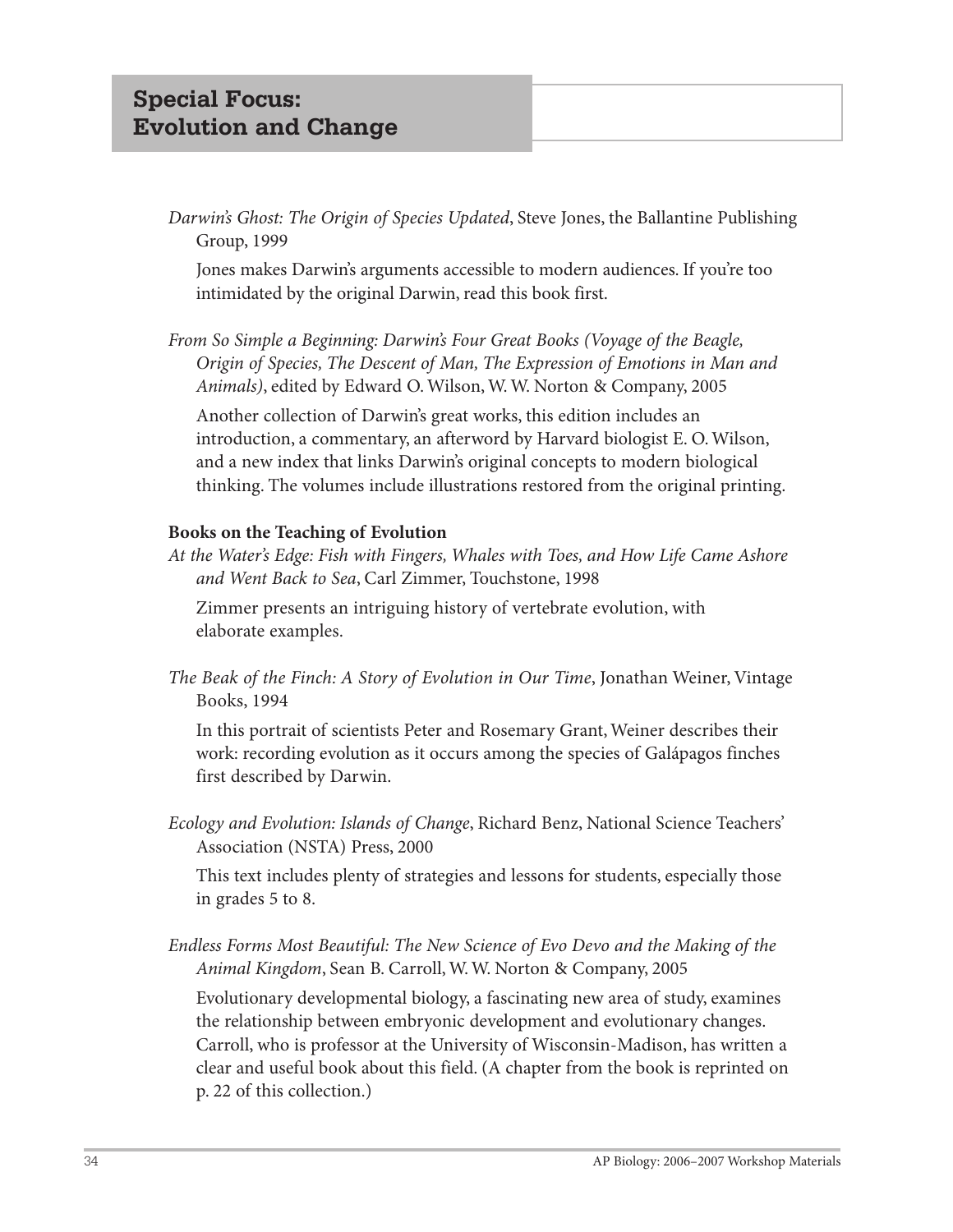*Darwin's Ghost: The Origin of Species Updated*, Steve Jones, the Ballantine Publishing Group, 1999

Jones makes Darwin's arguments accessible to modern audiences. If you're too intimidated by the original Darwin, read this book first.

*From So Simple a Beginning: Darwin's Four Great Books (Voyage of the Beagle, Origin of Species, The Descent of Man, The Expression of Emotions in Man and Animals)*, edited by Edward O. Wilson, W. W. Norton & Company, 2005

Another collection of Darwin's great works, this edition includes an introduction, a commentary, an afterword by Harvard biologist E. O. Wilson, and a new index that links Darwin's original concepts to modern biological thinking. The volumes include illustrations restored from the original printing.

#### **Books on the Teaching of Evolution**

*At the Water's Edge: Fish with Fingers, Whales with Toes, and How Life Came Ashore and Went Back to Sea*, Carl Zimmer, Touchstone, 1998

Zimmer presents an intriguing history of vertebrate evolution, with elaborate examples.

*The Beak of the Finch: A Story of Evolution in Our Time*, Jonathan Weiner, Vintage Books, 1994

In this portrait of scientists Peter and Rosemary Grant, Weiner describes their work: recording evolution as it occurs among the species of Galápagos finches first described by Darwin.

*Ecology and Evolution: Islands of Change*, Richard Benz, National Science Teachers' Association (NSTA) Press, 2000

This text includes plenty of strategies and lessons for students, especially those in grades 5 to 8.

*Endless Forms Most Beautiful: The New Science of Evo Devo and the Making of the Animal Kingdom*, Sean B. Carroll, W. W. Norton & Company, 2005

Evolutionary developmental biology, a fascinating new area of study, examines the relationship between embryonic development and evolutionary changes. Carroll, who is professor at the University of Wisconsin-Madison, has written a clear and useful book about this field. (A chapter from the book is reprinted on p. 22 of this collection.)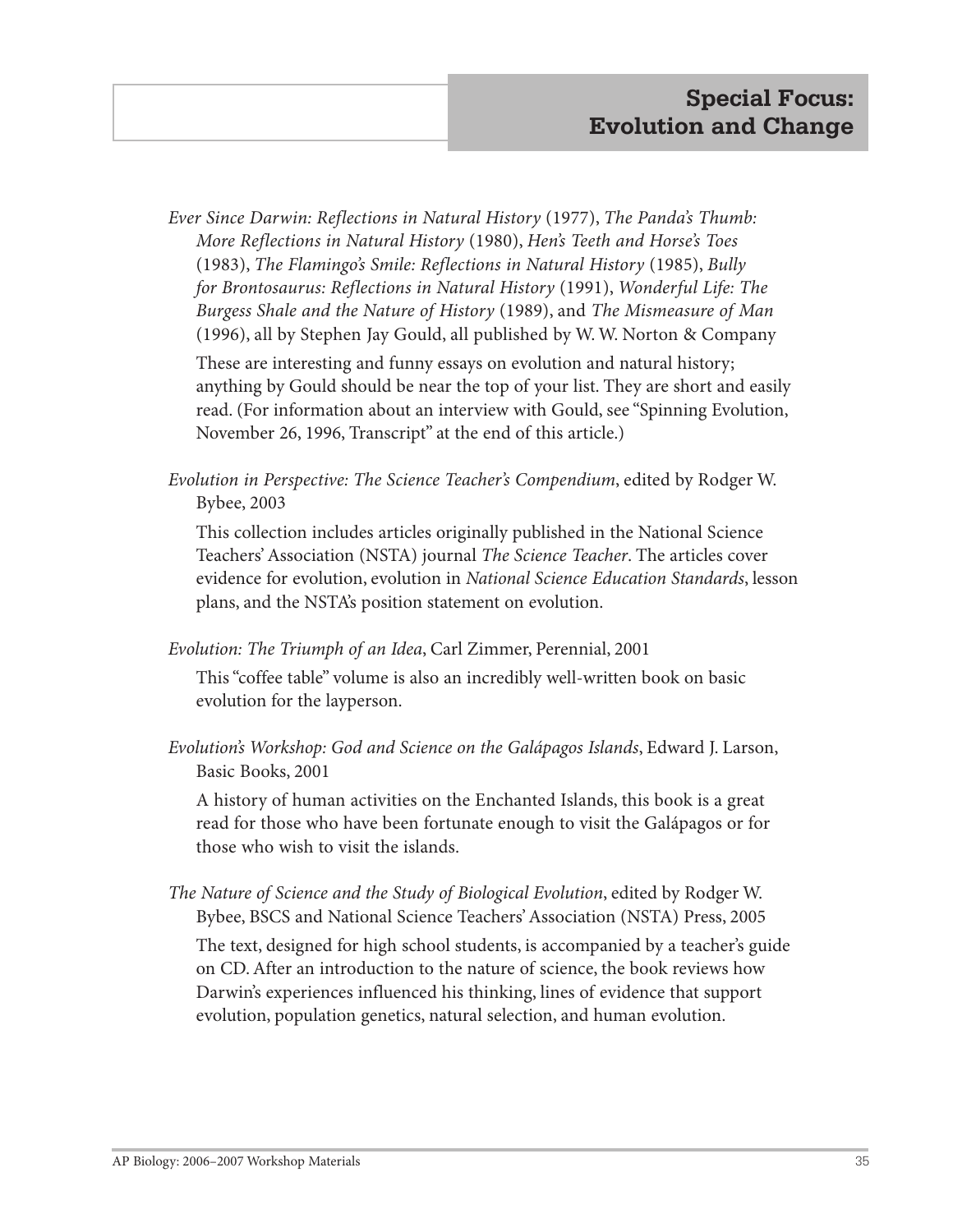*Ever Since Darwin: Reflections in Natural History* (1977), *The Panda's Thumb: More Reflections in Natural History* (1980), *Hen's Teeth and Horse's Toes* (1983), *The Flamingo's Smile: Reflections in Natural History* (1985), *Bully for Brontosaurus: Reflections in Natural History* (1991), *Wonderful Life: The Burgess Shale and the Nature of History* (1989), and *The Mismeasure of Man* (1996), all by Stephen Jay Gould, all published by W. W. Norton & Company

These are interesting and funny essays on evolution and natural history; anything by Gould should be near the top of your list. They are short and easily read. (For information about an interview with Gould, see "Spinning Evolution, November 26, 1996, Transcript" at the end of this article.)

*Evolution in Perspective: The Science Teacher's Compendium*, edited by Rodger W. Bybee, 2003

This collection includes articles originally published in the National Science Teachers' Association (NSTA) journal *The Science Teacher*. The articles cover evidence for evolution, evolution in *National Science Education Standards*, lesson plans, and the NSTA's position statement on evolution.

*Evolution: The Triumph of an Idea*, Carl Zimmer, Perennial, 2001

This "coffee table" volume is also an incredibly well-written book on basic evolution for the layperson.

*Evolution's Workshop: God and Science on the Galápagos Islands*, Edward J. Larson, Basic Books, 2001

A history of human activities on the Enchanted Islands, this book is a great read for those who have been fortunate enough to visit the Galápagos or for those who wish to visit the islands.

*The Nature of Science and the Study of Biological Evolution*, edited by Rodger W. Bybee, BSCS and National Science Teachers' Association (NSTA) Press, 2005

The text, designed for high school students, is accompanied by a teacher's guide on CD. After an introduction to the nature of science, the book reviews how Darwin's experiences influenced his thinking, lines of evidence that support evolution, population genetics, natural selection, and human evolution.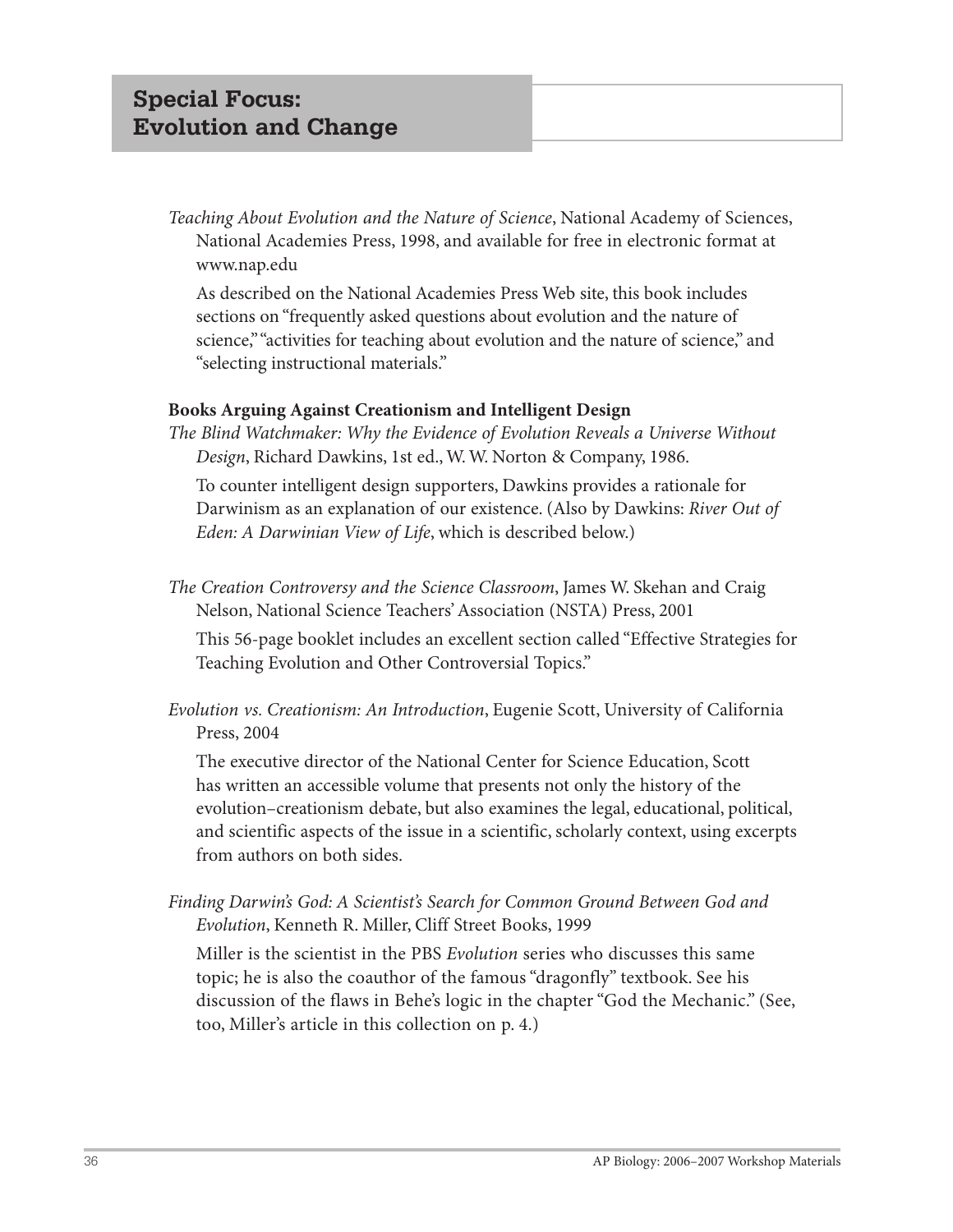*Teaching About Evolution and the Nature of Science*, National Academy of Sciences, National Academies Press, 1998, and available for free in electronic format at www.nap.edu

As described on the National Academies Press Web site, this book includes sections on "frequently asked questions about evolution and the nature of science," "activities for teaching about evolution and the nature of science," and "selecting instructional materials."

#### **Books Arguing Against Creationism and Intelligent Design**

*The Blind Watchmaker: Why the Evidence of Evolution Reveals a Universe Without Design*, Richard Dawkins, 1st ed., W. W. Norton & Company, 1986.

To counter intelligent design supporters, Dawkins provides a rationale for Darwinism as an explanation of our existence. (Also by Dawkins: *River Out of Eden: A Darwinian View of Life*, which is described below.)

*The Creation Controversy and the Science Classroom*, James W. Skehan and Craig Nelson, National Science Teachers' Association (NSTA) Press, 2001

This 56-page booklet includes an excellent section called "Effective Strategies for Teaching Evolution and Other Controversial Topics."

*Evolution vs. Creationism: An Introduction*, Eugenie Scott, University of California Press, 2004

The executive director of the National Center for Science Education, Scott has written an accessible volume that presents not only the history of the evolution–creationism debate, but also examines the legal, educational, political, and scientific aspects of the issue in a scientific, scholarly context, using excerpts from authors on both sides.

*Finding Darwin's God: A Scientist's Search for Common Ground Between God and Evolution*, Kenneth R. Miller, Cliff Street Books, 1999

Miller is the scientist in the PBS *Evolution* series who discusses this same topic; he is also the coauthor of the famous "dragonfly" textbook. See his discussion of the flaws in Behe's logic in the chapter "God the Mechanic." (See, too, Miller's article in this collection on p. 4.)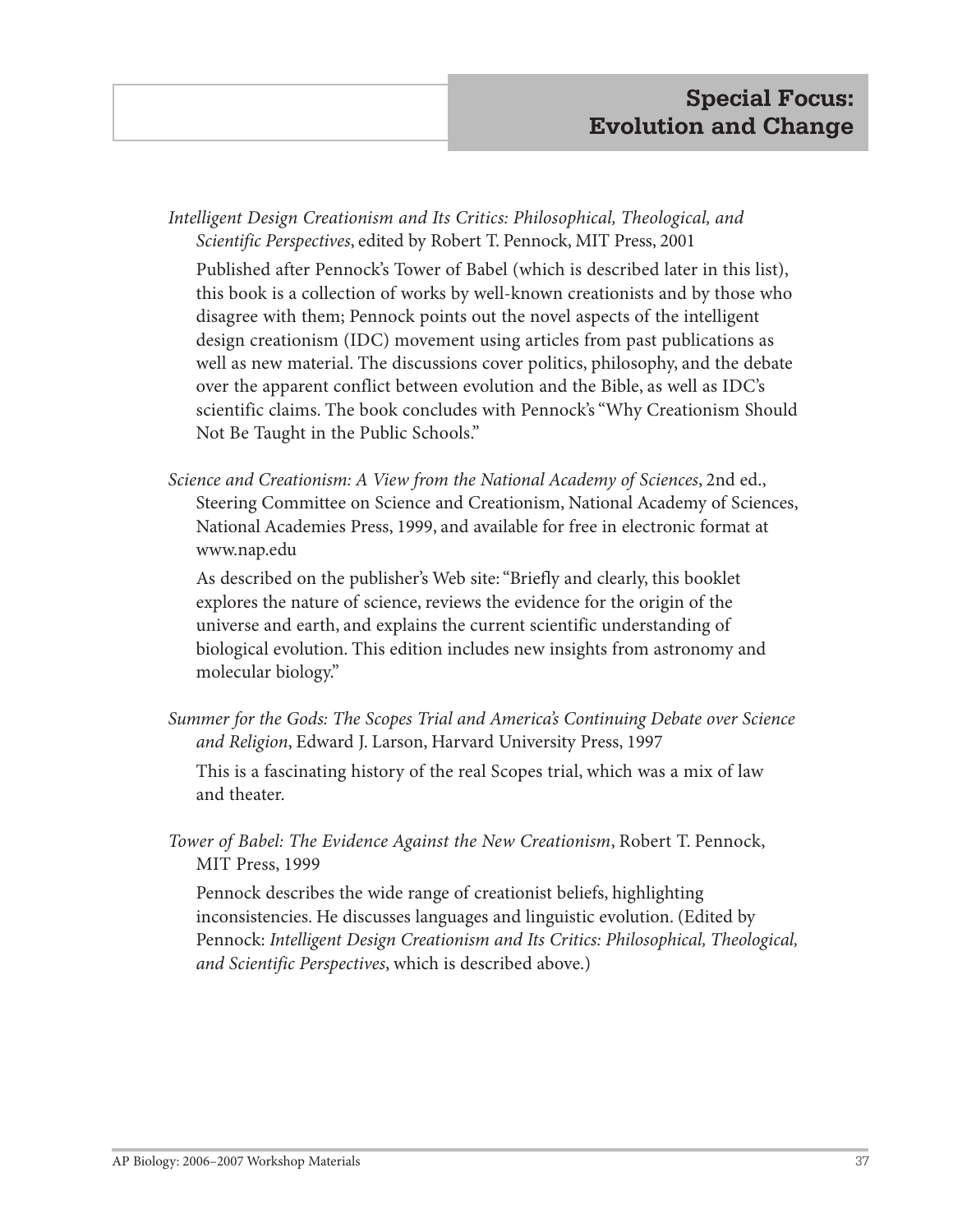*Intelligent Design Creationism and Its Critics: Philosophical, Theological, and Scientific Perspectives*, edited by Robert T. Pennock, MIT Press, 2001

Published after Pennock's Tower of Babel (which is described later in this list), this book is a collection of works by well-known creationists and by those who disagree with them; Pennock points out the novel aspects of the intelligent design creationism (IDC) movement using articles from past publications as well as new material. The discussions cover politics, philosophy, and the debate over the apparent conflict between evolution and the Bible, as well as IDC's scientific claims. The book concludes with Pennock's "Why Creationism Should Not Be Taught in the Public Schools."

*Science and Creationism: A View from the National Academy of Sciences*, 2nd ed., Steering Committee on Science and Creationism, National Academy of Sciences, National Academies Press, 1999, and available for free in electronic format at www.nap.edu

As described on the publisher's Web site: "Briefly and clearly, this booklet explores the nature of science, reviews the evidence for the origin of the universe and earth, and explains the current scientific understanding of biological evolution. This edition includes new insights from astronomy and molecular biology."

*Summer for the Gods: The Scopes Trial and America's Continuing Debate over Science and Religion*, Edward J. Larson, Harvard University Press, 1997

This is a fascinating history of the real Scopes trial, which was a mix of law and theater.

*Tower of Babel: The Evidence Against the New Creationism*, Robert T. Pennock, MIT Press, 1999

Pennock describes the wide range of creationist beliefs, highlighting inconsistencies. He discusses languages and linguistic evolution. (Edited by Pennock: *Intelligent Design Creationism and Its Critics: Philosophical, Theological, and Scientific Perspectives*, which is described above.)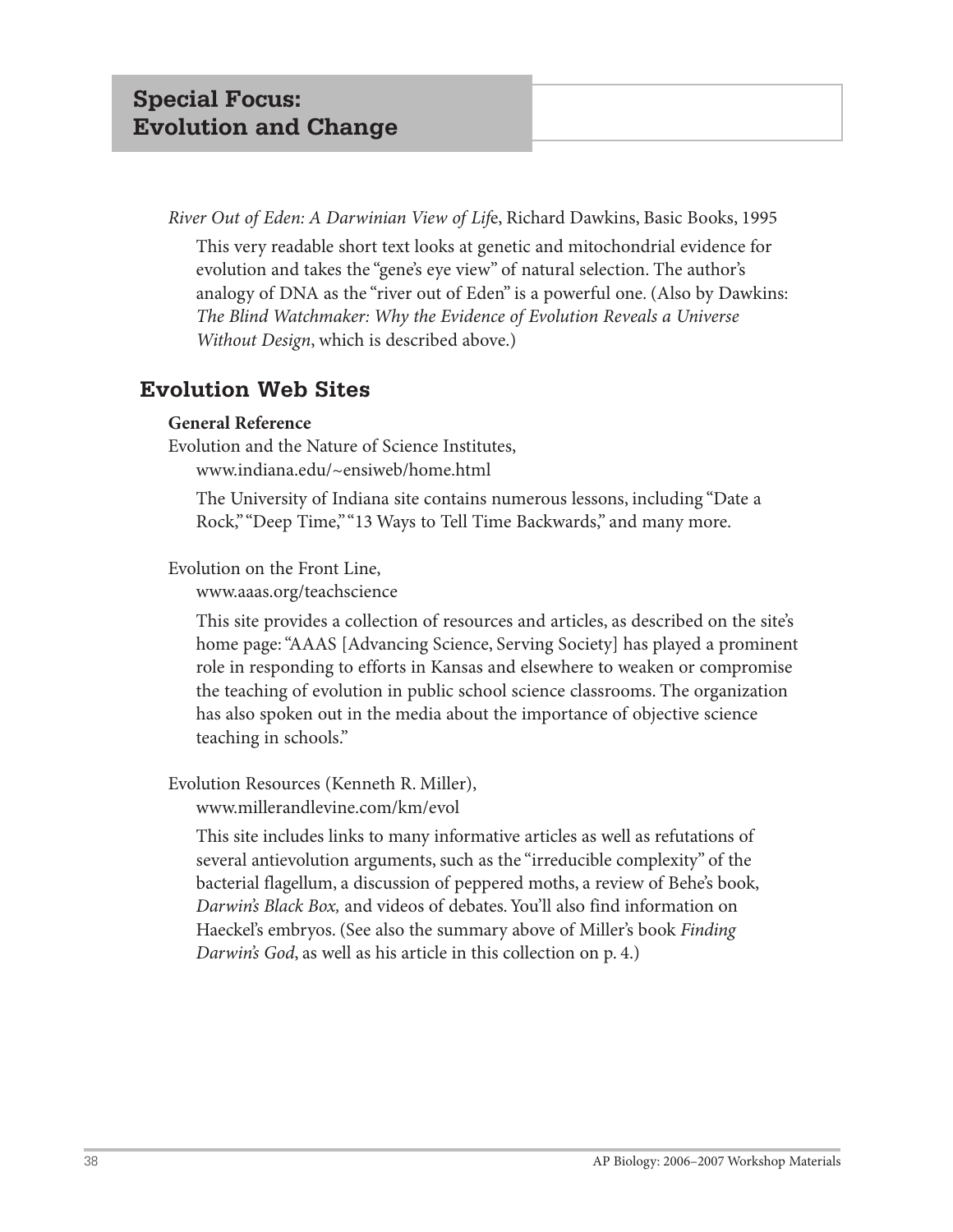*River Out of Eden: A Darwinian View of Lif*e, Richard Dawkins, Basic Books, 1995

This very readable short text looks at genetic and mitochondrial evidence for evolution and takes the "gene's eye view" of natural selection. The author's analogy of DNA as the "river out of Eden" is a powerful one. (Also by Dawkins: *The Blind Watchmaker: Why the Evidence of Evolution Reveals a Universe Without Design*, which is described above.)

## **Evolution Web Sites**

## **General Reference**

Evolution and the Nature of Science Institutes, www.indiana.edu/~ensiweb/home.html

The University of Indiana site contains numerous lessons, including "Date a Rock," "Deep Time," "13 Ways to Tell Time Backwards," and many more.

## Evolution on the Front Line,

www.aaas.org/teachscience

This site provides a collection of resources and articles, as described on the site's home page: "AAAS [Advancing Science, Serving Society] has played a prominent role in responding to efforts in Kansas and elsewhere to weaken or compromise the teaching of evolution in public school science classrooms. The organization has also spoken out in the media about the importance of objective science teaching in schools."

Evolution Resources (Kenneth R. Miller),

www.millerandlevine.com/km/evol

This site includes links to many informative articles as well as refutations of several antievolution arguments, such as the "irreducible complexity" of the bacterial flagellum, a discussion of peppered moths, a review of Behe's book, *Darwin's Black Box,* and videos of debates. You'll also find information on Haeckel's embryos. (See also the summary above of Miller's book *Finding Darwin's God*, as well as his article in this collection on p. 4.)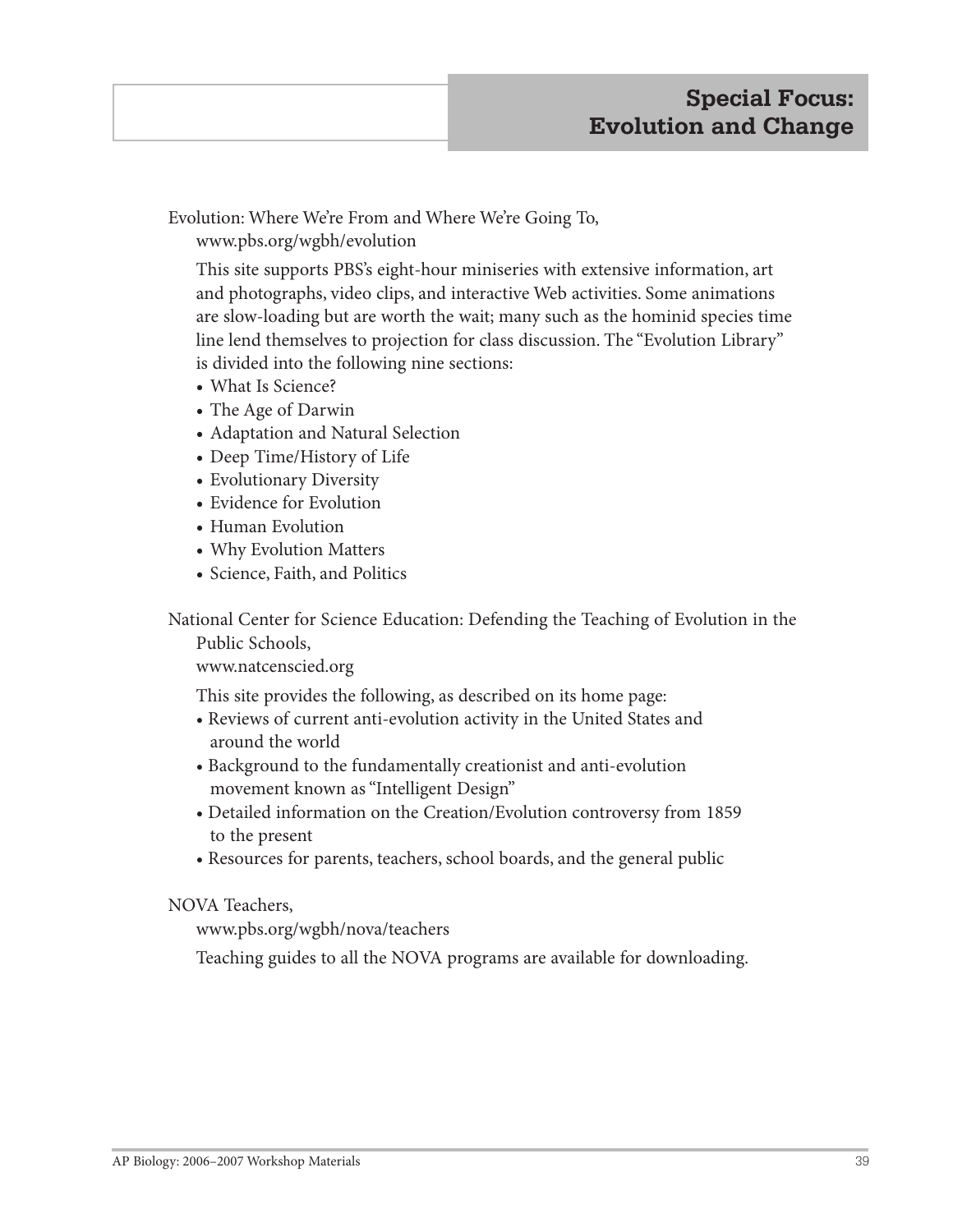Evolution: Where We're From and Where We're Going To, www.pbs.org/wgbh/evolution

This site supports PBS's eight-hour miniseries with extensive information, art and photographs, video clips, and interactive Web activities. Some animations are slow-loading but are worth the wait; many such as the hominid species time line lend themselves to projection for class discussion. The "Evolution Library" is divided into the following nine sections:

- **•** What Is Science?
- **•** The Age of Darwin
- **•** Adaptation and Natural Selection
- **•** Deep Time/History of Life
- **•** Evolutionary Diversity
- **•** Evidence for Evolution
- **•** Human Evolution
- **•** Why Evolution Matters
- **•** Science, Faith, and Politics

National Center for Science Education: Defending the Teaching of Evolution in the

Public Schools,

www.natcenscied.org

This site provides the following, as described on its home page:

- Reviews of current anti-evolution activity in the United States and around the world
- Background to the fundamentally creationist and anti-evolution movement known as "Intelligent Design"
- Detailed information on the Creation/Evolution controversy from 1859 to the present
- Resources for parents, teachers, school boards, and the general public

NOVA Teachers,

www.pbs.org/wgbh/nova/teachers

Teaching guides to all the NOVA programs are available for downloading.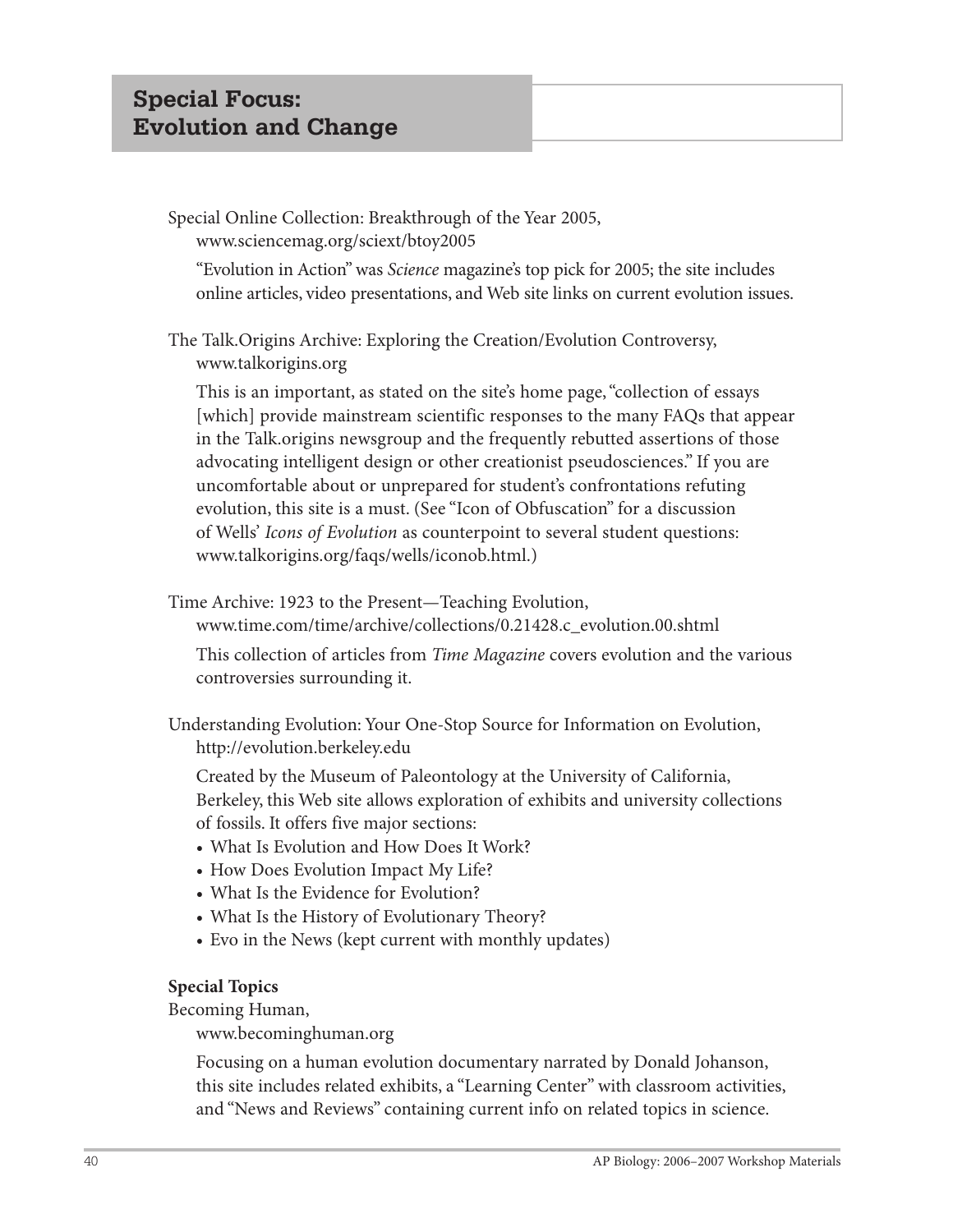## Special Online Collection: Breakthrough of the Year 2005, www.sciencemag.org/sciext/btoy2005

"Evolution in Action" was *Science* magazine's top pick for 2005; the site includes online articles, video presentations, and Web site links on current evolution issues.

The Talk.Origins Archive: Exploring the Creation/Evolution Controversy, www.talkorigins.org

This is an important, as stated on the site's home page, "collection of essays [which] provide mainstream scientific responses to the many FAQs that appear in the Talk.origins newsgroup and the frequently rebutted assertions of those advocating intelligent design or other creationist pseudosciences." If you are uncomfortable about or unprepared for student's confrontations refuting evolution, this site is a must. (See "Icon of Obfuscation" for a discussion of Wells' *Icons of Evolution* as counterpoint to several student questions: www.talkorigins.org/faqs/wells/iconob.html.)

Time Archive: 1923 to the Present—Teaching Evolution,

www.time.com/time/archive/collections/0.21428.c\_evolution.00.shtml

This collection of articles from *Time Magazine* covers evolution and the various controversies surrounding it.

Understanding Evolution: Your One-Stop Source for Information on Evolution, http://evolution.berkeley.edu

Created by the Museum of Paleontology at the University of California, Berkeley, this Web site allows exploration of exhibits and university collections of fossils. It offers five major sections:

- What Is Evolution and How Does It Work?
- How Does Evolution Impact My Life?
- What Is the Evidence for Evolution?
- What Is the History of Evolutionary Theory?
- Evo in the News (kept current with monthly updates)

## **Special Topics**

Becoming Human,

www.becominghuman.org

Focusing on a human evolution documentary narrated by Donald Johanson, this site includes related exhibits, a "Learning Center" with classroom activities, and "News and Reviews" containing current info on related topics in science.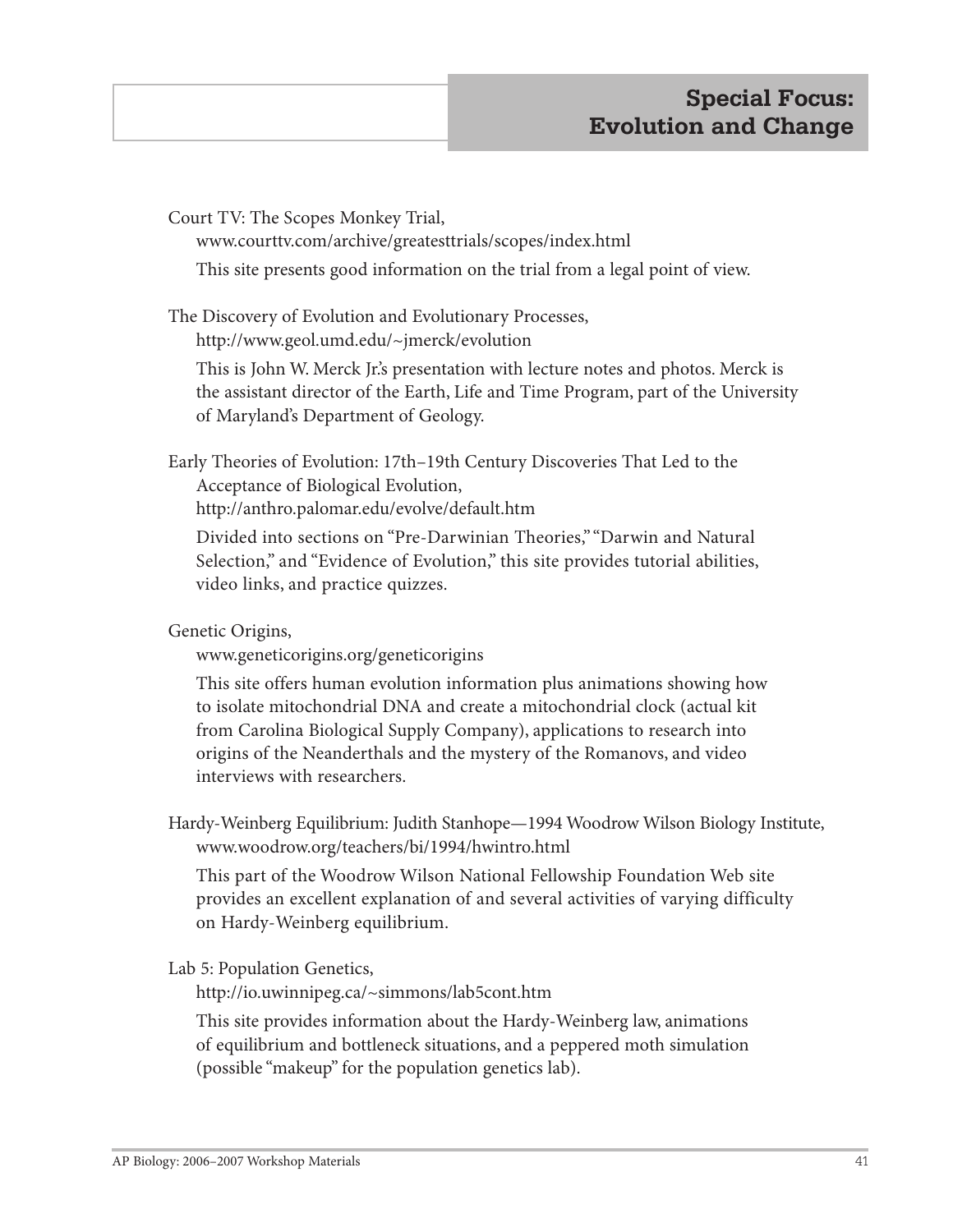Court TV: The Scopes Monkey Trial,

www.courttv.com/archive/greatesttrials/scopes/index.html

This site presents good information on the trial from a legal point of view.

The Discovery of Evolution and Evolutionary Processes, http://www.geol.umd.edu/~jmerck/evolution

This is John W. Merck Jr.'s presentation with lecture notes and photos. Merck is the assistant director of the Earth, Life and Time Program, part of the University of Maryland's Department of Geology.

Early Theories of Evolution: 17th–19th Century Discoveries That Led to the Acceptance of Biological Evolution,

http://anthro.palomar.edu/evolve/default.htm

Divided into sections on "Pre-Darwinian Theories," "Darwin and Natural Selection," and "Evidence of Evolution," this site provides tutorial abilities, video links, and practice quizzes.

Genetic Origins,

www.geneticorigins.org/geneticorigins

This site offers human evolution information plus animations showing how to isolate mitochondrial DNA and create a mitochondrial clock (actual kit from Carolina Biological Supply Company), applications to research into origins of the Neanderthals and the mystery of the Romanovs, and video interviews with researchers.

Hardy-Weinberg Equilibrium: Judith Stanhope—1994 Woodrow Wilson Biology Institute, www.woodrow.org/teachers/bi/1994/hwintro.html

This part of the Woodrow Wilson National Fellowship Foundation Web site provides an excellent explanation of and several activities of varying difficulty on Hardy-Weinberg equilibrium.

Lab 5: Population Genetics,

http://io.uwinnipeg.ca/~simmons/lab5cont.htm

This site provides information about the Hardy-Weinberg law, animations of equilibrium and bottleneck situations, and a peppered moth simulation (possible "makeup" for the population genetics lab).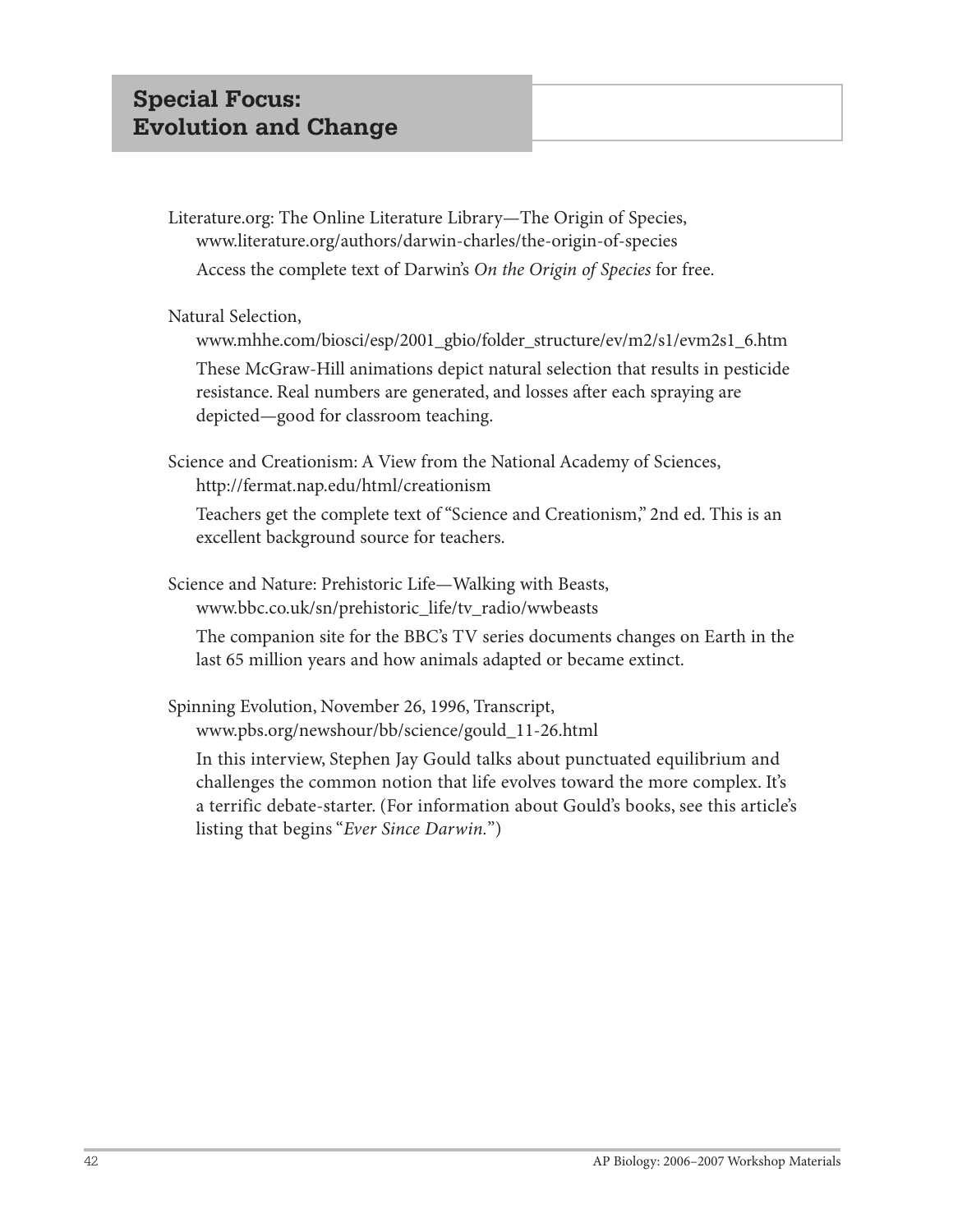Literature.org: The Online Literature Library—The Origin of Species, www.literature.org/authors/darwin-charles/the-origin-of-species Access the complete text of Darwin's *On the Origin of Species* for free.

Natural Selection,

www.mhhe.com/biosci/esp/2001\_gbio/folder\_structure/ev/m2/s1/evm2s1\_6.htm

These McGraw-Hill animations depict natural selection that results in pesticide resistance. Real numbers are generated, and losses after each spraying are depicted—good for classroom teaching.

Science and Creationism: A View from the National Academy of Sciences, http://fermat.nap.edu/html/creationism

Teachers get the complete text of "Science and Creationism," 2nd ed. This is an excellent background source for teachers.

Science and Nature: Prehistoric Life—Walking with Beasts, www.bbc.co.uk/sn/prehistoric\_life/tv\_radio/wwbeasts

The companion site for the BBC's TV series documents changes on Earth in the last 65 million years and how animals adapted or became extinct.

Spinning Evolution, November 26, 1996, Transcript, www.pbs.org/newshour/bb/science/gould\_11-26.html

In this interview, Stephen Jay Gould talks about punctuated equilibrium and challenges the common notion that life evolves toward the more complex. It's a terrific debate-starter. (For information about Gould's books, see this article's listing that begins "*Ever Since Darwin.*")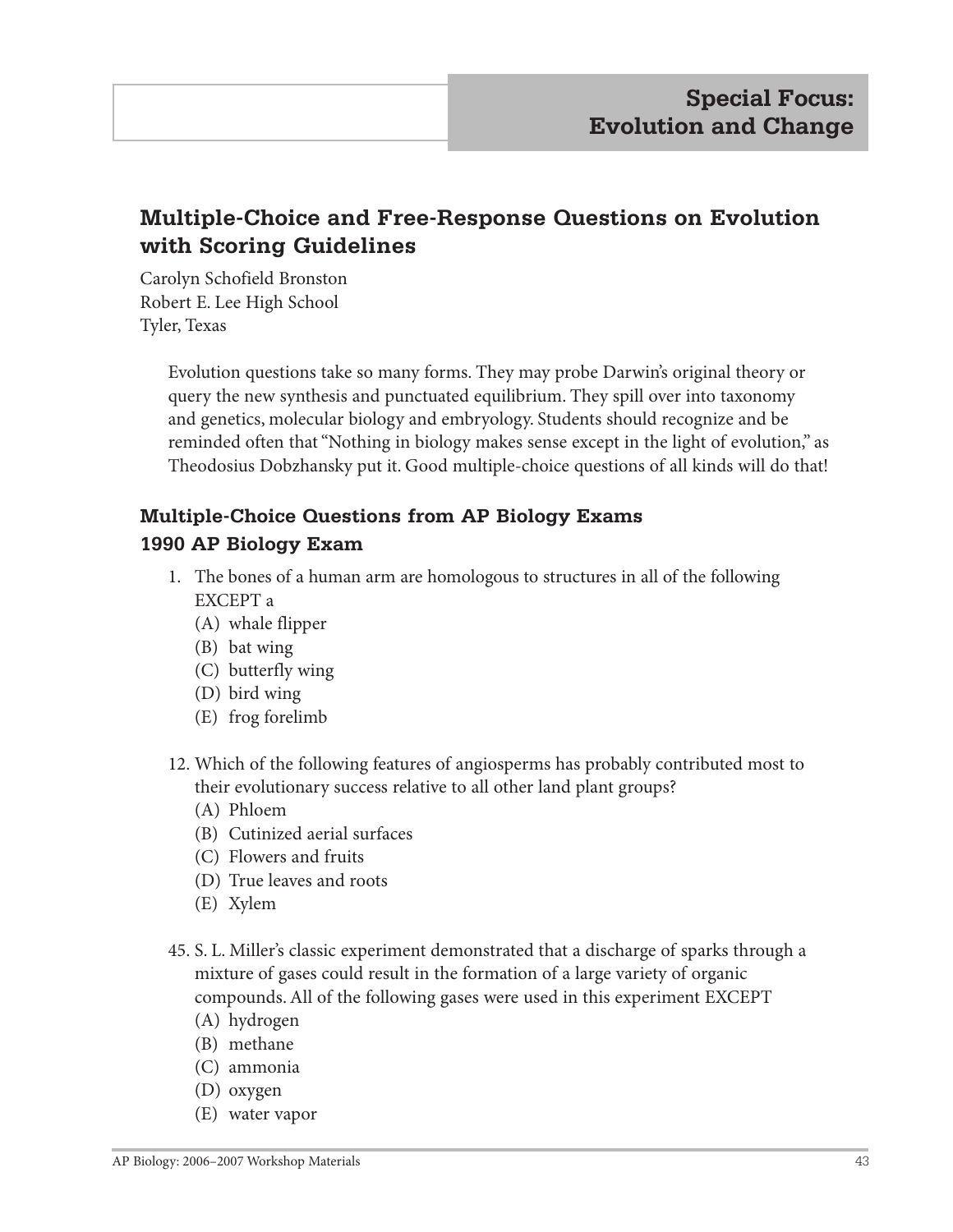# **Multiple-Choice and Free-Response Questions on Evolution with Scoring Guidelines**

Carolyn Schofield Bronston Robert E. Lee High School Tyler, Texas

> Evolution questions take so many forms. They may probe Darwin's original theory or query the new synthesis and punctuated equilibrium. They spill over into taxonomy and genetics, molecular biology and embryology. Students should recognize and be reminded often that "Nothing in biology makes sense except in the light of evolution," as Theodosius Dobzhansky put it. Good multiple-choice questions of all kinds will do that!

## **Multiple-Choice Questions from AP Biology Exams 1990 AP Biology Exam**

- 1. The bones of a human arm are homologous to structures in all of the following EXCEPT a
	- (A) whale flipper
	- (B) bat wing
	- (C) butterfly wing
	- (D) bird wing
	- (E) frog forelimb
- 12. Which of the following features of angiosperms has probably contributed most to their evolutionary success relative to all other land plant groups?
	- (A) Phloem
	- (B) Cutinized aerial surfaces
	- (C) Flowers and fruits
	- (D) True leaves and roots
	- (E) Xylem
- 45. S. L. Miller's classic experiment demonstrated that a discharge of sparks through a mixture of gases could result in the formation of a large variety of organic compounds. All of the following gases were used in this experiment EXCEPT
	- (A) hydrogen
	- (B) methane
	- (C) ammonia
	- (D) oxygen
	- (E) water vapor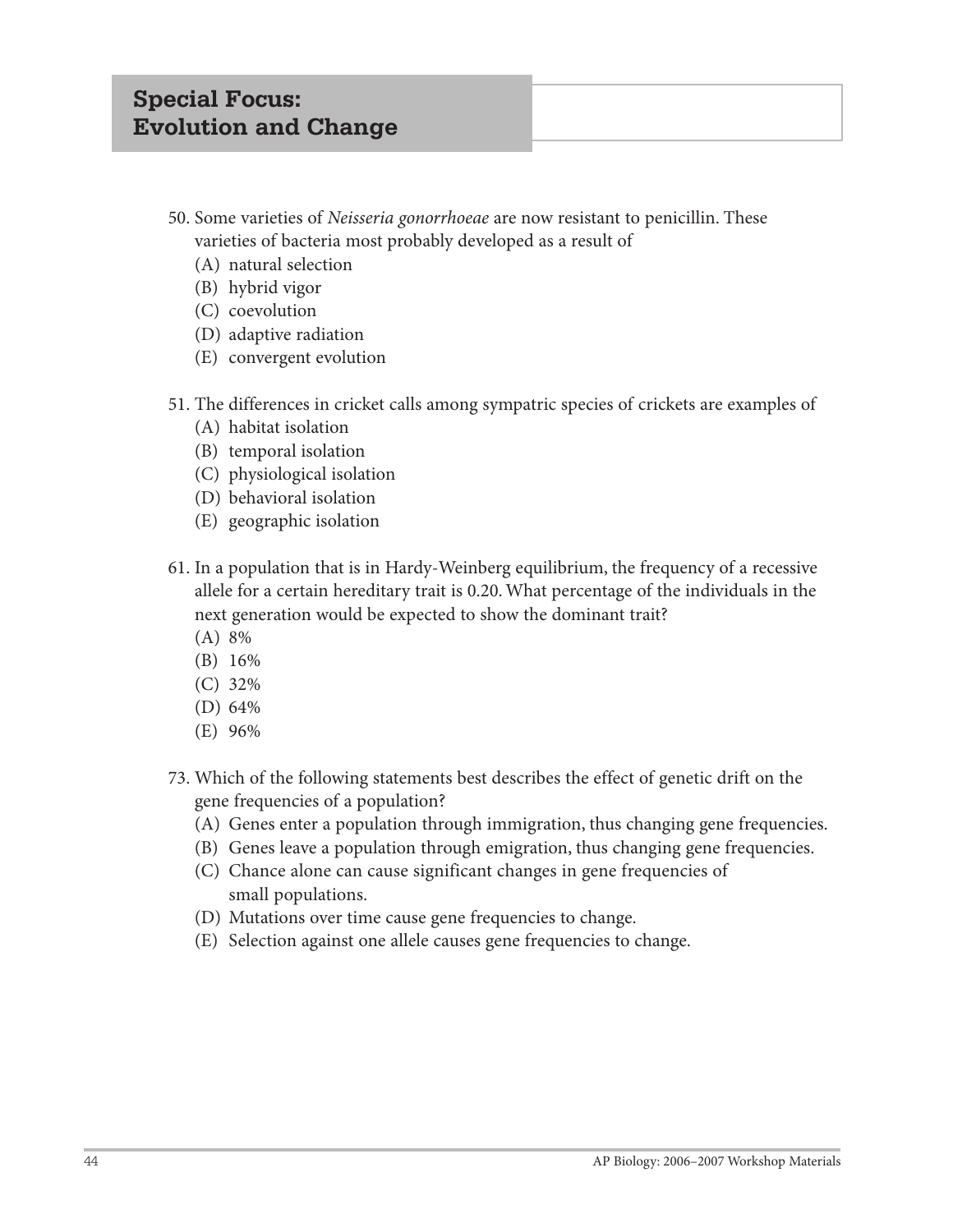- 50. Some varieties of *Neisseria gonorrhoeae* are now resistant to penicillin. These varieties of bacteria most probably developed as a result of
	- (A) natural selection
	- (B) hybrid vigor
	- (C) coevolution
	- (D) adaptive radiation
	- (E) convergent evolution
- 51. The differences in cricket calls among sympatric species of crickets are examples of
	- (A) habitat isolation
	- (B) temporal isolation
	- (C) physiological isolation
	- (D) behavioral isolation
	- (E) geographic isolation
- 61. In a population that is in Hardy-Weinberg equilibrium, the frequency of a recessive allele for a certain hereditary trait is 0.20. What percentage of the individuals in the next generation would be expected to show the dominant trait?
	- (A) 8%
	- (B) 16%
	- (C) 32%
	- (D) 64%
	- (E) 96%
- 73. Which of the following statements best describes the effect of genetic drift on the gene frequencies of a population?
	- (A) Genes enter a population through immigration, thus changing gene frequencies.
	- (B) Genes leave a population through emigration, thus changing gene frequencies.
	- (C) Chance alone can cause significant changes in gene frequencies of small populations.
	- (D) Mutations over time cause gene frequencies to change.
	- (E) Selection against one allele causes gene frequencies to change.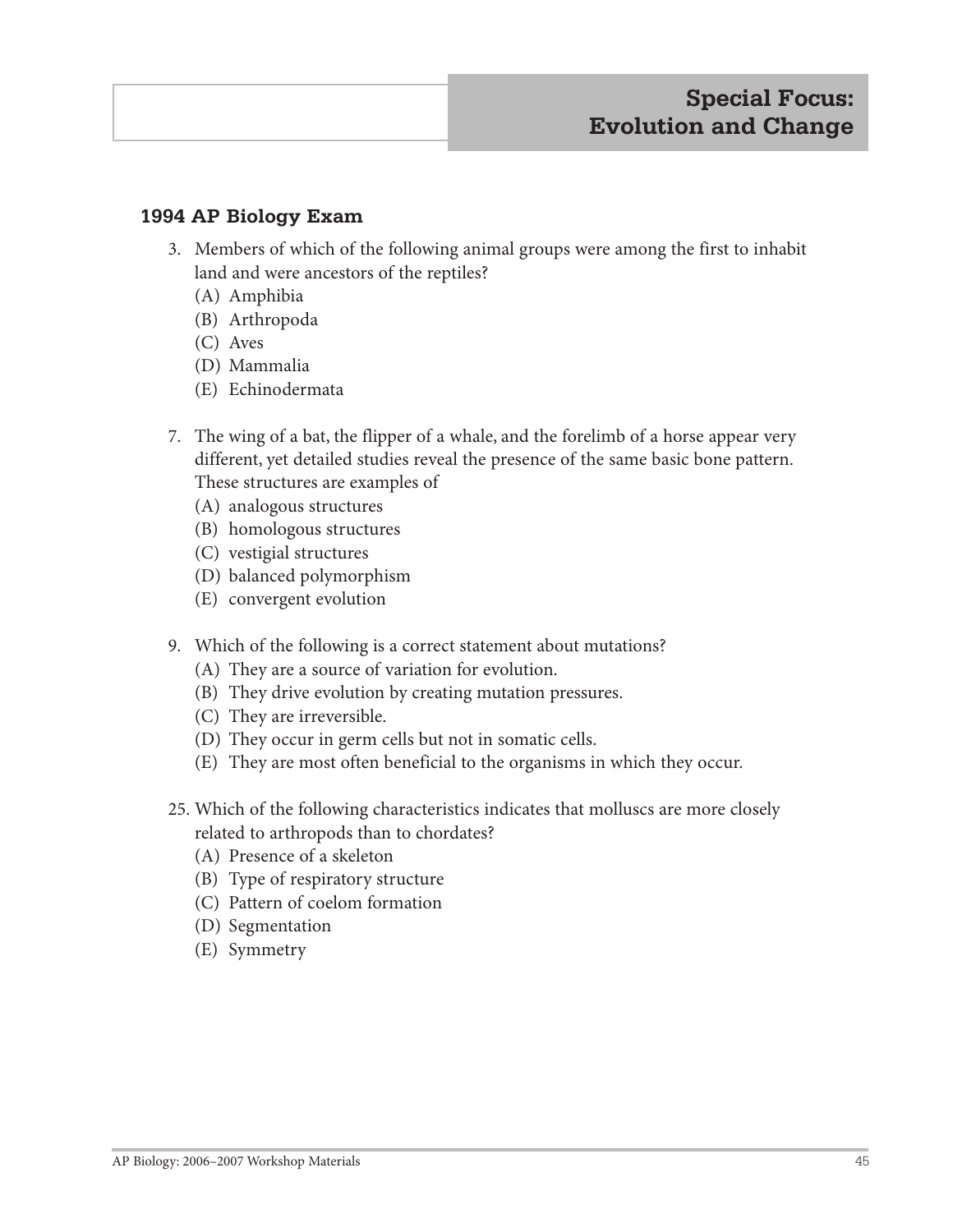## **1994 AP Biology Exam**

- 3. Members of which of the following animal groups were among the first to inhabit land and were ancestors of the reptiles?
	- (A) Amphibia
	- (B) Arthropoda
	- (C) Aves
	- (D) Mammalia
	- (E) Echinodermata
- 7. The wing of a bat, the flipper of a whale, and the forelimb of a horse appear very different, yet detailed studies reveal the presence of the same basic bone pattern. These structures are examples of
	- (A) analogous structures
	- (B) homologous structures
	- (C) vestigial structures
	- (D) balanced polymorphism
	- (E) convergent evolution
- 9. Which of the following is a correct statement about mutations?
	- (A) They are a source of variation for evolution.
	- (B) They drive evolution by creating mutation pressures.
	- (C) They are irreversible.
	- (D) They occur in germ cells but not in somatic cells.
	- (E) They are most often beneficial to the organisms in which they occur.
- 25. Which of the following characteristics indicates that molluscs are more closely related to arthropods than to chordates?
	- (A) Presence of a skeleton
	- (B) Type of respiratory structure
	- (C) Pattern of coelom formation
	- (D) Segmentation
	- (E) Symmetry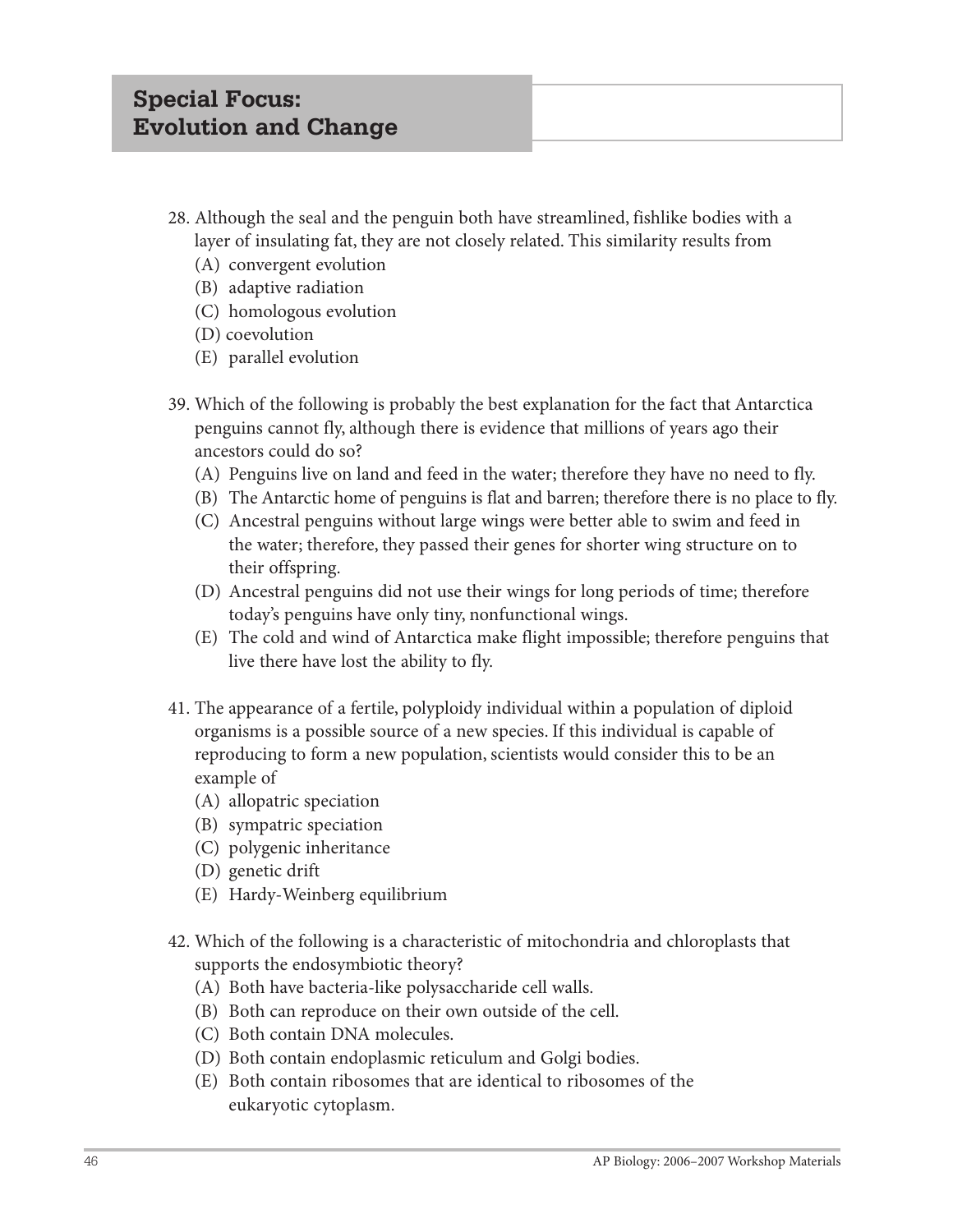- 28. Although the seal and the penguin both have streamlined, fishlike bodies with a layer of insulating fat, they are not closely related. This similarity results from
	- (A) convergent evolution
	- (B) adaptive radiation
	- (C) homologous evolution
	- (D) coevolution
	- (E) parallel evolution
- 39. Which of the following is probably the best explanation for the fact that Antarctica penguins cannot fly, although there is evidence that millions of years ago their ancestors could do so?
	- (A) Penguins live on land and feed in the water; therefore they have no need to fly.
	- (B) The Antarctic home of penguins is flat and barren; therefore there is no place to fly.
	- (C) Ancestral penguins without large wings were better able to swim and feed in the water; therefore, they passed their genes for shorter wing structure on to their offspring.
	- (D) Ancestral penguins did not use their wings for long periods of time; therefore today's penguins have only tiny, nonfunctional wings.
	- (E) The cold and wind of Antarctica make flight impossible; therefore penguins that live there have lost the ability to fly.
- 41. The appearance of a fertile, polyploidy individual within a population of diploid organisms is a possible source of a new species. If this individual is capable of reproducing to form a new population, scientists would consider this to be an example of
	- (A) allopatric speciation
	- (B) sympatric speciation
	- (C) polygenic inheritance
	- (D) genetic drift
	- (E) Hardy-Weinberg equilibrium
- 42. Which of the following is a characteristic of mitochondria and chloroplasts that supports the endosymbiotic theory?
	- (A) Both have bacteria-like polysaccharide cell walls.
	- (B) Both can reproduce on their own outside of the cell.
	- (C) Both contain DNA molecules.
	- (D) Both contain endoplasmic reticulum and Golgi bodies.
	- (E) Both contain ribosomes that are identical to ribosomes of the eukaryotic cytoplasm.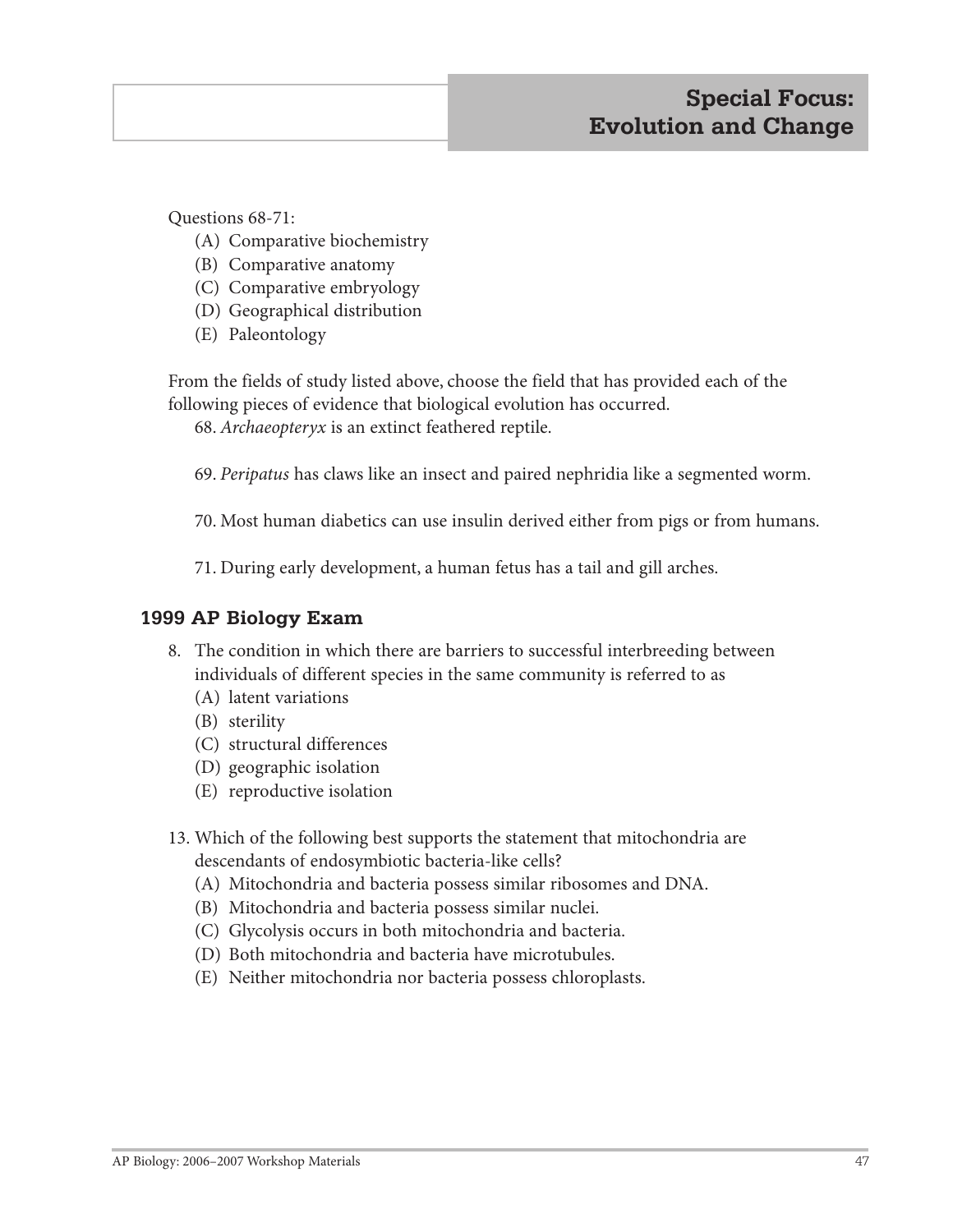Questions 68-71:

- (A) Comparative biochemistry
- (B) Comparative anatomy
- (C) Comparative embryology
- (D) Geographical distribution
- (E) Paleontology

From the fields of study listed above, choose the field that has provided each of the following pieces of evidence that biological evolution has occurred.

68. *Archaeopteryx* is an extinct feathered reptile.

69. *Peripatus* has claws like an insect and paired nephridia like a segmented worm.

70. Most human diabetics can use insulin derived either from pigs or from humans.

71. During early development, a human fetus has a tail and gill arches.

## **1999 AP Biology Exam**

- 8. The condition in which there are barriers to successful interbreeding between individuals of different species in the same community is referred to as
	- (A) latent variations
	- (B) sterility
	- (C) structural differences
	- (D) geographic isolation
	- (E) reproductive isolation
- 13. Which of the following best supports the statement that mitochondria are descendants of endosymbiotic bacteria-like cells?
	- (A) Mitochondria and bacteria possess similar ribosomes and DNA.
	- (B) Mitochondria and bacteria possess similar nuclei.
	- (C) Glycolysis occurs in both mitochondria and bacteria.
	- (D) Both mitochondria and bacteria have microtubules.
	- (E) Neither mitochondria nor bacteria possess chloroplasts.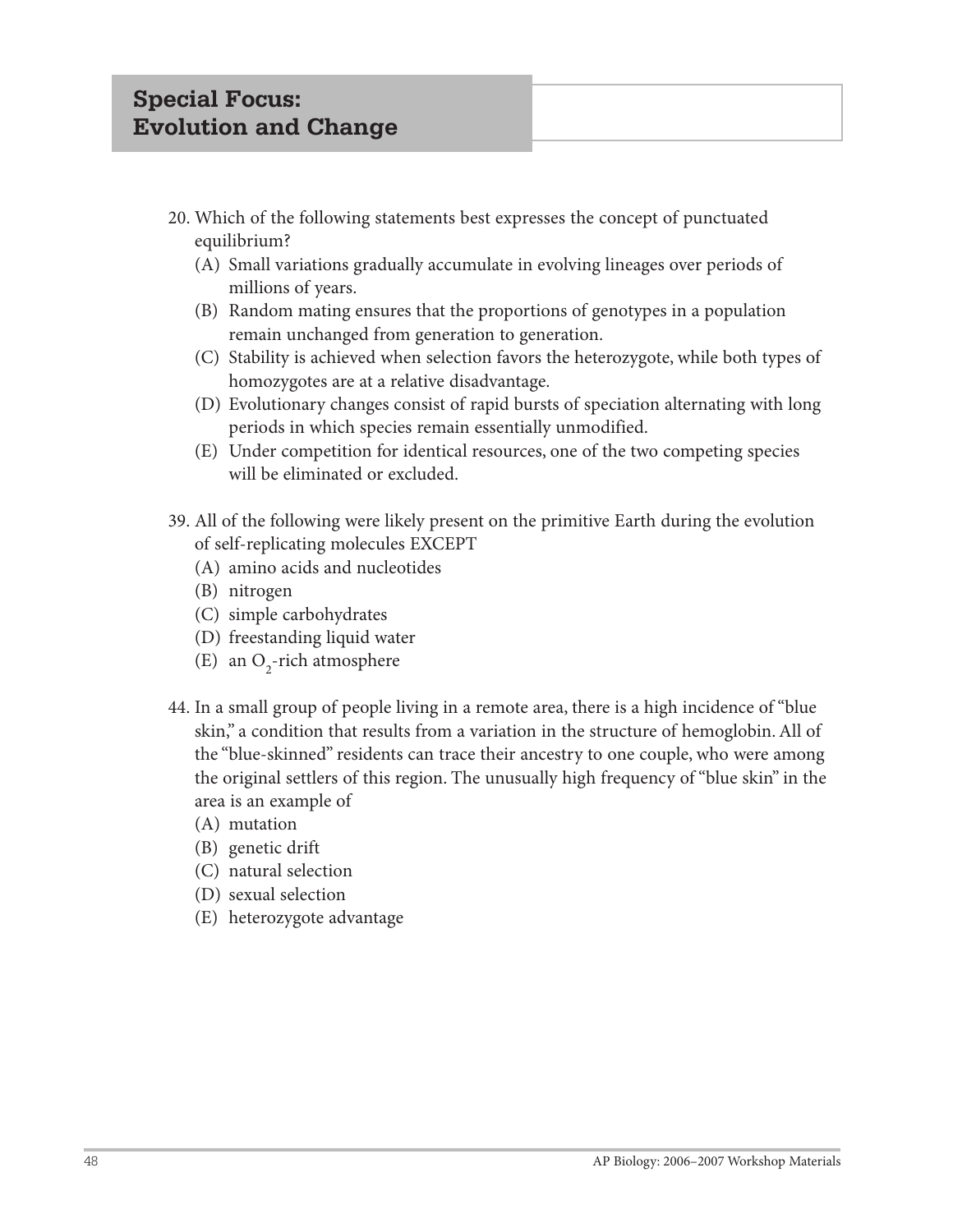- 20. Which of the following statements best expresses the concept of punctuated equilibrium?
	- (A) Small variations gradually accumulate in evolving lineages over periods of millions of years.
	- (B) Random mating ensures that the proportions of genotypes in a population remain unchanged from generation to generation.
	- (C) Stability is achieved when selection favors the heterozygote, while both types of homozygotes are at a relative disadvantage.
	- (D) Evolutionary changes consist of rapid bursts of speciation alternating with long periods in which species remain essentially unmodified.
	- (E) Under competition for identical resources, one of the two competing species will be eliminated or excluded.
- 39. All of the following were likely present on the primitive Earth during the evolution of self-replicating molecules EXCEPT
	- (A) amino acids and nucleotides
	- (B) nitrogen
	- (C) simple carbohydrates
	- (D) freestanding liquid water
	- (E) an  $O_2$ -rich atmosphere
- 44. In a small group of people living in a remote area, there is a high incidence of "blue skin," a condition that results from a variation in the structure of hemoglobin. All of the "blue-skinned" residents can trace their ancestry to one couple, who were among the original settlers of this region. The unusually high frequency of "blue skin" in the area is an example of
	- (A) mutation
	- (B) genetic drift
	- (C) natural selection
	- (D) sexual selection
	- (E) heterozygote advantage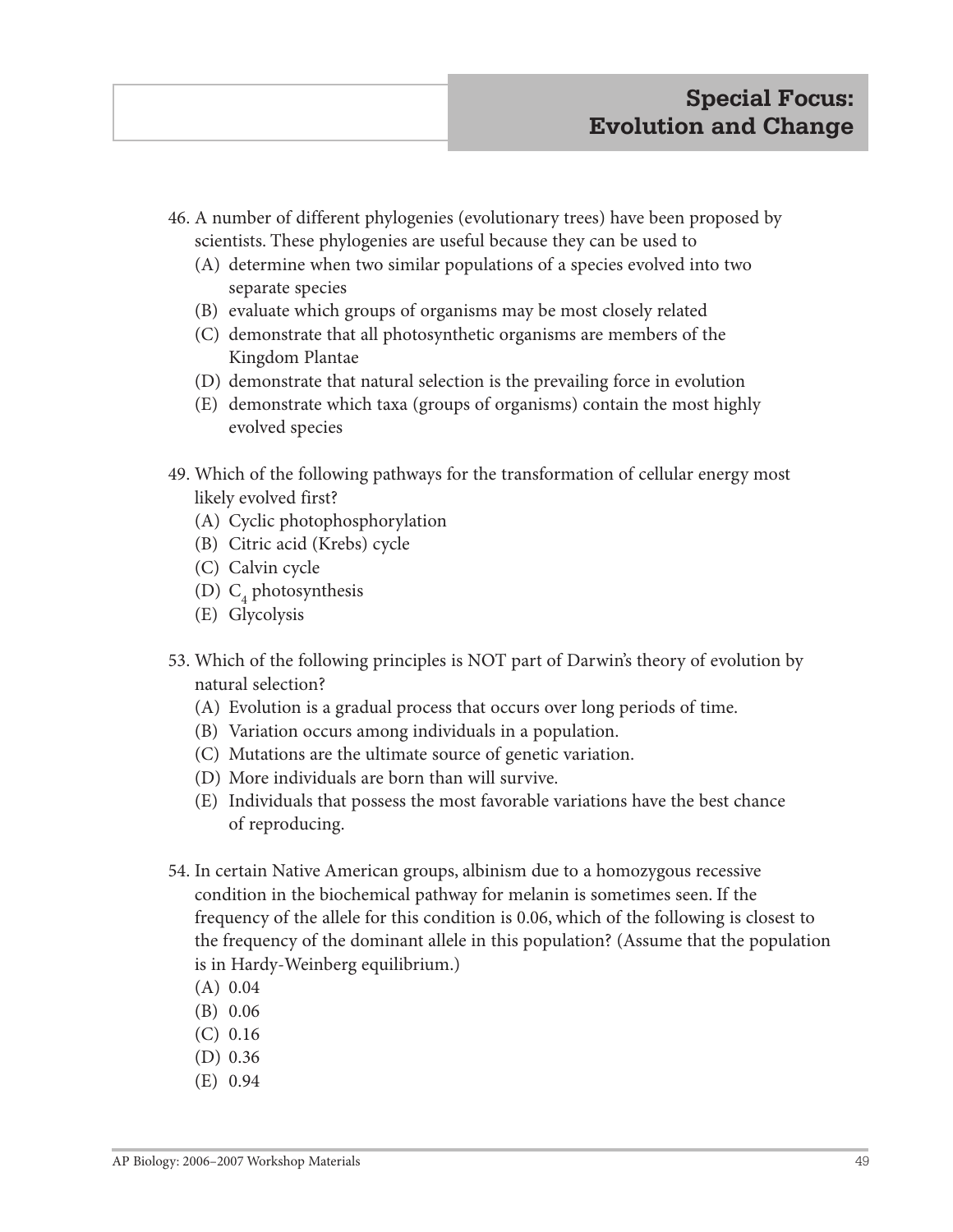- 46. A number of different phylogenies (evolutionary trees) have been proposed by scientists. These phylogenies are useful because they can be used to
	- (A) determine when two similar populations of a species evolved into two separate species
	- (B) evaluate which groups of organisms may be most closely related
	- (C) demonstrate that all photosynthetic organisms are members of the Kingdom Plantae
	- (D) demonstrate that natural selection is the prevailing force in evolution
	- (E) demonstrate which taxa (groups of organisms) contain the most highly evolved species
- 49. Which of the following pathways for the transformation of cellular energy most likely evolved first?
	- (A) Cyclic photophosphorylation
	- (B) Citric acid (Krebs) cycle
	- (C) Calvin cycle
	- (D)  $C_4$  photosynthesis
	- (E) Glycolysis
- 53. Which of the following principles is NOT part of Darwin's theory of evolution by natural selection?
	- (A) Evolution is a gradual process that occurs over long periods of time.
	- (B) Variation occurs among individuals in a population.
	- (C) Mutations are the ultimate source of genetic variation.
	- (D) More individuals are born than will survive.
	- (E) Individuals that possess the most favorable variations have the best chance of reproducing.
- 54. In certain Native American groups, albinism due to a homozygous recessive condition in the biochemical pathway for melanin is sometimes seen. If the frequency of the allele for this condition is 0.06, which of the following is closest to the frequency of the dominant allele in this population? (Assume that the population is in Hardy-Weinberg equilibrium.)
	- (A) 0.04
	- (B) 0.06
	- (C) 0.16
	- (D) 0.36
	- (E) 0.94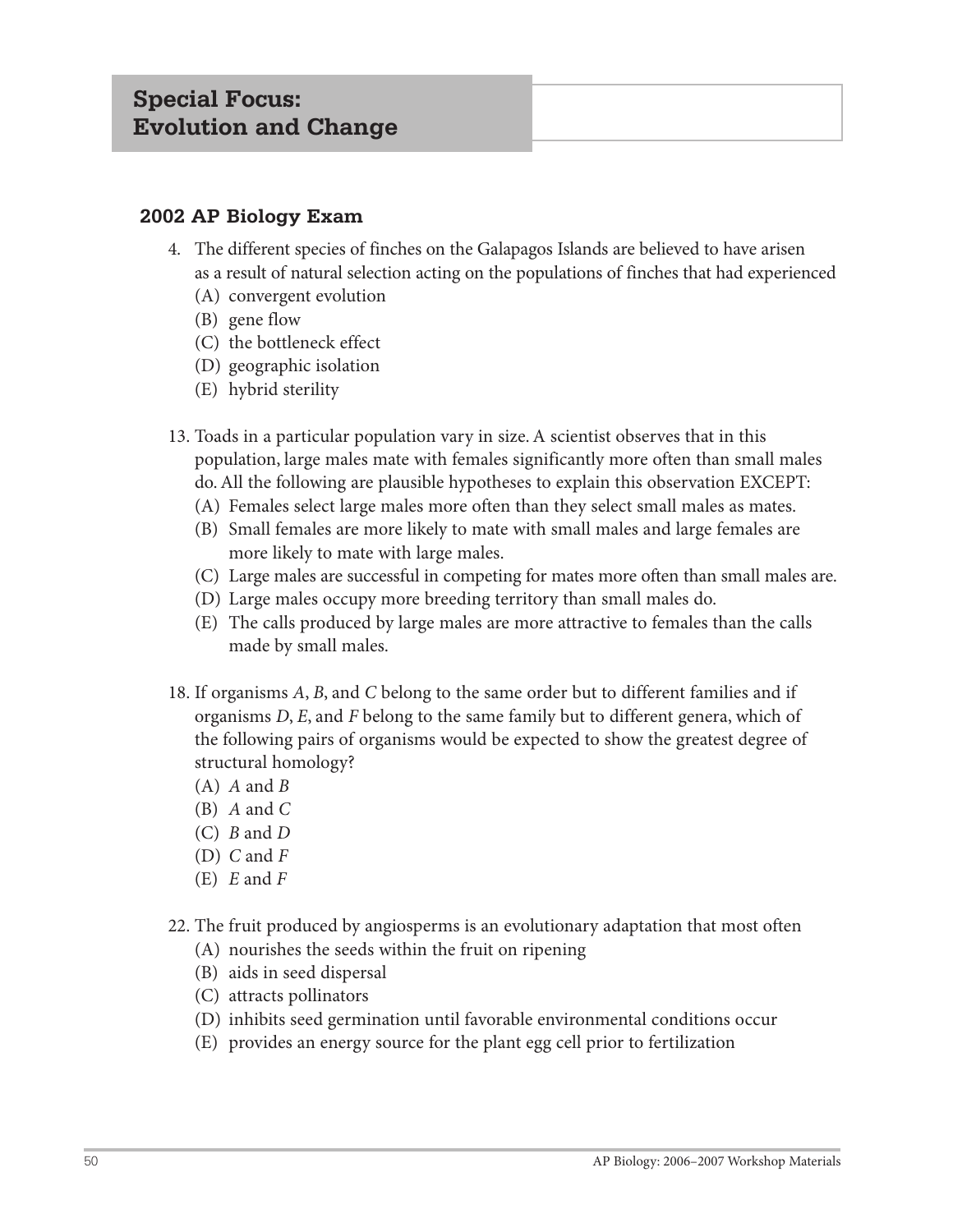## **2002 AP Biology Exam**

- 4. The different species of finches on the Galapagos Islands are believed to have arisen as a result of natural selection acting on the populations of finches that had experienced
	- (A) convergent evolution
	- (B) gene flow
	- (C) the bottleneck effect
	- (D) geographic isolation
	- (E) hybrid sterility
- 13. Toads in a particular population vary in size. A scientist observes that in this population, large males mate with females significantly more often than small males do. All the following are plausible hypotheses to explain this observation EXCEPT:
	- (A) Females select large males more often than they select small males as mates.
	- (B) Small females are more likely to mate with small males and large females are more likely to mate with large males.
	- (C) Large males are successful in competing for mates more often than small males are.
	- (D) Large males occupy more breeding territory than small males do.
	- (E) The calls produced by large males are more attractive to females than the calls made by small males.
- 18. If organisms *A*, *B*, and *C* belong to the same order but to different families and if organisms *D*, *E*, and *F* belong to the same family but to different genera, which of the following pairs of organisms would be expected to show the greatest degree of structural homology?
	- (A) *A* and *B*
	- (B) *A* and *C*
	- (C) *B* and *D*
	- (D) *C* and *F*
	- (E) *E* and *F*
- 22. The fruit produced by angiosperms is an evolutionary adaptation that most often
	- (A) nourishes the seeds within the fruit on ripening
	- (B) aids in seed dispersal
	- (C) attracts pollinators
	- (D) inhibits seed germination until favorable environmental conditions occur
	- (E) provides an energy source for the plant egg cell prior to fertilization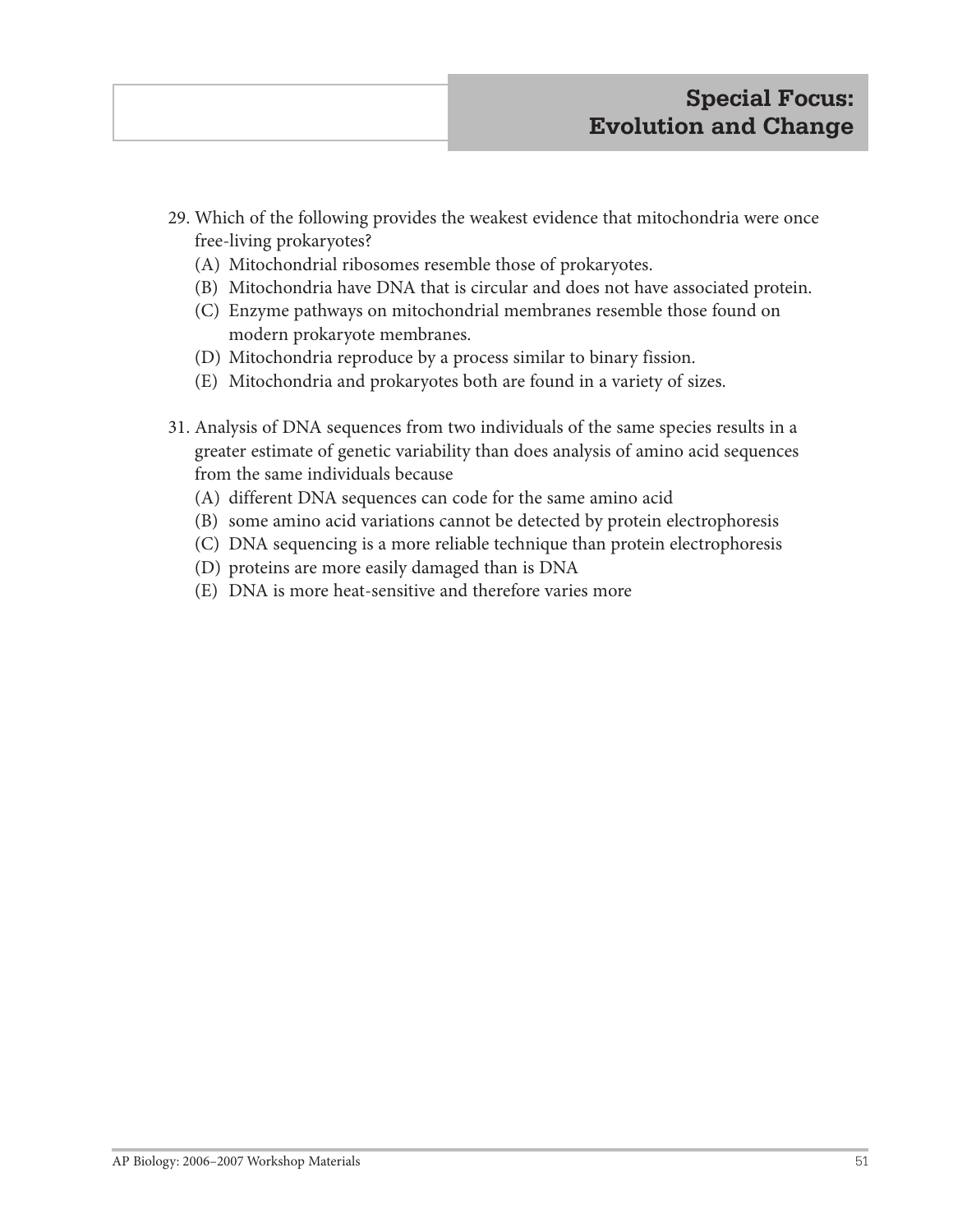- 29. Which of the following provides the weakest evidence that mitochondria were once free-living prokaryotes?
	- (A) Mitochondrial ribosomes resemble those of prokaryotes.
	- (B) Mitochondria have DNA that is circular and does not have associated protein.
	- (C) Enzyme pathways on mitochondrial membranes resemble those found on modern prokaryote membranes.
	- (D) Mitochondria reproduce by a process similar to binary fission.
	- (E) Mitochondria and prokaryotes both are found in a variety of sizes.
- 31. Analysis of DNA sequences from two individuals of the same species results in a greater estimate of genetic variability than does analysis of amino acid sequences from the same individuals because
	- (A) different DNA sequences can code for the same amino acid
	- (B) some amino acid variations cannot be detected by protein electrophoresis
	- (C) DNA sequencing is a more reliable technique than protein electrophoresis
	- (D) proteins are more easily damaged than is DNA
	- (E) DNA is more heat-sensitive and therefore varies more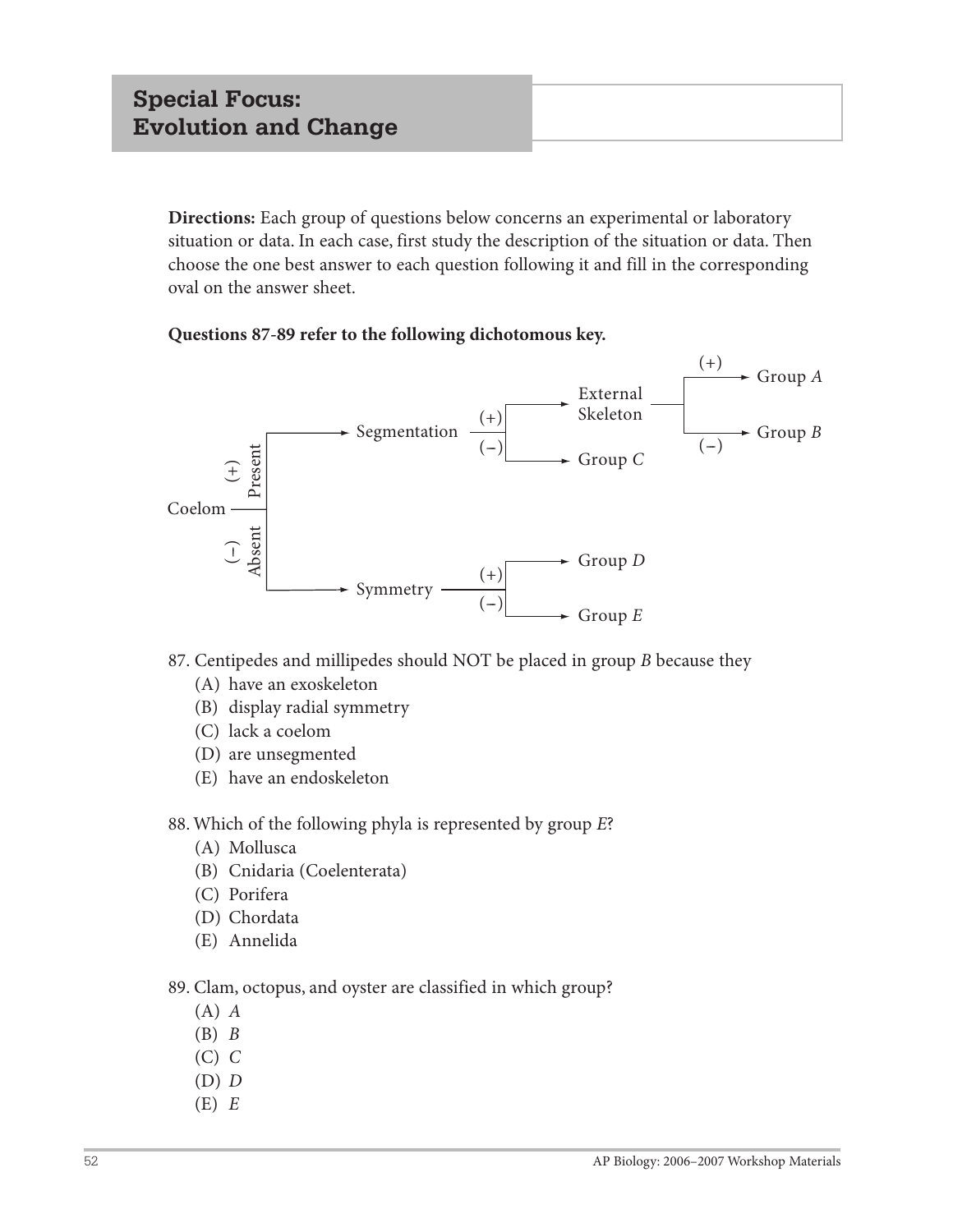**Directions:** Each group of questions below concerns an experimental or laboratory situation or data. In each case, first study the description of the situation or data. Then choose the one best answer to each question following it and fill in the corresponding oval on the answer sheet.

#### **Questions 87-89 refer to the following dichotomous key.**



87. Centipedes and millipedes should NOT be placed in group *B* because they

- (A) have an exoskeleton
- (B) display radial symmetry
- (C) lack a coelom
- (D) are unsegmented
- (E) have an endoskeleton
- 88. Which of the following phyla is represented by group *E*?
	- (A) Mollusca
	- (B) Cnidaria (Coelenterata)
	- (C) Porifera
	- (D) Chordata
	- (E) Annelida
- 89. Clam, octopus, and oyster are classified in which group?
	- (A) *A*
	- (B) *B*
	- (C) *C*
	- (D) *D*
	- $(E) E$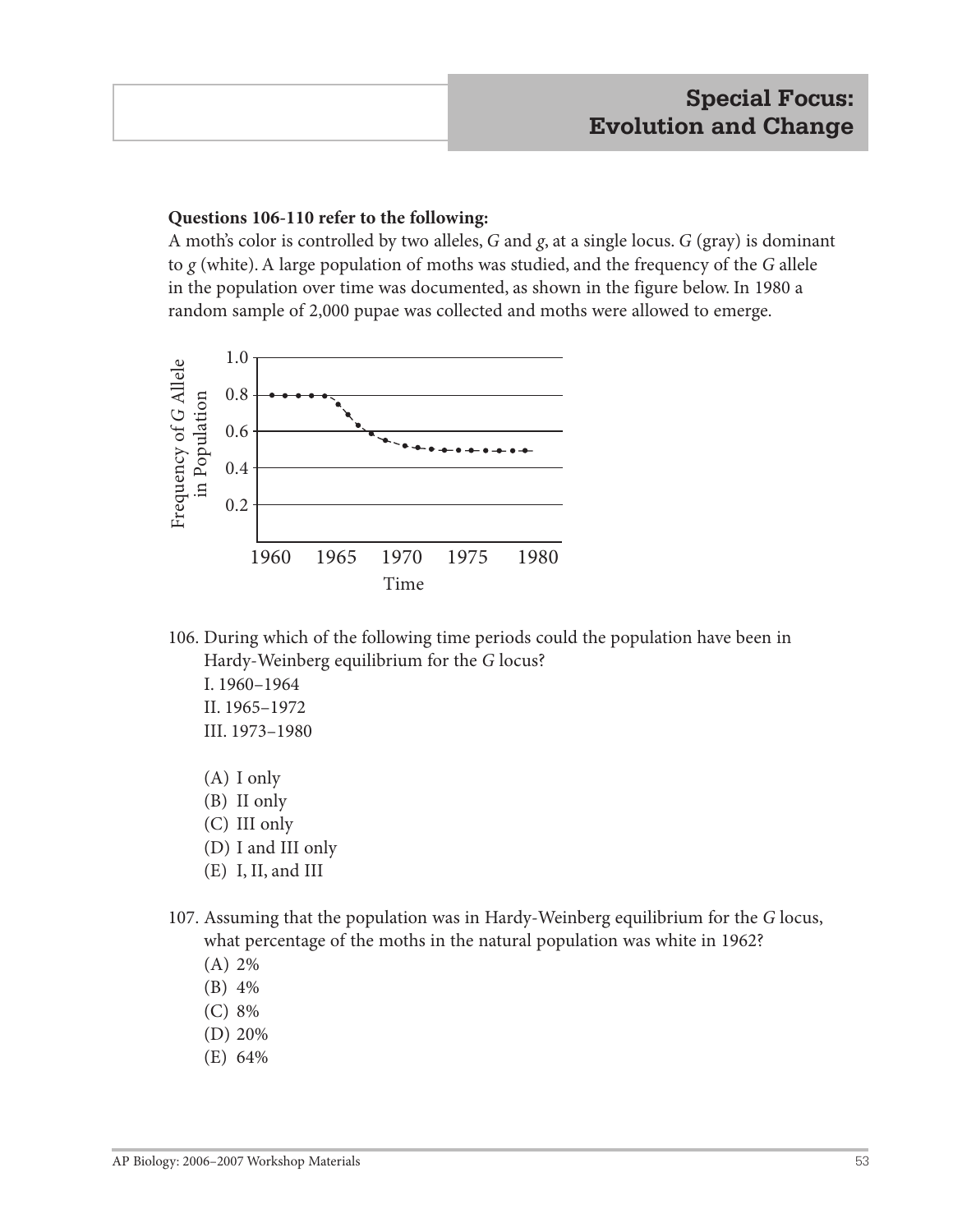#### **Questions 106-110 refer to the following:**

A moth's color is controlled by two alleles, *G* and *g*, at a single locus. *G* (gray) is dominant to *g* (white). A large population of moths was studied, and the frequency of the *G* allele in the population over time was documented, as shown in the figure below. In 1980 a random sample of 2,000 pupae was collected and moths were allowed to emerge.



106. During which of the following time periods could the population have been in Hardy-Weinberg equilibrium for the *G* locus?

I. 1960–1964 II. 1965–1972 III. 1973–1980

- (A) I only
- (B) II only
- (C) III only
- (D) I and III only
- (E) I, II, and III
- 107. Assuming that the population was in Hardy-Weinberg equilibrium for the *G* locus, what percentage of the moths in the natural population was white in 1962?
	- (A) 2%
	- (B) 4%
	- (C) 8%
	- (D) 20%
	- (E) 64%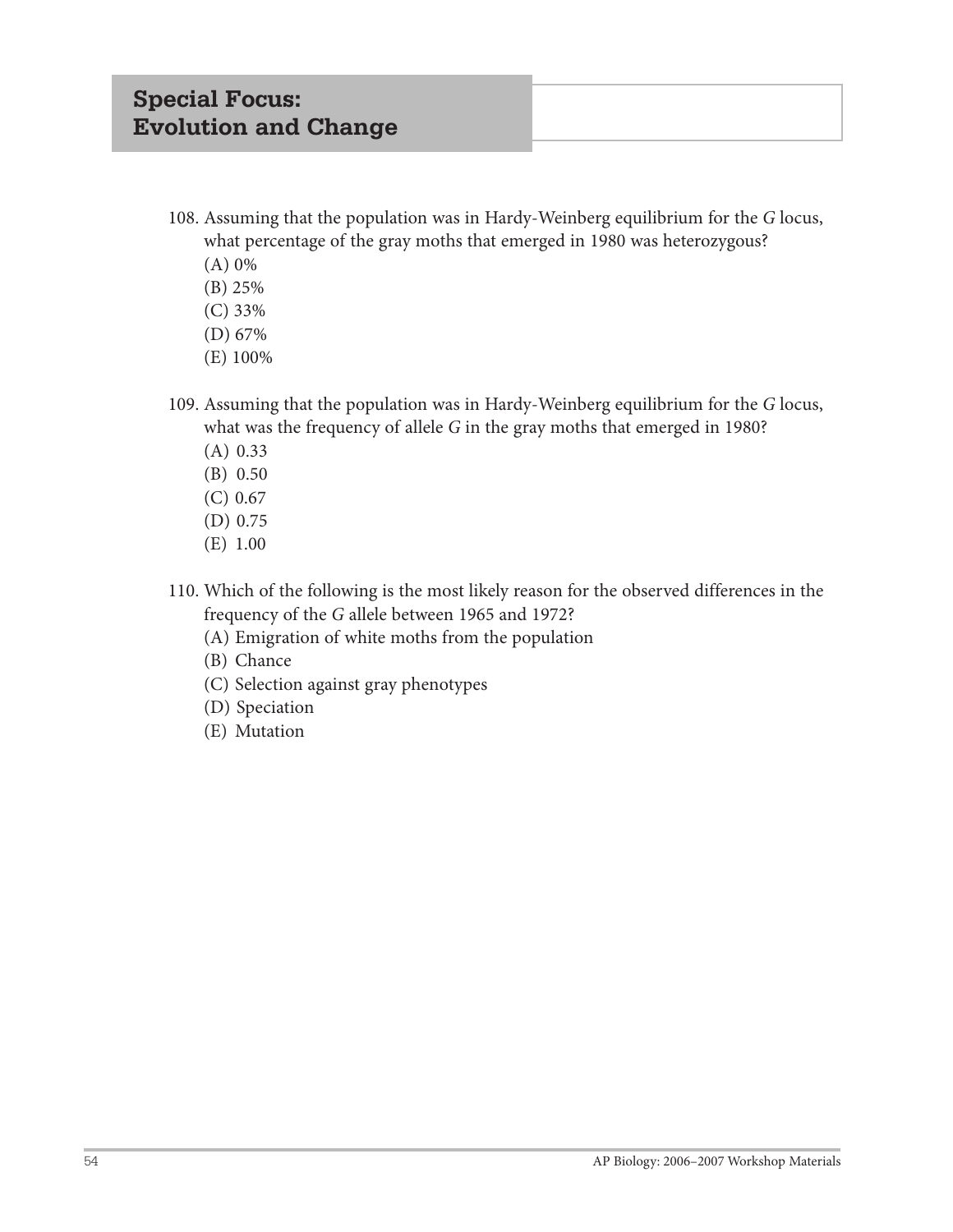- 108. Assuming that the population was in Hardy-Weinberg equilibrium for the *G* locus, what percentage of the gray moths that emerged in 1980 was heterozygous?
	- (A) 0%
	- (B) 25%
	- (C) 33%
	- (D) 67%
	- (E) 100%
- 109. Assuming that the population was in Hardy-Weinberg equilibrium for the *G* locus, what was the frequency of allele *G* in the gray moths that emerged in 1980?
	- (A) 0.33
	- (B) 0.50
	- (C) 0.67
	- (D) 0.75
	- (E) 1.00
- 110. Which of the following is the most likely reason for the observed differences in the frequency of the *G* allele between 1965 and 1972?
	- (A) Emigration of white moths from the population
	- (B) Chance
	- (C) Selection against gray phenotypes
	- (D) Speciation
	- (E) Mutation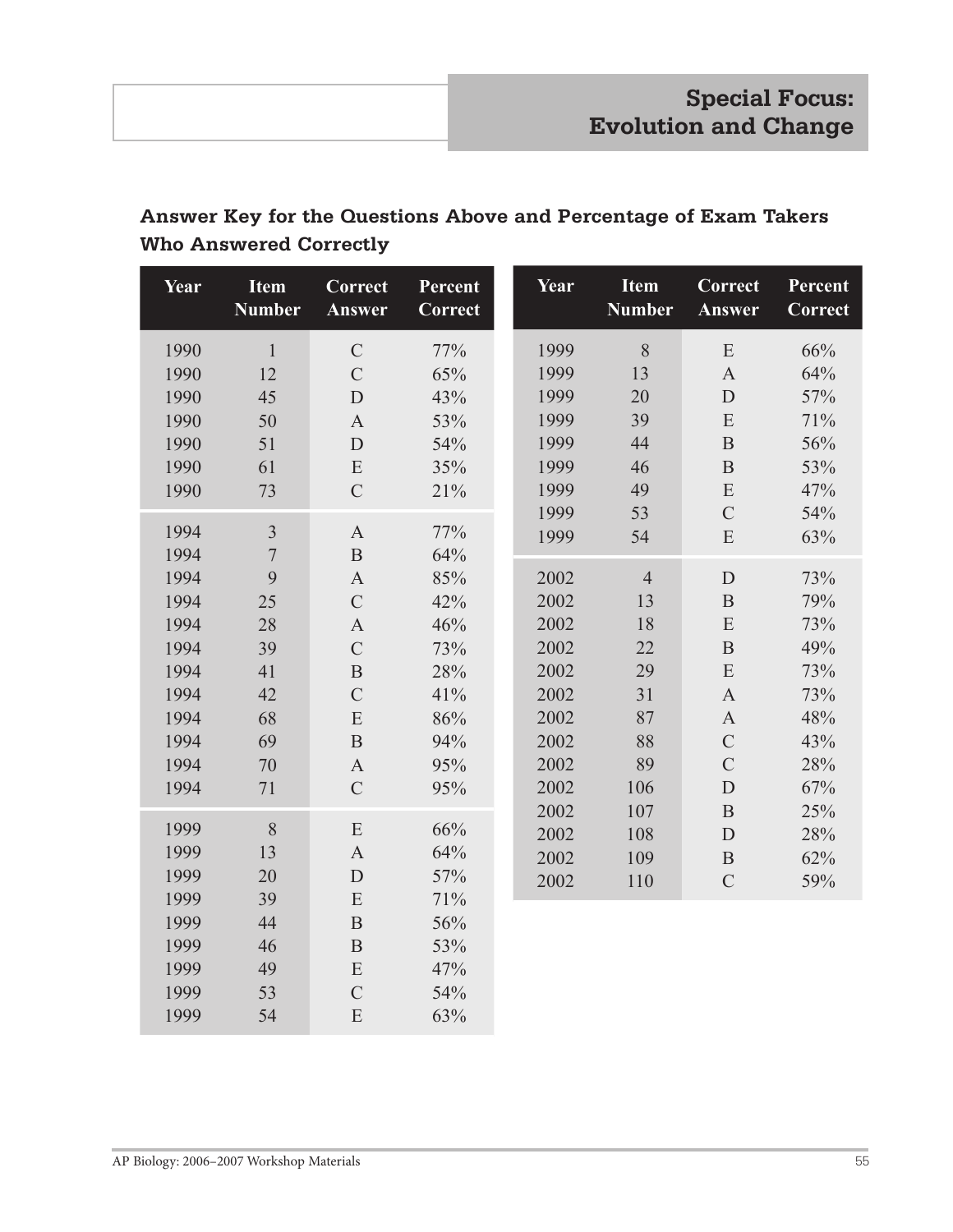## **Answer Key for the Questions Above and Percentage of Exam Takers Who Answered Correctly**

| Year         | <b>Item</b><br><b>Number</b> | Correct<br>Answer           | Percent<br>Correct | Year | <b>I</b> tem<br><b>Number</b> | Correct<br>Answer     | Percent<br>Correct |
|--------------|------------------------------|-----------------------------|--------------------|------|-------------------------------|-----------------------|--------------------|
| 1990         | $\mathbf{1}$                 | $\mathcal{C}$               | 77%                | 1999 | 8                             | ${\bf E}$             | 66%                |
| 1990         | 12                           | $\overline{C}$              | 65%                | 1999 | 13                            | $\mathbf{A}$          | 64%                |
| 1990         | 45                           | D                           | 43%                | 1999 | 20                            | $\mathbf D$           | 57%                |
| 1990         | 50                           | $\boldsymbol{\mathsf{A}}$   | 53%                | 1999 | 39                            | ${\bf E}$             | 71%                |
| 1990         | 51                           | $\mathbf D$                 | 54%                | 1999 | 44                            | $\overline{B}$        | 56%                |
| 1990         | 61                           | ${\bf E}$                   | 35%                | 1999 | 46                            | $\, {\bf B}$          | 53%                |
| 1990         | 73                           | $\mathcal{C}$               | 21%                | 1999 | 49                            | ${\bf E}$             | 47%                |
|              |                              |                             |                    | 1999 | 53                            | $\overline{C}$        | 54%                |
| 1994         | $\overline{3}$               | $\boldsymbol{\mathsf{A}}$   | 77%                | 1999 | 54                            | ${\bf E}$             | 63%                |
| 1994         | $\overline{7}$               | $\, {\bf B}$                | 64%                |      |                               |                       |                    |
| 1994         | 9                            | $\boldsymbol{A}$            | 85%                | 2002 | $\overline{4}$                | $\mathbf{D}$          | 73%                |
| 1994         | 25                           | $\mathcal{C}$               | 42%                | 2002 | 13                            | $\, {\bf B}$          | 79%                |
| 1994         | 28                           | $\mathbf{A}$                | 46%                | 2002 | 18                            | ${\bf E}$             | 73%                |
| 1994         | 39                           | $\mathcal{C}$               | 73%                | 2002 | 22                            | $\, {\bf B}$          | 49%                |
| 1994         | 41                           | $\, {\bf B}$                | 28%                | 2002 | 29                            | ${\bf E}$             | 73%                |
| 1994         | 42                           | $\mathcal{C}$               | 41%                | 2002 | 31                            | $\boldsymbol{\rm{A}}$ | 73%                |
| 1994         | 68                           | ${\bf E}$                   | 86%                | 2002 | 87                            | $\mathbf{A}$          | 48%                |
| 1994         | 69                           | $\, {\bf B}$                | 94%                | 2002 | 88                            | $\mathcal{C}$         | 43%                |
| 1994         | 70                           | $\boldsymbol{A}$            | 95%                | 2002 | 89                            | $\overline{C}$        | 28%                |
| 1994         | 71                           | $\mathcal{C}$               | 95%                | 2002 | 106                           | $\mathbf D$           | 67%                |
|              |                              |                             |                    | 2002 | 107                           | $\overline{B}$        | 25%                |
| 1999         | 8                            | ${\bf E}$                   | 66%                | 2002 | 108                           | $\mathbf D$           | 28%                |
| 1999<br>1999 | 13                           | $\mathbf{A}$                | 64%                | 2002 | 109                           | $\, {\bf B}$          | 62%                |
| 1999         | 20                           | $\mathbf D$                 | 57%                | 2002 | 110                           | $\overline{C}$        | 59%                |
|              | 39<br>44                     | ${\bf E}$                   | 71%                |      |                               |                       |                    |
| 1999<br>1999 | 46                           | $\mathbf B$<br>$\, {\bf B}$ | 56%                |      |                               |                       |                    |
| 1999         | 49                           |                             | 53%                |      |                               |                       |                    |
| 1999         | 53                           | ${\bf E}$<br>$\mathcal{C}$  | 47%<br>54%         |      |                               |                       |                    |
|              |                              |                             |                    |      |                               |                       |                    |
| 1999         | 54                           | ${\bf E}$                   | 63%                |      |                               |                       |                    |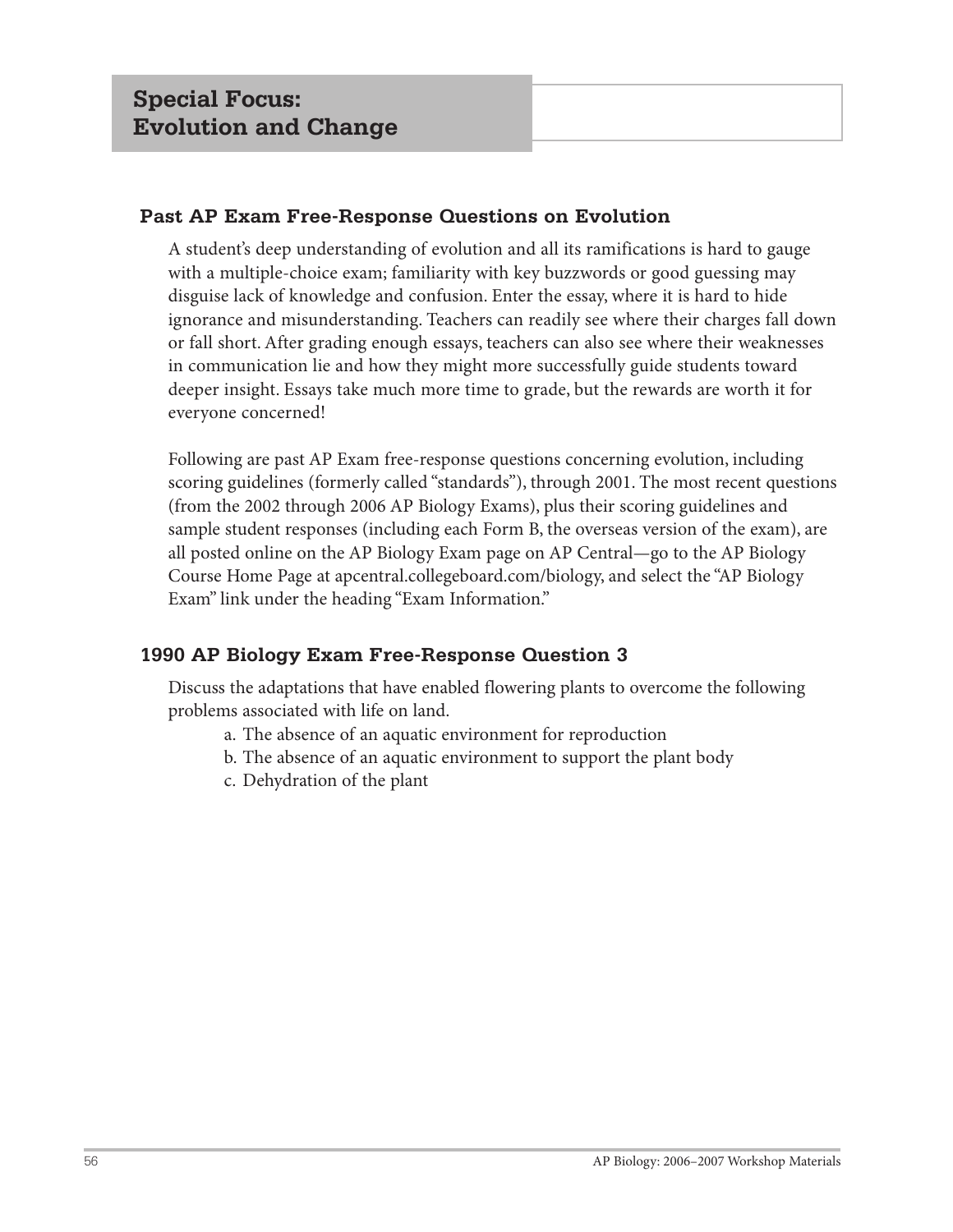## **Past AP Exam Free-Response Questions on Evolution**

A student's deep understanding of evolution and all its ramifications is hard to gauge with a multiple-choice exam; familiarity with key buzzwords or good guessing may disguise lack of knowledge and confusion. Enter the essay, where it is hard to hide ignorance and misunderstanding. Teachers can readily see where their charges fall down or fall short. After grading enough essays, teachers can also see where their weaknesses in communication lie and how they might more successfully guide students toward deeper insight. Essays take much more time to grade, but the rewards are worth it for everyone concerned!

Following are past AP Exam free-response questions concerning evolution, including scoring guidelines (formerly called "standards"), through 2001. The most recent questions (from the 2002 through 2006 AP Biology Exams), plus their scoring guidelines and sample student responses (including each Form B, the overseas version of the exam), are all posted online on the AP Biology Exam page on AP Central—go to the AP Biology Course Home Page at apcentral.collegeboard.com/biology, and select the "AP Biology Exam" link under the heading "Exam Information."

## **1990 AP Biology Exam Free-Response Question 3**

Discuss the adaptations that have enabled flowering plants to overcome the following problems associated with life on land.

- a. The absence of an aquatic environment for reproduction
- b. The absence of an aquatic environment to support the plant body
- c. Dehydration of the plant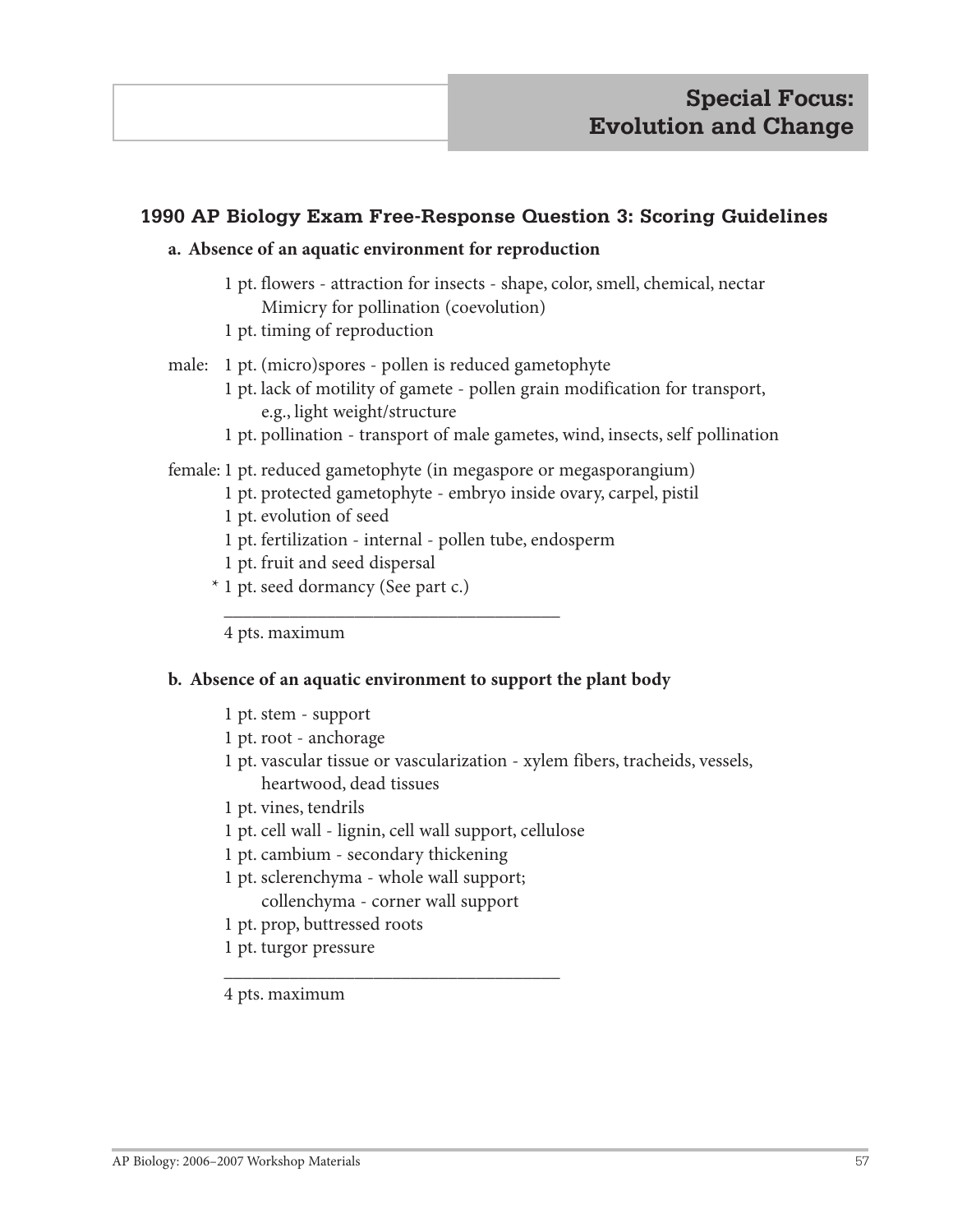## **1990 AP Biology Exam Free-Response Question 3: Scoring Guidelines**

#### **a. Absence of an aquatic environment for reproduction**

- 1 pt. flowers attraction for insects shape, color, smell, chemical, nectar Mimicry for pollination (coevolution)
- 1 pt. timing of reproduction
- male: 1 pt. (micro)spores pollen is reduced gametophyte
	- 1 pt. lack of motility of gamete pollen grain modification for transport, e.g., light weight/structure
	- 1 pt. pollination transport of male gametes, wind, insects, self pollination

#### female: 1 pt. reduced gametophyte (in megaspore or megasporangium)

- 1 pt. protected gametophyte embryo inside ovary, carpel, pistil
- 1 pt. evolution of seed
- 1 pt. fertilization internal pollen tube, endosperm
- 1 pt. fruit and seed dispersal
- \* 1 pt. seed dormancy (See part c.)

 $\frac{1}{2}$  ,  $\frac{1}{2}$  ,  $\frac{1}{2}$  ,  $\frac{1}{2}$  ,  $\frac{1}{2}$  ,  $\frac{1}{2}$  ,  $\frac{1}{2}$  ,  $\frac{1}{2}$  ,  $\frac{1}{2}$  ,  $\frac{1}{2}$  ,  $\frac{1}{2}$  ,  $\frac{1}{2}$  ,  $\frac{1}{2}$  ,  $\frac{1}{2}$  ,  $\frac{1}{2}$  ,  $\frac{1}{2}$  ,  $\frac{1}{2}$  ,  $\frac{1}{2}$  ,  $\frac{1$ 

4 pts. maximum

#### **b. Absence of an aquatic environment to support the plant body**

- 1 pt. stem support
- 1 pt. root anchorage
- 1 pt. vascular tissue or vascularization xylem fibers, tracheids, vessels, heartwood, dead tissues
- 1 pt. vines, tendrils
- 1 pt. cell wall lignin, cell wall support, cellulose
- 1 pt. cambium secondary thickening
- 1 pt. sclerenchyma whole wall support; collenchyma - corner wall support

 $\frac{1}{2}$  ,  $\frac{1}{2}$  ,  $\frac{1}{2}$  ,  $\frac{1}{2}$  ,  $\frac{1}{2}$  ,  $\frac{1}{2}$  ,  $\frac{1}{2}$  ,  $\frac{1}{2}$  ,  $\frac{1}{2}$  ,  $\frac{1}{2}$  ,  $\frac{1}{2}$  ,  $\frac{1}{2}$  ,  $\frac{1}{2}$  ,  $\frac{1}{2}$  ,  $\frac{1}{2}$  ,  $\frac{1}{2}$  ,  $\frac{1}{2}$  ,  $\frac{1}{2}$  ,  $\frac{1$ 

- 1 pt. prop, buttressed roots
- 1 pt. turgor pressure
- 4 pts. maximum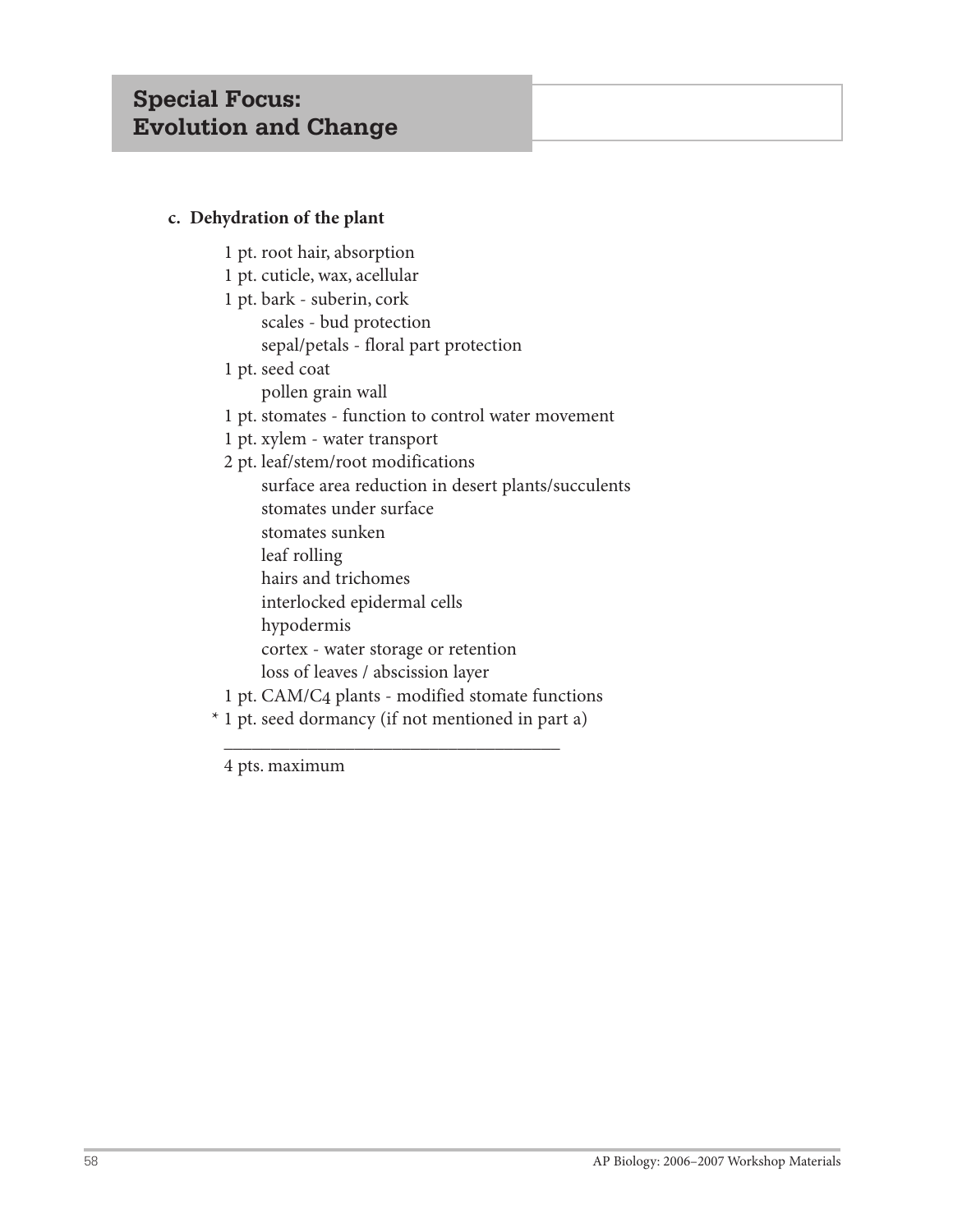## **c. Dehydration of the plant**

- 1 pt. root hair, absorption
- 1 pt. cuticle, wax, acellular
- 1 pt. bark suberin, cork scales - bud protection sepal/petals - floral part protection
- 1 pt. seed coat
	- pollen grain wall
- 1 pt. stomates function to control water movement
- 1 pt. xylem water transport
- 2 pt. leaf/stem/root modifications
- surface area reduction in desert plants/succulents stomates under surface stomates sunken leaf rolling hairs and trichomes interlocked epidermal cells hypodermis cortex - water storage or retention loss of leaves / abscission layer 1 pt. CAM/C4 plants - modified stomate functions
- \* 1 pt. seed dormancy (if not mentioned in part a)

 $\frac{1}{2}$  ,  $\frac{1}{2}$  ,  $\frac{1}{2}$  ,  $\frac{1}{2}$  ,  $\frac{1}{2}$  ,  $\frac{1}{2}$  ,  $\frac{1}{2}$  ,  $\frac{1}{2}$  ,  $\frac{1}{2}$  ,  $\frac{1}{2}$  ,  $\frac{1}{2}$  ,  $\frac{1}{2}$  ,  $\frac{1}{2}$  ,  $\frac{1}{2}$  ,  $\frac{1}{2}$  ,  $\frac{1}{2}$  ,  $\frac{1}{2}$  ,  $\frac{1}{2}$  ,  $\frac{1$ 

4 pts. maximum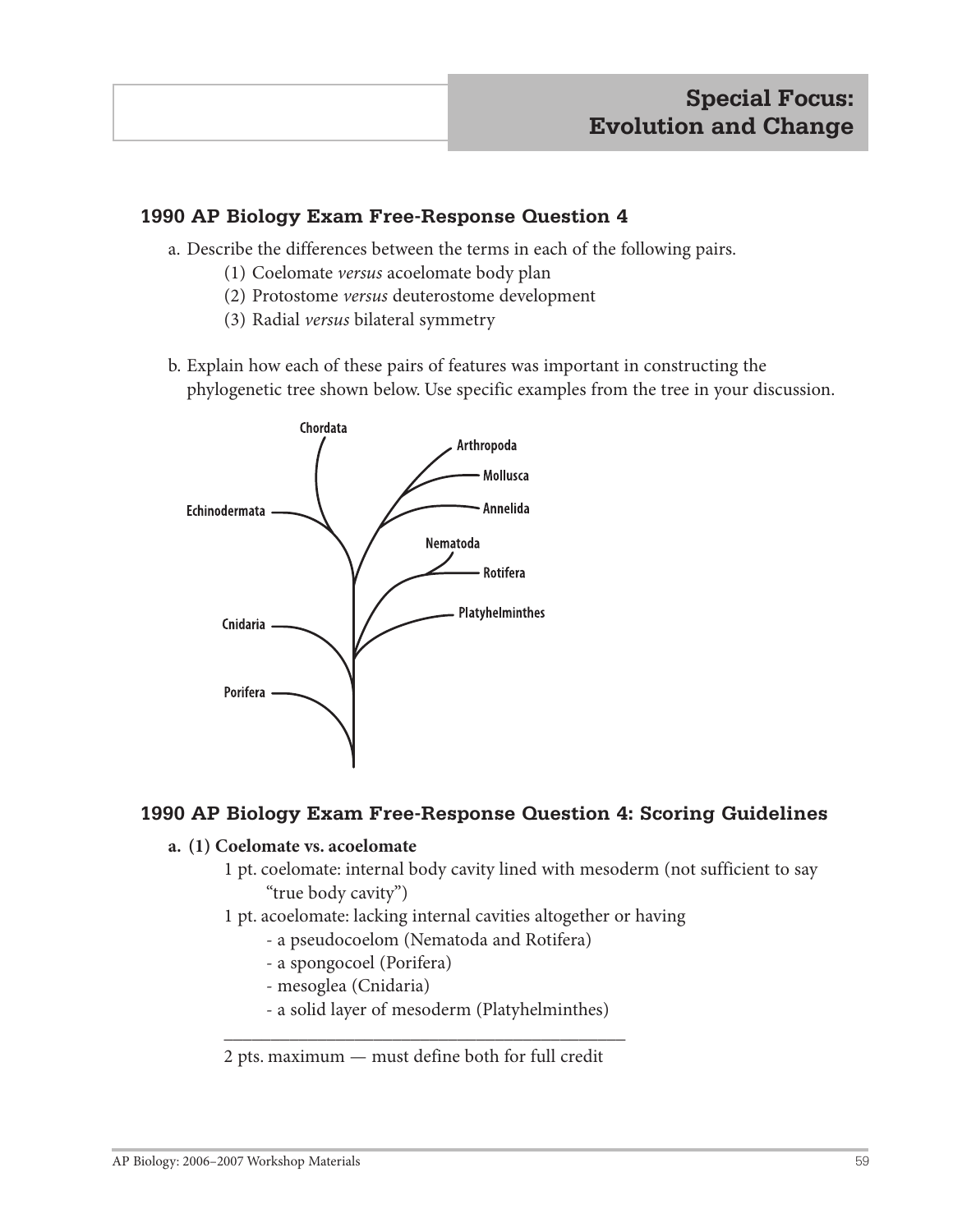## **1990 AP Biology Exam Free-Response Question 4**

- a. Describe the differences between the terms in each of the following pairs.
	- (1) Coelomate *versus* acoelomate body plan
	- (2) Protostome *versus* deuterostome development
	- (3) Radial *versus* bilateral symmetry
- b. Explain how each of these pairs of features was important in constructing the phylogenetic tree shown below. Use specific examples from the tree in your discussion.



## **1990 AP Biology Exam Free-Response Question 4: Scoring Guidelines**

#### **a. (1) Coelomate vs. acoelomate**

- 1 pt. coelomate: internal body cavity lined with mesoderm (not sufficient to say "true body cavity")
- 1 pt. acoelomate: lacking internal cavities altogether or having
	- a pseudocoelom (Nematoda and Rotifera)
	- a spongocoel (Porifera)
	- mesoglea (Cnidaria)
	- a solid layer of mesoderm (Platyhelminthes)

2 pts. maximum — must define both for full credit

 $\mathcal{L}_\text{max}$  , and the contract of the contract of the contract of the contract of the contract of the contract of the contract of the contract of the contract of the contract of the contract of the contract of the contr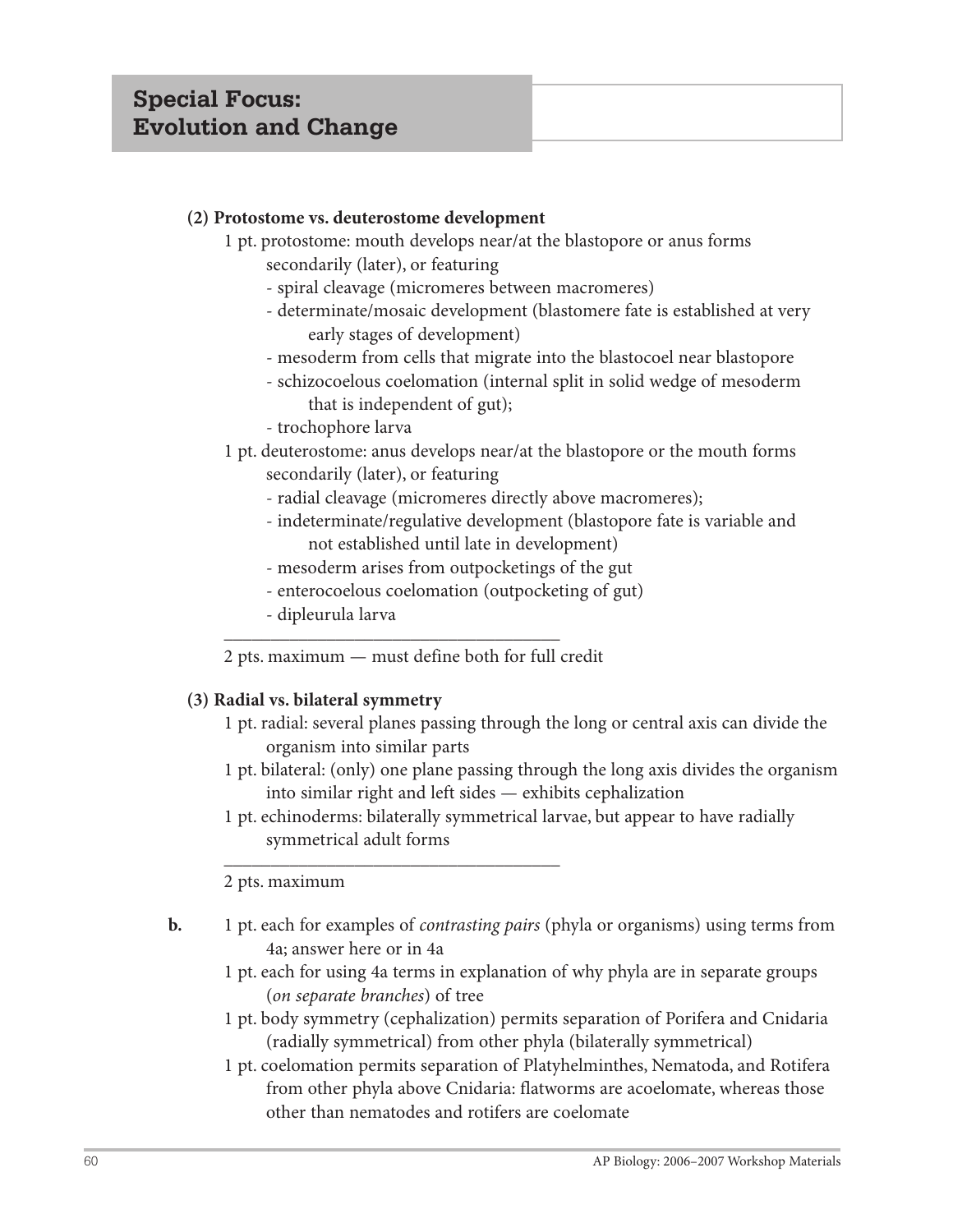## **(2) Protostome vs. deuterostome development**

- 1 pt. protostome: mouth develops near/at the blastopore or anus forms secondarily (later), or featuring
	- spiral cleavage (micromeres between macromeres)
	- determinate/mosaic development (blastomere fate is established at very early stages of development)
	- mesoderm from cells that migrate into the blastocoel near blastopore
	- schizocoelous coelomation (internal split in solid wedge of mesoderm that is independent of gut);
	- trochophore larva
- 1 pt. deuterostome: anus develops near/at the blastopore or the mouth forms secondarily (later), or featuring
	- radial cleavage (micromeres directly above macromeres);
	- indeterminate/regulative development (blastopore fate is variable and not established until late in development)
	- mesoderm arises from outpocketings of the gut
	- enterocoelous coelomation (outpocketing of gut)
- dipleurula larva  $\frac{1}{2}$  ,  $\frac{1}{2}$  ,  $\frac{1}{2}$  ,  $\frac{1}{2}$  ,  $\frac{1}{2}$  ,  $\frac{1}{2}$  ,  $\frac{1}{2}$  ,  $\frac{1}{2}$  ,  $\frac{1}{2}$  ,  $\frac{1}{2}$  ,  $\frac{1}{2}$  ,  $\frac{1}{2}$  ,  $\frac{1}{2}$  ,  $\frac{1}{2}$  ,  $\frac{1}{2}$  ,  $\frac{1}{2}$  ,  $\frac{1}{2}$  ,  $\frac{1}{2}$  ,  $\frac{1$

2 pts. maximum — must define both for full credit

## **(3) Radial vs. bilateral symmetry**

- 1 pt. radial: several planes passing through the long or central axis can divide the organism into similar parts
- 1 pt. bilateral: (only) one plane passing through the long axis divides the organism into similar right and left sides — exhibits cephalization
- 1 pt. echinoderms: bilaterally symmetrical larvae, but appear to have radially symmetrical adult forms

2 pts. maximum

- **b.** 1 pt. each for examples of *contrasting pairs* (phyla or organisms) using terms from 4a; answer here or in 4a
	- 1 pt. each for using 4a terms in explanation of why phyla are in separate groups (*on separate branches*) of tree
	- 1 pt. body symmetry (cephalization) permits separation of Porifera and Cnidaria (radially symmetrical) from other phyla (bilaterally symmetrical)
	- 1 pt. coelomation permits separation of Platyhelminthes, Nematoda, and Rotifera from other phyla above Cnidaria: flatworms are acoelomate, whereas those other than nematodes and rotifers are coelomate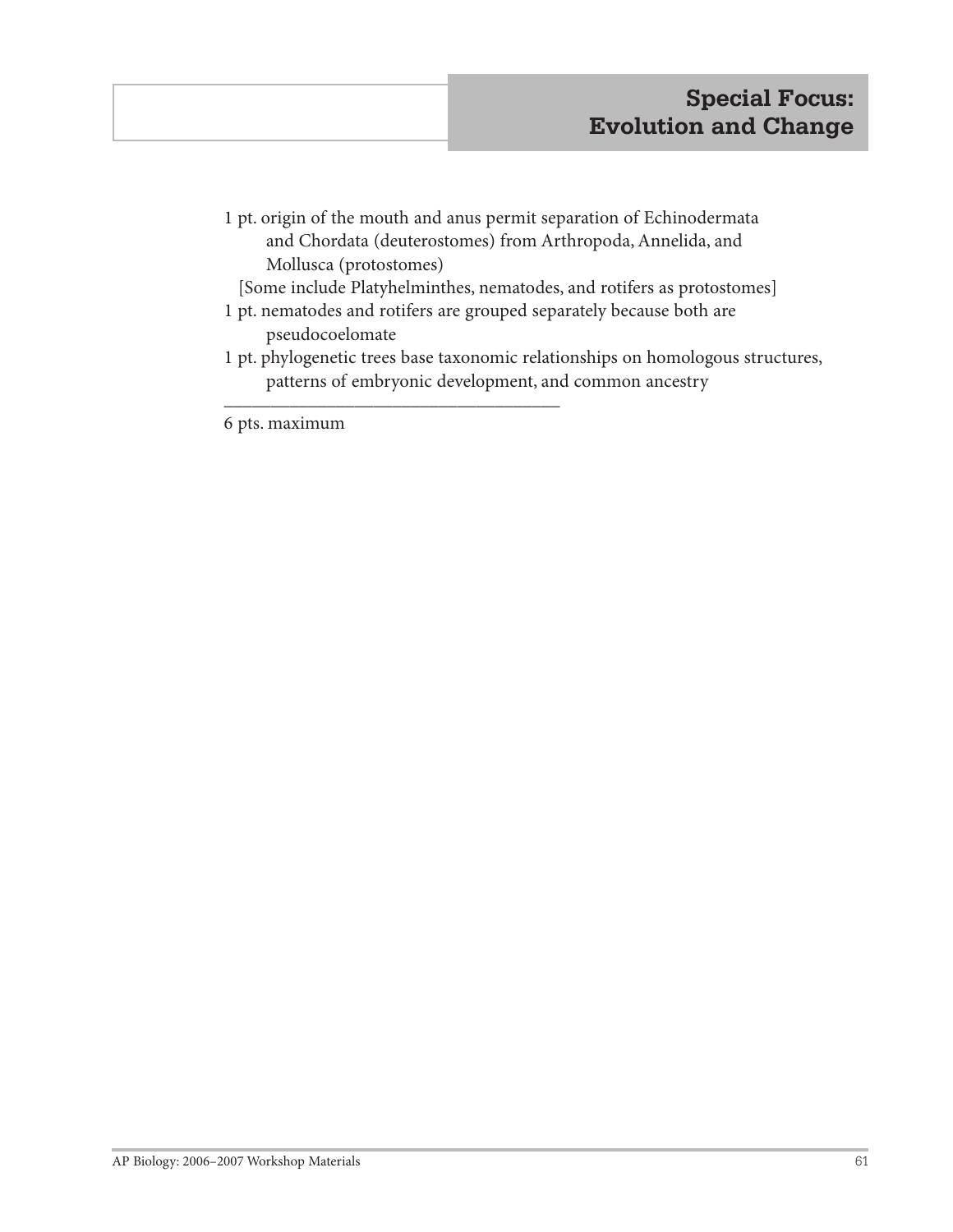1 pt. origin of the mouth and anus permit separation of Echinodermata and Chordata (deuterostomes) from Arthropoda, Annelida, and Mollusca (protostomes)

[Some include Platyhelminthes, nematodes, and rotifers as protostomes]

- 1 pt. nematodes and rotifers are grouped separately because both are pseudocoelomate
- 1 pt. phylogenetic trees base taxonomic relationships on homologous structures, patterns of embryonic development, and common ancestry

6 pts. maximum

 $\frac{1}{2}$  ,  $\frac{1}{2}$  ,  $\frac{1}{2}$  ,  $\frac{1}{2}$  ,  $\frac{1}{2}$  ,  $\frac{1}{2}$  ,  $\frac{1}{2}$  ,  $\frac{1}{2}$  ,  $\frac{1}{2}$  ,  $\frac{1}{2}$  ,  $\frac{1}{2}$  ,  $\frac{1}{2}$  ,  $\frac{1}{2}$  ,  $\frac{1}{2}$  ,  $\frac{1}{2}$  ,  $\frac{1}{2}$  ,  $\frac{1}{2}$  ,  $\frac{1}{2}$  ,  $\frac{1$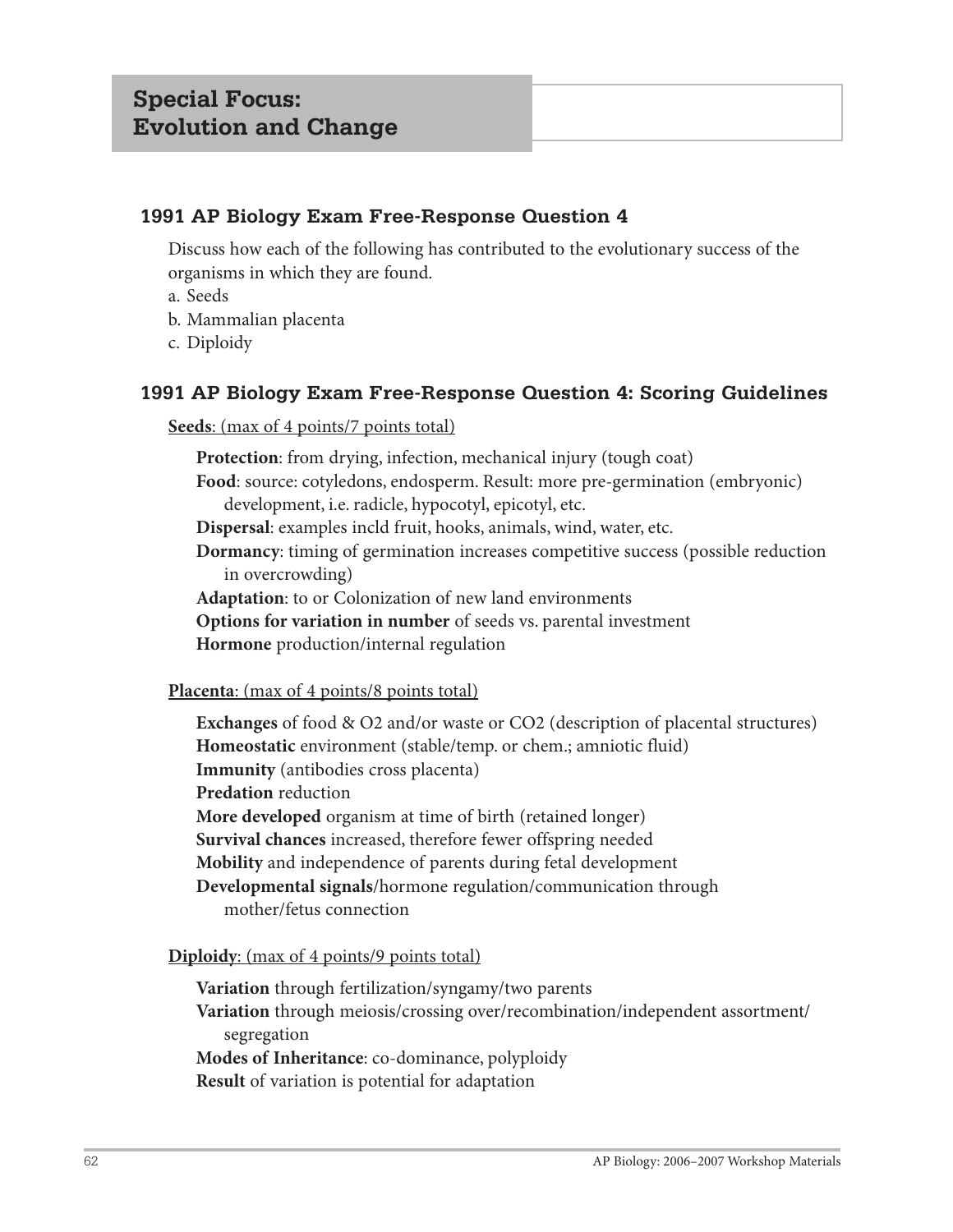## **1991 AP Biology Exam Free-Response Question 4**

Discuss how each of the following has contributed to the evolutionary success of the organisms in which they are found.

- a. Seeds
- b. Mammalian placenta
- c. Diploidy

## **1991 AP Biology Exam Free-Response Question 4: Scoring Guidelines**

**Seeds**: (max of 4 points/7 points total)

**Protection**: from drying, infection, mechanical injury (tough coat)

**Food**: source: cotyledons, endosperm. Result: more pre-germination (embryonic) development, i.e. radicle, hypocotyl, epicotyl, etc.

**Dispersal**: examples incld fruit, hooks, animals, wind, water, etc.

**Dormancy**: timing of germination increases competitive success (possible reduction in overcrowding)

**Adaptation**: to or Colonization of new land environments

**Options for variation in number** of seeds vs. parental investment

**Hormone** production/internal regulation

## **Placenta**: (max of 4 points/8 points total)

**Exchanges** of food & O2 and/or waste or CO2 (description of placental structures) **Homeostatic** environment (stable/temp. or chem.; amniotic fluid) **Immunity** (antibodies cross placenta) **Predation** reduction **More developed** organism at time of birth (retained longer) **Survival chances** increased, therefore fewer offspring needed **Mobility** and independence of parents during fetal development **Developmental signals**/hormone regulation/communication through mother/fetus connection

## **Diploidy**: (max of 4 points/9 points total)

**Variation** through fertilization/syngamy/two parents **Variation** through meiosis/crossing over/recombination/independent assortment/ segregation **Modes of Inheritance**: co-dominance, polyploidy

**Result** of variation is potential for adaptation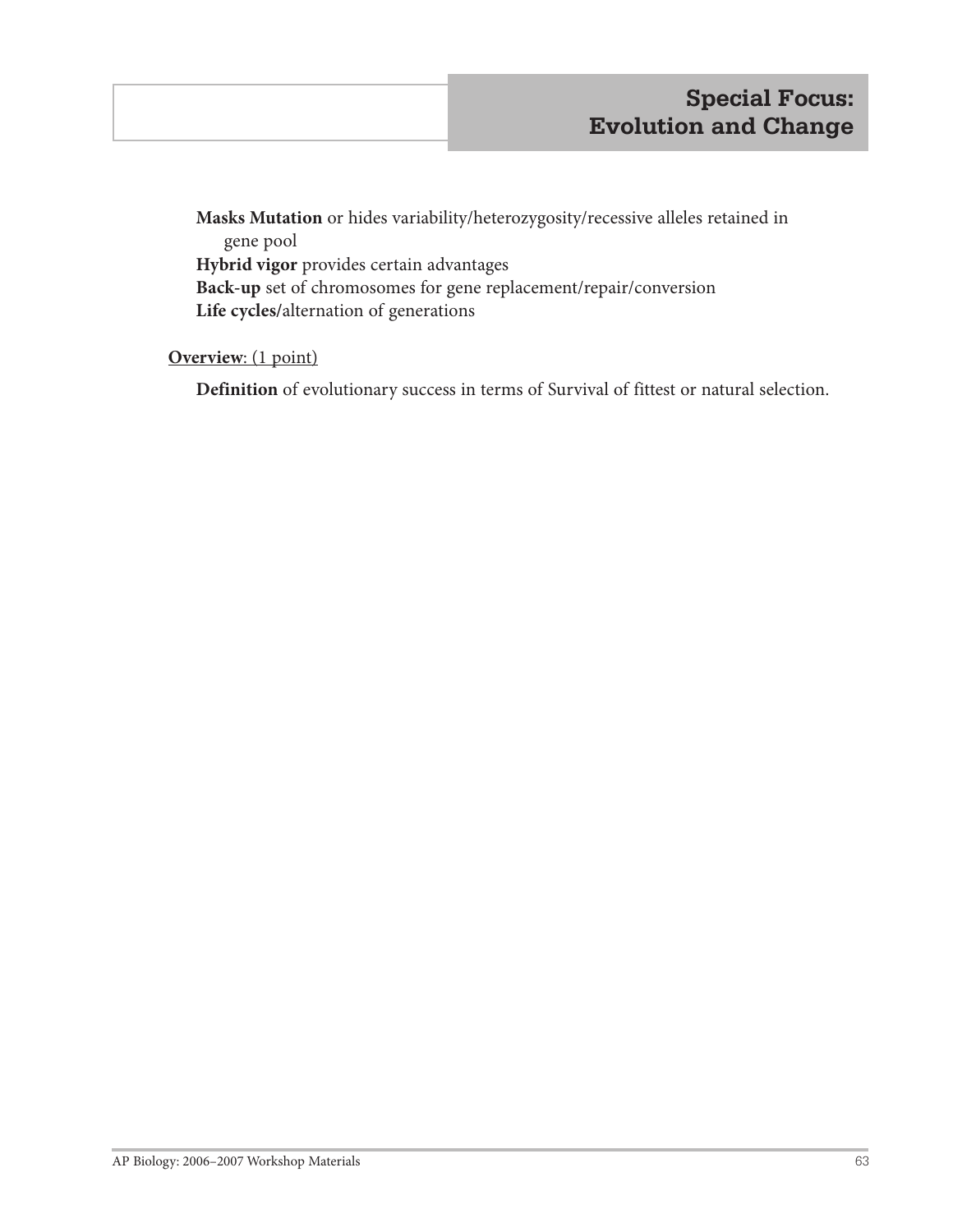**Masks Mutation** or hides variability/heterozygosity/recessive alleles retained in gene pool **Hybrid vigor** provides certain advantages **Back-up** set of chromosomes for gene replacement/repair/conversion **Life cycles/**alternation of generations

## **Overview**: (1 point)

**Definition** of evolutionary success in terms of Survival of fittest or natural selection.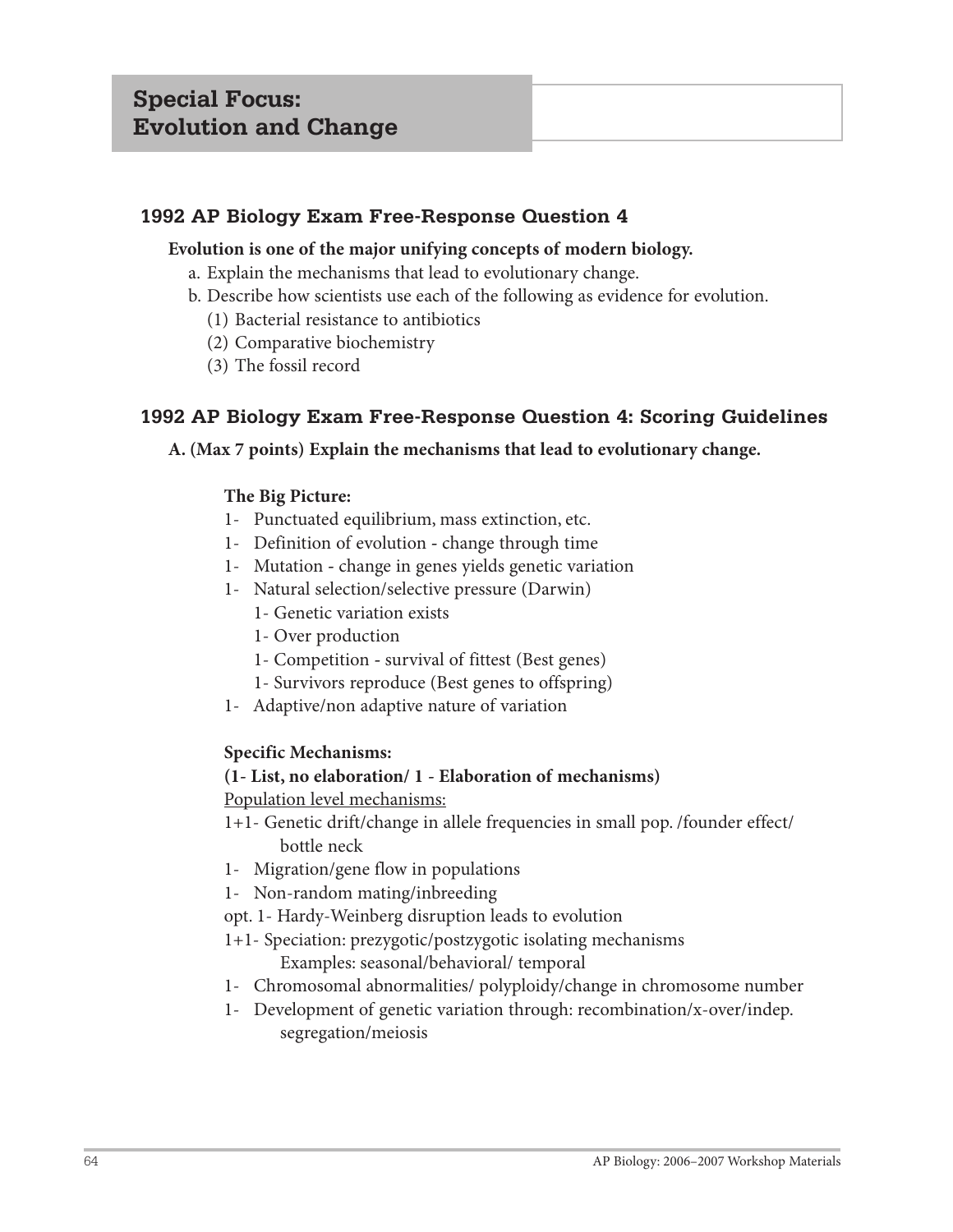## **1992 AP Biology Exam Free-Response Question 4**

#### **Evolution is one of the major unifying concepts of modern biology.**

- a. Explain the mechanisms that lead to evolutionary change.
- b. Describe how scientists use each of the following as evidence for evolution.
	- (1) Bacterial resistance to antibiotics
	- (2) Comparative biochemistry
	- (3) The fossil record

## **1992 AP Biology Exam Free-Response Question 4: Scoring Guidelines**

## **A. (Max 7 points) Explain the mechanisms that lead to evolutionary change.**

## **The Big Picture:**

- 1- Punctuated equilibrium, mass extinction, etc.
- 1- Definition of evolution change through time
- 1- Mutation change in genes yields genetic variation
- 1- Natural selection/selective pressure (Darwin)
	- 1- Genetic variation exists
	- 1- Over production
	- 1- Competition survival of fittest (Best genes)
	- 1- Survivors reproduce (Best genes to offspring)
- 1- Adaptive/non adaptive nature of variation

## **Specific Mechanisms:**

## **(1- List, no elaboration/ 1 - Elaboration of mechanisms)**

Population level mechanisms:

- 1+1- Genetic drift/change in allele frequencies in small pop. /founder effect/ bottle neck
- 1- Migration/gene flow in populations
- 1- Non-random mating/inbreeding
- opt. 1- Hardy-Weinberg disruption leads to evolution
- 1+1- Speciation: prezygotic/postzygotic isolating mechanisms

Examples: seasonal/behavioral/ temporal

- 1- Chromosomal abnormalities/ polyploidy/change in chromosome number
- 1- Development of genetic variation through: recombination/x-over/indep. segregation/meiosis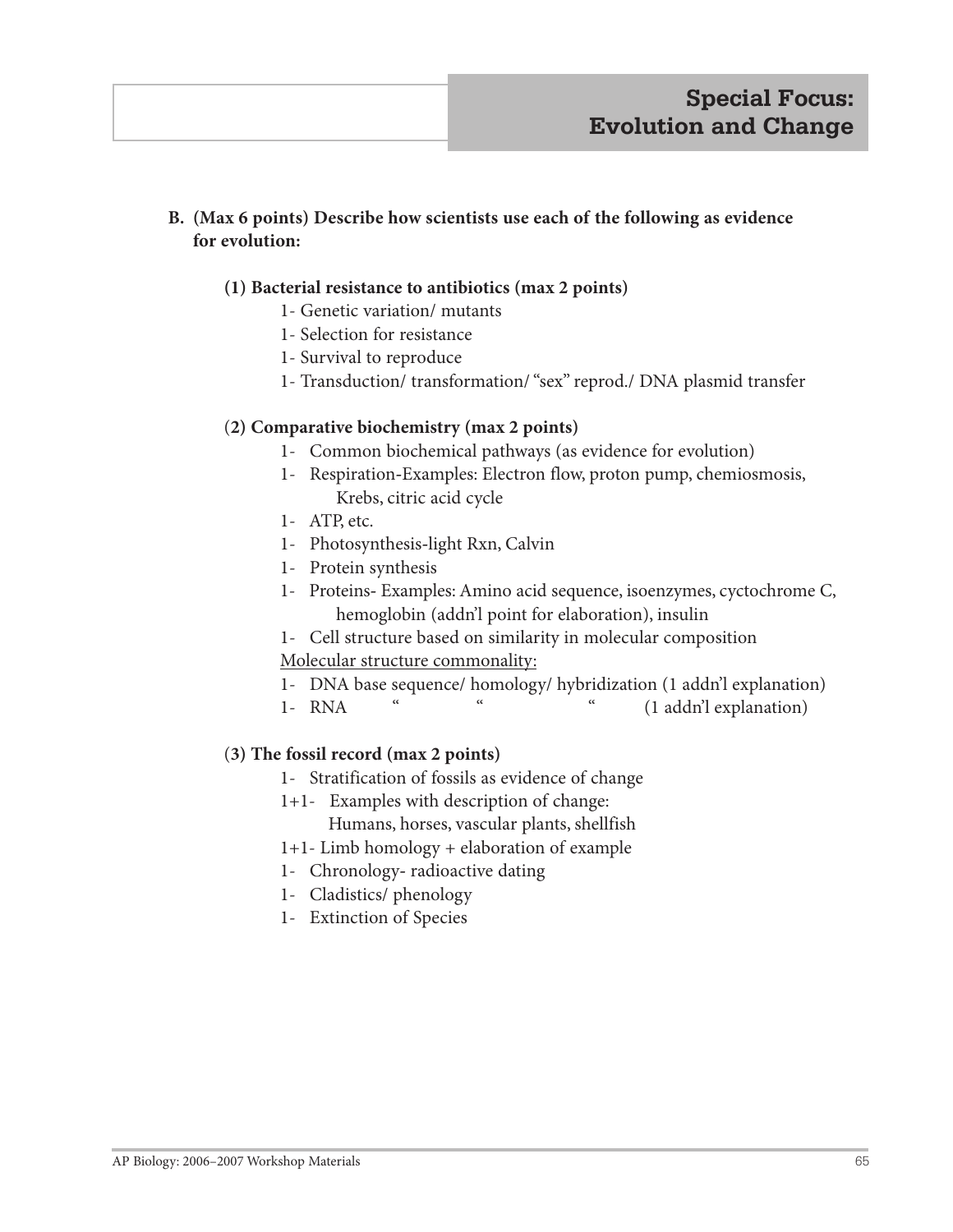## **B. (Max 6 points) Describe how scientists use each of the following as evidence for evolution:**

## **(1) Bacterial resistance to antibiotics (max 2 points)**

- 1- Genetic variation/ mutants
- 1- Selection for resistance
- 1- Survival to reproduce
- 1- Transduction/ transformation/ "sex" reprod./ DNA plasmid transfer

#### (**2) Comparative biochemistry (max 2 points)**

- 1- Common biochemical pathways (as evidence for evolution)
- 1- Respiration**-**Examples: Electron flow, proton pump, chemiosmosis, Krebs, citric acid cycle
- 1- ATP, etc.
- 1- Photosynthesis**-**light Rxn, Calvin
- 1- Protein synthesis
- 1- ProteinsExamples: Amino acid sequence, isoenzymes, cyctochrome C, hemoglobin (addn'l point for elaboration), insulin
- 1- Cell structure based on similarity in molecular composition
- Molecular structure commonality:
- 1- DNA base sequence/ homology/ hybridization (1 addn'l explanation)
- 1- RNA " " (1 addn'l explanation)

#### (**3) The fossil record (max 2 points)**

- 1- Stratification of fossils as evidence of change
- 1+1- Examples with description of change:

Humans, horses, vascular plants, shellfish

- 1+1- Limb homology + elaboration of example
- 1- Chronologyradioactive dating
- 1- Cladistics/ phenology
- 1- Extinction of Species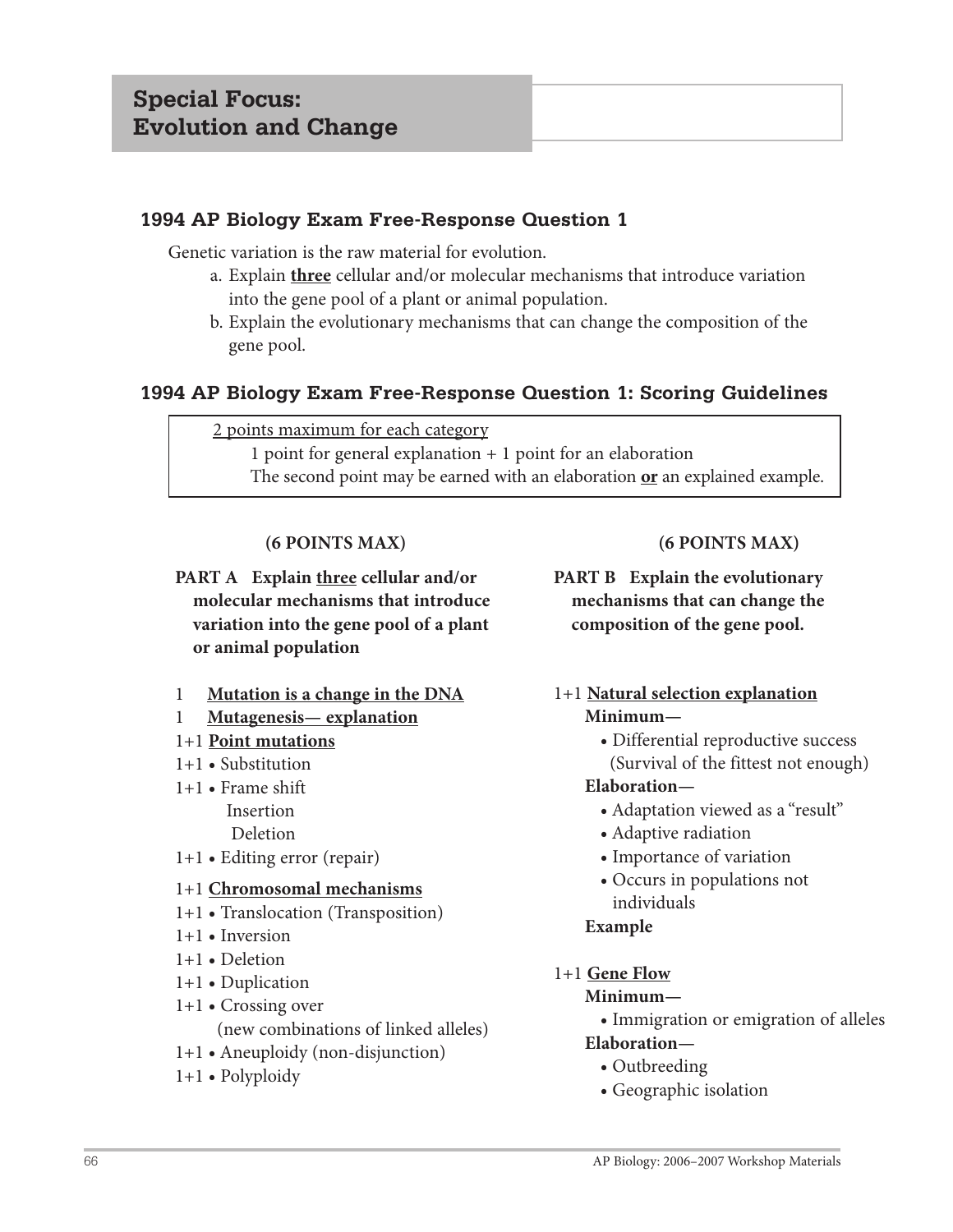## **1994 AP Biology Exam Free-Response Question 1**

Genetic variation is the raw material for evolution.

- a. Explain **three** cellular and/or molecular mechanisms that introduce variation into the gene pool of a plant or animal population.
- b. Explain the evolutionary mechanisms that can change the composition of the gene pool.

## **1994 AP Biology Exam Free-Response Question 1: Scoring Guidelines**

#### 2 points maximum for each category

 1 point for general explanation + 1 point for an elaboration The second point may be earned with an elaboration **or** an explained example.

## **(6 POINTS MAX)**

- **PART A Explain three cellular and/or molecular mechanisms that introduce variation into the gene pool of a plant or animal population**
- 1 **Mutation is a change in the DNA**
- 1 **Mutagenesis— explanation**
- 1+1 **Point mutations**
- 1+1 **•** Substitution
- 1+1 **•** Frame shift Insertion Deletion
- 1+1 **•** Editing error (repair)

#### 1+1 **Chromosomal mechanisms**

- 1+1 **•** Translocation (Transposition)
- 1+1 **•** Inversion
- 1+1 **•** Deletion
- 1+1 **•** Duplication
- 1+1 **•** Crossing over (new combinations of linked alleles)
- 1+1 **•** Aneuploidy (non-disjunction)
- 1+1 **•** Polyploidy

## **(6 POINTS MAX)**

**PART B Explain the evolutionary mechanisms that can change the composition of the gene pool.**

#### 1+1 **Natural selection explanation Minimum—**

 **•** Differential reproductive success (Survival of the fittest not enough)

#### **Elaboration—**

- **•** Adaptation viewed as a "result"
- **•** Adaptive radiation
- **•** Importance of variation
- **•** Occurs in populations not individuals

#### **Example**

1+1 **Gene Flow**

#### **Minimum—**

 **•** Immigration or emigration of alleles  **Elaboration—**

- **•** Outbreeding
- **•** Geographic isolation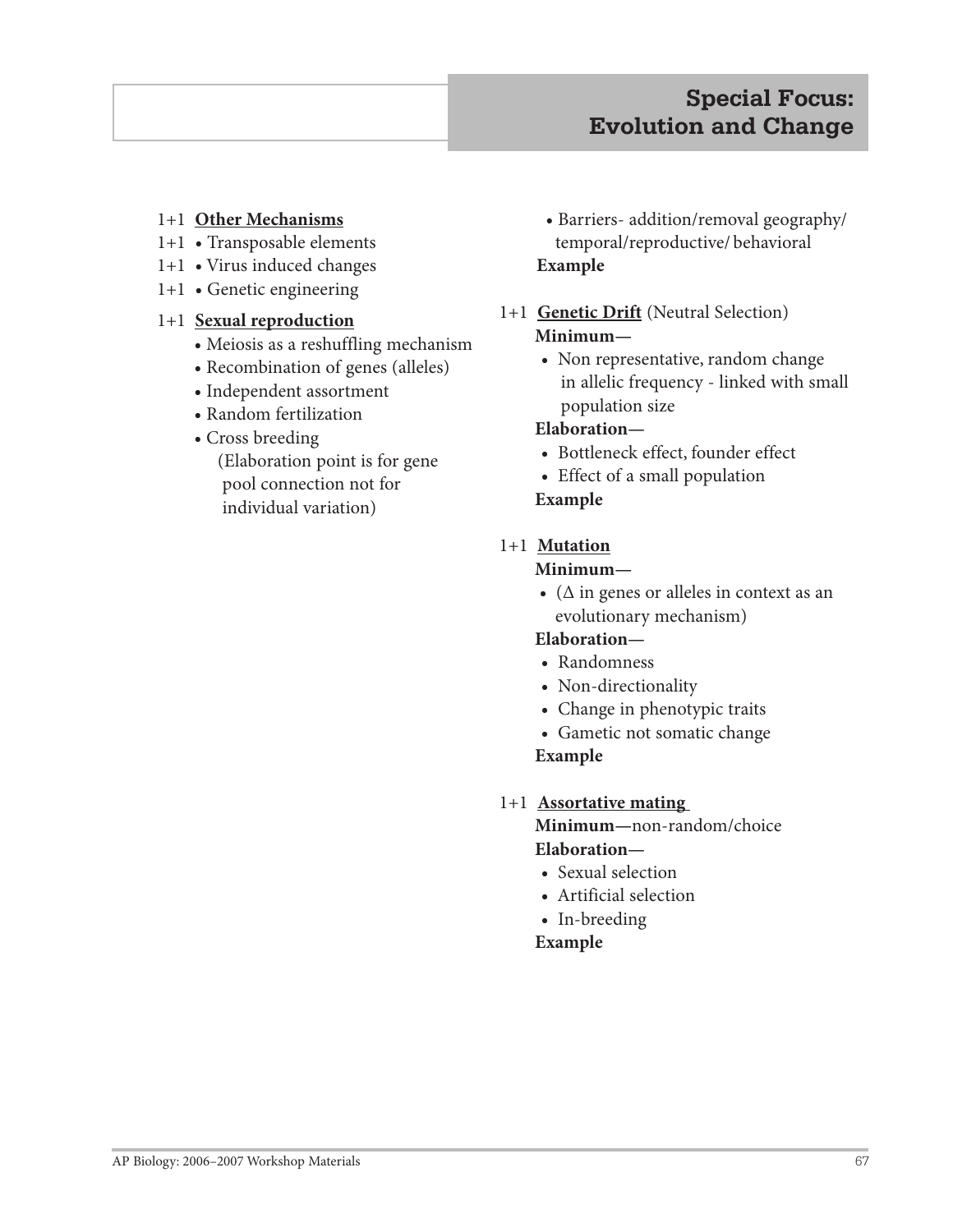### 1+1 **Other Mechanisms**

- 1+1 **•** Transposable elements
- 1+1 **•** Virus induced changes
- 1+1 **•** Genetic engineering

#### 1+1 **Sexual reproduction**

- **•** Meiosis as a reshuffling mechanism
- **•** Recombination of genes (alleles)
- **•** Independent assortment
- **•** Random fertilization
- **•** Cross breeding

 (Elaboration point is for gene pool connection not for individual variation)

- **•** Barriers- addition/removal geography/ temporal/reproductive/ behavioral **Example**
- 1+1 **Genetic Drift** (Neutral Selection)  **Minimum—**
	- **•** Non representative, random change in allelic frequency - linked with small population size

## **Elaboration—**

- **•** Bottleneck effect, founder effect
- **•** Effect of a small population

## **Example**

## 1+1 **Mutation**

#### **Minimum—**

 **•** (Δ in genes or alleles in context as an evolutionary mechanism)

## **Elaboration—**

- **•** Randomness
- **•** Non-directionality
- **•** Change in phenotypic traits
- **•** Gametic not somatic change

## **Example**

1+1 **Assortative mating** 

 **Minimum—**non-random/choice  **Elaboration—**

- **•** Sexual selection
- **•** Artificial selection
- **•** In-breeding

#### **Example**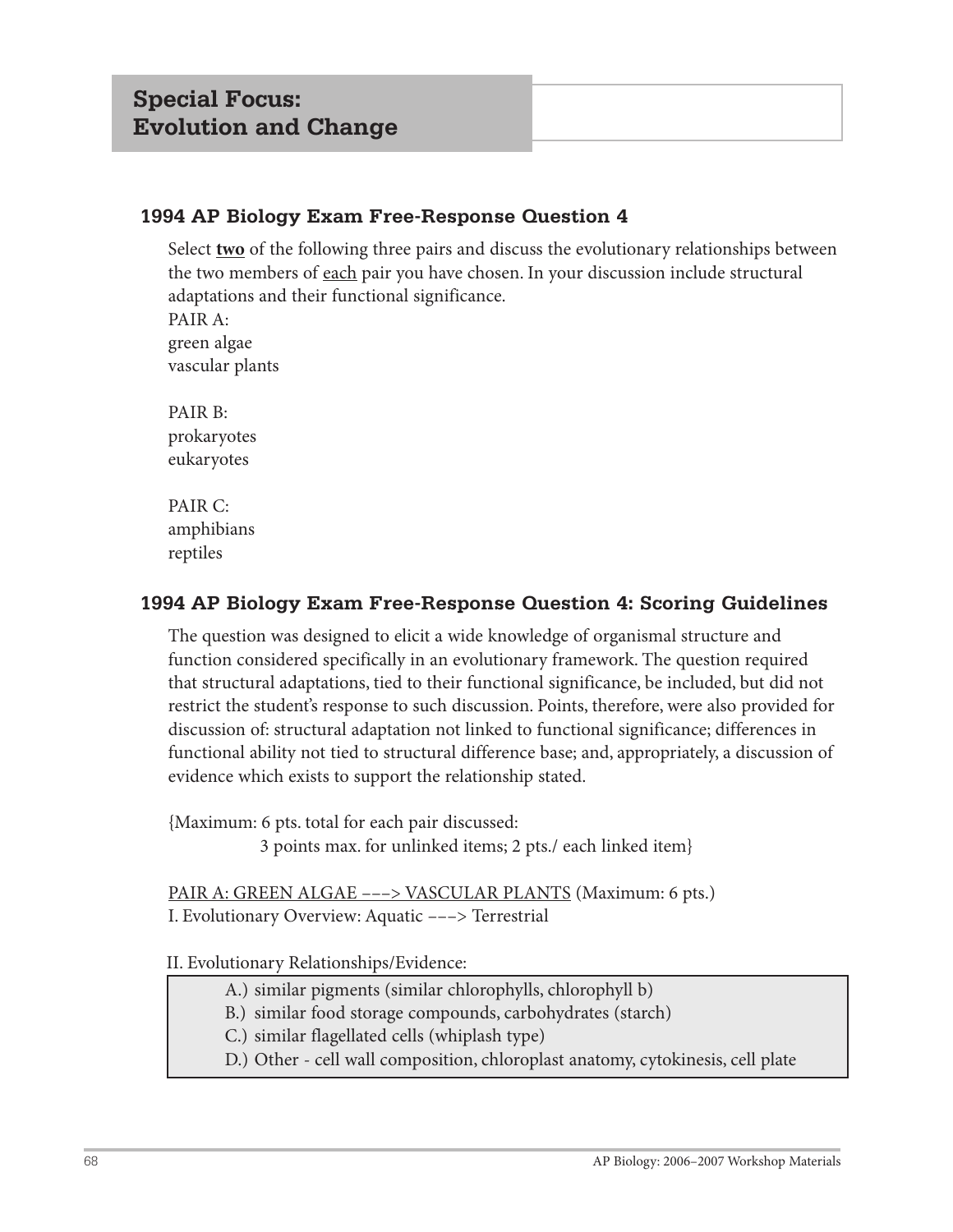## **1994 AP Biology Exam Free-Response Question 4**

Select **two** of the following three pairs and discuss the evolutionary relationships between the two members of each pair you have chosen. In your discussion include structural adaptations and their functional significance.

PAIR A: green algae vascular plants

PAIR B: prokaryotes eukaryotes

PAIR C: amphibians reptiles

## **1994 AP Biology Exam Free-Response Question 4: Scoring Guidelines**

The question was designed to elicit a wide knowledge of organismal structure and function considered specifically in an evolutionary framework. The question required that structural adaptations, tied to their functional significance, be included, but did not restrict the student's response to such discussion. Points, therefore, were also provided for discussion of: structural adaptation not linked to functional significance; differences in functional ability not tied to structural difference base; and, appropriately, a discussion of evidence which exists to support the relationship stated.

{Maximum: 6 pts. total for each pair discussed: 3 points max. for unlinked items; 2 pts./ each linked item}

PAIR A: GREEN ALGAE ---> VASCULAR PLANTS (Maximum: 6 pts.) I. Evolutionary Overview: Aquatic –––> Terrestrial

II. Evolutionary Relationships/Evidence:

- A.) similar pigments (similar chlorophylls, chlorophyll b)
- B.) similar food storage compounds, carbohydrates (starch)
- C.) similar flagellated cells (whiplash type)
- D.) Other cell wall composition, chloroplast anatomy, cytokinesis, cell plate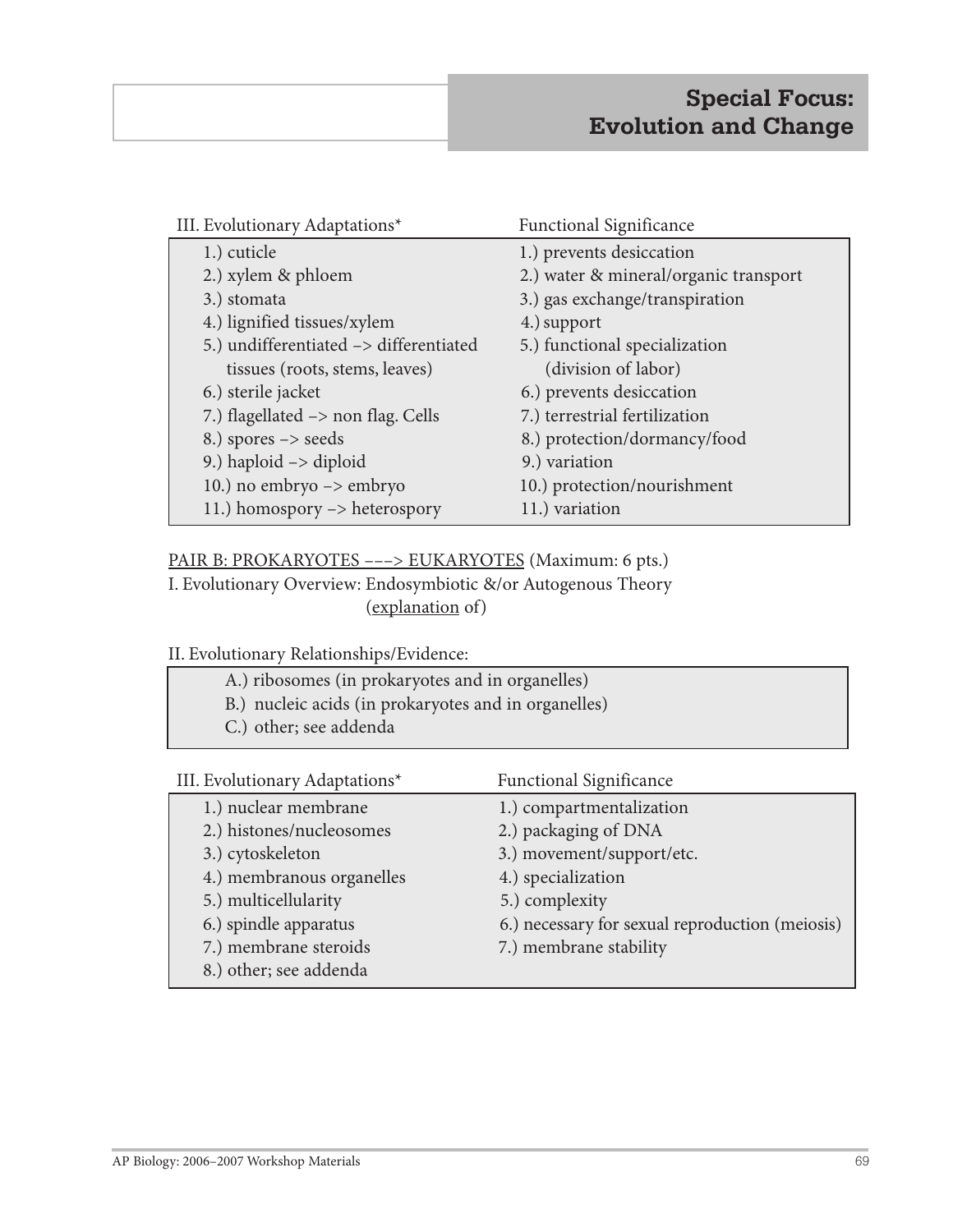| III. Evolutionary Adaptations*         | <b>Functional Significance</b>        |  |
|----------------------------------------|---------------------------------------|--|
| 1.) cuticle                            | 1.) prevents desiccation              |  |
| 2.) xylem & phloem                     | 2.) water & mineral/organic transport |  |
| 3.) stomata                            | 3.) gas exchange/transpiration        |  |
| 4.) lignified tissues/xylem            | 4.) support                           |  |
| 5.) undifferentiated -> differentiated | 5.) functional specialization         |  |
| tissues (roots, stems, leaves)         | (division of labor)                   |  |
| 6.) sterile jacket                     | 6.) prevents desiccation              |  |
| 7.) flagellated -> non flag. Cells     | 7.) terrestrial fertilization         |  |
| 8.) spores $\rightarrow$ seeds         | 8.) protection/dormancy/food          |  |
| 9.) haploid $\rightarrow$ diploid      | 9.) variation                         |  |
| 10.) no embryo -> embryo               | 10.) protection/nourishment           |  |
| 11.) homospory -> heterospory          | 11.) variation                        |  |

#### PAIR B: PROKARYOTES ---> EUKARYOTES (Maximum: 6 pts.)

I. Evolutionary Overview: Endosymbiotic &/or Autogenous Theory (explanation of)

II. Evolutionary Relationships/Evidence:

- A.) ribosomes (in prokaryotes and in organelles) B.) nucleic acids (in prokaryotes and in organelles)
	- C.) other; see addenda

| III. Evolutionary Adaptations* | <b>Functional Significance</b>                  |
|--------------------------------|-------------------------------------------------|
| 1.) nuclear membrane           | 1.) compartmentalization                        |
| 2.) histones/nucleosomes       | 2.) packaging of DNA                            |
| 3.) cytoskeleton               | 3.) movement/support/etc.                       |
| 4.) membranous organelles      | 4.) specialization                              |
| 5.) multicellularity           | 5.) complexity                                  |
| 6.) spindle apparatus          | 6.) necessary for sexual reproduction (meiosis) |
| 7.) membrane steroids          | 7.) membrane stability                          |
| 8.) other; see addenda         |                                                 |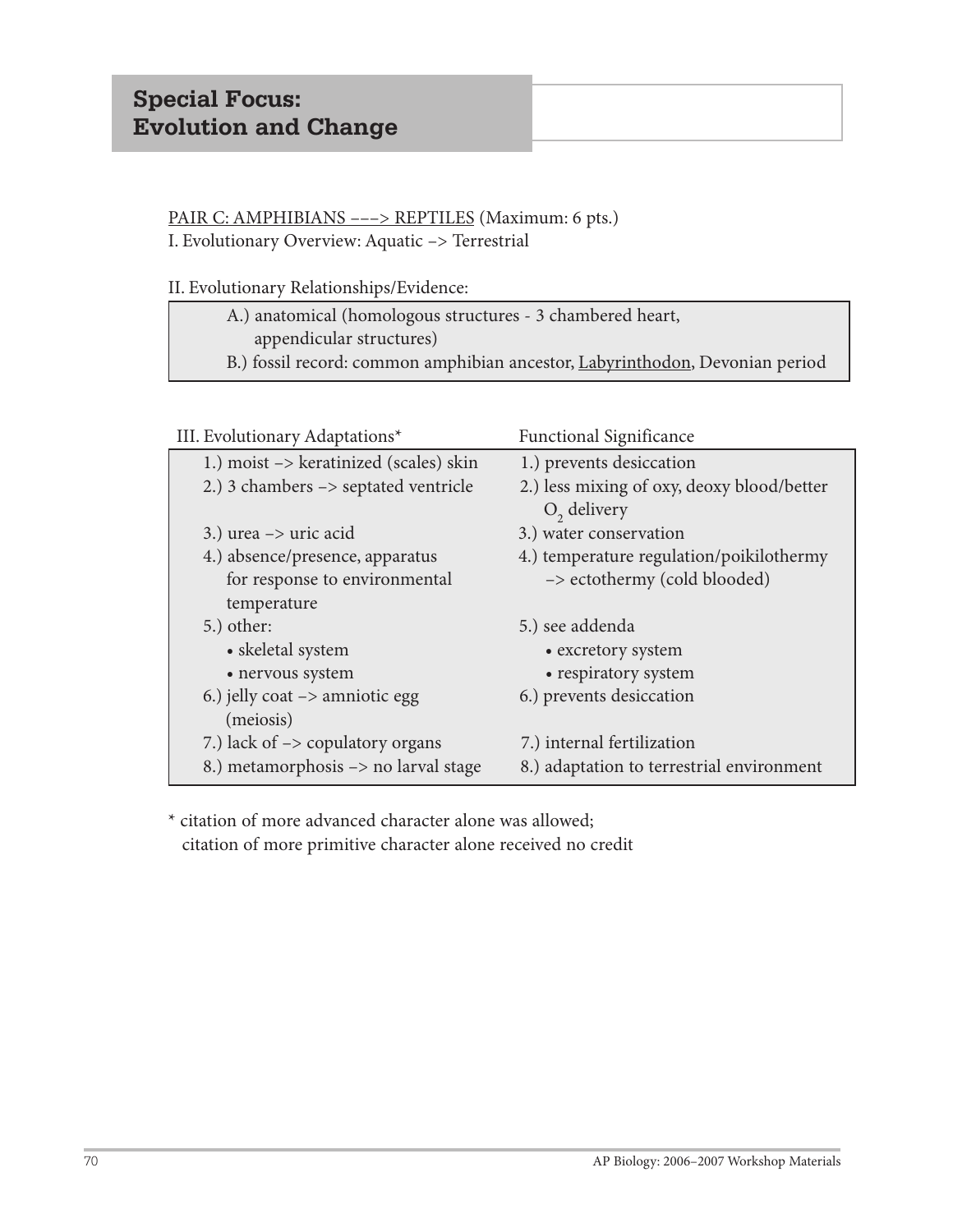## PAIR C: AMPHIBIANS ---> REPTILES (Maximum: 6 pts.) I. Evolutionary Overview: Aquatic –> Terrestrial

II. Evolutionary Relationships/Evidence:

| A.) anatomical (homologous structures - 3 chambered heart,                                  |  |
|---------------------------------------------------------------------------------------------|--|
| appendicular structures)                                                                    |  |
| B.) fossil record: common amphibian ancestor, <i>Labyrinthodon</i> , <i>Devonian period</i> |  |

| III. Evolutionary Adaptations*                         | <b>Functional Significance</b>                              |
|--------------------------------------------------------|-------------------------------------------------------------|
| 1.) moist $\rightarrow$ keratinized (scales) skin      | 1.) prevents desiccation                                    |
| 2.) 3 chambers $\rightarrow$ septated ventricle        | 2.) less mixing of oxy, deoxy blood/better<br>$O2$ delivery |
| 3.) urea $\rightarrow$ uric acid                       | 3.) water conservation                                      |
| 4.) absence/presence, apparatus                        | 4.) temperature regulation/poikilothermy                    |
| for response to environmental<br>temperature           | -> ectothermy (cold blooded)                                |
| $5.)$ other:                                           | 5.) see addenda                                             |
| • skeletal system                                      | • excretory system                                          |
| • nervous system                                       | • respiratory system                                        |
| 6.) jelly coat $\rightarrow$ amniotic egg<br>(meiosis) | 6.) prevents desiccation                                    |
| 7.) lack of $\rightarrow$ copulatory organs            | 7.) internal fertilization                                  |
| 8.) metamorphosis -> no larval stage                   | 8.) adaptation to terrestrial environment                   |

\* citation of more advanced character alone was allowed; citation of more primitive character alone received no credit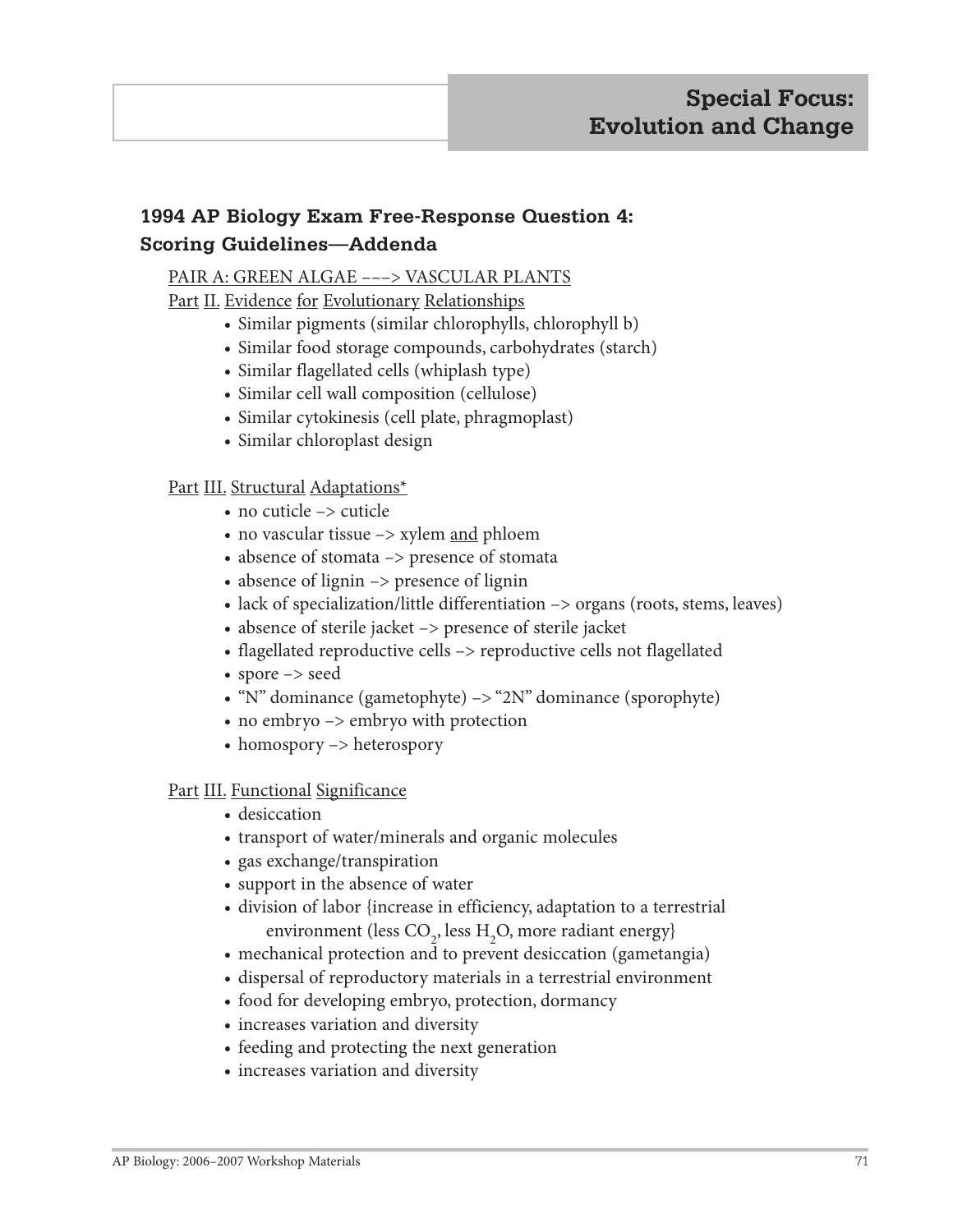# **1994 AP Biology Exam Free-Response Question 4: Scoring Guidelines—Addenda**

# PAIR A: GREEN ALGAE –––> VASCULAR PLANTS

Part II. Evidence for Evolutionary Relationships

- Similar pigments (similar chlorophylls, chlorophyll b)
- Similar food storage compounds, carbohydrates (starch)
- Similar flagellated cells (whiplash type)
- Similar cell wall composition (cellulose)
- Similar cytokinesis (cell plate, phragmoplast)
- Similar chloroplast design

## Part III. Structural Adaptations\*

- no cuticle –> cuticle
- no vascular tissue -> xylem and phloem
- absence of stomata –> presence of stomata
- absence of lignin –> presence of lignin
- lack of specialization/little differentiation  $\rightarrow$  organs (roots, stems, leaves)
- absence of sterile jacket –> presence of sterile jacket
- flagellated reproductive cells –> reproductive cells not flagellated
- spore –> seed
- "N" dominance (gametophyte) -> "2N" dominance (sporophyte)
- no embryo  $\rightarrow$  embryo with protection
- homospory –> heterospory

### Part III. Functional Significance

- desiccation
- transport of water/minerals and organic molecules
- gas exchange/transpiration
- support in the absence of water
- division of labor {increase in efficiency, adaptation to a terrestrial environment (less  $CO_2$ , less  $H_2O$ , more radiant energy}
	- mechanical protection and to prevent desiccation (gametangia)
	- dispersal of reproductory materials in a terrestrial environment
	- food for developing embryo, protection, dormancy
	- increases variation and diversity
	- feeding and protecting the next generation
	- increases variation and diversity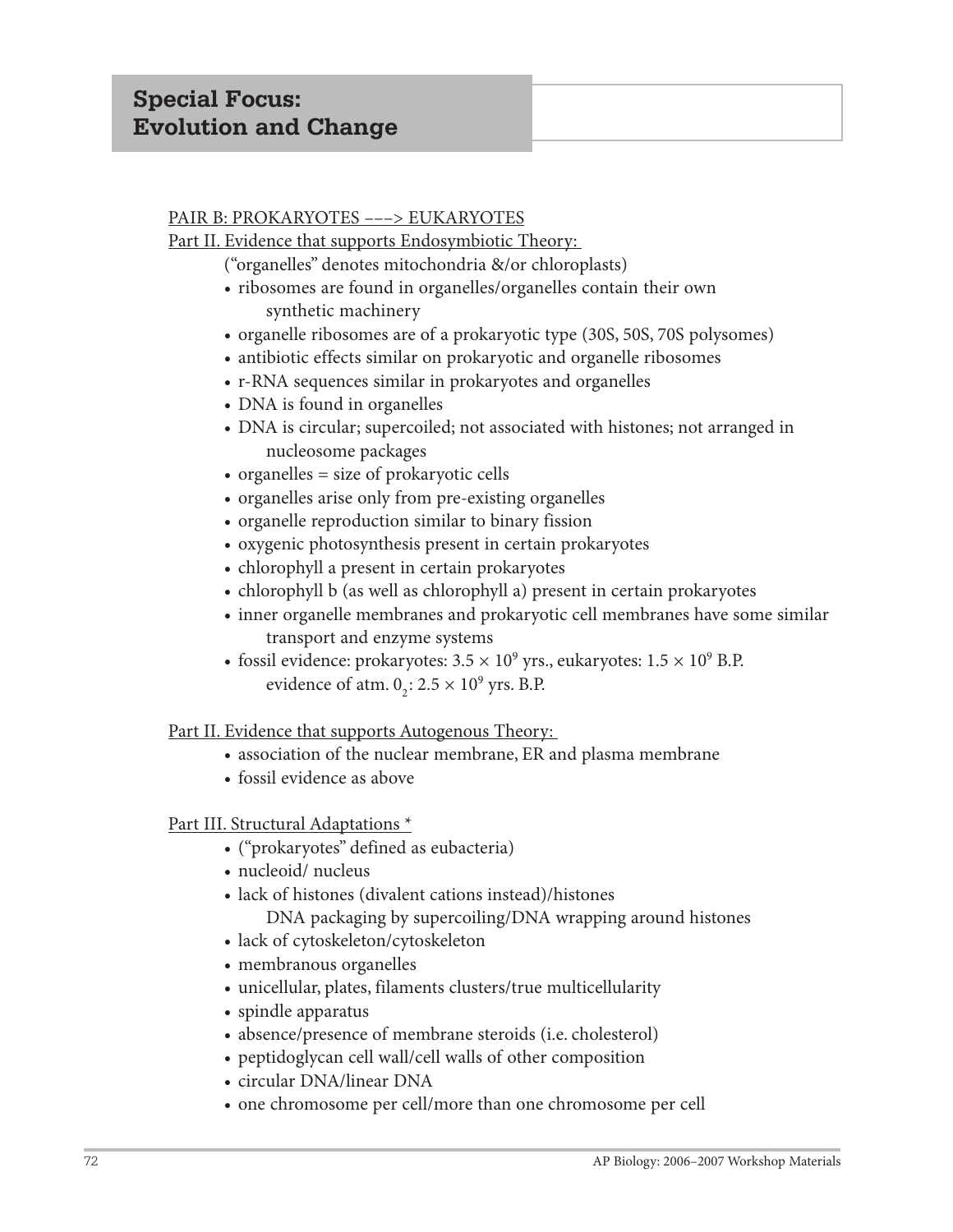### PAIR B: PROKARYOTES –––> EUKARYOTES

Part II. Evidence that supports Endosymbiotic Theory:

("organelles" denotes mitochondria &/or chloroplasts)

- ribosomes are found in organelles/organelles contain their own synthetic machinery
- organelle ribosomes are of a prokaryotic type (30S, 50S, 70S polysomes)
- antibiotic effects similar on prokaryotic and organelle ribosomes
- r-RNA sequences similar in prokaryotes and organelles
- DNA is found in organelles
- DNA is circular; supercoiled; not associated with histones; not arranged in nucleosome packages
- organelles = size of prokaryotic cells
- organelles arise only from pre-existing organelles
- organelle reproduction similar to binary fission
- oxygenic photosynthesis present in certain prokaryotes
- chlorophyll a present in certain prokaryotes
- chlorophyll b (as well as chlorophyll a) present in certain prokaryotes
- inner organelle membranes and prokaryotic cell membranes have some similar transport and enzyme systems
- fossil evidence: prokaryotes:  $3.5 \times 10^9$  yrs., eukaryotes:  $1.5 \times 10^9$  B.P. evidence of atm.  $0_2$ :  $2.5 \times 10^9$  yrs. B.P.

Part II. Evidence that supports Autogenous Theory:

- association of the nuclear membrane, ER and plasma membrane
- fossil evidence as above

### Part III. Structural Adaptations \*

- ("prokaryotes" defined as eubacteria)
- nucleoid/ nucleus
- lack of histones (divalent cations instead)/histones
	- DNA packaging by supercoiling/DNA wrapping around histones
- lack of cytoskeleton/cytoskeleton
- membranous organelles
- unicellular, plates, filaments clusters/true multicellularity
- spindle apparatus
- absence/presence of membrane steroids (i.e. cholesterol)
- peptidoglycan cell wall/cell walls of other composition
- circular DNA/linear DNA
- one chromosome per cell/more than one chromosome per cell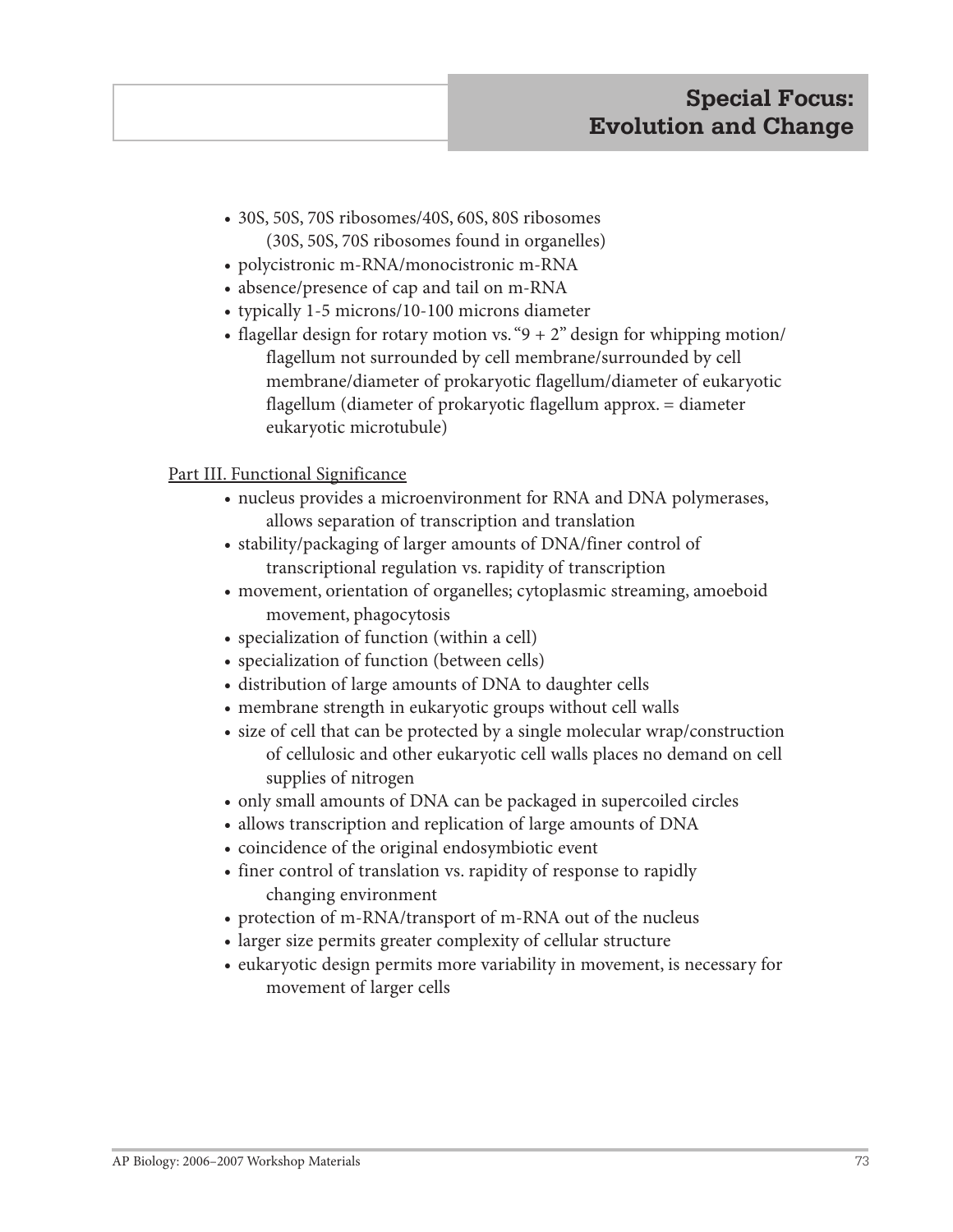- 30S, 50S, 70S ribosomes/40S, 60S, 80S ribosomes (30S, 50S, 70S ribosomes found in organelles)
- polycistronic m-RNA/monocistronic m-RNA
- absence/presence of cap and tail on m-RNA
- typically 1-5 microns/10-100 microns diameter
- flagellar design for rotary motion vs. " $9 + 2$ " design for whipping motion/ flagellum not surrounded by cell membrane/surrounded by cell membrane/diameter of prokaryotic flagellum/diameter of eukaryotic flagellum (diameter of prokaryotic flagellum approx. = diameter eukaryotic microtubule)

### Part III. Functional Significance

- nucleus provides a microenvironment for RNA and DNA polymerases, allows separation of transcription and translation
- stability/packaging of larger amounts of DNA/finer control of transcriptional regulation vs. rapidity of transcription
- movement, orientation of organelles; cytoplasmic streaming, amoeboid movement, phagocytosis
- specialization of function (within a cell)
- specialization of function (between cells)
- distribution of large amounts of DNA to daughter cells
- membrane strength in eukaryotic groups without cell walls
- size of cell that can be protected by a single molecular wrap/construction of cellulosic and other eukaryotic cell walls places no demand on cell supplies of nitrogen
- only small amounts of DNA can be packaged in supercoiled circles
- allows transcription and replication of large amounts of DNA
- coincidence of the original endosymbiotic event
- finer control of translation vs. rapidity of response to rapidly changing environment
- protection of m-RNA/transport of m-RNA out of the nucleus
- larger size permits greater complexity of cellular structure
- eukaryotic design permits more variability in movement, is necessary for movement of larger cells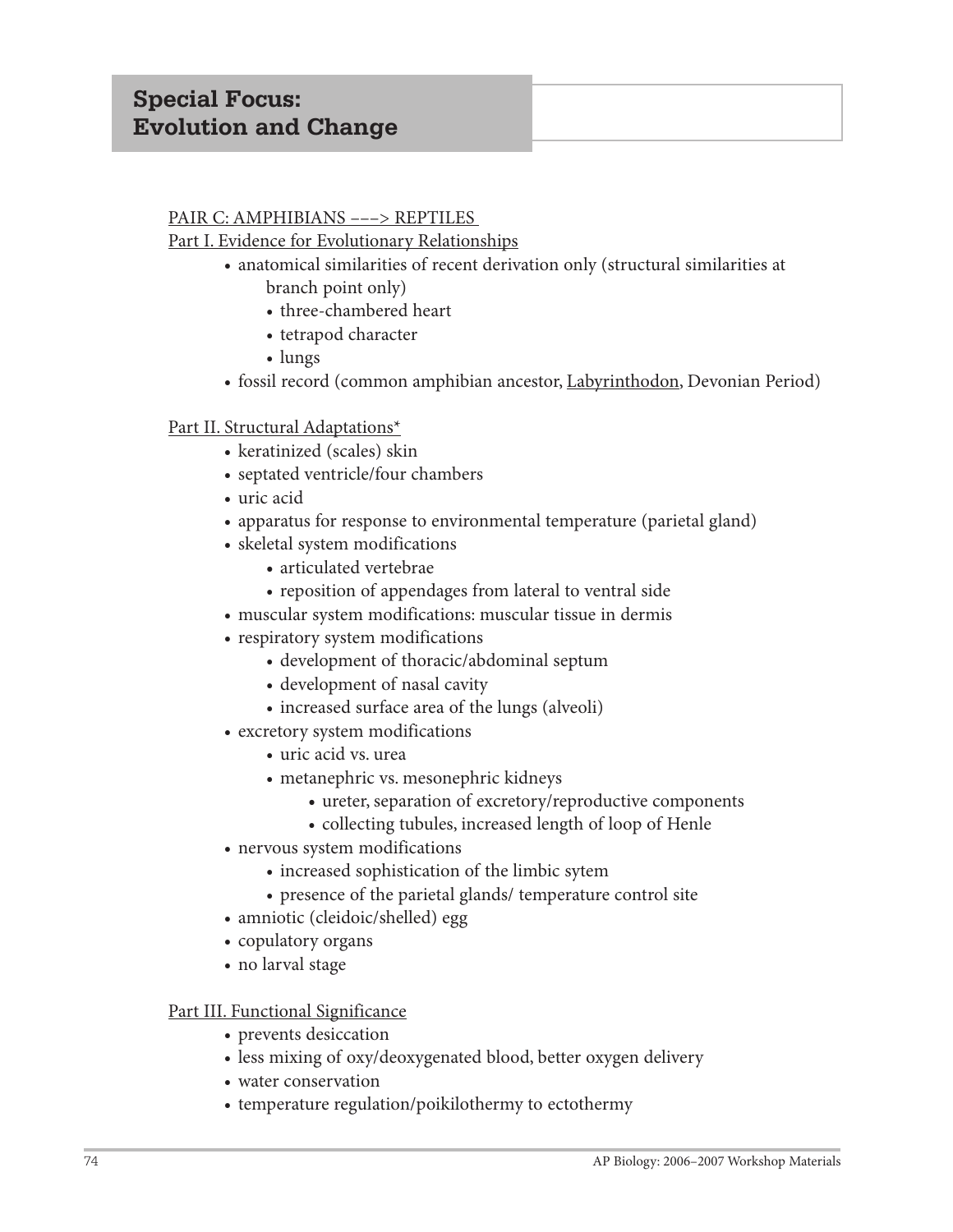### PAIR C: AMPHIBIANS –––> REPTILES

Part I. Evidence for Evolutionary Relationships

- anatomical similarities of recent derivation only (structural similarities at branch point only)
	- three-chambered heart
	- tetrapod character
	- lungs
- fossil record (common amphibian ancestor, Labyrinthodon, Devonian Period)

## Part II. Structural Adaptations\*

- keratinized (scales) skin
- septated ventricle/four chambers
- uric acid
- apparatus for response to environmental temperature (parietal gland)
- skeletal system modifications
	- **•** articulated vertebrae
	- reposition of appendages from lateral to ventral side
- muscular system modifications: muscular tissue in dermis
- respiratory system modifications
	- development of thoracic/abdominal septum
	- development of nasal cavity
	- increased surface area of the lungs (alveoli)
- excretory system modifications
	- uric acid vs. urea
	- metanephric vs. mesonephric kidneys
		- **•** ureter, separation of excretory/reproductive components
		- collecting tubules, increased length of loop of Henle
- nervous system modifications
	- increased sophistication of the limbic sytem
	- presence of the parietal glands/ temperature control site
- amniotic (cleidoic/shelled) egg
- copulatory organs
- no larval stage

### Part III. Functional Significance

- prevents desiccation
- less mixing of oxy/deoxygenated blood, better oxygen delivery
- water conservation
- temperature regulation/poikilothermy to ectothermy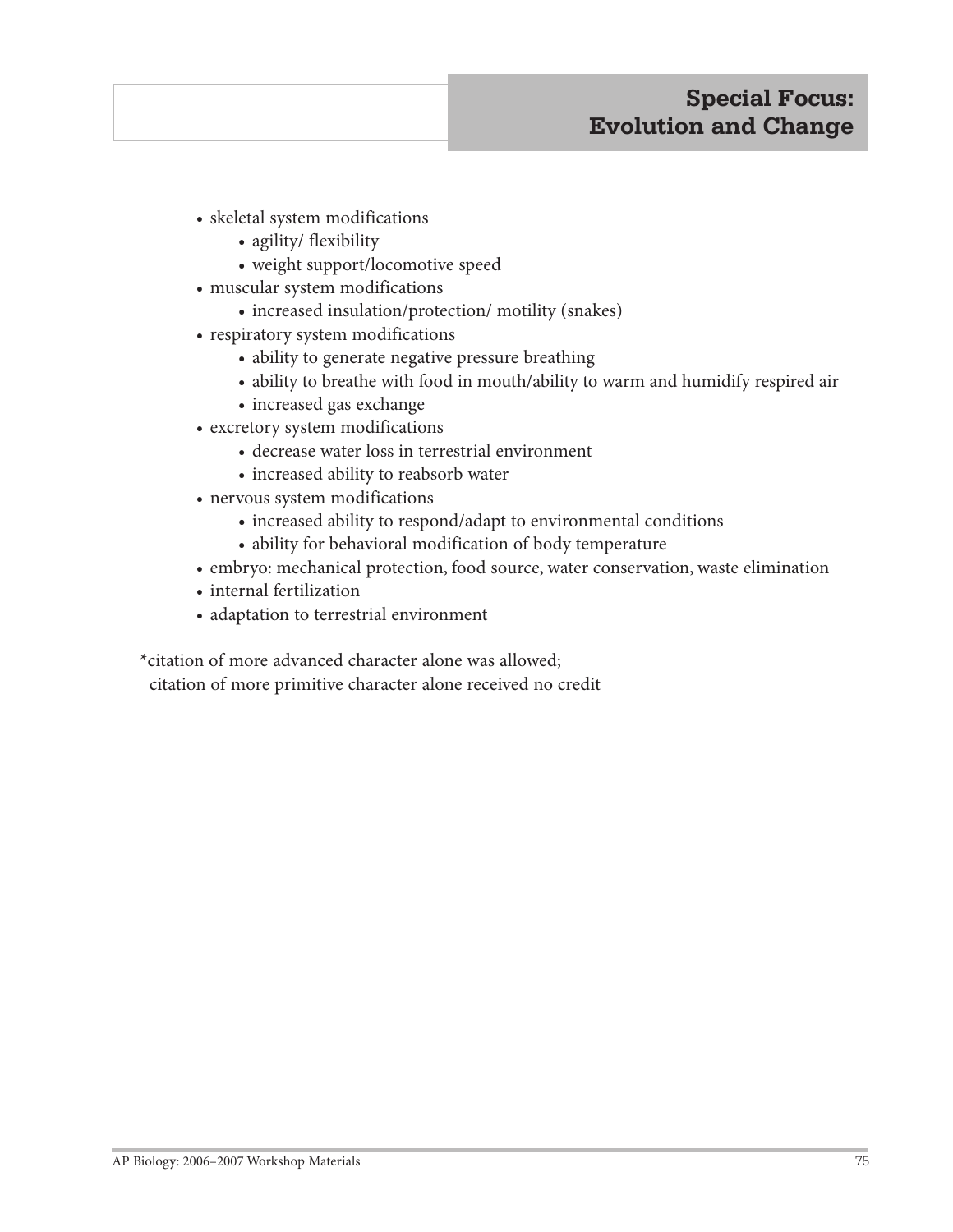# **Special Focus: Evolution and Change**

- skeletal system modifications
	- agility/ flexibility
	- weight support/locomotive speed
- muscular system modifications
	- increased insulation/protection/ motility (snakes)
- respiratory system modifications
	- ability to generate negative pressure breathing
	- ability to breathe with food in mouth/ability to warm and humidify respired air
	- increased gas exchange
- excretory system modifications
	- decrease water loss in terrestrial environment
	- increased ability to reabsorb water
- nervous system modifications
	- **•** increased ability to respond/adapt to environmental conditions
	- ability for behavioral modification of body temperature
- embryo: mechanical protection, food source, water conservation, waste elimination
- internal fertilization
- adaptation to terrestrial environment

\*citation of more advanced character alone was allowed;

citation of more primitive character alone received no credit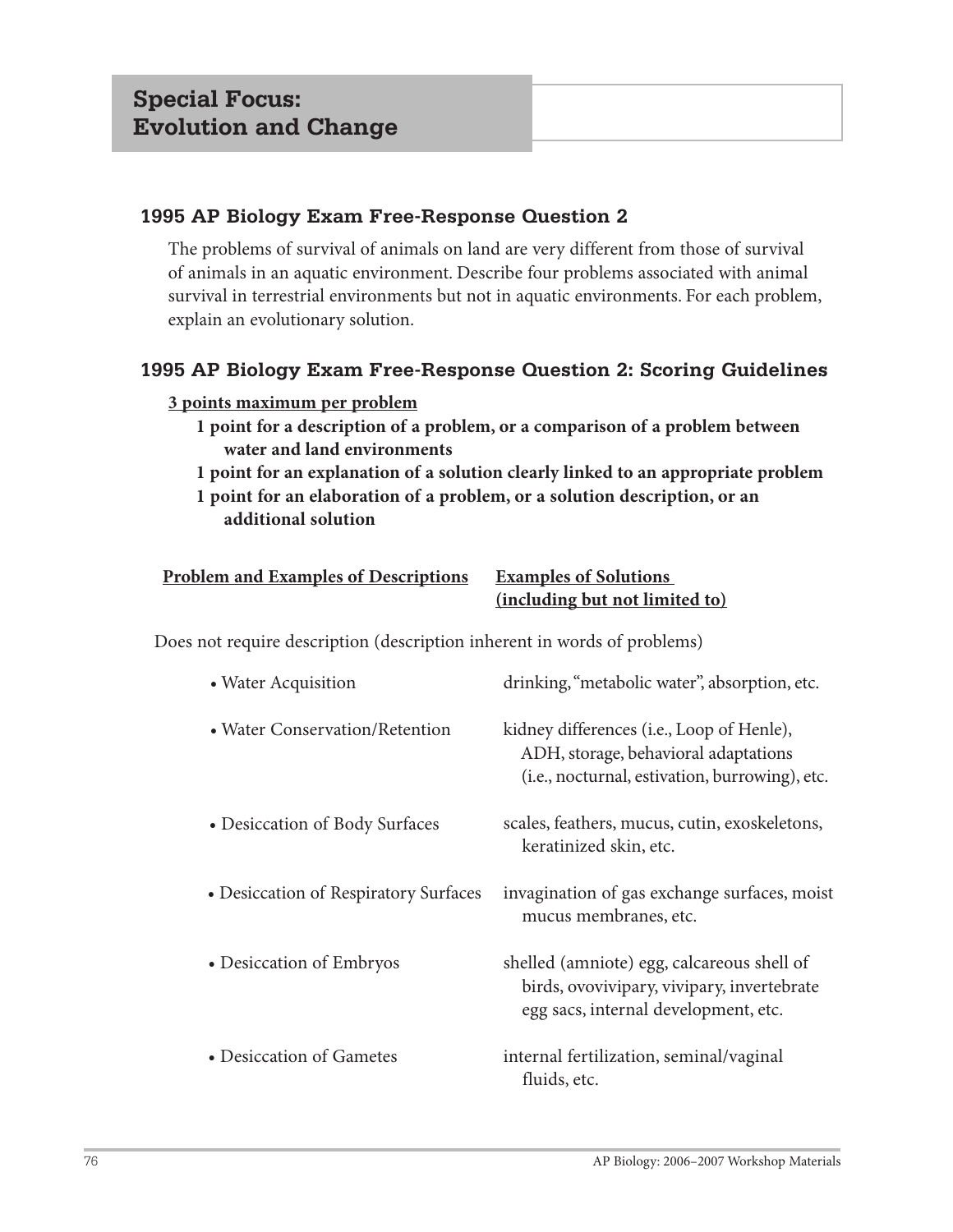The problems of survival of animals on land are very different from those of survival of animals in an aquatic environment. Describe four problems associated with animal survival in terrestrial environments but not in aquatic environments. For each problem, explain an evolutionary solution.

# **1995 AP Biology Exam Free-Response Question 2: Scoring Guidelines**

### **3 points maximum per problem**

- **1 point for a description of a problem, or a comparison of a problem between water and land environments**
- **1 point for an explanation of a solution clearly linked to an appropriate problem**
- **1 point for an elaboration of a problem, or a solution description, or an additional solution**

| <b>Problem and Examples of Descriptions</b> | <b>Examples of Solutions</b>   |
|---------------------------------------------|--------------------------------|
|                                             | (including but not limited to) |

Does not require description (description inherent in words of problems)

| • Water Acquisition                   | drinking, "metabolic water", absorption, etc.                                                                                       |
|---------------------------------------|-------------------------------------------------------------------------------------------------------------------------------------|
| • Water Conservation/Retention        | kidney differences (i.e., Loop of Henle),<br>ADH, storage, behavioral adaptations<br>(i.e., nocturnal, estivation, burrowing), etc. |
| • Desiccation of Body Surfaces        | scales, feathers, mucus, cutin, exoskeletons,<br>keratinized skin, etc.                                                             |
| • Desiccation of Respiratory Surfaces | invagination of gas exchange surfaces, moist<br>mucus membranes, etc.                                                               |
| • Desiccation of Embryos              | shelled (amniote) egg, calcareous shell of<br>birds, ovovivipary, vivipary, invertebrate<br>egg sacs, internal development, etc.    |
| • Desiccation of Gametes              | internal fertilization, seminal/vaginal<br>fluids, etc.                                                                             |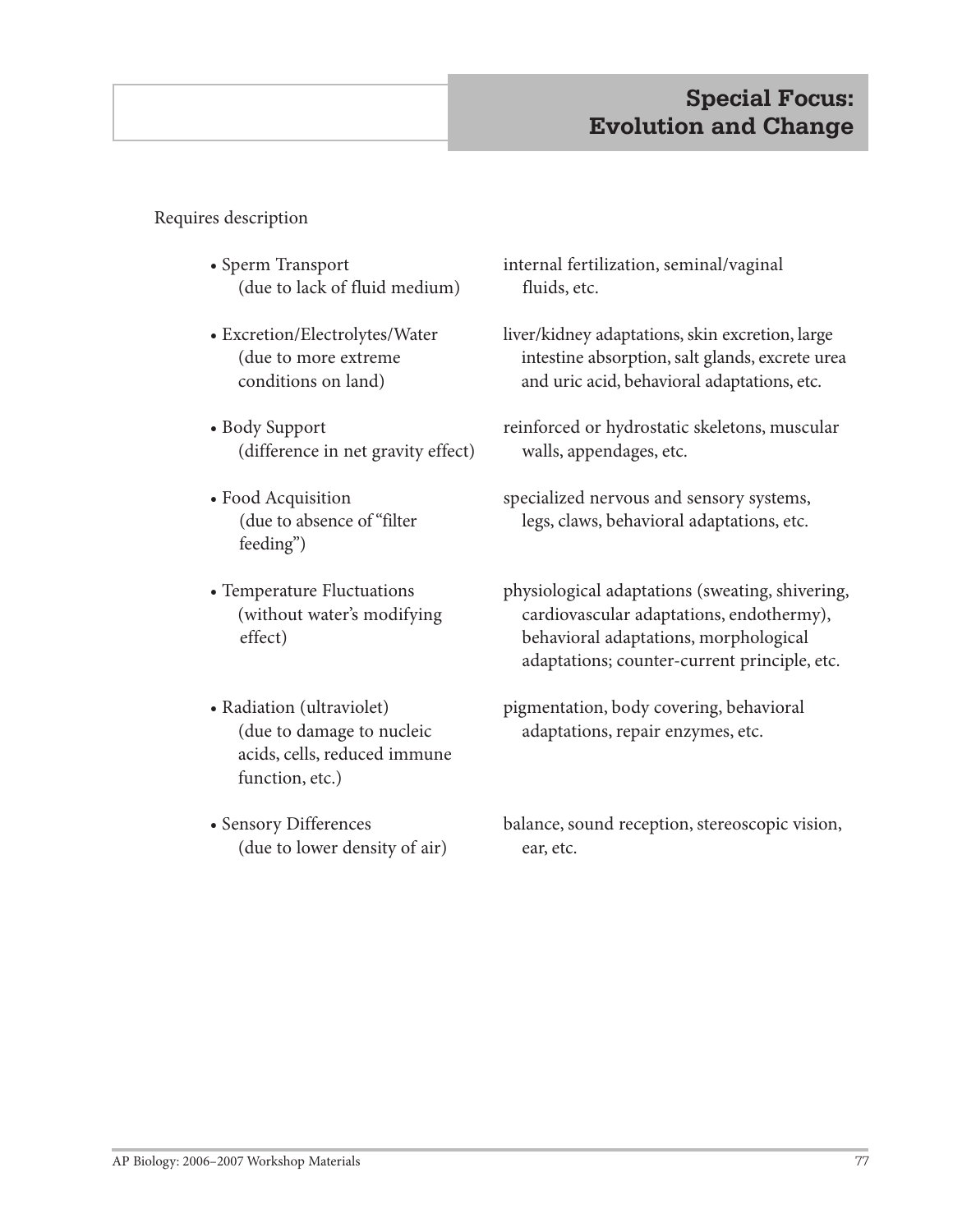# **Special Focus: Evolution and Change**

Requires description

- Sperm Transport (due to lack of fluid medium)
- Excretion/Electrolytes/Water (due to more extreme conditions on land)
- Body Support (difference in net gravity effect)
- Food Acquisition (due to absence of "filter feeding")
- Temperature Fluctuations (without water's modifying effect)
- Radiation (ultraviolet) (due to damage to nucleic acids, cells, reduced immune function, etc.)
- Sensory Differences (due to lower density of air)

internal fertilization, seminal/vaginal fluids, etc.

- liver/kidney adaptations, skin excretion, large intestine absorption, salt glands, excrete urea and uric acid, behavioral adaptations, etc.
- reinforced or hydrostatic skeletons, muscular walls, appendages, etc.
- specialized nervous and sensory systems, legs, claws, behavioral adaptations, etc.
- physiological adaptations (sweating, shivering, cardiovascular adaptations, endothermy), behavioral adaptations, morphological adaptations; counter-current principle, etc.
- pigmentation, body covering, behavioral adaptations, repair enzymes, etc.
- balance, sound reception, stereoscopic vision, ear, etc.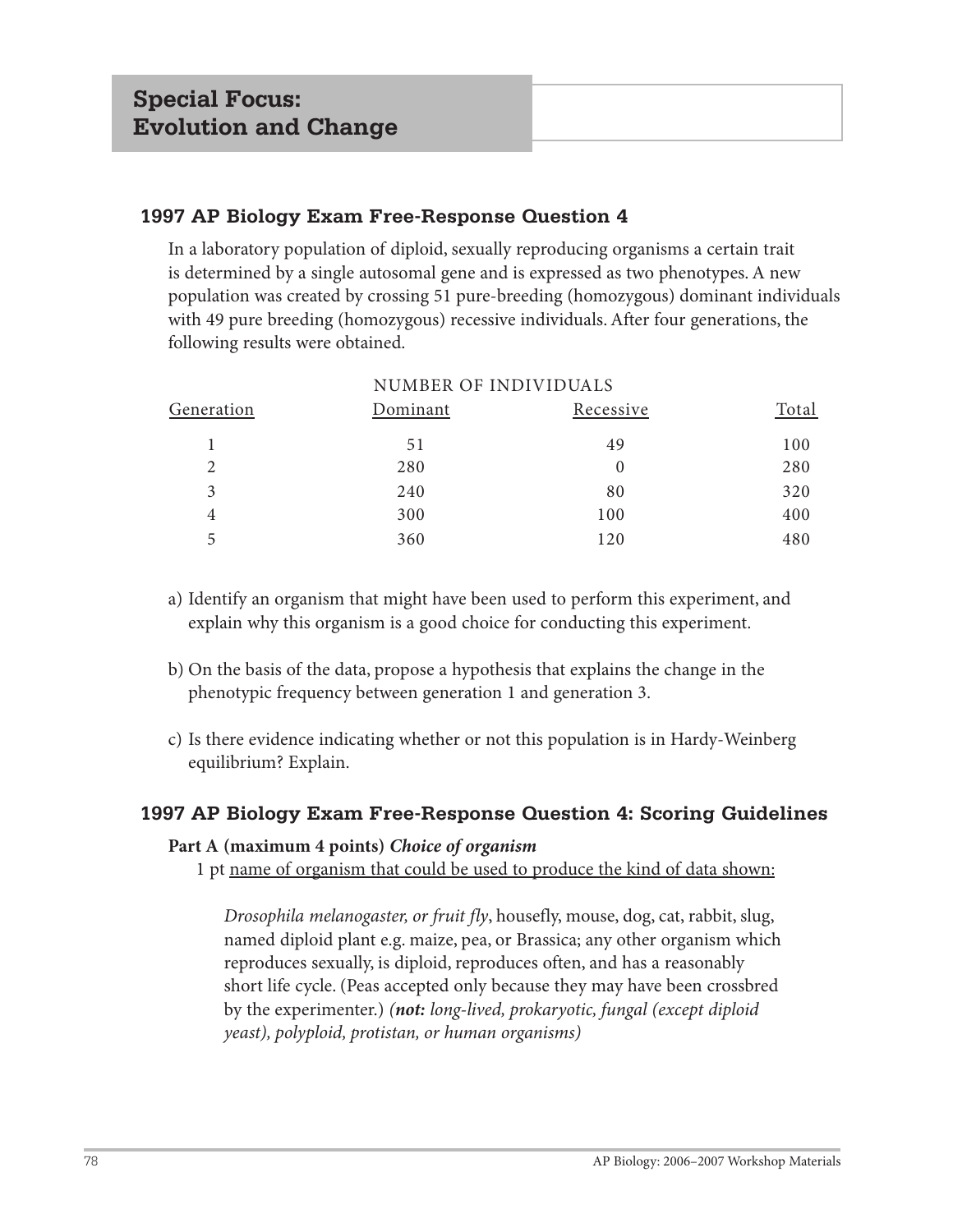In a laboratory population of diploid, sexually reproducing organisms a certain trait is determined by a single autosomal gene and is expressed as two phenotypes. A new population was created by crossing 51 pure-breeding (homozygous) dominant individuals with 49 pure breeding (homozygous) recessive individuals. After four generations, the following results were obtained.

| NUMBER OF INDIVIDUALS |          |           |       |  |  |
|-----------------------|----------|-----------|-------|--|--|
| Generation            | Dominant | Recessive | Total |  |  |
|                       | 51       | 49        | 100   |  |  |
| $\overline{2}$        | 280      |           | 280   |  |  |
| 3                     | 240      | 80        | 320   |  |  |
| 4                     | 300      | 100       | 400   |  |  |
| 5                     | 360      | 120       | 480   |  |  |

- a) Identify an organism that might have been used to perform this experiment, and explain why this organism is a good choice for conducting this experiment.
- b) On the basis of the data, propose a hypothesis that explains the change in the phenotypic frequency between generation 1 and generation 3.
- c) Is there evidence indicating whether or not this population is in Hardy-Weinberg equilibrium? Explain.

# **1997 AP Biology Exam Free-Response Question 4: Scoring Guidelines**

#### **Part A (maximum 4 points)** *Choice of organism*

1 pt name of organism that could be used to produce the kind of data shown:

*Drosophila melanogaster, or fruit fly*, housefly, mouse, dog, cat, rabbit, slug, named diploid plant e.g. maize, pea, or Brassica; any other organism which reproduces sexually, is diploid, reproduces often, and has a reasonably short life cycle. (Peas accepted only because they may have been crossbred by the experimenter.) *(not: long-lived, prokaryotic, fungal (except diploid yeast), polyploid, protistan, or human organisms)*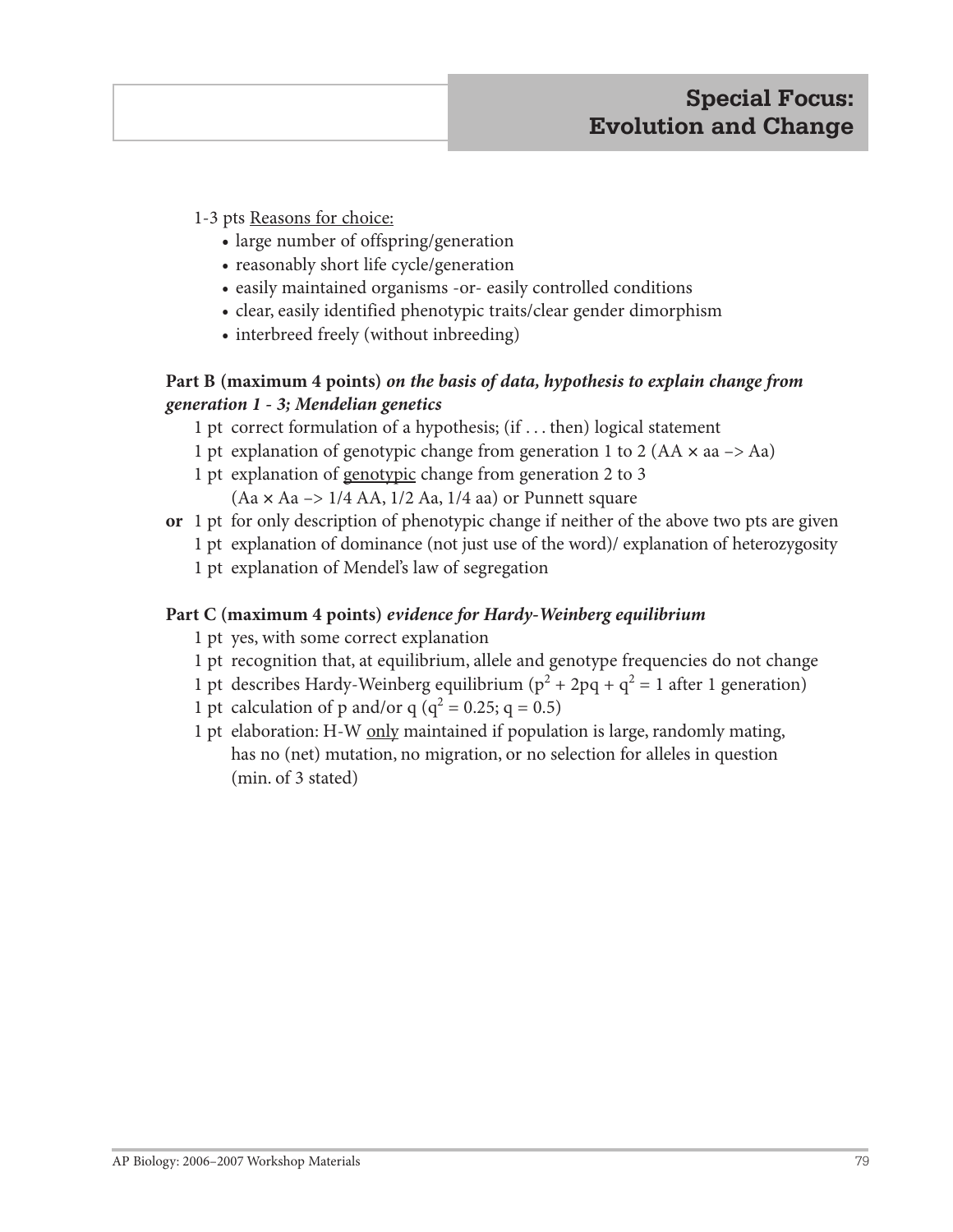1-3 pts Reasons for choice:

- **•** large number of offspring/generation
- reasonably short life cycle/generation
- easily maintained organisms -or- easily controlled conditions
- clear, easily identified phenotypic traits/clear gender dimorphism
- interbreed freely (without inbreeding)

# **Part B (maximum 4 points)** *on the basis of data, hypothesis to explain change from generation 1 - 3; Mendelian genetics*

- 1 pt correct formulation of a hypothesis; (if . . . then) logical statement
- 1 pt explanation of genotypic change from generation 1 to 2 (AA **×** aa –> Aa)
- 1 pt explanation of genotypic change from generation 2 to 3
	- (Aa **×** Aa –> 1/4 AA, 1/2 Aa, 1/4 aa) or Punnett square
- **or** 1 pt for only description of phenotypic change if neither of the above two pts are given
	- 1 pt explanation of dominance (not just use of the word)/ explanation of heterozygosity
		- 1 pt explanation of Mendel's law of segregation

# **Part C (maximum 4 points)** *evidence for Hardy-Weinberg equilibrium*

- 1 pt yes, with some correct explanation
- 1 pt recognition that, at equilibrium, allele and genotype frequencies do not change
- 1 pt describes Hardy-Weinberg equilibrium  $(p^2 + 2pq + q^2 = 1$  after 1 generation)
- 1 pt calculation of p and/or q ( $q^2 = 0.25$ ; q = 0.5)
- 1 pt elaboration: H-W only maintained if population is large, randomly mating, has no (net) mutation, no migration, or no selection for alleles in question (min. of 3 stated)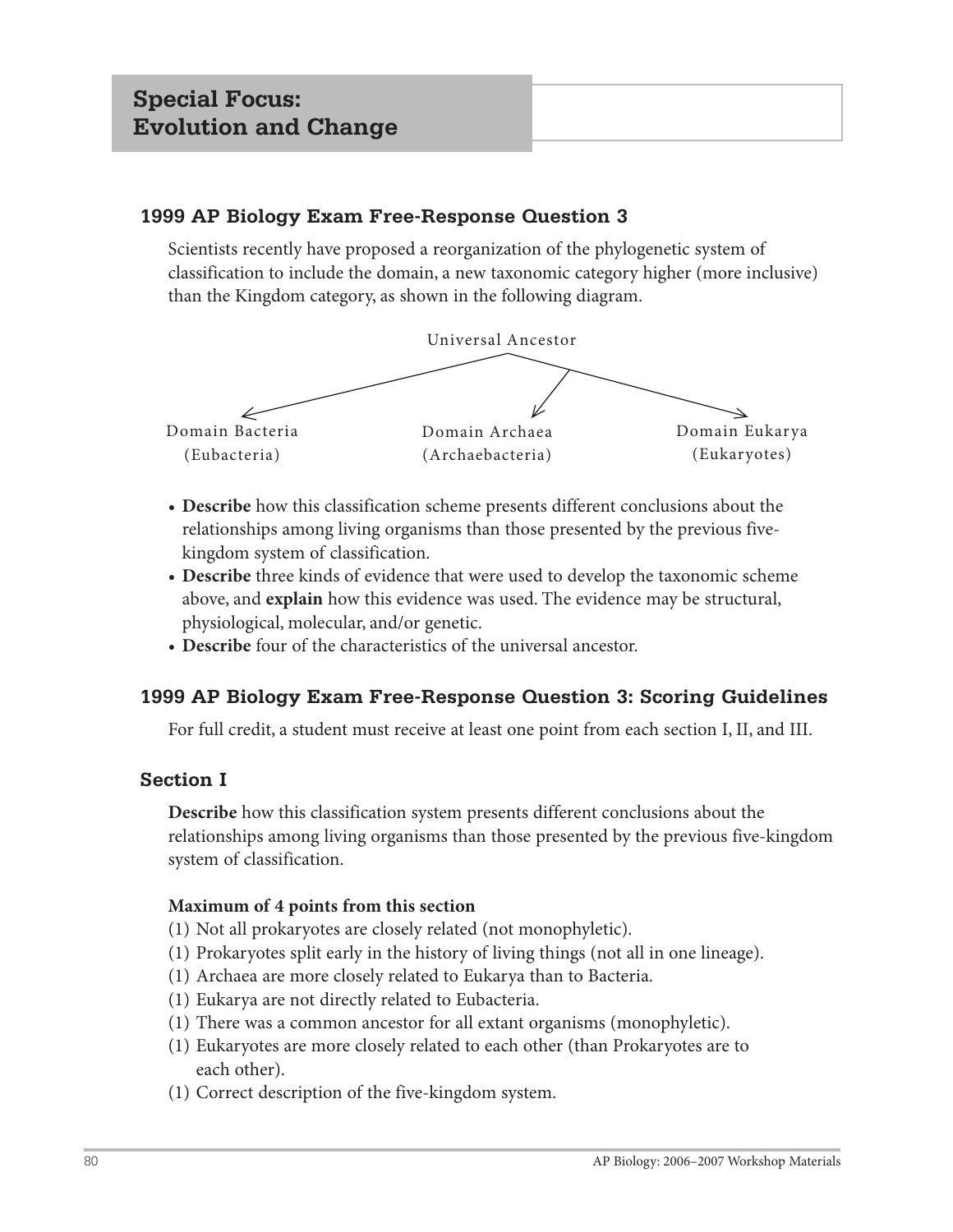Scientists recently have proposed a reorganization of the phylogenetic system of classification to include the domain, a new taxonomic category higher (more inclusive) than the Kingdom category, as shown in the following diagram.



- **Describe** how this classification scheme presents different conclusions about the relationships among living organisms than those presented by the previous fivekingdom system of classification.
- **Describe** three kinds of evidence that were used to develop the taxonomic scheme above, and **explain** how this evidence was used. The evidence may be structural, physiological, molecular, and/or genetic.
- **Describe** four of the characteristics of the universal ancestor.

# **1999 AP Biology Exam Free-Response Question 3: Scoring Guidelines**

For full credit, a student must receive at least one point from each section I, II, and III.

# **Section I**

**Describe** how this classification system presents different conclusions about the relationships among living organisms than those presented by the previous five-kingdom system of classification.

# **Maximum of 4 points from this section**

- (1) Not all prokaryotes are closely related (not monophyletic).
- (1) Prokaryotes split early in the history of living things (not all in one lineage).
- (1) Archaea are more closely related to Eukarya than to Bacteria.
- (1) Eukarya are not directly related to Eubacteria.
- (1) There was a common ancestor for all extant organisms (monophyletic).
- (1) Eukaryotes are more closely related to each other (than Prokaryotes are to each other).
- (1) Correct description of the five-kingdom system.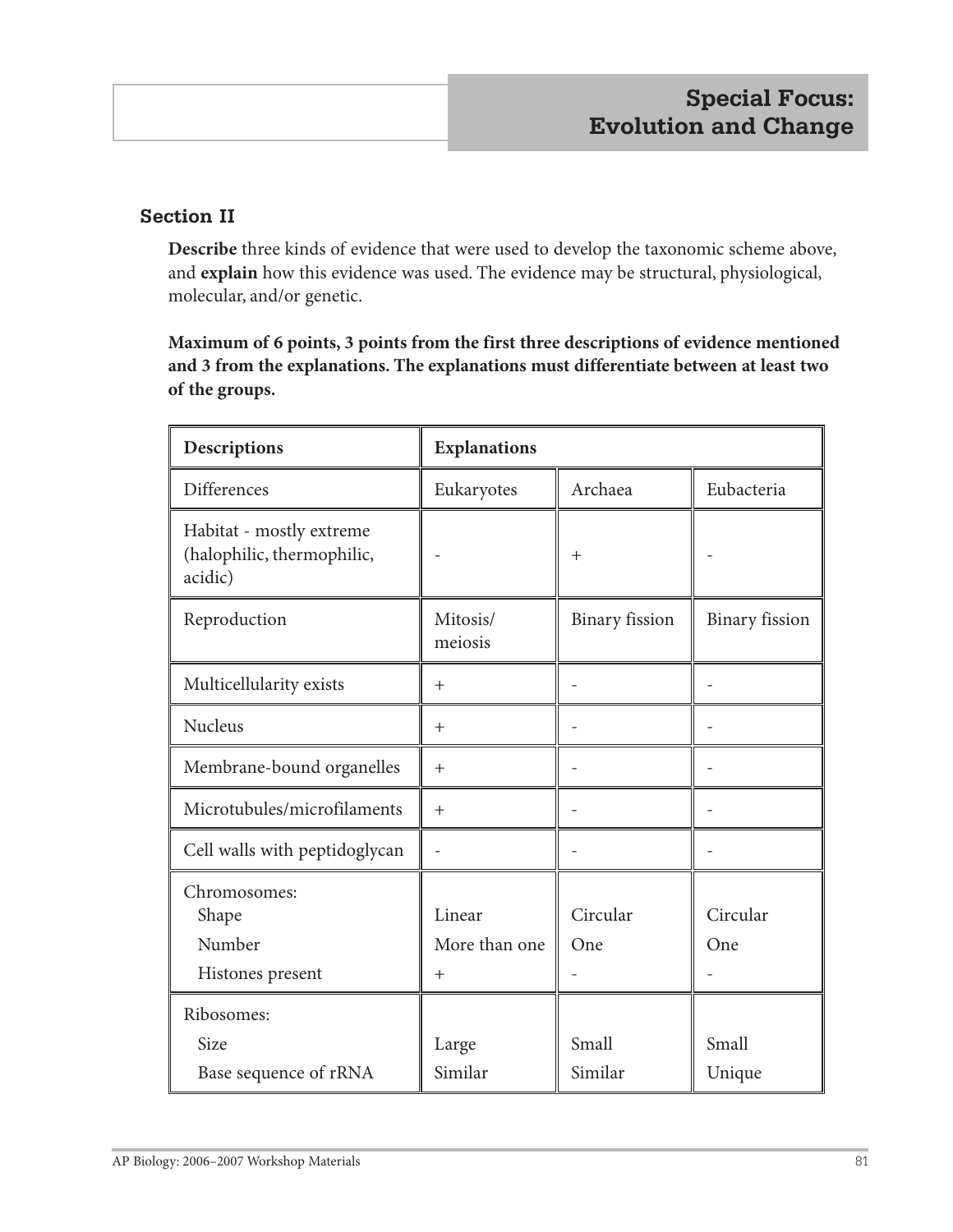# **Section II**

**Describe** three kinds of evidence that were used to develop the taxonomic scheme above, and **explain** how this evidence was used. The evidence may be structural, physiological, molecular, and/or genetic.

**Maximum of 6 points, 3 points from the first three descriptions of evidence mentioned and 3 from the explanations. The explanations must differentiate between at least two of the groups.**

| Descriptions                                                      | <b>Explanations</b>            |                       |                       |
|-------------------------------------------------------------------|--------------------------------|-----------------------|-----------------------|
| Differences                                                       | Eukaryotes                     | Archaea               | Eubacteria            |
| Habitat - mostly extreme<br>(halophilic, thermophilic,<br>acidic) |                                | $+$                   |                       |
| Reproduction                                                      | Mitosis/<br>meiosis            | <b>Binary</b> fission | <b>Binary</b> fission |
| Multicellularity exists                                           | $\pm$                          |                       |                       |
| Nucleus                                                           | $\pm$                          |                       |                       |
| Membrane-bound organelles                                         | $+$                            |                       |                       |
| Microtubules/microfilaments                                       | $+$                            |                       |                       |
| Cell walls with peptidoglycan                                     | $\overline{a}$                 |                       |                       |
| Chromosomes:<br>Shape<br>Number<br>Histones present               | Linear<br>More than one<br>$+$ | Circular<br>One       | Circular<br>One       |
| Ribosomes:                                                        |                                |                       |                       |
| <b>Size</b>                                                       | Large                          | Small                 | Small                 |
| Base sequence of rRNA                                             | Similar                        | Similar               | Unique                |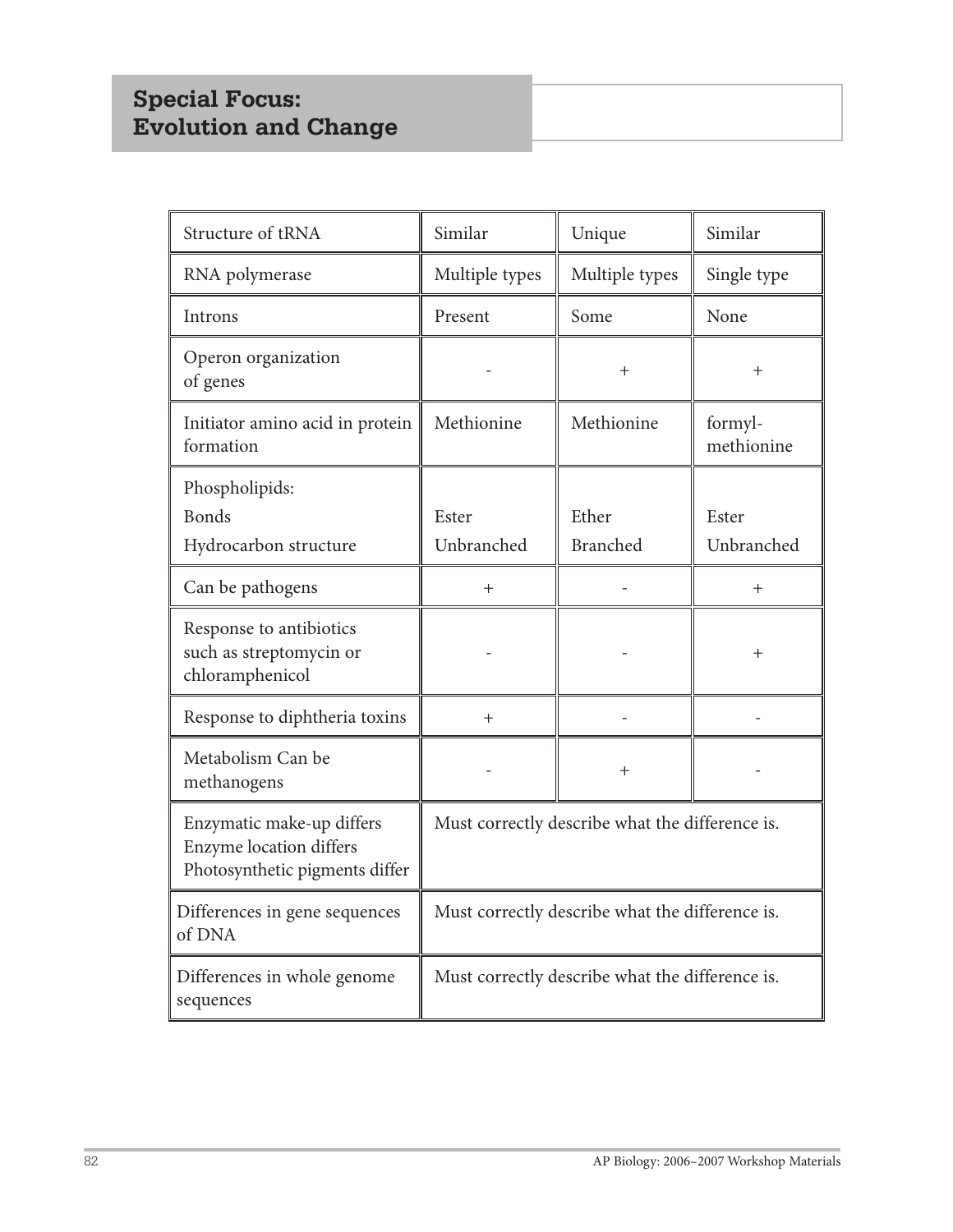# **Special Focus: Evolution and Change**

| Structure of tRNA                                                                      | Similar                                         | Unique          | Similar               |
|----------------------------------------------------------------------------------------|-------------------------------------------------|-----------------|-----------------------|
| RNA polymerase                                                                         | Multiple types                                  | Multiple types  | Single type           |
| Introns                                                                                | Present                                         | Some            | None                  |
| Operon organization<br>of genes                                                        |                                                 | $^{+}$          | $+$                   |
| Initiator amino acid in protein<br>formation                                           | Methionine                                      | Methionine      | formyl-<br>methionine |
| Phospholipids:                                                                         |                                                 |                 |                       |
| <b>Bonds</b>                                                                           | Ester                                           | Ether           | Ester                 |
| Hydrocarbon structure                                                                  | Unbranched                                      | <b>Branched</b> | Unbranched            |
| Can be pathogens                                                                       | $^{+}$                                          |                 | $^{+}$                |
| Response to antibiotics<br>such as streptomycin or<br>chloramphenicol                  |                                                 |                 | $+$                   |
| Response to diphtheria toxins                                                          | $^{+}$                                          |                 |                       |
| Metabolism Can be<br>methanogens                                                       |                                                 | $^{+}$          |                       |
| Enzymatic make-up differs<br>Enzyme location differs<br>Photosynthetic pigments differ | Must correctly describe what the difference is. |                 |                       |
| Differences in gene sequences<br>of DNA                                                | Must correctly describe what the difference is. |                 |                       |
| Differences in whole genome<br>sequences                                               | Must correctly describe what the difference is. |                 |                       |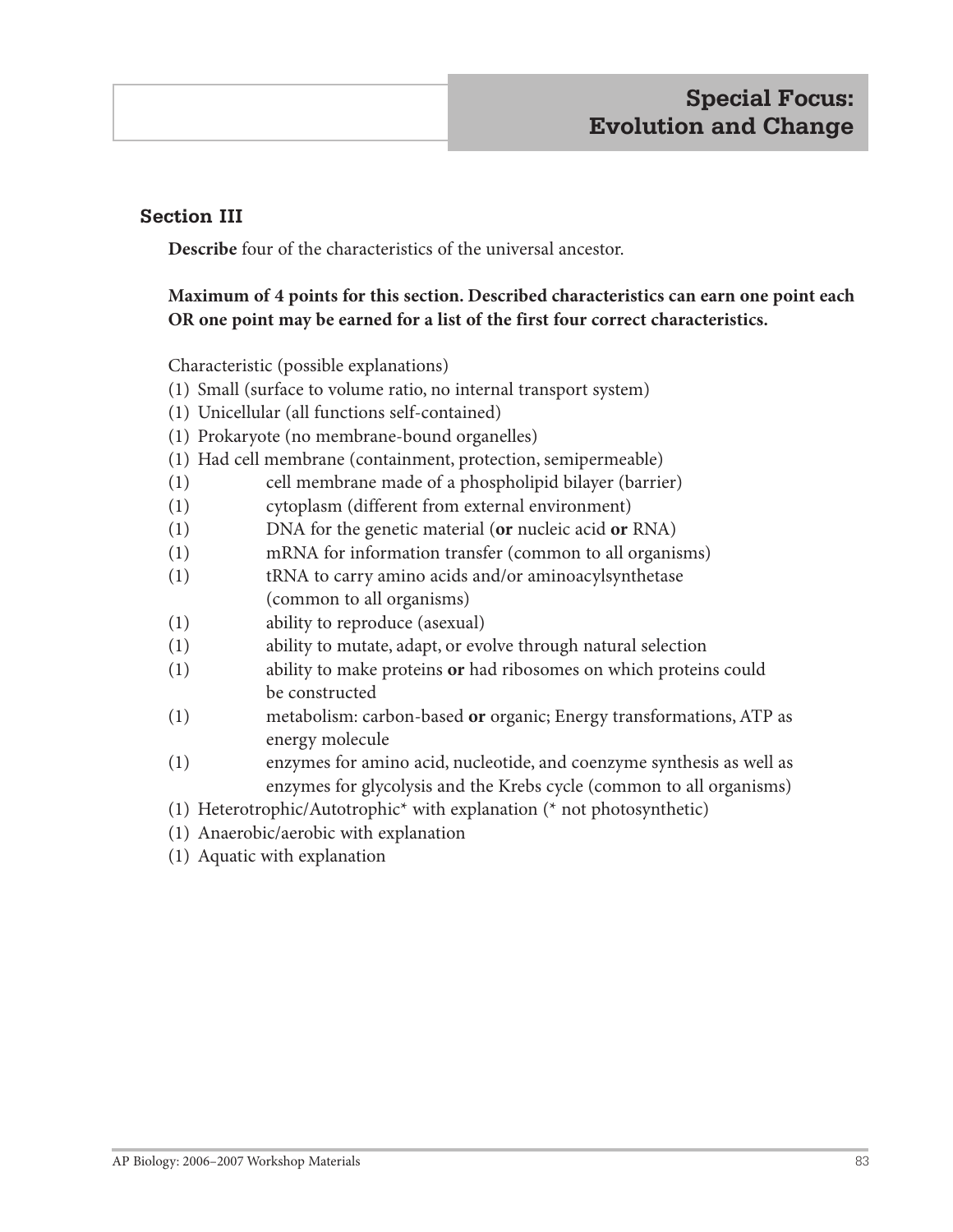# **Section III**

**Describe** four of the characteristics of the universal ancestor.

# **Maximum of 4 points for this section. Described characteristics can earn one point each OR one point may be earned for a list of the first four correct characteristics.**

Characteristic (possible explanations)

- (1) Small (surface to volume ratio, no internal transport system)
- (1) Unicellular (all functions self-contained)
- (1) Prokaryote (no membrane-bound organelles)
- (1) Had cell membrane (containment, protection, semipermeable)
- (1) cell membrane made of a phospholipid bilayer (barrier)
- (1) cytoplasm (different from external environment)
- (1) DNA for the genetic material (**or** nucleic acid **or** RNA)
- (1) mRNA for information transfer (common to all organisms)
- (1) tRNA to carry amino acids and/or aminoacylsynthetase (common to all organisms)
- (1) ability to reproduce (asexual)
- (1) ability to mutate, adapt, or evolve through natural selection
- (1) ability to make proteins **or** had ribosomes on which proteins could be constructed
- (1) metabolism: carbon-based **or** organic; Energy transformations, ATP as energy molecule
- (1) enzymes for amino acid, nucleotide, and coenzyme synthesis as well as enzymes for glycolysis and the Krebs cycle (common to all organisms)

(1) Heterotrophic/Autotrophic\* with explanation (\* not photosynthetic)

- (1) Anaerobic/aerobic with explanation
- (1) Aquatic with explanation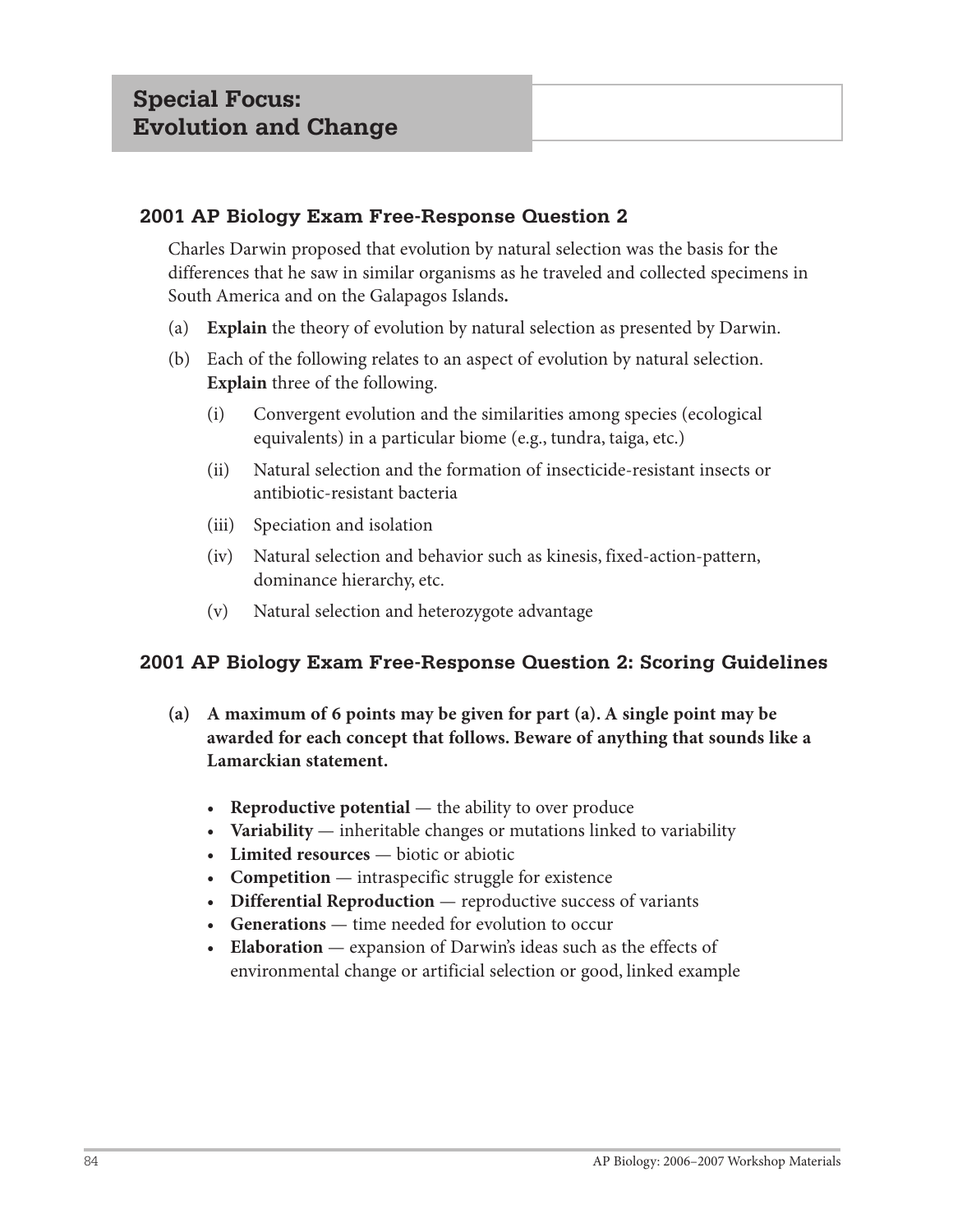Charles Darwin proposed that evolution by natural selection was the basis for the differences that he saw in similar organisms as he traveled and collected specimens in South America and on the Galapagos Islands**.**

- (a) **Explain** the theory of evolution by natural selection as presented by Darwin.
- (b) Each of the following relates to an aspect of evolution by natural selection. **Explain** three of the following.
	- (i) Convergent evolution and the similarities among species (ecological equivalents) in a particular biome (e.g., tundra, taiga, etc.)
	- (ii) Natural selection and the formation of insecticide-resistant insects or antibiotic-resistant bacteria
	- (iii) Speciation and isolation
	- (iv) Natural selection and behavior such as kinesis, fixed-action-pattern, dominance hierarchy, etc.
	- (v) Natural selection and heterozygote advantage

# **2001 AP Biology Exam Free-Response Question 2: Scoring Guidelines**

- **(a) A maximum of 6 points may be given for part (a). A single point may be awarded for each concept that follows. Beware of anything that sounds like a Lamarckian statement.**
	- **Reproductive potential** the ability to over produce
	- **Variability** inheritable changes or mutations linked to variability
	- **Limited resources**  biotic or abiotic
	- **Competition**  intraspecific struggle for existence
	- **Differential Reproduction** reproductive success of variants
	- **Generations**  time needed for evolution to occur
	- **Elaboration** expansion of Darwin's ideas such as the effects of environmental change or artificial selection or good, linked example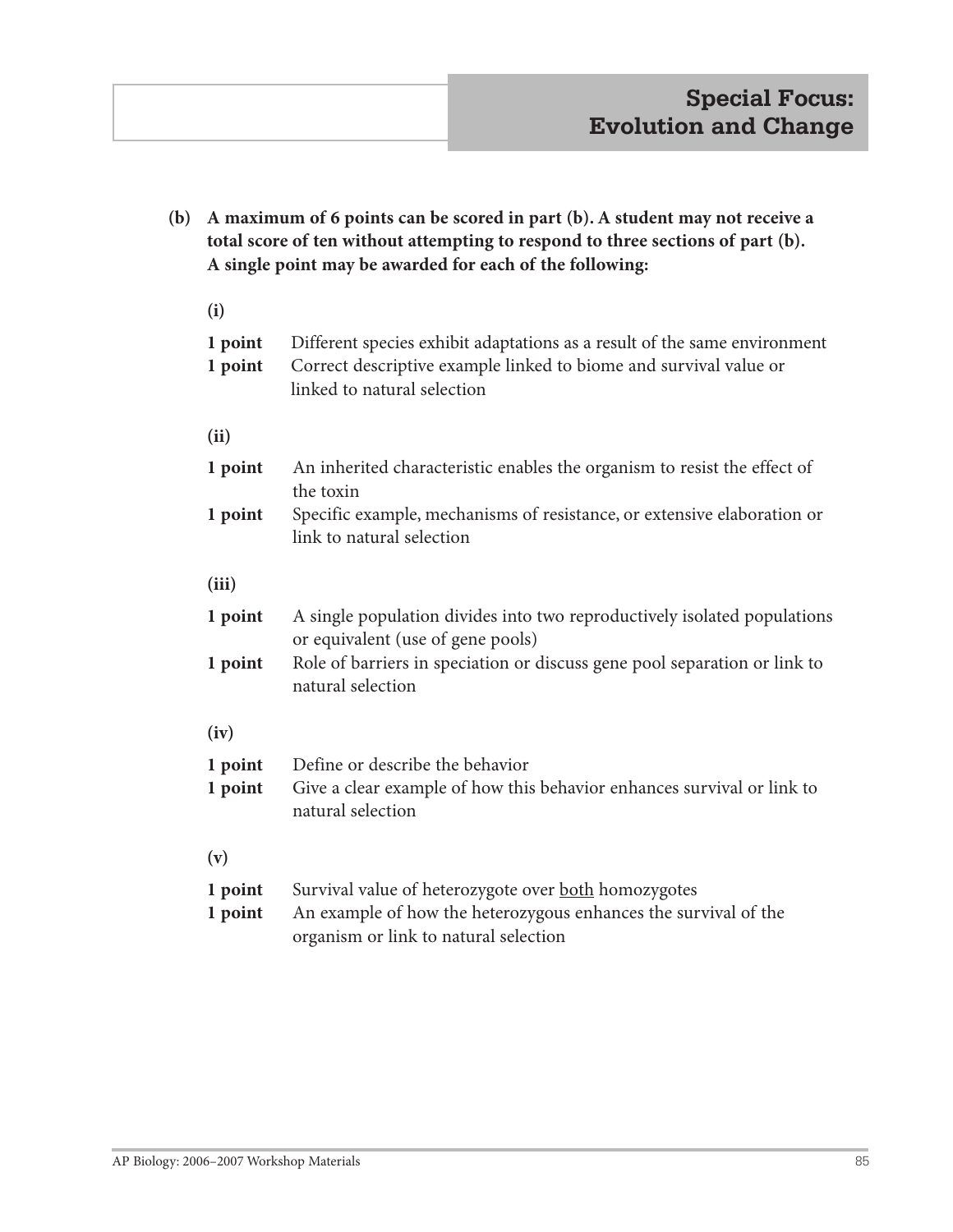**(b) A maximum of 6 points can be scored in part (b). A student may not receive a total score of ten without attempting to respond to three sections of part (b). A single point may be awarded for each of the following: (i) 1 point** Different species exhibit adaptations as a result of the same environment **1 point** Correct descriptive example linked to biome and survival value or linked to natural selection **(ii) 1 point** An inherited characteristic enables the organism to resist the effect of the toxin **1 point** Specific example, mechanisms of resistance, or extensive elaboration or link to natural selection **(iii) 1 point** A single population divides into two reproductively isolated populations or equivalent (use of gene pools) **1 point** Role of barriers in speciation or discuss gene pool separation or link to natural selection **(iv) 1 point** Define or describe the behavior **1 point** Give a clear example of how this behavior enhances survival or link to natural selection **(v) 1 point** Survival value of heterozygote over **both** homozygotes **1 point** An example of how the heterozygous enhances the survival of the organism or link to natural selection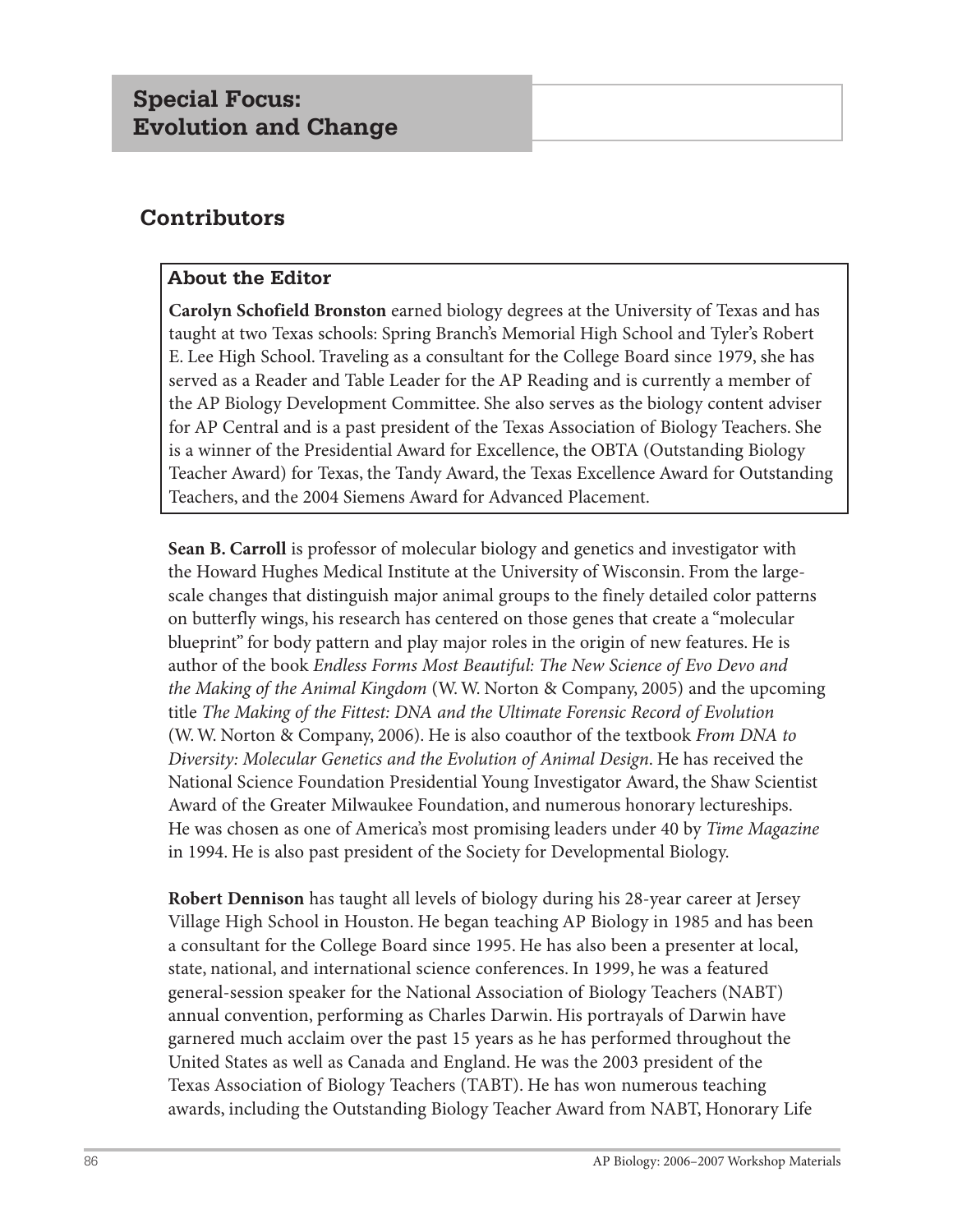# **Contributors**

# **About the Editor**

**Carolyn Schofield Bronston** earned biology degrees at the University of Texas and has taught at two Texas schools: Spring Branch's Memorial High School and Tyler's Robert E. Lee High School. Traveling as a consultant for the College Board since 1979, she has served as a Reader and Table Leader for the AP Reading and is currently a member of the AP Biology Development Committee. She also serves as the biology content adviser for AP Central and is a past president of the Texas Association of Biology Teachers. She is a winner of the Presidential Award for Excellence, the OBTA (Outstanding Biology Teacher Award) for Texas, the Tandy Award, the Texas Excellence Award for Outstanding Teachers, and the 2004 Siemens Award for Advanced Placement.

**Sean B. Carroll** is professor of molecular biology and genetics and investigator with the Howard Hughes Medical Institute at the University of Wisconsin. From the largescale changes that distinguish major animal groups to the finely detailed color patterns on butterfly wings, his research has centered on those genes that create a "molecular blueprint" for body pattern and play major roles in the origin of new features. He is author of the book *Endless Forms Most Beautiful: The New Science of Evo Devo and the Making of the Animal Kingdom* (W. W. Norton & Company, 2005) and the upcoming title *The Making of the Fittest: DNA and the Ultimate Forensic Record of Evolution* (W. W. Norton & Company, 2006). He is also coauthor of the textbook *From DNA to Diversity: Molecular Genetics and the Evolution of Animal Design*. He has received the National Science Foundation Presidential Young Investigator Award, the Shaw Scientist Award of the Greater Milwaukee Foundation, and numerous honorary lectureships. He was chosen as one of America's most promising leaders under 40 by *Time Magazine* in 1994. He is also past president of the Society for Developmental Biology.

**Robert Dennison** has taught all levels of biology during his 28-year career at Jersey Village High School in Houston. He began teaching AP Biology in 1985 and has been a consultant for the College Board since 1995. He has also been a presenter at local, state, national, and international science conferences. In 1999, he was a featured general-session speaker for the National Association of Biology Teachers (NABT) annual convention, performing as Charles Darwin. His portrayals of Darwin have garnered much acclaim over the past 15 years as he has performed throughout the United States as well as Canada and England. He was the 2003 president of the Texas Association of Biology Teachers (TABT). He has won numerous teaching awards, including the Outstanding Biology Teacher Award from NABT, Honorary Life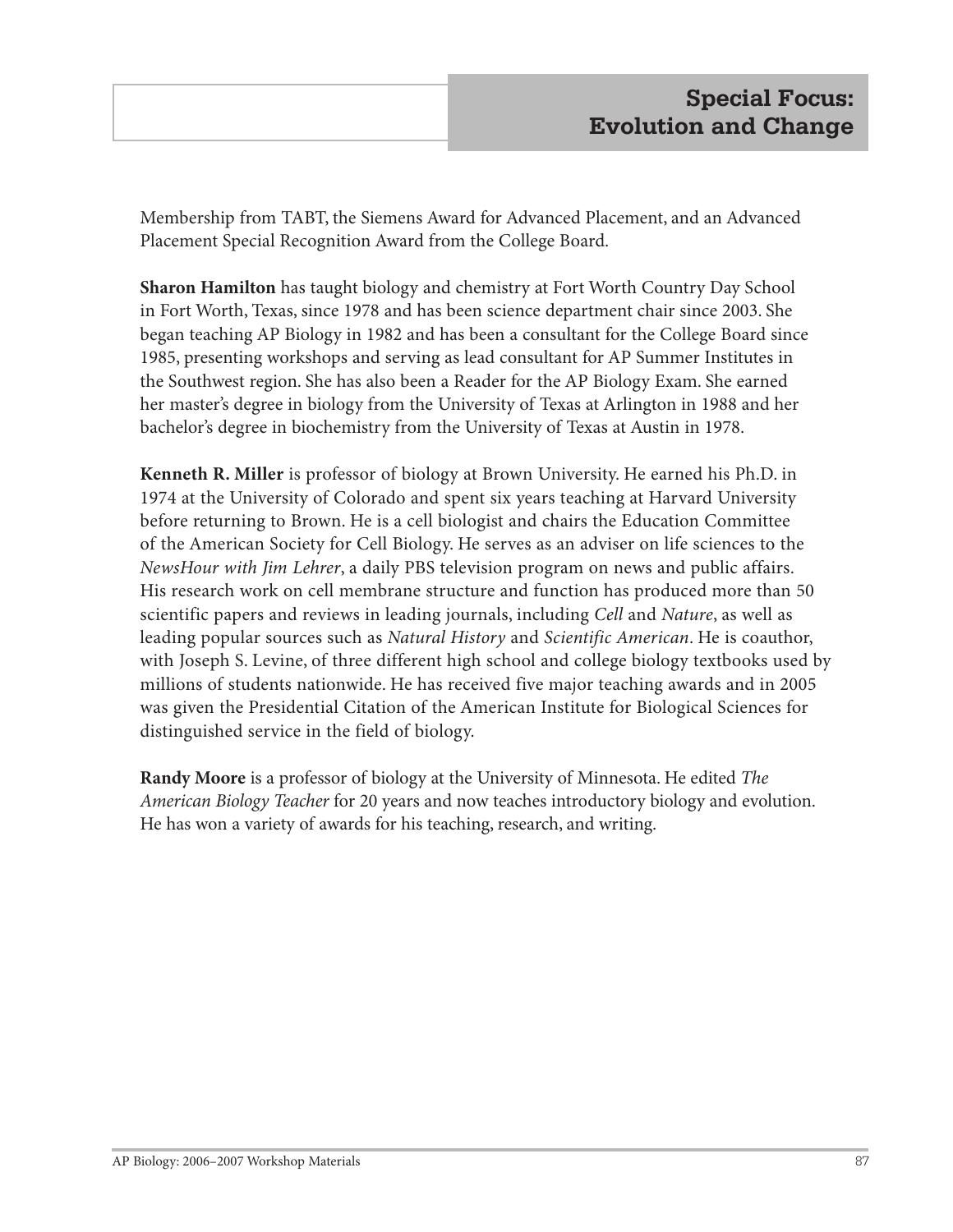Membership from TABT, the Siemens Award for Advanced Placement, and an Advanced Placement Special Recognition Award from the College Board.

**Sharon Hamilton** has taught biology and chemistry at Fort Worth Country Day School in Fort Worth, Texas, since 1978 and has been science department chair since 2003. She began teaching AP Biology in 1982 and has been a consultant for the College Board since 1985, presenting workshops and serving as lead consultant for AP Summer Institutes in the Southwest region. She has also been a Reader for the AP Biology Exam. She earned her master's degree in biology from the University of Texas at Arlington in 1988 and her bachelor's degree in biochemistry from the University of Texas at Austin in 1978.

**Kenneth R. Miller** is professor of biology at Brown University. He earned his Ph.D. in 1974 at the University of Colorado and spent six years teaching at Harvard University before returning to Brown. He is a cell biologist and chairs the Education Committee of the American Society for Cell Biology. He serves as an adviser on life sciences to the *NewsHour with Jim Lehrer*, a daily PBS television program on news and public affairs. His research work on cell membrane structure and function has produced more than 50 scientific papers and reviews in leading journals, including *Cell* and *Nature*, as well as leading popular sources such as *Natural History* and *Scientific American*. He is coauthor, with Joseph S. Levine, of three different high school and college biology textbooks used by millions of students nationwide. He has received five major teaching awards and in 2005 was given the Presidential Citation of the American Institute for Biological Sciences for distinguished service in the field of biology.

**Randy Moore** is a professor of biology at the University of Minnesota. He edited *The American Biology Teacher* for 20 years and now teaches introductory biology and evolution. He has won a variety of awards for his teaching, research, and writing.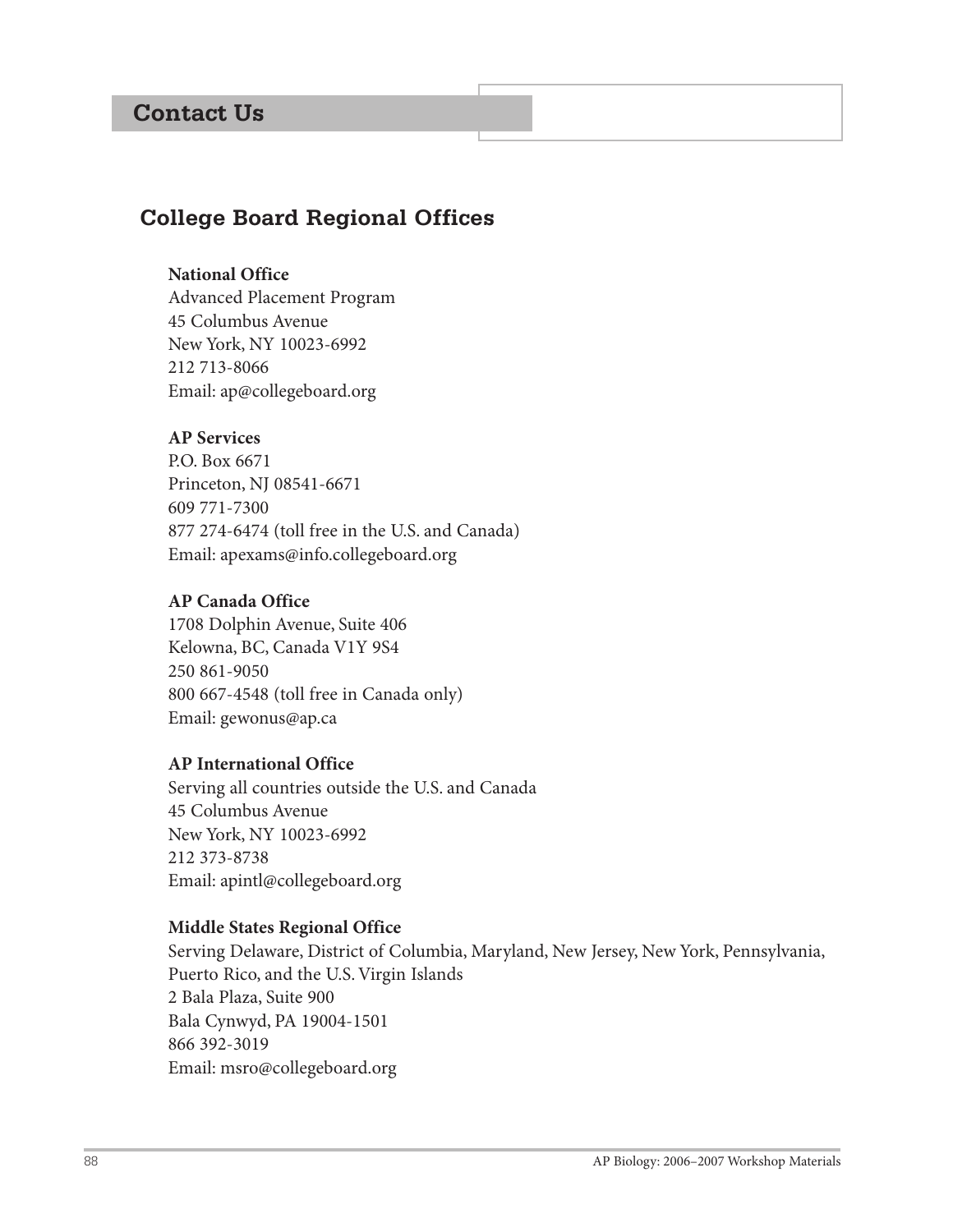# **Contact Us**

# **College Board Regional Offices**

#### **National Office**

Advanced Placement Program 45 Columbus Avenue New York, NY 10023-6992 212 713-8066 Email: ap@collegeboard.org

### **AP Services**

P.O. Box 6671 Princeton, NJ 08541-6671 609 771-7300 877 274-6474 (toll free in the U.S. and Canada) Email: apexams@info.collegeboard.org

#### **AP Canada Office**

1708 Dolphin Avenue, Suite 406 Kelowna, BC, Canada V1Y 9S4 250 861-9050 800 667-4548 (toll free in Canada only) Email: gewonus@ap.ca

#### **AP International Office**

Serving all countries outside the U.S. and Canada 45 Columbus Avenue New York, NY 10023-6992 212 373-8738 Email: apintl@collegeboard.org

#### **Middle States Regional Office**

Serving Delaware, District of Columbia, Maryland, New Jersey, New York, Pennsylvania, Puerto Rico, and the U.S. Virgin Islands 2 Bala Plaza, Suite 900 Bala Cynwyd, PA 19004-1501 866 392-3019 Email: msro@collegeboard.org